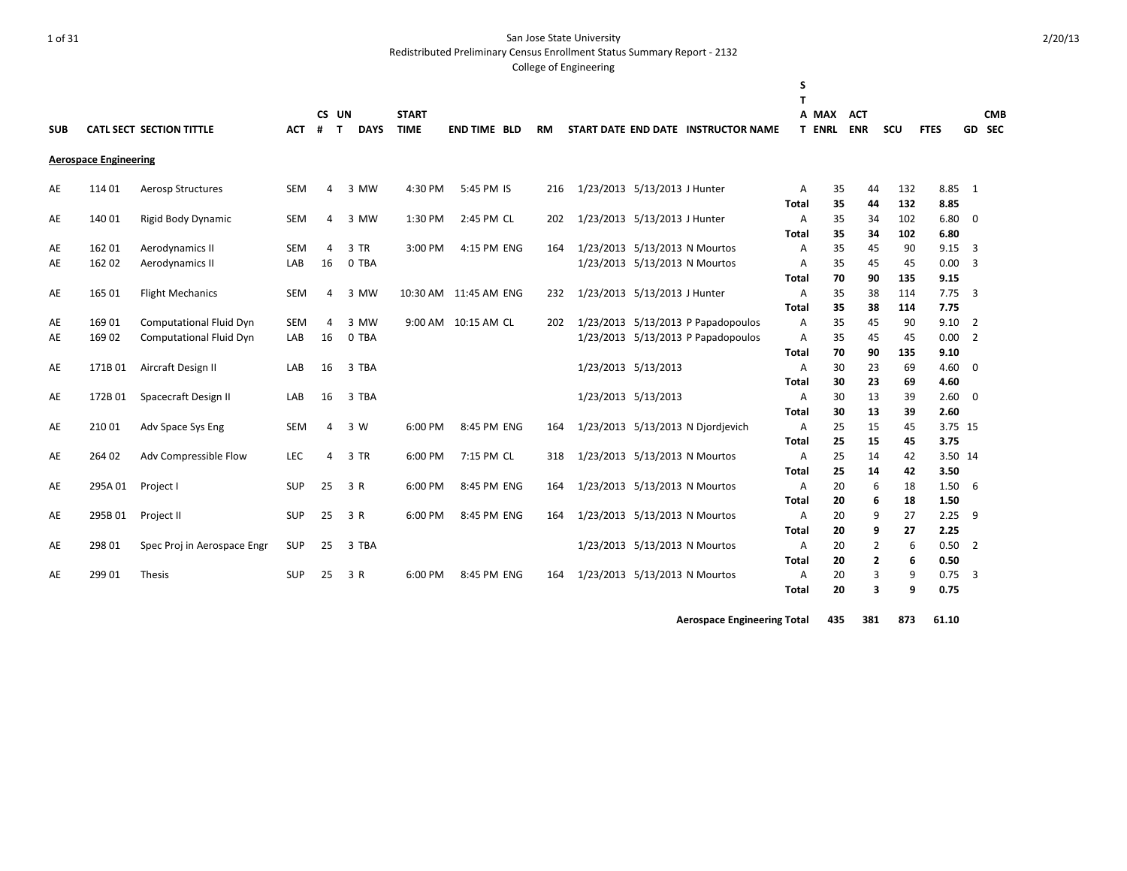Redistributed Preliminary Census Enrollment Status Summary Report - 2132

#### College of Engineering

|            |                              |                                 |            |                  |             |              |                        |           |                               |                                     | S<br>т       |               |            |     |             |                |            |
|------------|------------------------------|---------------------------------|------------|------------------|-------------|--------------|------------------------|-----------|-------------------------------|-------------------------------------|--------------|---------------|------------|-----|-------------|----------------|------------|
|            |                              |                                 |            | CS UN            |             | <b>START</b> |                        |           |                               |                                     |              | A MAX         | <b>ACT</b> |     |             |                | <b>CMB</b> |
| <b>SUB</b> |                              | <b>CATL SECT SECTION TITTLE</b> | <b>ACT</b> | #<br>$\mathbf T$ | <b>DAYS</b> | <b>TIME</b>  | <b>END TIME BLD</b>    | <b>RM</b> |                               | START DATE END DATE INSTRUCTOR NAME |              | <b>T ENRL</b> | <b>ENR</b> | SCU | <b>FTES</b> |                | GD SEC     |
|            | <b>Aerospace Engineering</b> |                                 |            |                  |             |              |                        |           |                               |                                     |              |               |            |     |             |                |            |
| AE         | 114 01                       | <b>Aerosp Structures</b>        | <b>SEM</b> | 4                | 3 MW        | 4:30 PM      | 5:45 PM IS             | 216       | 1/23/2013 5/13/2013 J Hunter  |                                     | A            | 35            | 44         | 132 | 8.85        | $\mathbf{1}$   |            |
|            |                              |                                 |            |                  |             |              |                        |           |                               |                                     | <b>Total</b> | 35            | 44         | 132 | 8.85        |                |            |
| AE         | 140 01                       | Rigid Body Dynamic              | <b>SEM</b> | 4                | 3 MW        | 1:30 PM      | 2:45 PM CL             | 202       | 1/23/2013 5/13/2013 J Hunter  |                                     | Α            | 35            | 34         | 102 | 6.80        | $\mathbf 0$    |            |
|            |                              |                                 |            |                  |             |              |                        |           |                               |                                     | Total        | 35            | 34         | 102 | 6.80        |                |            |
| AE         | 162 01                       | Aerodynamics II                 | <b>SEM</b> | 4                | 3 TR        | 3:00 PM      | 4:15 PM ENG            | 164       | 1/23/2013 5/13/2013 N Mourtos |                                     | Α            | 35            | 45         | 90  | 9.15        | 3              |            |
| AE         | 162 02                       | Aerodynamics II                 | LAB        | 16               | 0 TBA       |              |                        |           | 1/23/2013 5/13/2013 N Mourtos |                                     | Α            | 35            | 45         | 45  | 0.00        | 3              |            |
|            |                              |                                 |            |                  |             |              |                        |           |                               |                                     | Total        | 70            | 90         | 135 | 9.15        |                |            |
| AE         | 165 01                       | <b>Flight Mechanics</b>         | <b>SEM</b> | 4                | 3 MW        |              | 10:30 AM  11:45 AM ENG | 232       | 1/23/2013 5/13/2013 J Hunter  |                                     | A            | 35            | 38         | 114 | 7.75        | 3              |            |
|            |                              |                                 |            |                  |             |              |                        |           |                               |                                     | Total        | 35            | 38         | 114 | 7.75        |                |            |
| AE         | 169 01                       | <b>Computational Fluid Dyn</b>  | <b>SEM</b> | 4                | 3 MW        |              | 9:00 AM 10:15 AM CL    | 202       |                               | 1/23/2013 5/13/2013 P Papadopoulos  | Α            | 35            | 45         | 90  | 9.10        | $\overline{2}$ |            |
| AE         | 16902                        | <b>Computational Fluid Dyn</b>  | LAB        | 16               | 0 TBA       |              |                        |           |                               | 1/23/2013 5/13/2013 P Papadopoulos  | Α            | 35            | 45         | 45  | 0.00        | $\overline{2}$ |            |
|            |                              |                                 |            |                  |             |              |                        |           |                               |                                     | Total        | 70            | 90         | 135 | 9.10        |                |            |
| AE         | 171B01                       | Aircraft Design II              | LAB        | 16               | 3 TBA       |              |                        |           | 1/23/2013 5/13/2013           |                                     | Α            | 30            | 23         | 69  | 4.60        | 0              |            |
|            |                              |                                 |            |                  |             |              |                        |           |                               |                                     | <b>Total</b> | 30            | 23         | 69  | 4.60        |                |            |
| AE         | 172B01                       | Spacecraft Design II            | LAB        | 16               | 3 TBA       |              |                        |           | 1/23/2013 5/13/2013           |                                     | Α            | 30            | 13         | 39  | 2.60        | $\mathbf 0$    |            |
|            |                              |                                 |            |                  |             |              |                        |           |                               |                                     | Total        | 30            | 13         | 39  | 2.60        |                |            |
| AE         | 210 01                       | Adv Space Sys Eng               | SEM        | 4                | 3 W         | 6:00 PM      | 8:45 PM ENG            | 164       |                               | 1/23/2013 5/13/2013 N Djordjevich   | Α            | 25            | 15         | 45  |             | 3.75 15        |            |
|            |                              |                                 |            |                  |             |              |                        |           |                               |                                     | Total        | 25            | 15         | 45  | 3.75        |                |            |
| AE         | 264 02                       | Adv Compressible Flow           | <b>LEC</b> | 4                | 3 TR        | 6:00 PM      | 7:15 PM CL             | 318       |                               | 1/23/2013 5/13/2013 N Mourtos       | Α            | 25            | 14         | 42  |             | 3.50 14        |            |
|            |                              |                                 |            |                  |             |              |                        |           |                               |                                     | <b>Total</b> | 25            | 14         | 42  | 3.50        |                |            |
| AE         | 295A 01                      | Project I                       | <b>SUP</b> | 25               | 3 R         | 6:00 PM      | 8:45 PM ENG            | 164       | 1/23/2013 5/13/2013 N Mourtos |                                     | A            | 20            | 6          | 18  | 1.50        | 6              |            |
|            |                              |                                 |            |                  |             |              |                        |           |                               |                                     | <b>Total</b> | 20            | 6          | 18  | 1.50        |                |            |
| AE         | 295B 01                      | Project II                      | <b>SUP</b> | 25               | 3 R         | 6:00 PM      | 8:45 PM ENG            | 164       |                               | 1/23/2013 5/13/2013 N Mourtos       | Α            | 20            | 9          | 27  | 2.25        | 9              |            |
|            |                              |                                 |            |                  |             |              |                        |           |                               |                                     | Total        | 20            | 9          | 27  | 2.25        |                |            |
| AE         | 298 01                       | Spec Proj in Aerospace Engr     | <b>SUP</b> | 25               | 3 TBA       |              |                        |           |                               | 1/23/2013 5/13/2013 N Mourtos       | Α            | 20            | 2          | 6   | 0.50        | $\overline{2}$ |            |
|            |                              |                                 |            |                  |             |              |                        |           |                               |                                     | <b>Total</b> | 20            | 2          | 6   | 0.50        |                |            |
| AE         | 299 01                       | Thesis                          | <b>SUP</b> | 25               | 3 R         | 6:00 PM      | 8:45 PM ENG            | 164       | 1/23/2013 5/13/2013 N Mourtos |                                     | Α            | 20            | 3          | 9   | 0.75        | 3              |            |
|            |                              |                                 |            |                  |             |              |                        |           |                               |                                     | Total        | 20            | 3          | 9   | 0.75        |                |            |

**Aerospace Engineering Total 435 381 873 61.10**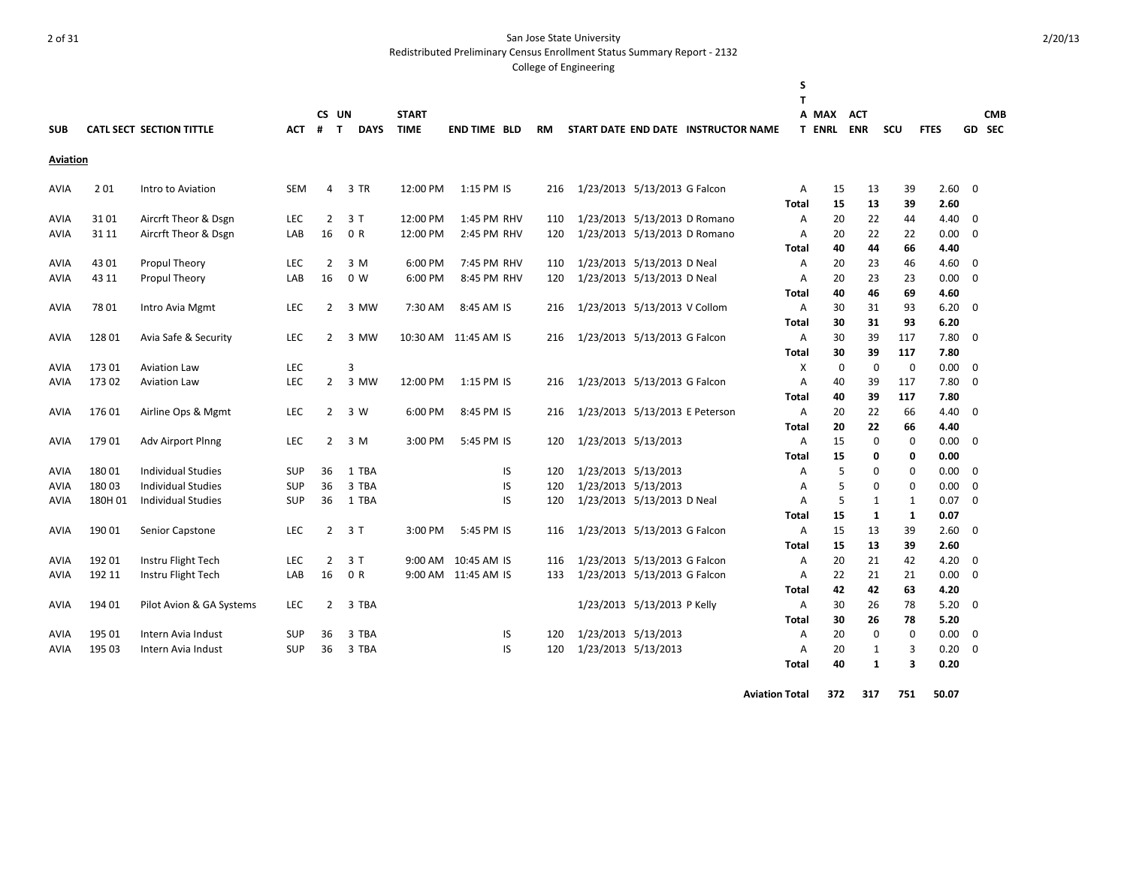Redistributed Preliminary Census Enrollment Status Summary Report - 2132

#### College of Engineering

| <b>SUB</b>  |         | <b>CATL SECT SECTION TITTLE</b> | <b>ACT</b> | CS UN<br>#<br>$\mathbf{T}$ | <b>DAYS</b>    | <b>START</b><br><b>TIME</b> | <b>END TIME BLD</b>  | <b>RM</b> |                                |                             | START DATE END DATE INSTRUCTOR NAME | S<br>т                         | A MAX<br><b>T ENRL</b> | <b>ACT</b><br><b>ENR</b> | <b>SCU</b>   | <b>FTES</b>                 |             | <b>CMB</b><br>GD SEC |
|-------------|---------|---------------------------------|------------|----------------------------|----------------|-----------------------------|----------------------|-----------|--------------------------------|-----------------------------|-------------------------------------|--------------------------------|------------------------|--------------------------|--------------|-----------------------------|-------------|----------------------|
| Aviation    |         |                                 |            |                            |                |                             |                      |           |                                |                             |                                     |                                |                        |                          |              |                             |             |                      |
| AVIA        | 201     | Intro to Aviation               | <b>SEM</b> | 4                          | 3 TR           | 12:00 PM                    | 1:15 PM IS           | 216       | 1/23/2013 5/13/2013 G Falcon   |                             |                                     | Α<br>Total                     | 15<br>15               | 13<br>13                 | 39<br>39     | 2.60<br>2.60                | $\mathbf 0$ |                      |
| AVIA        | 3101    | Aircrft Theor & Dsgn            | <b>LEC</b> | $\overline{2}$             | 3 T            | 12:00 PM                    | 1:45 PM RHV          | 110       | 1/23/2013 5/13/2013 D Romano   |                             |                                     | Α                              | 20                     | 22                       | 44           | 4.40                        | 0           |                      |
| <b>AVIA</b> | 31 11   | Aircrft Theor & Dsgn            | LAB        | 16                         | 0 R            | 12:00 PM                    | 2:45 PM RHV          | 120       | 1/23/2013 5/13/2013 D Romano   |                             |                                     | Α<br>Total                     | 20<br>40               | 22<br>44                 | 22<br>66     | 0.00<br>4.40                | $\mathbf 0$ |                      |
| <b>AVIA</b> | 43 01   | Propul Theory                   | <b>LEC</b> | 2                          | 3 M            | 6:00 PM                     | 7:45 PM RHV          | 110       |                                | 1/23/2013 5/13/2013 D Neal  |                                     | A                              | 20                     | 23                       | 46           | 4.60                        | 0           |                      |
| AVIA        | 43 11   | <b>Propul Theory</b>            | LAB        | 16                         | 0 <sub>W</sub> | 6:00 PM                     | 8:45 PM RHV          | 120       |                                | 1/23/2013 5/13/2013 D Neal  |                                     | $\overline{A}$<br><b>Total</b> | 20<br>40               | 23<br>46                 | 23<br>69     | 0.00<br>4.60                | $\mathbf 0$ |                      |
| AVIA        | 7801    | Intro Avia Mgmt                 | LEC        | $\overline{2}$             | 3 MW           | 7:30 AM                     | 8:45 AM IS           | 216       | 1/23/2013 5/13/2013 V Collom   |                             |                                     | Α<br><b>Total</b>              | 30<br>30               | 31<br>31                 | 93<br>93     | 6.20<br>6.20                | $\mathbf 0$ |                      |
| AVIA        | 128 01  | Avia Safe & Security            | LEC        | $\overline{2}$             | 3 MW           |                             | 10:30 AM 11:45 AM IS | 216       | 1/23/2013 5/13/2013 G Falcon   |                             |                                     | A<br>Total                     | 30<br>30               | 39<br>39                 | 117<br>117   | 7.80<br>7.80                | $\mathbf 0$ |                      |
| AVIA        | 17301   | <b>Aviation Law</b>             | LEC        |                            | 3              |                             |                      |           |                                |                             |                                     | X                              | $\mathbf 0$            | 0                        | $\mathbf{0}$ | 0.00                        | $\mathbf 0$ |                      |
| AVIA        | 173 02  | <b>Aviation Law</b>             | LEC        | $\mathbf{2}$               | 3 MW           | 12:00 PM                    | 1:15 PM IS           | 216       | 1/23/2013 5/13/2013 G Falcon   |                             |                                     | Α<br>Total                     | 40<br>40               | 39<br>39                 | 117<br>117   | 7.80<br>7.80                | $\mathbf 0$ |                      |
| AVIA        | 17601   | Airline Ops & Mgmt              | <b>LEC</b> | $\mathbf{2}$               | 3 W            | 6:00 PM                     | 8:45 PM IS           | 216       | 1/23/2013 5/13/2013 E Peterson |                             |                                     | Α<br>Total                     | 20<br>20               | 22<br>22                 | 66<br>66     | 4.40<br>4.40                | $\mathbf 0$ |                      |
| <b>AVIA</b> | 17901   | Adv Airport Plnng               | LEC        | $\overline{2}$             | 3 M            | 3:00 PM                     | 5:45 PM IS           | 120       | 1/23/2013 5/13/2013            |                             |                                     | A<br>Total                     | 15<br>15               | 0<br>0                   | 0            | $\mathbf 0$<br>0.00<br>0.00 | $\mathbf 0$ |                      |
| AVIA        | 18001   | <b>Individual Studies</b>       | <b>SUP</b> | 36                         | 1 TBA          |                             | IS                   | 120       |                                | 1/23/2013 5/13/2013         |                                     | Α                              | 5                      | 0                        | 0            | 0.00                        | 0           |                      |
| AVIA        | 18003   | <b>Individual Studies</b>       | <b>SUP</b> | 36                         | 3 TBA          |                             | IS                   | 120       | 1/23/2013 5/13/2013            |                             |                                     | Α                              | 5                      | 0                        | 0            | 0.00                        | $\mathbf 0$ |                      |
| AVIA        | 180H 01 | <b>Individual Studies</b>       | <b>SUP</b> | 36                         | 1 TBA          |                             | IS                   | 120       |                                | 1/23/2013 5/13/2013 D Neal  |                                     | Α<br>Total                     | 5<br>15                | 1<br>1                   | 1<br>1       | 0.07<br>0.07                | $\mathbf 0$ |                      |
| AVIA        | 190 01  | Senior Capstone                 | <b>LEC</b> | $\overline{2}$             | 3 T            | 3:00 PM                     | 5:45 PM IS           | 116       | 1/23/2013 5/13/2013 G Falcon   |                             |                                     | A<br>Total                     | 15<br>15               | 13<br>13                 | 39<br>39     | 2.60<br>2.60                | $\mathbf 0$ |                      |
| AVIA        | 19201   | Instru Flight Tech              | <b>LEC</b> | 2                          | 3 T            | 9:00 AM                     | 10:45 AM IS          | 116       | 1/23/2013 5/13/2013 G Falcon   |                             |                                     | Α                              | 20                     | 21                       | 42           | 4.20                        | 0           |                      |
| AVIA        | 192 11  | Instru Flight Tech              | LAB        | 16                         | 0 R            |                             | 9:00 AM 11:45 AM IS  | 133       | 1/23/2013 5/13/2013 G Falcon   |                             |                                     | A                              | 22                     | 21                       | 21           | 0.00                        | 0           |                      |
|             |         |                                 |            |                            |                |                             |                      |           |                                |                             |                                     | Total                          | 42                     | 42                       | 63           | 4.20                        |             |                      |
| <b>AVIA</b> | 194 01  | Pilot Avion & GA Systems        | <b>LEC</b> | $\overline{2}$             | 3 TBA          |                             |                      |           |                                | 1/23/2013 5/13/2013 P Kelly |                                     | Α<br>Total                     | 30<br>30               | 26<br>26                 | 78<br>78     | 5.20<br>5.20                | $\mathbf 0$ |                      |
| AVIA        | 195 01  | Intern Avia Indust              | <b>SUP</b> | 36                         | 3 TBA          |                             | IS                   | 120       | 1/23/2013 5/13/2013            |                             |                                     | Α                              | 20                     | $\mathbf{0}$             |              | $\mathbf 0$<br>0.00         | $\mathbf 0$ |                      |
| AVIA        | 195 03  | Intern Avia Indust              | <b>SUP</b> | 36                         | 3 TBA          |                             | IS                   | 120       | 1/23/2013 5/13/2013            |                             |                                     | Α<br>Total                     | 20<br>40               | 1<br>$\mathbf{1}$        | 3            | 0.20<br>3<br>0.20           | $\mathbf 0$ |                      |

2/20/13

**Aviation Total 372 317 751 50.07**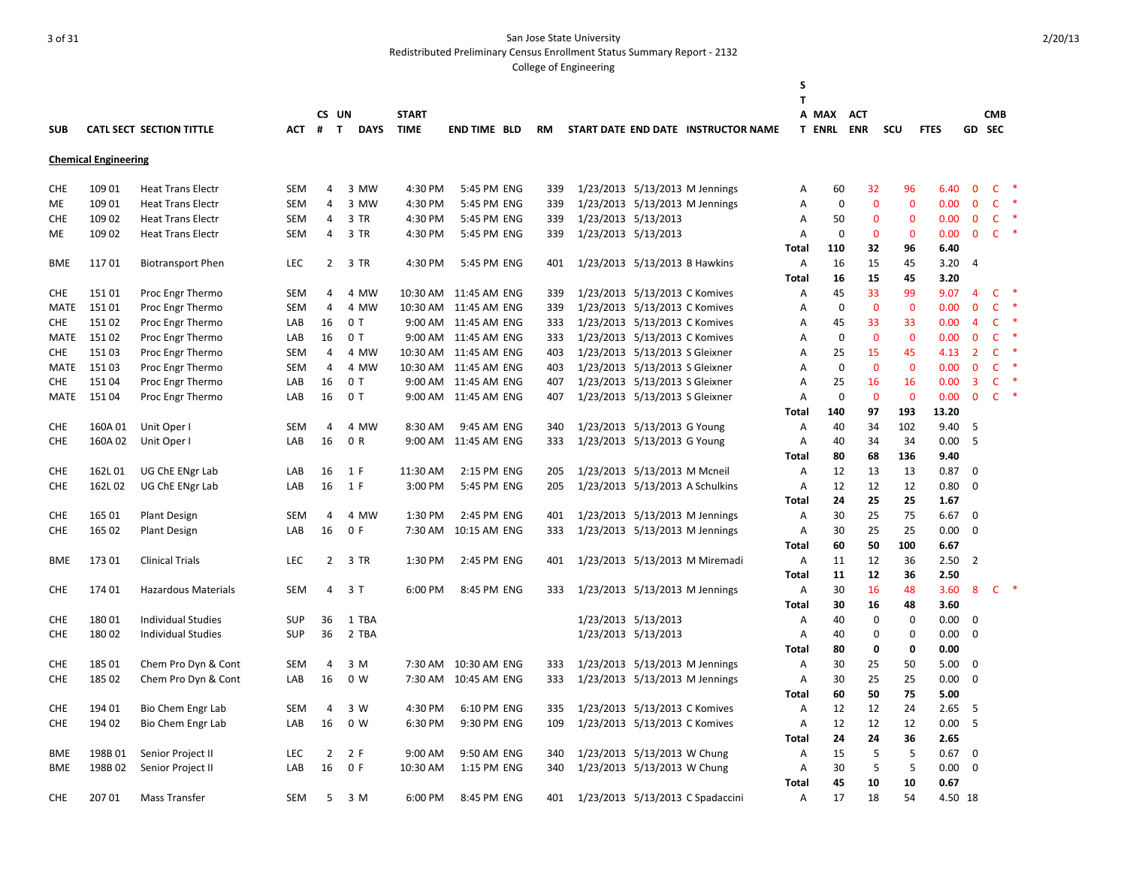|                          |                             |                                        |            |                |                           |                             |                            |           |                                                            |                                     | S                 |                        |                          |              |              |                |                      |        |
|--------------------------|-----------------------------|----------------------------------------|------------|----------------|---------------------------|-----------------------------|----------------------------|-----------|------------------------------------------------------------|-------------------------------------|-------------------|------------------------|--------------------------|--------------|--------------|----------------|----------------------|--------|
|                          |                             |                                        |            |                |                           |                             |                            |           |                                                            |                                     | $\mathbf{T}$      |                        |                          |              |              |                |                      |        |
| <b>SUB</b>               |                             | <b>CATL SECT SECTION TITTLE</b>        | ACT        | #              | CS UN<br>T<br><b>DAYS</b> | <b>START</b><br><b>TIME</b> | <b>END TIME BLD</b>        | <b>RM</b> |                                                            | START DATE END DATE INSTRUCTOR NAME |                   | A MAX<br><b>T ENRL</b> | <b>ACT</b><br><b>ENR</b> | SCU          | <b>FTES</b>  |                | <b>CMB</b><br>GD SEC |        |
|                          |                             |                                        |            |                |                           |                             |                            |           |                                                            |                                     |                   |                        |                          |              |              |                |                      |        |
|                          | <b>Chemical Engineering</b> |                                        |            |                |                           |                             |                            |           |                                                            |                                     |                   |                        |                          |              |              |                |                      |        |
| <b>CHE</b>               | 109 01                      | <b>Heat Trans Electr</b>               | <b>SEM</b> | 4              | 3 MW                      | 4:30 PM                     | 5:45 PM ENG                | 339       |                                                            | 1/23/2013 5/13/2013 M Jennings      | Α                 | 60                     | 32                       | 96           | 6.40         | $\mathbf{0}$   | $\mathsf{C}$         | ∗      |
| ME                       | 109 01                      | <b>Heat Trans Electr</b>               | <b>SEM</b> | 4              | 3 MW                      | 4:30 PM                     | 5:45 PM ENG                | 339       |                                                            | 1/23/2013 5/13/2013 M Jennings      | Α                 | $\mathbf 0$            | 0                        | $\mathbf 0$  | 0.00         | $\mathbf 0$    | $\mathsf{C}$         |        |
| <b>CHE</b>               | 109 02                      | <b>Heat Trans Electr</b>               | <b>SEM</b> | 4              | 3 TR                      | 4:30 PM                     | 5:45 PM ENG                | 339       | 1/23/2013 5/13/2013                                        |                                     | A                 | 50                     | $\mathbf{0}$             | $\mathbf 0$  | 0.00         | $\mathbf 0$    | $\mathsf{C}$         | $\ast$ |
| ME                       | 109 02                      | <b>Heat Trans Electr</b>               | <b>SEM</b> | 4              | 3 TR                      | 4:30 PM                     | 5:45 PM ENG                | 339       | 1/23/2013 5/13/2013                                        |                                     | A                 | 0                      | $\mathbf{0}$             | $\mathbf 0$  | 0.00         | $\mathbf{0}$   | $\mathsf{C}$         | $\ast$ |
|                          |                             |                                        |            |                |                           |                             |                            |           |                                                            |                                     | <b>Total</b>      | 110                    | 32                       | 96           | 6.40         |                |                      |        |
| <b>BME</b>               | 11701                       | <b>Biotransport Phen</b>               | <b>LEC</b> |                | $\mathbf{2}$<br>3 TR      | 4:30 PM                     | 5:45 PM ENG                | 401       | 1/23/2013 5/13/2013 B Hawkins                              |                                     | Α                 | 16                     | 15                       | 45           | 3.20         | $\overline{4}$ |                      |        |
|                          |                             |                                        |            |                |                           |                             |                            |           |                                                            |                                     | Total             | 16                     | 15                       | 45           | 3.20         |                |                      |        |
| <b>CHE</b>               | 15101                       | Proc Engr Thermo                       | <b>SEM</b> | 4              | 4 MW                      |                             | 10:30 AM  11:45 AM ENG     | 339       | 1/23/2013 5/13/2013 C Komives                              |                                     | Α                 | 45                     | 33                       | 99           | 9.07         | 4              | $\mathsf{C}$         |        |
| MATE                     | 15101                       | Proc Engr Thermo                       | <b>SEM</b> | 4              | 4 MW                      |                             | 10:30 AM  11:45 AM ENG     | 339       | 1/23/2013 5/13/2013 C Komives                              |                                     | A                 | $\mathbf 0$            | $\mathbf{0}$             | $\mathbf{0}$ | 0.00         | $\mathbf{0}$   | $\mathsf{C}$         |        |
| <b>CHE</b>               | 15102                       | Proc Engr Thermo                       | LAB        | 16             | 0T                        |                             | 9:00 AM 11:45 AM ENG       | 333       | 1/23/2013 5/13/2013 C Komives                              |                                     | Α                 | 45                     | 33                       | 33           | 0.00         | $\overline{4}$ | $\mathsf{C}$         |        |
| MATE                     | 15102                       | Proc Engr Thermo                       | LAB        | 16             | 0T                        |                             | 9:00 AM 11:45 AM ENG       | 333       | 1/23/2013 5/13/2013 C Komives                              |                                     | A                 | $\mathbf 0$            | $\mathbf{0}$             | $\mathbf{0}$ | 0.00         | $\mathbf{0}$   | $\mathsf{C}$         |        |
| <b>CHE</b>               | 15103                       | Proc Engr Thermo                       | SEM        | 4              | 4 MW                      |                             | 10:30 AM  11:45 AM ENG     | 403       | 1/23/2013 5/13/2013 S Gleixner                             |                                     | A                 | 25                     | 15                       | 45           | 4.13         | $\overline{2}$ | C                    |        |
| MATE                     | 15103                       | Proc Engr Thermo                       | <b>SEM</b> | $\overline{4}$ | 4 MW                      |                             | 10:30 AM  11:45 AM  ENG    | 403       | 1/23/2013 5/13/2013 S Gleixner                             |                                     | A                 | $\mathbf 0$            | $\mathbf{0}$             | $\mathbf{0}$ | 0.00         | $\mathbf{0}$   | $\mathsf{C}$         |        |
| <b>CHE</b>               | 15104                       | Proc Engr Thermo                       | LAB        | 16             | 0 <sub>T</sub>            |                             | 9:00 AM 11:45 AM ENG       | 407       | 1/23/2013 5/13/2013 S Gleixner                             |                                     | A                 | 25                     | 16                       | 16           | 0.00         | $\overline{3}$ | $\mathsf{C}$         |        |
| MATE                     | 15104                       | Proc Engr Thermo                       | LAB        | 16             | 0 <sub>T</sub>            |                             | 9:00 AM 11:45 AM ENG       | 407       | 1/23/2013 5/13/2013 S Gleixner                             |                                     | A                 | $\mathbf 0$            | $\mathbf{0}$             | $\mathbf 0$  | 0.00         | $\mathbf{0}$   | $\mathsf{C}$         |        |
|                          |                             |                                        |            |                |                           |                             |                            |           |                                                            |                                     | <b>Total</b>      | 140                    | 97                       | 193          | 13.20        |                |                      |        |
| <b>CHE</b>               | 160A01                      | Unit Oper I                            | <b>SEM</b> | 4              | 4 MW                      | 8:30 AM                     | 9:45 AM ENG                | 340       | 1/23/2013 5/13/2013 G Young                                |                                     | A                 | 40                     | 34                       | 102          | 9.40         | 5              |                      |        |
| <b>CHE</b>               | 160A02                      | Unit Oper I                            | LAB        | 16             | 0 R                       | 9:00 AM                     | 11:45 AM ENG               | 333       | 1/23/2013 5/13/2013 G Young                                |                                     | Α                 | 40                     | 34                       | 34           | 0.00         | 5              |                      |        |
|                          |                             |                                        |            |                |                           |                             |                            |           |                                                            |                                     | Total             | 80                     | 68                       | 136          | 9.40         |                |                      |        |
| <b>CHE</b>               | 162L01                      | UG ChE ENgr Lab                        | LAB        | 16             | 1 F                       | 11:30 AM                    | 2:15 PM ENG                | 205       | 1/23/2013 5/13/2013 M Mcneil                               |                                     | Α                 | 12                     | 13                       | 13           | 0.87         | 0              |                      |        |
| <b>CHE</b>               | 162L02                      | UG ChE ENgr Lab                        | LAB        | 16             | 1 F                       | 3:00 PM                     | 5:45 PM ENG                | 205       |                                                            | 1/23/2013 5/13/2013 A Schulkins     | A                 | 12                     | 12                       | 12           | 0.80         | $\mathbf 0$    |                      |        |
|                          |                             |                                        |            |                |                           |                             |                            |           |                                                            |                                     | Total             | 24                     | 25                       | 25           | 1.67         |                |                      |        |
| <b>CHE</b>               | 165 01                      | <b>Plant Design</b>                    | SEM        | 4              | 4 MW                      | 1:30 PM                     | 2:45 PM ENG                | 401       |                                                            | 1/23/2013 5/13/2013 M Jennings      | Α                 | 30                     | 25                       | 75           | 6.67         | 0              |                      |        |
| <b>CHE</b>               | 165 02                      | <b>Plant Design</b>                    | LAB        | 16             | 0 F                       | 7:30 AM                     | 10:15 AM ENG               | 333       |                                                            | 1/23/2013 5/13/2013 M Jennings      | Α                 | 30                     | 25                       | 25           | 0.00         | $\mathbf 0$    |                      |        |
|                          |                             |                                        |            |                |                           |                             |                            |           |                                                            |                                     | <b>Total</b>      | 60                     | 50                       | 100          | 6.67         |                |                      |        |
| <b>BME</b>               | 173 01                      | <b>Clinical Trials</b>                 | <b>LEC</b> | 2              | 3 TR                      | 1:30 PM                     | 2:45 PM ENG                | 401       |                                                            | 1/23/2013 5/13/2013 M Miremadi      | Α                 | 11                     | 12                       | 36           | 2.50         | $\overline{2}$ |                      |        |
|                          |                             |                                        |            |                |                           |                             |                            |           |                                                            |                                     | Total             | 11                     | 12                       | 36           | 2.50         |                |                      |        |
| <b>CHE</b>               | 174 01                      | Hazardous Materials                    | SEM        | 4              | 3 T                       | 6:00 PM                     | 8:45 PM ENG                | 333       |                                                            | 1/23/2013 5/13/2013 M Jennings      | Α                 | 30                     | 16                       | 48           | 3.60         | 8              | $\mathsf{C}$         |        |
|                          |                             |                                        |            |                |                           |                             |                            |           |                                                            |                                     | Total             | 30                     | 16                       | 48           | 3.60         |                |                      |        |
| <b>CHE</b>               | 18001                       | <b>Individual Studies</b>              | <b>SUP</b> | 36             | 1 TBA                     |                             |                            |           | 1/23/2013 5/13/2013                                        |                                     | A                 | 40                     | $\mathbf 0$              | 0            | 0.00         | 0              |                      |        |
| <b>CHE</b>               | 18002                       | <b>Individual Studies</b>              | <b>SUP</b> | 36             | 2 TBA                     |                             |                            |           | 1/23/2013 5/13/2013                                        |                                     | Α                 | 40                     | $\mathbf 0$              | 0            | 0.00         | $\mathbf 0$    |                      |        |
|                          |                             |                                        |            |                |                           |                             |                            |           |                                                            |                                     | Total             | 80                     | 0                        | $\mathbf 0$  | 0.00         |                |                      |        |
| <b>CHE</b>               | 185 01                      | Chem Pro Dyn & Cont                    | SEM        | 4              | 3 M                       | 7:30 AM                     | 10:30 AM ENG               | 333       |                                                            | 1/23/2013 5/13/2013 M Jennings      | Α                 | 30                     | 25                       | 50           | 5.00         | 0              |                      |        |
| <b>CHE</b>               | 185 02                      | Chem Pro Dyn & Cont                    | LAB        | 16             | 0 <sub>W</sub>            | 7:30 AM                     | 10:45 AM ENG               | 333       |                                                            | 1/23/2013 5/13/2013 M Jennings      | Α                 | 30                     | 25                       | 25<br>75     | 0.00<br>5.00 | $\mathbf 0$    |                      |        |
|                          |                             |                                        |            |                |                           |                             |                            |           |                                                            |                                     | Total             | 60                     | 50                       |              |              |                |                      |        |
| <b>CHE</b>               | 194 01                      | Bio Chem Engr Lab                      | <b>SEM</b> | 4              | 3 W                       | 4:30 PM                     | 6:10 PM ENG                | 335       | 1/23/2013 5/13/2013 C Komives                              |                                     | Α                 | 12                     | 12                       | 24           | 2.65         | 5              |                      |        |
| <b>CHE</b>               | 194 02                      | Bio Chem Engr Lab                      | LAB        | 16             | 0 W                       | 6:30 PM                     | 9:30 PM ENG                | 109       | 1/23/2013 5/13/2013 C Komives                              |                                     | A                 | 12                     | 12                       | 12           | 0.00         | 5              |                      |        |
|                          | 198B01                      |                                        | <b>LEC</b> |                |                           | 9:00 AM                     |                            | 340       |                                                            |                                     | <b>Total</b>      | 24<br>15               | 24<br>5                  | 36<br>5      | 2.65         | $\mathbf 0$    |                      |        |
| <b>BME</b><br><b>BME</b> | 198B02                      | Senior Project II<br>Senior Project II | LAB        | 2<br>16        | 2 F<br>0 F                | 10:30 AM                    | 9:50 AM ENG<br>1:15 PM ENG | 340       | 1/23/2013 5/13/2013 W Chung<br>1/23/2013 5/13/2013 W Chung |                                     | Α                 | 30                     | 5                        | 5            | 0.67<br>0.00 | $\mathbf 0$    |                      |        |
|                          |                             |                                        |            |                |                           |                             |                            |           |                                                            |                                     | A<br><b>Total</b> | 45                     | 10                       | 10           | 0.67         |                |                      |        |
| <b>CHE</b>               | 207 01                      | Mass Transfer                          | SEM        | 5              | 3 M                       | 6:00 PM                     | 8:45 PM ENG                | 401       |                                                            | 1/23/2013 5/13/2013 C Spadaccini    | A                 | 17                     | 18                       | 54           | 4.50 18      |                |                      |        |
|                          |                             |                                        |            |                |                           |                             |                            |           |                                                            |                                     |                   |                        |                          |              |              |                |                      |        |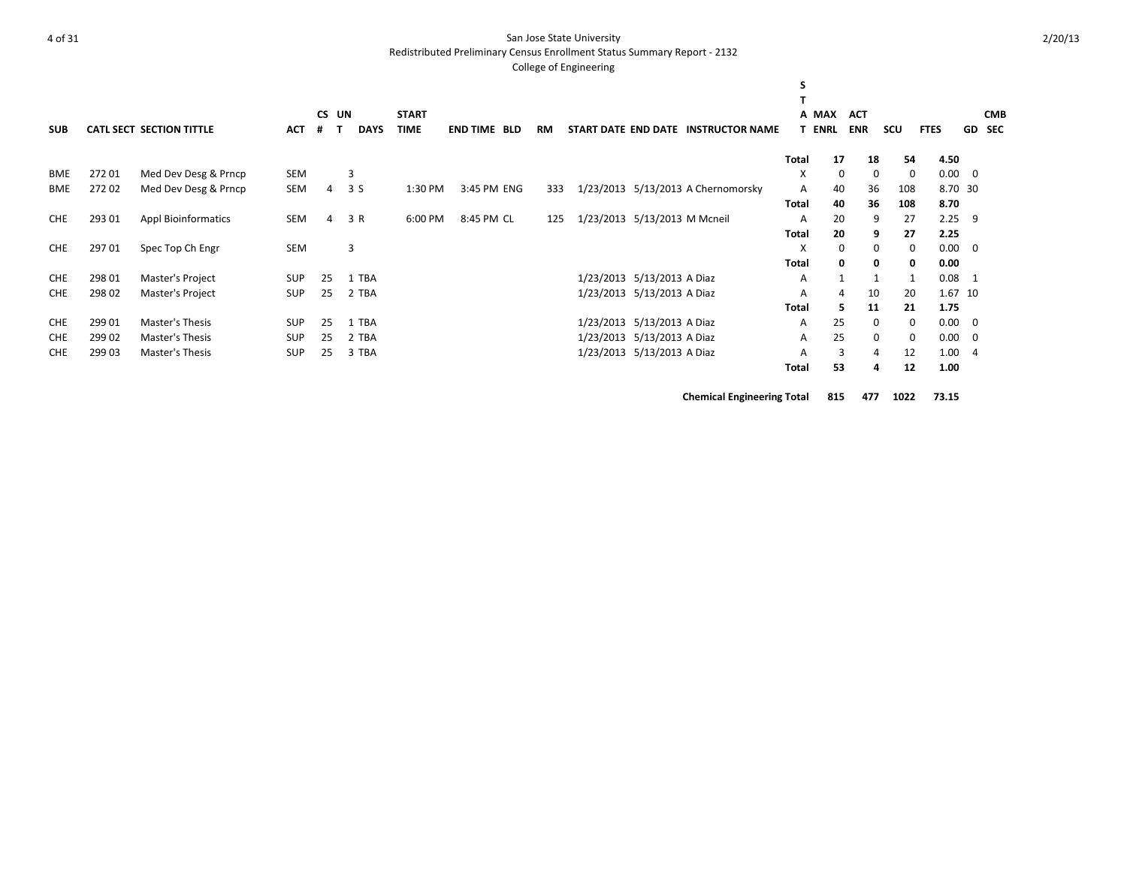Redistributed Preliminary Census Enrollment Status Summary Report - 2132

#### College of Engineering

| <b>SUB</b> |        | <b>CATL SECT SECTION TITTLE</b> | <b>ACT</b> | <b>CS</b><br># | UN | <b>DAYS</b> | <b>START</b><br><b>TIME</b> | <b>END TIME BLD</b> | <b>RM</b> |                              | START DATE END DATE INSTRUCTOR NAME | s     | A MAX<br><b>T ENRL</b> | <b>ACT</b><br><b>ENR</b> | <b>SCU</b>   | <b>FTES</b> |                | <b>CMB</b><br><b>GD SEC</b> |
|------------|--------|---------------------------------|------------|----------------|----|-------------|-----------------------------|---------------------|-----------|------------------------------|-------------------------------------|-------|------------------------|--------------------------|--------------|-------------|----------------|-----------------------------|
|            |        |                                 |            |                |    |             |                             |                     |           |                              |                                     | Total | 17                     | 18                       | 54           | 4.50        |                |                             |
| <b>BME</b> | 27201  | Med Dev Desg & Prncp            | SEM        |                |    | 3           |                             |                     |           |                              |                                     | X     | $\Omega$               | 0                        | 0            | 0.00        | - 0            |                             |
| <b>BME</b> | 27202  | Med Dev Desg & Prncp            | SEM        | 4              |    | 3S          | 1:30 PM                     | 3:45 PM ENG         | 333       |                              | 1/23/2013 5/13/2013 A Chernomorsky  | A     | 40                     | 36                       | 108          |             | 8.70 30        |                             |
|            |        |                                 |            |                |    |             |                             |                     |           |                              |                                     | Total | 40                     | 36                       | 108          | 8.70        |                |                             |
| <b>CHE</b> | 293 01 | <b>Appl Bioinformatics</b>      | SEM        | 4              |    | 3 R         | 6:00 PM                     | 8:45 PM CL          | 125       | 1/23/2013 5/13/2013 M Mcneil |                                     | A     | 20                     | 9                        | 27           | 2.25        | 9              |                             |
|            |        |                                 |            |                |    |             |                             |                     |           |                              |                                     | Total | 20                     | 9                        | 27           | 2.25        |                |                             |
| <b>CHE</b> | 29701  | Spec Top Ch Engr                | SEM        |                |    | 3           |                             |                     |           |                              |                                     | X     | 0                      | 0                        | 0            | 0.00        | 0              |                             |
|            |        |                                 |            |                |    |             |                             |                     |           |                              |                                     | Total | $\mathbf{0}$           | 0                        | 0            | 0.00        |                |                             |
| <b>CHE</b> | 298 01 | Master's Project                | <b>SUP</b> | 25             |    | 1 TBA       |                             |                     |           | 1/23/2013 5/13/2013 A Diaz   |                                     | A     |                        | $\mathbf{1}$             | $\mathbf{1}$ | 0.08        | 1              |                             |
| <b>CHE</b> | 298 02 | Master's Project                | <b>SUP</b> | 25             |    | 2 TBA       |                             |                     |           | 1/23/2013 5/13/2013 A Diaz   |                                     | A     | 4                      | 10                       | 20           |             | 1.67 10        |                             |
|            |        |                                 |            |                |    |             |                             |                     |           |                              |                                     | Total | 5.                     | 11                       | 21           | 1.75        |                |                             |
| <b>CHE</b> | 299 01 | Master's Thesis                 | <b>SUP</b> | 25             |    | 1 TBA       |                             |                     |           | 1/23/2013 5/13/2013 A Diaz   |                                     | A     | 25                     | $\mathbf{0}$             | 0            | 0.00        | 0              |                             |
| <b>CHE</b> | 299 02 | Master's Thesis                 | <b>SUP</b> | 25             |    | 2 TBA       |                             |                     |           | 1/23/2013 5/13/2013 A Diaz   |                                     | A     | 25                     | 0                        | 0            | 0.00        | 0              |                             |
| <b>CHE</b> | 299 03 | Master's Thesis                 | <b>SUP</b> | 25             |    | 3 TBA       |                             |                     |           | 1/23/2013 5/13/2013 A Diaz   |                                     | A     | 3                      | 4                        | 12           | 1.00        | $\overline{4}$ |                             |
|            |        |                                 |            |                |    |             |                             |                     |           |                              |                                     | Total | 53                     | 4                        | 12           | 1.00        |                |                             |

**Chemical Engineering Total 815 477 1022 73.15**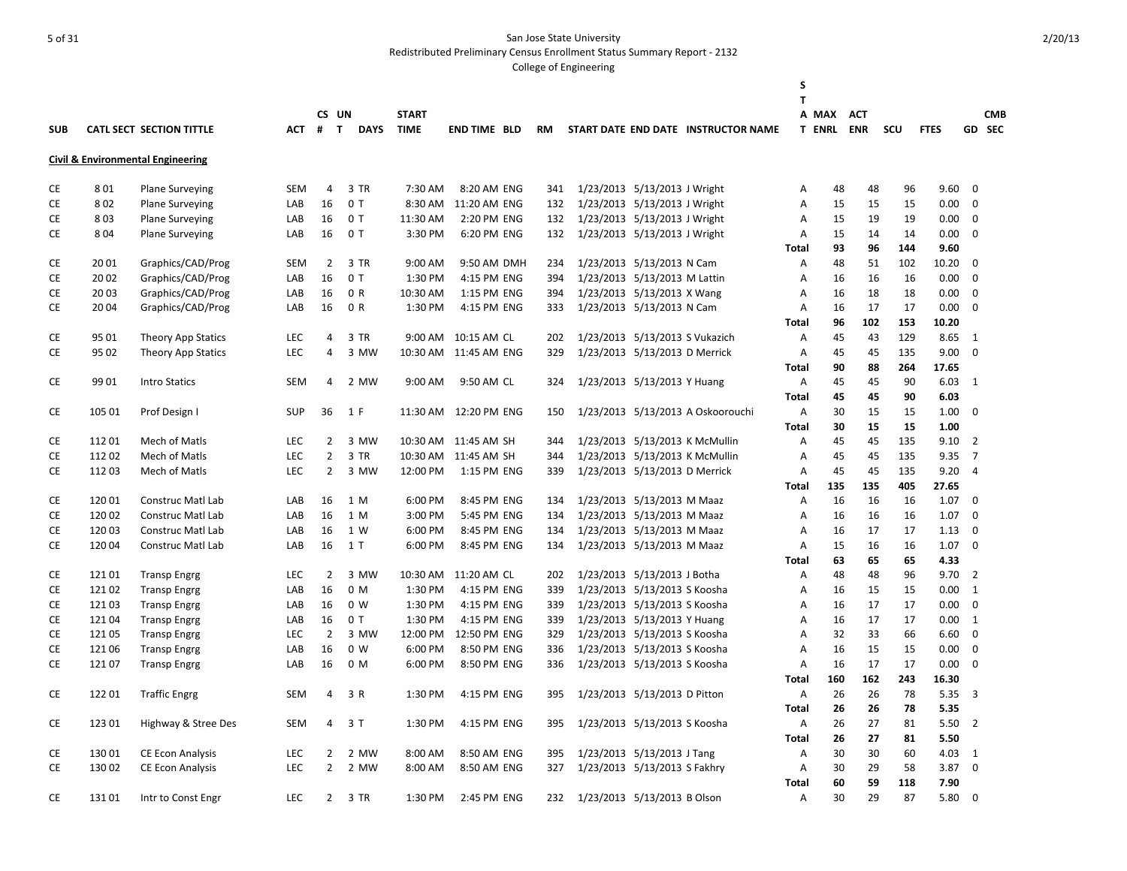Redistributed Preliminary Census Enrollment Status Summary Report - 2132

|            |        |                                              |            |                |                |              |                        |           |                               |                                     | S              |               |            |     |             |                |            |
|------------|--------|----------------------------------------------|------------|----------------|----------------|--------------|------------------------|-----------|-------------------------------|-------------------------------------|----------------|---------------|------------|-----|-------------|----------------|------------|
|            |        |                                              |            |                | CS UN          | <b>START</b> |                        |           |                               |                                     | T              | A MAX         | <b>ACT</b> |     |             |                | <b>CMB</b> |
| <b>SUB</b> |        | <b>CATL SECT SECTION TITTLE</b>              | <b>ACT</b> | $#$ T          | <b>DAYS</b>    | <b>TIME</b>  | <b>END TIME BLD</b>    | <b>RM</b> |                               | START DATE END DATE INSTRUCTOR NAME |                | <b>T ENRL</b> | <b>ENR</b> | scu | <b>FTES</b> |                | GD SEC     |
|            |        |                                              |            |                |                |              |                        |           |                               |                                     |                |               |            |     |             |                |            |
|            |        | <b>Civil &amp; Environmental Engineering</b> |            |                |                |              |                        |           |                               |                                     |                |               |            |     |             |                |            |
| <b>CE</b>  | 801    | <b>Plane Surveying</b>                       | <b>SEM</b> | $\overline{4}$ | 3 TR           | 7:30 AM      | 8:20 AM ENG            | 341       | 1/23/2013 5/13/2013 J Wright  |                                     | Α              | 48            | 48         | 96  | 9.60        | $\Omega$       |            |
| CE         | 802    | <b>Plane Surveying</b>                       | LAB        | 16             | 0T             | 8:30 AM      | 11:20 AM ENG           | 132       | 1/23/2013 5/13/2013 J Wright  |                                     | Α              | 15            | 15         | 15  | 0.00        | $\mathbf 0$    |            |
| <b>CE</b>  | 803    | <b>Plane Surveying</b>                       | LAB        | 16             | 0T             | 11:30 AM     | 2:20 PM ENG            | 132       | 1/23/2013 5/13/2013 J Wright  |                                     | Α              | 15            | 19         | 19  | 0.00        | $\mathbf 0$    |            |
| СE         | 804    | <b>Plane Surveying</b>                       | LAB        | 16             | 0T             | 3:30 PM      | 6:20 PM ENG            | 132       | 1/23/2013 5/13/2013 J Wright  |                                     | Α              | 15            | 14         | 14  | 0.00        | 0              |            |
|            |        |                                              |            |                |                |              |                        |           |                               |                                     | <b>Total</b>   | 93            | 96         | 144 | 9.60        |                |            |
| CE         | 2001   | Graphics/CAD/Prog                            | <b>SEM</b> | $\overline{2}$ | 3 TR           | 9:00 AM      | 9:50 AM DMH            | 234       | 1/23/2013 5/13/2013 N Cam     |                                     | Α              | 48            | 51         | 102 | 10.20       | 0              |            |
| CE         | 2002   | Graphics/CAD/Prog                            | LAB        | 16             | 0T             | 1:30 PM      | 4:15 PM ENG            | 394       | 1/23/2013 5/13/2013 M Lattin  |                                     | Α              | 16            | 16         | 16  | 0.00        | $\mathbf 0$    |            |
| CE         | 2003   | Graphics/CAD/Prog                            | LAB        | 16             | 0 R            | 10:30 AM     | 1:15 PM ENG            | 394       | 1/23/2013 5/13/2013 X Wang    |                                     | Α              | 16            | 18         | 18  | 0.00        | $\mathbf 0$    |            |
| CE         | 2004   | Graphics/CAD/Prog                            | LAB        | 16             | 0 R            | 1:30 PM      | 4:15 PM ENG            | 333       | 1/23/2013 5/13/2013 N Cam     |                                     | Α              | 16            | 17         | 17  | 0.00        | $\mathbf 0$    |            |
|            |        |                                              |            |                |                |              |                        |           |                               |                                     | Total          | 96            | 102        | 153 | 10.20       |                |            |
| CE         | 95 01  | Theory App Statics                           | <b>LEC</b> | 4              | 3 TR           |              | 9:00 AM 10:15 AM CL    | 202       |                               | 1/23/2013 5/13/2013 S Vukazich      | $\overline{A}$ | 45            | 43         | 129 | 8.65        | 1              |            |
| CE         | 95 02  | Theory App Statics                           | LEC        | 4              | 3 MW           |              | 10:30 AM 11:45 AM ENG  | 329       | 1/23/2013 5/13/2013 D Merrick |                                     | Α              | 45            | 45         | 135 | 9.00        | $\mathbf 0$    |            |
|            |        |                                              |            |                |                |              |                        |           |                               |                                     | Total          | 90            | 88         | 264 | 17.65       |                |            |
| СE         | 99 01  | <b>Intro Statics</b>                         | <b>SEM</b> | 4              | 2 MW           | 9:00 AM      | 9:50 AM CL             | 324       | 1/23/2013 5/13/2013 Y Huang   |                                     | Α              | 45            | 45         | 90  | 6.03        | 1              |            |
|            |        |                                              |            |                |                |              |                        |           |                               |                                     | <b>Total</b>   | 45            | 45         | 90  | 6.03        |                |            |
| CE         | 105 01 | Prof Design I                                | <b>SUP</b> | 36             | 1 F            |              | 11:30 AM  12:20 PM ENG | 150       |                               | 1/23/2013 5/13/2013 A Oskoorouchi   | Α              | 30            | 15         | 15  | 1.00        | $\Omega$       |            |
|            |        |                                              |            |                |                |              |                        |           |                               |                                     | <b>Total</b>   | 30            | 15         | 15  | 1.00        |                |            |
| CE         | 11201  | Mech of Matls                                | LEC        | $\overline{2}$ | 3 MW           |              | 10:30 AM 11:45 AM SH   | 344       |                               | 1/23/2013 5/13/2013 K McMullin      | Α              | 45            | 45         | 135 | 9.10        | $\overline{2}$ |            |
| CE         | 112 02 | Mech of Matls                                | LEC        | $\overline{2}$ | 3 TR           |              | 10:30 AM 11:45 AM SH   | 344       |                               | 1/23/2013 5/13/2013 K McMullin      | Α              | 45            | 45         | 135 | 9.35        | $\overline{7}$ |            |
| CE         | 11203  | Mech of Matls                                | LEC        | $\overline{2}$ | 3 MW           | 12:00 PM     | 1:15 PM ENG            | 339       | 1/23/2013 5/13/2013 D Merrick |                                     | Α              | 45            | 45         | 135 | 9.20        | 4              |            |
|            |        |                                              |            |                |                |              |                        |           |                               |                                     | Total          | 135           | 135        | 405 | 27.65       |                |            |
| СE         | 12001  | Construc Matl Lab                            | LAB        | 16             | 1 M            | 6:00 PM      | 8:45 PM ENG            | 134       | 1/23/2013 5/13/2013 M Maaz    |                                     | Α              | 16            | 16         | 16  | 1.07        | $\mathbf 0$    |            |
| CE         | 120 02 | <b>Construc Matl Lab</b>                     | LAB        | 16             | 1 M            | 3:00 PM      | 5:45 PM ENG            | 134       | 1/23/2013 5/13/2013 M Maaz    |                                     | Α              | 16            | 16         | 16  | 1.07        | $\mathbf 0$    |            |
| CE         | 120 03 | Construc Matl Lab                            | LAB        | 16             | 1 W            | 6:00 PM      | 8:45 PM ENG            | 134       | 1/23/2013 5/13/2013 M Maaz    |                                     | Α              | 16            | 17         | 17  | 1.13        | 0              |            |
| CE         | 12004  | <b>Construc Matl Lab</b>                     | LAB        | 16             | 1 T            | 6:00 PM      | 8:45 PM ENG            | 134       | 1/23/2013 5/13/2013 M Maaz    |                                     | Α              | 15            | 16         | 16  | 1.07        | $\mathbf 0$    |            |
|            |        |                                              |            |                |                |              |                        |           |                               |                                     | Total          | 63            | 65         | 65  | 4.33        |                |            |
| СE         | 12101  | <b>Transp Engrg</b>                          | LEC        | $\overline{2}$ | 3 MW           |              | 10:30 AM 11:20 AM CL   | 202       | 1/23/2013 5/13/2013 J Botha   |                                     | Α              | 48            | 48         | 96  | 9.70        | $\overline{2}$ |            |
| CE         | 121 02 | <b>Transp Engrg</b>                          | LAB        | 16             | 0 M            | 1:30 PM      | 4:15 PM ENG            | 339       | 1/23/2013 5/13/2013 S Koosha  |                                     | Α              | 16            | 15         | 15  | 0.00        | 1              |            |
| СE         | 12103  | <b>Transp Engrg</b>                          | LAB        | 16             | 0 <sub>W</sub> | 1:30 PM      | 4:15 PM ENG            | 339       | 1/23/2013 5/13/2013 S Koosha  |                                     | Α              | 16            | 17         | 17  | 0.00        | $\mathbf 0$    |            |
| <b>CE</b>  | 12104  | <b>Transp Engrg</b>                          | LAB        | 16             | 0T             | 1:30 PM      | 4:15 PM ENG            | 339       | 1/23/2013 5/13/2013 Y Huang   |                                     | A              | 16            | 17         | 17  | 0.00        | <sup>1</sup>   |            |
| СE         | 12105  | <b>Transp Engrg</b>                          | <b>LEC</b> | $\overline{2}$ | 3 MW           | 12:00 PM     | 12:50 PM ENG           | 329       | 1/23/2013 5/13/2013 S Koosha  |                                     | Α              | 32            | 33         | 66  | 6.60        | 0              |            |
| CE         | 121 06 | <b>Transp Engrg</b>                          | LAB        | 16             | 0 W            | 6:00 PM      | 8:50 PM ENG            | 336       | 1/23/2013 5/13/2013 S Koosha  |                                     | Α              | 16            | 15         | 15  | 0.00        | $\mathbf 0$    |            |
| CE         | 12107  | <b>Transp Engrg</b>                          | LAB        | 16             | 0 M            | 6:00 PM      | 8:50 PM ENG            | 336       | 1/23/2013 5/13/2013 S Koosha  |                                     | Α              | 16            | 17         | 17  | 0.00        | $\Omega$       |            |
|            |        |                                              |            |                |                |              |                        |           |                               |                                     | Total          | 160           | 162        | 243 | 16.30       |                |            |
| CE         | 12201  | <b>Traffic Engrg</b>                         | <b>SEM</b> | $\overline{4}$ | 3 R            | 1:30 PM      | 4:15 PM ENG            | 395       | 1/23/2013 5/13/2013 D Pitton  |                                     | A              | 26            | 26         | 78  | 5.35        | 3              |            |
|            |        |                                              |            |                |                |              |                        |           |                               |                                     | Total          | 26            | 26         | 78  | 5.35        |                |            |
| CE         | 123 01 | Highway & Stree Des                          | <b>SEM</b> | 4              | 3T             | 1:30 PM      | 4:15 PM ENG            | 395       | 1/23/2013 5/13/2013 S Koosha  |                                     | Α              | 26            | 27         | 81  | 5.50        | $\overline{2}$ |            |
|            |        |                                              |            |                |                |              |                        |           |                               |                                     | Total          | 26            | 27         | 81  | 5.50        |                |            |
| СE         | 13001  | CE Econ Analysis                             | LEC        | $\overline{2}$ | 2 MW           | 8:00 AM      | 8:50 AM ENG            | 395       | 1/23/2013 5/13/2013 J Tang    |                                     | Α              | 30            | 30         | 60  | 4.03        | 1              |            |
| <b>CE</b>  | 130 02 | <b>CE Econ Analysis</b>                      | <b>LEC</b> | $\overline{2}$ | 2 MW           | 8:00 AM      | 8:50 AM ENG            | 327       | 1/23/2013 5/13/2013 S Fakhry  |                                     | Α              | 30            | 29         | 58  | 3.87        | $\mathbf 0$    |            |
|            |        |                                              |            |                |                |              |                        |           |                               |                                     | Total          | 60            | 59         | 118 | 7.90        |                |            |
| CE         | 13101  | Intr to Const Engr                           | <b>LEC</b> | $\overline{2}$ | 3 TR           | 1:30 PM      | 2:45 PM ENG            | 232       | 1/23/2013 5/13/2013 B Olson   |                                     | $\overline{A}$ | 30            | 29         | 87  | 5.80        | $\Omega$       |            |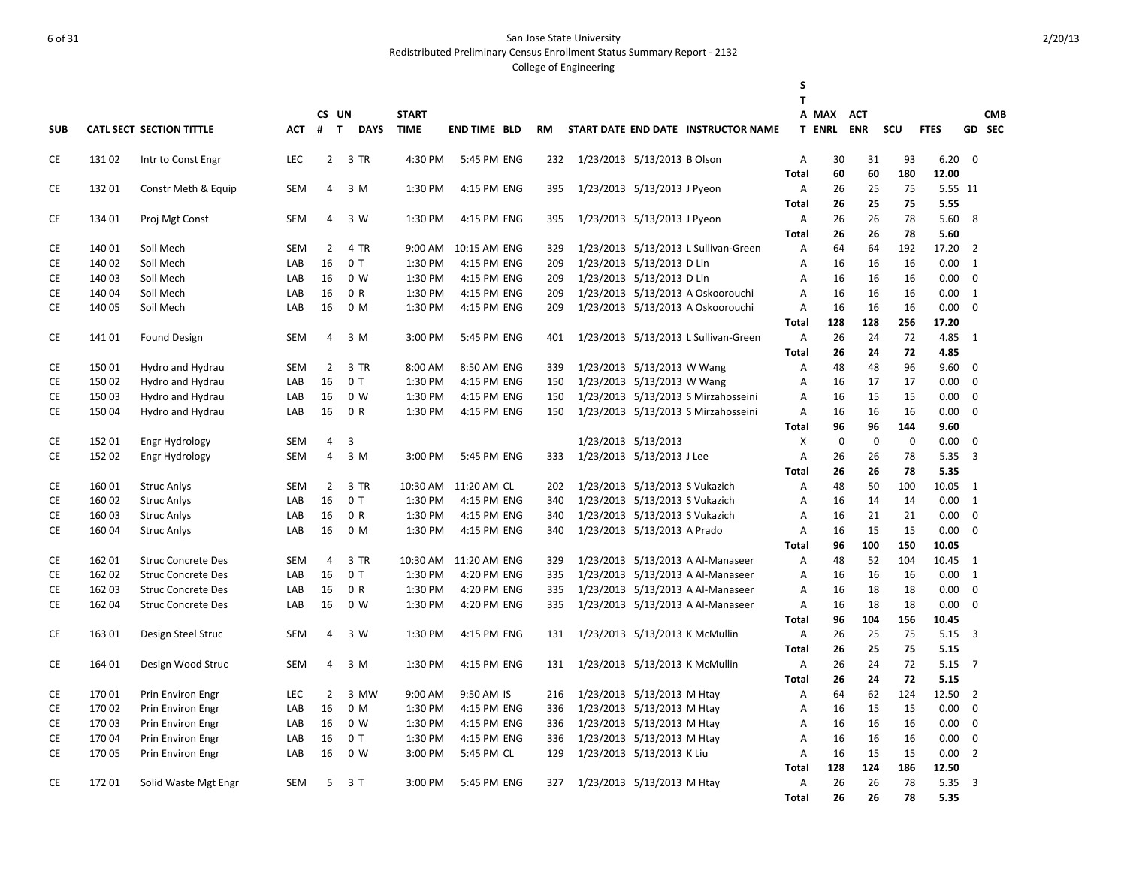Redistributed Preliminary Census Enrollment Status Summary Report - 2132

|            |        |                           |            |                |       |             |              |                     |     |                                |                                      | S<br>T       |               |             |             |               |                |            |
|------------|--------|---------------------------|------------|----------------|-------|-------------|--------------|---------------------|-----|--------------------------------|--------------------------------------|--------------|---------------|-------------|-------------|---------------|----------------|------------|
|            |        |                           |            |                | CS UN |             | <b>START</b> |                     |     |                                |                                      |              | A MAX         | <b>ACT</b>  |             |               |                | <b>CMB</b> |
| <b>SUB</b> |        | CATL SECT SECTION TITTLE  | ACT # T    |                |       | <b>DAYS</b> | <b>TIME</b>  | <b>END TIME BLD</b> | RM  |                                | START DATE END DATE INSTRUCTOR NAME  |              | <b>T ENRL</b> | <b>ENR</b>  | SCU         | <b>FTES</b>   |                | GD SEC     |
| CE         | 13102  | Intr to Const Engr        | <b>LEC</b> |                |       | 2 3 TR      | 4:30 PM      | 5:45 PM ENG         | 232 | 1/23/2013 5/13/2013 B Olson    |                                      | A            | 30            | 31          | 93          | 6.20          | $\mathbf 0$    |            |
|            |        |                           |            |                |       |             |              |                     |     |                                |                                      | Total        | 60            | 60          | 180         | 12.00         |                |            |
| <b>CE</b>  | 13201  | Constr Meth & Equip       | <b>SEM</b> | 4              |       | 3 M         | 1:30 PM      | 4:15 PM ENG         | 395 | 1/23/2013 5/13/2013 J Pyeon    |                                      | Α            | 26            | 25          | 75          | 5.55 11       |                |            |
|            |        |                           |            |                |       |             |              |                     |     |                                |                                      | Total        | 26            | 25          | 75          | 5.55          |                |            |
| CE         | 134 01 | Proj Mgt Const            | SEM        | 4              |       | 3 W         | 1:30 PM      | 4:15 PM ENG         | 395 | 1/23/2013 5/13/2013 J Pyeon    |                                      | Α            | 26            | 26          | 78          | 5.60          | 8              |            |
|            |        |                           |            |                |       |             |              |                     |     |                                |                                      | Total        | 26            | 26          | 78          | 5.60          |                |            |
| CE         | 140 01 | Soil Mech                 | <b>SEM</b> | 2              |       | 4 TR        | $9:00$ AM    | 10:15 AM ENG        | 329 |                                | 1/23/2013 5/13/2013 L Sullivan-Green | Α            | 64            | 64          | 192         | 17.20         | 2              |            |
| <b>CE</b>  | 140 02 | Soil Mech                 | LAB        | 16             |       | 0T          | 1:30 PM      | 4:15 PM ENG         | 209 | 1/23/2013 5/13/2013 D Lin      |                                      | Α            | 16            | 16          | 16          | 0.00          | 1              |            |
| <b>CE</b>  | 140 03 | Soil Mech                 | LAB        | 16             |       | 0 W         | 1:30 PM      | 4:15 PM ENG         | 209 | 1/23/2013 5/13/2013 D Lin      |                                      | Α            | 16            | 16          | 16          | 0.00          | $\mathbf 0$    |            |
| CE         | 140 04 | Soil Mech                 | LAB        | 16             |       | 0 R         | 1:30 PM      | 4:15 PM ENG         | 209 |                                | 1/23/2013 5/13/2013 A Oskoorouchi    | A            | 16            | 16          | 16          | 0.00          | 1              |            |
| <b>CE</b>  | 140 05 | Soil Mech                 | LAB        | 16             |       | 0 M         | 1:30 PM      | 4:15 PM ENG         | 209 |                                | 1/23/2013 5/13/2013 A Oskoorouchi    | Α            | 16            | 16          | 16          | 0.00          | $\mathbf{0}$   |            |
|            |        |                           |            |                |       |             |              |                     |     |                                |                                      | <b>Total</b> | 128           | 128         | 256         | 17.20         |                |            |
| CE         | 14101  | <b>Found Design</b>       | <b>SEM</b> | 4              |       | 3 M         | 3:00 PM      | 5:45 PM ENG         | 401 |                                | 1/23/2013 5/13/2013 L Sullivan-Green | A            | 26            | 24          | 72          | 4.85          | 1              |            |
|            |        |                           |            |                |       |             |              |                     |     |                                |                                      | Total        | 26            | 24          | 72          | 4.85          |                |            |
| <b>CE</b>  | 15001  | Hydro and Hydrau          | <b>SEM</b> | $\overline{2}$ |       | 3 TR        | 8:00 AM      | 8:50 AM ENG         | 339 | 1/23/2013 5/13/2013 W Wang     |                                      | Α            | 48            | 48          | 96          | 9.60          | $\Omega$       |            |
| <b>CE</b>  | 15002  | Hydro and Hydrau          | LAB        | 16             |       | 0T          | 1:30 PM      | 4:15 PM ENG         | 150 | 1/23/2013 5/13/2013 W Wang     |                                      | Α            | 16            | 17          | 17          | 0.00          | $\Omega$       |            |
| <b>CE</b>  | 15003  | Hydro and Hydrau          | LAB        | 16             |       | 0 W         | 1:30 PM      | 4:15 PM ENG         | 150 |                                | 1/23/2013 5/13/2013 S Mirzahosseini  | Α            | 16            | 15          | 15          | 0.00          | 0              |            |
| <b>CE</b>  | 150 04 | Hydro and Hydrau          | LAB        | 16             |       | 0 R         | 1:30 PM      | 4:15 PM ENG         | 150 |                                | 1/23/2013 5/13/2013 S Mirzahosseini  | Α            | 16            | 16          | 16          | 0.00          | $\mathbf{0}$   |            |
|            |        |                           |            |                |       |             |              |                     |     |                                |                                      | Total        | 96            | 96          | 144         | 9.60          |                |            |
| <b>CE</b>  | 152 01 | Engr Hydrology            | <b>SEM</b> | 4              | 3     |             |              |                     |     | 1/23/2013 5/13/2013            |                                      | X            | $\mathbf 0$   | $\mathbf 0$ | $\mathbf 0$ | 0.00          | $\mathbf 0$    |            |
| <b>CE</b>  | 152 02 | Engr Hydrology            | <b>SEM</b> | $\overline{4}$ |       | 3 M         | 3:00 PM      | 5:45 PM ENG         | 333 | 1/23/2013 5/13/2013 J Lee      |                                      | Α            | 26            | 26          | 78          | 5.35          | $\overline{3}$ |            |
|            |        |                           |            |                |       |             |              |                     |     |                                |                                      | Total        | 26            | 26          | 78          | 5.35          |                |            |
| <b>CE</b>  | 16001  | <b>Struc Anlys</b>        | <b>SEM</b> | $\overline{2}$ |       | 3 TR        | 10:30 AM     | 11:20 AM CL         | 202 | 1/23/2013 5/13/2013 S Vukazich |                                      | Α            | 48            | 50          | 100         | 10.05         | 1              |            |
| CE         | 160 02 | <b>Struc Anlys</b>        | LAB        | 16             |       | 0T          | 1:30 PM      | 4:15 PM ENG         | 340 | 1/23/2013 5/13/2013 S Vukazich |                                      | Α            | 16            | 14          | 14          | 0.00          | 1              |            |
| CE         | 160 03 | <b>Struc Anlys</b>        | LAB        | 16             |       | 0 R         | 1:30 PM      | 4:15 PM ENG         | 340 | 1/23/2013 5/13/2013 S Vukazich |                                      | Α            | 16            | 21          | 21          | 0.00          | $\mathbf 0$    |            |
| <b>CE</b>  | 160 04 | <b>Struc Anlys</b>        | LAB        | 16             |       | 0 M         | 1:30 PM      | 4:15 PM ENG         | 340 | 1/23/2013 5/13/2013 A Prado    |                                      | Α            | 16<br>96      | 15<br>100   | 15          | 0.00<br>10.05 | $\mathbf 0$    |            |
| <b>CE</b>  | 162 01 | <b>Struc Concrete Des</b> | <b>SEM</b> | 4              |       | 3 TR        | 10:30 AM     | 11:20 AM ENG        | 329 |                                | 1/23/2013 5/13/2013 A Al-Manaseer    | Total<br>Α   | 48            | 52          | 150<br>104  | 10.45         | 1              |            |
| <b>CE</b>  | 162 02 | <b>Struc Concrete Des</b> | LAB        | 16             |       | 0T          | 1:30 PM      | 4:20 PM ENG         | 335 |                                | 1/23/2013 5/13/2013 A Al-Manaseer    | Α            | 16            | 16          | 16          | 0.00          | 1              |            |
| CE         | 162 03 | <b>Struc Concrete Des</b> | LAB        | 16             |       | 0 R         | 1:30 PM      | 4:20 PM ENG         | 335 |                                | 1/23/2013 5/13/2013 A Al-Manaseer    | A            | 16            | 18          | 18          | 0.00          | $\mathbf 0$    |            |
| <b>CE</b>  | 162 04 | <b>Struc Concrete Des</b> | LAB        | 16             |       | 0 W         | 1:30 PM      | 4:20 PM ENG         | 335 |                                | 1/23/2013 5/13/2013 A Al-Manaseer    | Α            | 16            | 18          | 18          | 0.00          | $\mathbf 0$    |            |
|            |        |                           |            |                |       |             |              |                     |     |                                |                                      | Total        | 96            | 104         | 156         | 10.45         |                |            |
| CE         | 163 01 | Design Steel Struc        | <b>SEM</b> | $\overline{4}$ |       | 3 W         | 1:30 PM      | 4:15 PM ENG         | 131 |                                | 1/23/2013 5/13/2013 K McMullin       | Α            | 26            | 25          | 75          | 5.15          | $\overline{3}$ |            |
|            |        |                           |            |                |       |             |              |                     |     |                                |                                      | Total        | 26            | 25          | 75          | 5.15          |                |            |
| <b>CE</b>  | 164 01 | Design Wood Struc         | <b>SEM</b> | $\overline{4}$ |       | 3 M         | 1:30 PM      | 4:15 PM ENG         | 131 | 1/23/2013 5/13/2013 K McMullin |                                      | Α            | 26            | 24          | 72          | 5.15          | $\overline{7}$ |            |
|            |        |                           |            |                |       |             |              |                     |     |                                |                                      | Total        | 26            | 24          | 72          | 5.15          |                |            |
| CE         | 17001  | Prin Environ Engr         | <b>LEC</b> | $\overline{2}$ |       | 3 MW        | 9:00 AM      | 9:50 AM IS          | 216 | 1/23/2013 5/13/2013 M Htay     |                                      | Α            | 64            | 62          | 124         | 12.50         | $\overline{2}$ |            |
| CE         | 170 02 | Prin Environ Engr         | LAB        | 16             |       | 0 M         | 1:30 PM      | 4:15 PM ENG         | 336 | 1/23/2013 5/13/2013 M Htay     |                                      | A            | 16            | 15          | 15          | 0.00          | $\mathbf 0$    |            |
| CE         | 17003  | Prin Environ Engr         | LAB        | 16             |       | 0 W         | 1:30 PM      | 4:15 PM ENG         | 336 | 1/23/2013 5/13/2013 M Htay     |                                      | Α            | 16            | 16          | 16          | 0.00          | $\mathbf 0$    |            |
| <b>CE</b>  | 17004  | Prin Environ Engr         | LAB        | 16             |       | 0T          | 1:30 PM      | 4:15 PM ENG         | 336 | 1/23/2013 5/13/2013 M Htay     |                                      | Α            | 16            | 16          | 16          | 0.00          | $\mathbf 0$    |            |
| CE         | 170 05 | Prin Environ Engr         | LAB        | 16             |       | 0 W         | 3:00 PM      | 5:45 PM CL          | 129 | 1/23/2013 5/13/2013 K Liu      |                                      | Α            | 16            | 15          | 15          | 0.00          | $\overline{2}$ |            |
|            |        |                           |            |                |       |             |              |                     |     |                                |                                      | <b>Total</b> | 128           | 124         | 186         | 12.50         |                |            |
| CE         | 17201  | Solid Waste Mgt Engr      | SEM        | 5              |       | 3T          | 3:00 PM      | 5:45 PM ENG         | 327 | 1/23/2013 5/13/2013 M Htay     |                                      | Α            | 26            | 26          | 78          | 5.35          | 3              |            |
|            |        |                           |            |                |       |             |              |                     |     |                                |                                      | <b>Total</b> | 26            | 26          | 78          | 5.35          |                |            |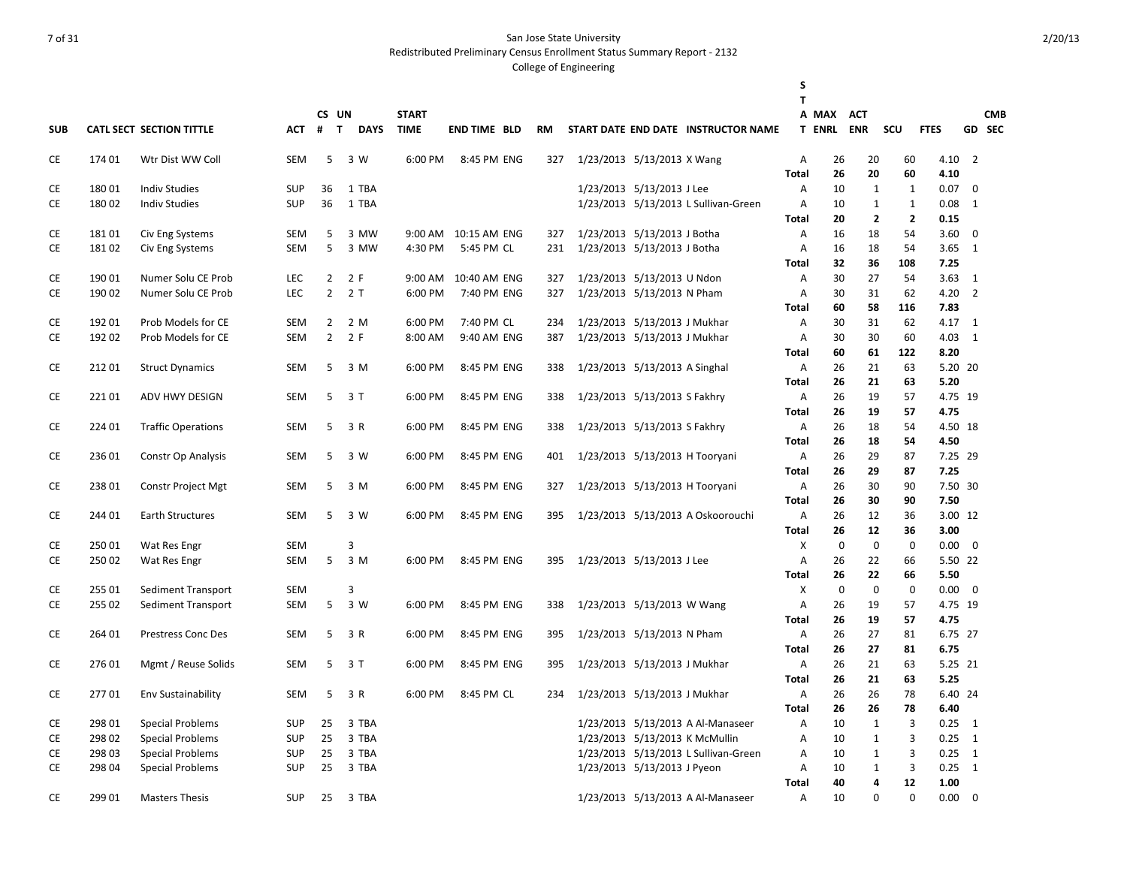Redistributed Preliminary Census Enrollment Status Summary Report - 2132

|            |        |                                          |                   |                                  |                             |              |                      |            |                                                              |                             |                                      | S<br>T         |               |                |                |                |                |            |
|------------|--------|------------------------------------------|-------------------|----------------------------------|-----------------------------|--------------|----------------------|------------|--------------------------------------------------------------|-----------------------------|--------------------------------------|----------------|---------------|----------------|----------------|----------------|----------------|------------|
|            |        |                                          |                   |                                  | CS UN                       | <b>START</b> |                      |            |                                                              |                             |                                      |                | A MAX         | <b>ACT</b>     |                |                |                | <b>CMB</b> |
| <b>SUB</b> |        | CATL SECT SECTION TITTLE                 | <b>ACT</b>        | #                                | $\mathbf{T}$<br><b>DAYS</b> | <b>TIME</b>  | <b>END TIME BLD</b>  | <b>RM</b>  |                                                              |                             | START DATE END DATE INSTRUCTOR NAME  |                | <b>T ENRL</b> | <b>ENR</b>     | scu            | <b>FTES</b>    |                | GD SEC     |
| CE         | 174 01 | Wtr Dist WW Coll                         | <b>SEM</b>        | 5                                | 3 W                         | 6:00 PM      | 8:45 PM ENG          | 327        | 1/23/2013 5/13/2013 X Wang                                   |                             |                                      | Α              | 26            | 20             | 60             | 4.10           | $\overline{2}$ |            |
|            |        |                                          |                   |                                  |                             |              |                      |            |                                                              |                             |                                      | Total          | 26            | 20             | 60             | 4.10           |                |            |
| CE         | 18001  | <b>Indiv Studies</b>                     | <b>SUP</b>        | 36                               | 1 TBA                       |              |                      |            |                                                              | 1/23/2013 5/13/2013 J Lee   |                                      | Α              | 10            | $\mathbf{1}$   | 1              | 0.07           | 0              |            |
| CE         | 18002  | <b>Indiv Studies</b>                     | <b>SUP</b>        | 36                               | 1 TBA                       |              |                      |            |                                                              |                             | 1/23/2013 5/13/2013 L Sullivan-Green | A              | 10            | $\mathbf{1}$   | $\mathbf{1}$   | 0.08           | 1              |            |
|            |        |                                          |                   |                                  |                             |              |                      |            |                                                              |                             |                                      | Total          | 20            | $\overline{2}$ | $\overline{2}$ | 0.15           |                |            |
| <b>CE</b>  | 18101  | Civ Eng Systems                          | SEM               | 5                                | 3 MW                        |              | 9:00 AM 10:15 AM ENG | 327        | 1/23/2013 5/13/2013 J Botha                                  |                             |                                      | Α              | 16            | 18             | 54             | 3.60           | $\mathbf 0$    |            |
| CE         | 18102  | Civ Eng Systems                          | <b>SEM</b>        | 5                                | 3 MW                        | 4:30 PM      | 5:45 PM CL           | 231        | 1/23/2013 5/13/2013 J Botha                                  |                             |                                      | Α              | 16            | 18             | 54             | 3.65           | 1              |            |
|            |        |                                          |                   |                                  |                             |              |                      |            |                                                              |                             |                                      | Total          | 32            | 36             | 108            | 7.25           |                |            |
| CE         | 19001  | Numer Solu CE Prob                       | LEC               | $\overline{2}$                   | 2F                          | 9:00 AM      | 10:40 AM ENG         | 327        | 1/23/2013 5/13/2013 U Ndon                                   |                             |                                      | $\overline{A}$ | 30            | 27             | 54             | 3.63           | 1              |            |
| <b>CE</b>  | 190 02 | Numer Solu CE Prob                       | LEC               | $\overline{2}$                   | 2T                          | 6:00 PM      | 7:40 PM ENG          | 327        | 1/23/2013 5/13/2013 N Pham                                   |                             |                                      | Α              | 30            | 31             | 62             | 4.20           | $\overline{2}$ |            |
| <b>CE</b>  | 192 01 |                                          |                   |                                  |                             | 6:00 PM      | 7:40 PM CL           |            |                                                              |                             |                                      | Total          | 60            | 58             | 116            | 7.83           |                |            |
| CE         | 192 02 | Prob Models for CE<br>Prob Models for CE | SEM<br><b>SEM</b> | $\overline{2}$<br>$\overline{2}$ | 2 M<br>2 F                  | 8:00 AM      | 9:40 AM ENG          | 234<br>387 | 1/23/2013 5/13/2013 J Mukhar<br>1/23/2013 5/13/2013 J Mukhar |                             |                                      | Α<br>A         | 30<br>30      | 31<br>30       | 62<br>60       | 4.17 1<br>4.03 | $\overline{1}$ |            |
|            |        |                                          |                   |                                  |                             |              |                      |            |                                                              |                             |                                      | Total          | 60            | 61             | 122            | 8.20           |                |            |
| CE         | 21201  | <b>Struct Dynamics</b>                   | <b>SEM</b>        | 5                                | 3 M                         | 6:00 PM      | 8:45 PM ENG          | 338        | 1/23/2013 5/13/2013 A Singhal                                |                             |                                      | Α              | 26            | 21             | 63             | 5.20 20        |                |            |
|            |        |                                          |                   |                                  |                             |              |                      |            |                                                              |                             |                                      | Total          | 26            | 21             | 63             | 5.20           |                |            |
| CE         | 22101  | ADV HWY DESIGN                           | <b>SEM</b>        | 5                                | 3 T                         | 6:00 PM      | 8:45 PM ENG          | 338        | 1/23/2013 5/13/2013 S Fakhry                                 |                             |                                      | Α              | 26            | 19             | 57             | 4.75 19        |                |            |
|            |        |                                          |                   |                                  |                             |              |                      |            |                                                              |                             |                                      | Total          | 26            | 19             | 57             | 4.75           |                |            |
| CE         | 224 01 | <b>Traffic Operations</b>                | SEM               | 5                                | 3 R                         | 6:00 PM      | 8:45 PM ENG          | 338        | 1/23/2013 5/13/2013 S Fakhry                                 |                             |                                      | Α              | 26            | 18             | 54             | 4.50 18        |                |            |
|            |        |                                          |                   |                                  |                             |              |                      |            |                                                              |                             |                                      | Total          | 26            | 18             | 54             | 4.50           |                |            |
| CE         | 236 01 | Constr Op Analysis                       | <b>SEM</b>        | 5                                | 3 W                         | 6:00 PM      | 8:45 PM ENG          | 401        | 1/23/2013 5/13/2013 H Tooryani                               |                             |                                      | Α              | 26            | 29             | 87             | 7.25 29        |                |            |
|            |        |                                          |                   |                                  |                             |              |                      |            |                                                              |                             |                                      | Total          | 26            | 29             | 87             | 7.25           |                |            |
| CE         | 23801  | <b>Constr Project Mgt</b>                | <b>SEM</b>        | 5                                | 3 M                         | 6:00 PM      | 8:45 PM ENG          | 327        |                                                              |                             | 1/23/2013 5/13/2013 H Tooryani       | Α              | 26            | 30             | 90             | 7.50 30        |                |            |
|            |        |                                          |                   |                                  |                             |              |                      |            |                                                              |                             |                                      | Total          | 26            | 30             | 90             | 7.50           |                |            |
| CE         | 244 01 | <b>Earth Structures</b>                  | <b>SEM</b>        | 5                                | 3 W                         | 6:00 PM      | 8:45 PM ENG          | 395        |                                                              |                             | 1/23/2013 5/13/2013 A Oskoorouchi    | Α              | 26            | 12             | 36             | 3.00 12        |                |            |
|            |        |                                          |                   |                                  |                             |              |                      |            |                                                              |                             |                                      | Total          | 26            | 12             | 36             | 3.00           |                |            |
| <b>CE</b>  | 25001  | Wat Res Engr                             | <b>SEM</b>        |                                  | 3                           |              |                      |            |                                                              |                             |                                      | X              | $\mathbf 0$   | $\mathbf 0$    | $\mathbf 0$    | 0.00           | 0              |            |
| CE         | 25002  | Wat Res Engr                             | <b>SEM</b>        | 5                                | 3 M                         | 6:00 PM      | 8:45 PM ENG          | 395        | 1/23/2013 5/13/2013 J Lee                                    |                             |                                      | Α              | 26            | 22             | 66             | 5.50 22        |                |            |
|            |        |                                          |                   |                                  |                             |              |                      |            |                                                              |                             |                                      | Total          | 26            | 22             | 66             | 5.50           |                |            |
| <b>CE</b>  | 255 01 | Sediment Transport                       | <b>SEM</b>        |                                  | 3                           |              |                      |            |                                                              |                             |                                      | X              | $\mathbf 0$   | $\mathbf 0$    | $\mathbf 0$    | 0.00           | $\mathbf{0}$   |            |
| <b>CE</b>  | 255 02 | Sediment Transport                       | SEM               | 5                                | 3 W                         | 6:00 PM      | 8:45 PM ENG          | 338        | 1/23/2013 5/13/2013 W Wang                                   |                             |                                      | Α              | 26            | 19             | 57             | 4.75 19        |                |            |
|            |        |                                          |                   |                                  |                             |              |                      |            |                                                              |                             |                                      | Total          | 26            | 19             | 57             | 4.75           |                |            |
| CE         | 264 01 | Prestress Conc Des                       | SEM               | 5                                | 3 R                         | 6:00 PM      | 8:45 PM ENG          | 395        | 1/23/2013 5/13/2013 N Pham                                   |                             |                                      | Α              | 26            | 27             | 81             | 6.75 27        |                |            |
|            |        |                                          |                   |                                  |                             |              |                      |            |                                                              |                             |                                      | Total          | 26            | 27             | 81             | 6.75           |                |            |
| CE         | 27601  | Mgmt / Reuse Solids                      | <b>SEM</b>        | 5                                | 3 T                         | 6:00 PM      | 8:45 PM ENG          | 395        | 1/23/2013 5/13/2013 J Mukhar                                 |                             |                                      | Α              | 26            | 21             | 63             | 5.25 21        |                |            |
|            |        |                                          |                   |                                  |                             |              |                      |            |                                                              |                             |                                      | Total          | 26            | 21             | 63             | 5.25           |                |            |
| <b>CE</b>  | 27701  | Env Sustainability                       | <b>SEM</b>        | 5                                | 3 R                         | 6:00 PM      | 8:45 PM CL           | 234        | 1/23/2013 5/13/2013 J Mukhar                                 |                             |                                      | Α              | 26            | 26             | 78             | 6.40 24        |                |            |
|            |        |                                          |                   |                                  |                             |              |                      |            |                                                              |                             |                                      | Total          | 26            | 26             | 78             | 6.40           |                |            |
| CE         | 298 01 | <b>Special Problems</b>                  | <b>SUP</b>        | 25                               | 3 TBA                       |              |                      |            |                                                              |                             | 1/23/2013 5/13/2013 A Al-Manaseer    | Α              | 10            | $\mathbf{1}$   | 3              | 0.25           | 1              |            |
| CE         | 298 02 | <b>Special Problems</b>                  | <b>SUP</b>        | 25                               | 3 TBA                       |              |                      |            |                                                              |                             | 1/23/2013 5/13/2013 K McMullin       | Α              | 10            | $\mathbf{1}$   | 3              | 0.25           | 1              |            |
| CE         | 298 03 | <b>Special Problems</b>                  | <b>SUP</b>        | 25                               | 3 TBA                       |              |                      |            |                                                              |                             | 1/23/2013 5/13/2013 L Sullivan-Green | Α              | 10            | $\mathbf{1}$   | 3              | 0.25           | 1              |            |
| <b>CE</b>  | 298 04 | <b>Special Problems</b>                  | <b>SUP</b>        | 25                               | 3 TBA                       |              |                      |            |                                                              | 1/23/2013 5/13/2013 J Pyeon |                                      | A              | 10            | $\mathbf{1}$   | 3              | 0.25           | $\overline{1}$ |            |
|            |        |                                          |                   |                                  |                             |              |                      |            |                                                              |                             |                                      | Total          | 40            | 4<br>$\Omega$  | 12<br>$\Omega$ | 1.00           |                |            |
| <b>CE</b>  | 299 01 | <b>Masters Thesis</b>                    | <b>SUP</b>        | 25                               | 3 TBA                       |              |                      |            |                                                              |                             | 1/23/2013 5/13/2013 A Al-Manaseer    | Α              | 10            |                |                | 0.00           | $\mathbf 0$    |            |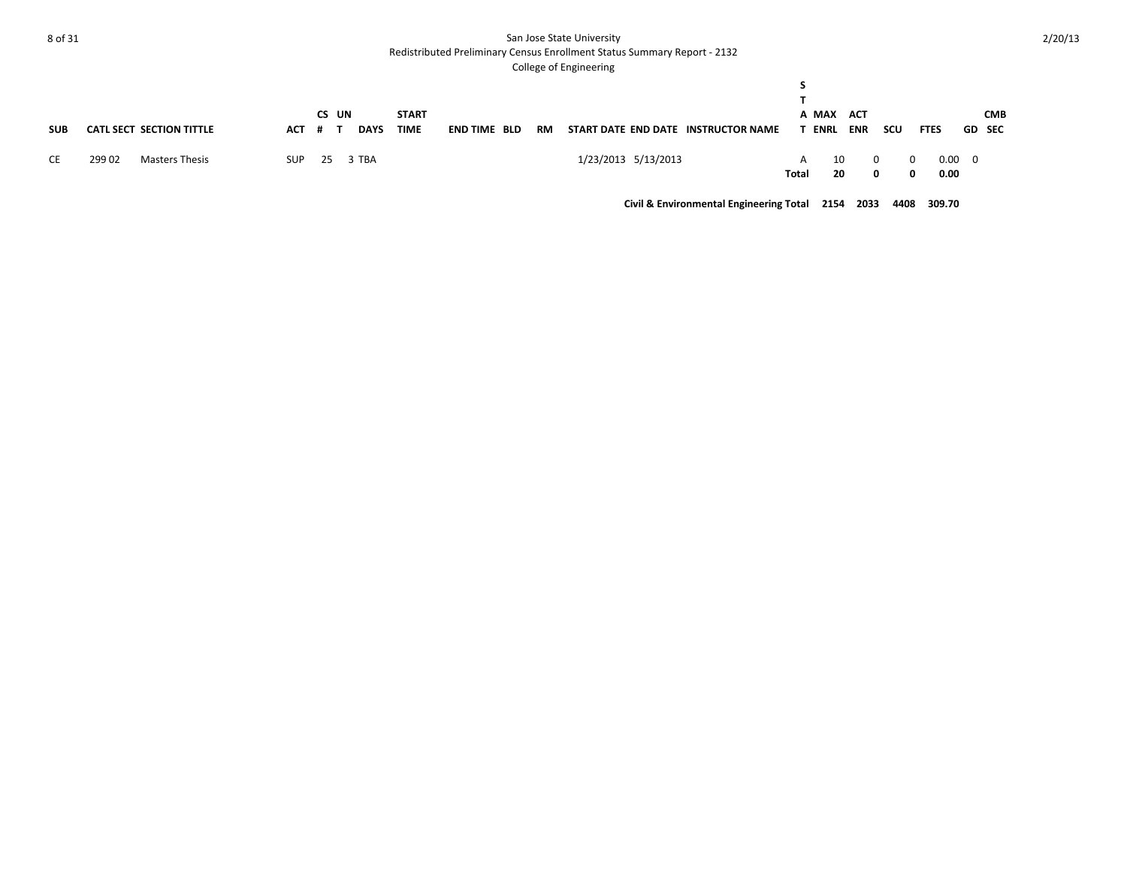Redistributed Preliminary Census Enrollment Status Summary Report - 2132

#### College of Engineering

|            |        |                                 |            | CS UN    |             | <b>START</b> |                     |           |                     |                                     |            | A MAX ACT   |            |        |               |                        |               | <b>CMB</b> |
|------------|--------|---------------------------------|------------|----------|-------------|--------------|---------------------|-----------|---------------------|-------------------------------------|------------|-------------|------------|--------|---------------|------------------------|---------------|------------|
| <b>SUB</b> |        | <b>CATL SECT SECTION TITTLE</b> | АСТ        | - # 1    | <b>DAYS</b> | <b>TIME</b>  | <b>END TIME BLD</b> | <b>RM</b> |                     | START DATE END DATE INSTRUCTOR NAME |            | <b>ENRL</b> | <b>ENR</b> | scu    | <b>FTES</b>   |                        | <b>GD SEC</b> |            |
| CE         | 299 02 | Masters Thesis                  | <b>SUP</b> | 25 3 TBA |             |              |                     |           | 1/23/2013 5/13/2013 |                                     | A<br>Total | 10<br>20    |            | 0<br>0 | $\Omega$<br>0 | $0.00 \quad 0$<br>0.00 |               |            |

**Civil & Environmental Engineering Total 2154 2033 4408 309.70**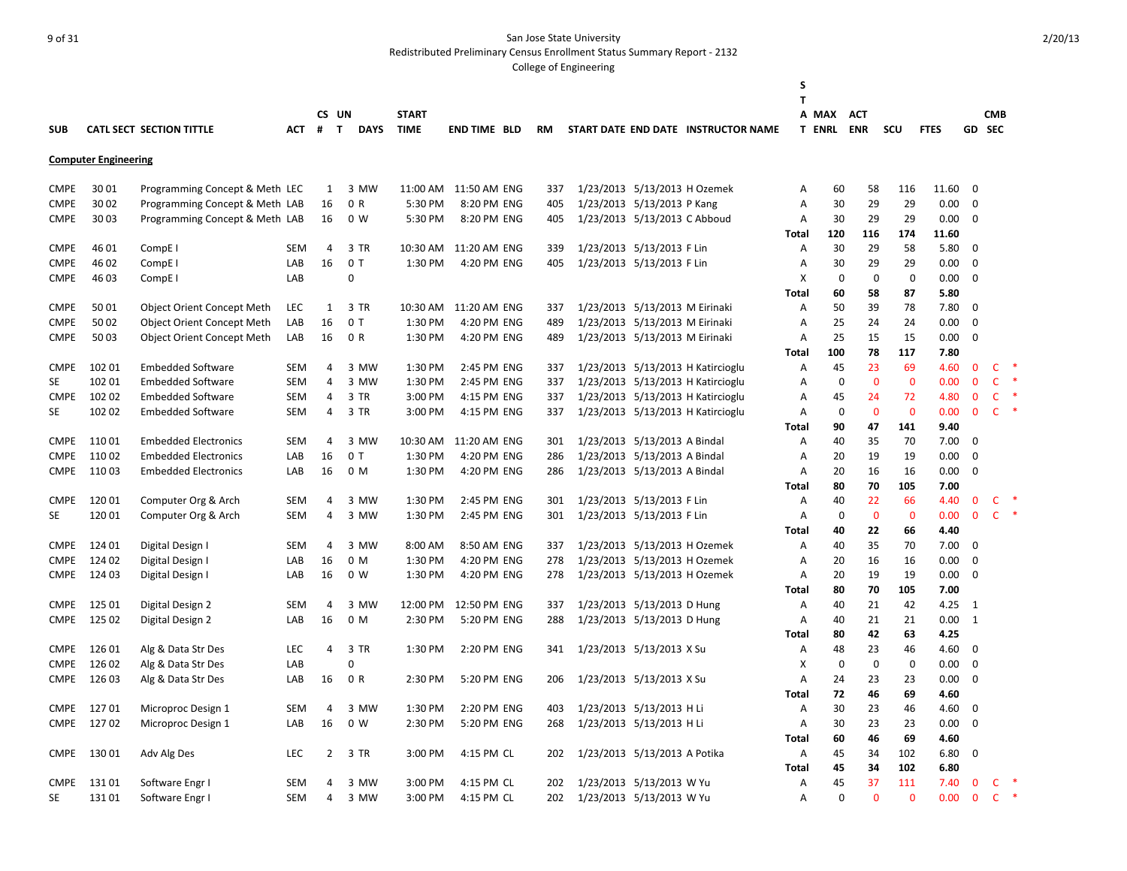Redistributed Preliminary Census Enrollment Status Summary Report - 2132

|             |                             |                                   |            |                |                             |              |                     |           |                                |                                     | S              |                   |                |                 |             |                |              |               |
|-------------|-----------------------------|-----------------------------------|------------|----------------|-----------------------------|--------------|---------------------|-----------|--------------------------------|-------------------------------------|----------------|-------------------|----------------|-----------------|-------------|----------------|--------------|---------------|
|             |                             |                                   |            |                |                             |              |                     |           |                                |                                     | т              |                   |                |                 |             |                |              |               |
|             |                             |                                   |            |                | CS UN                       | <b>START</b> |                     |           |                                |                                     |                | A MAX             | <b>ACT</b>     |                 |             |                | <b>CMB</b>   |               |
| <b>SUB</b>  |                             | CATL SECT SECTION TITTLE          | АСТ        | #              | $\mathbf{T}$<br><b>DAYS</b> | <b>TIME</b>  | <b>END TIME BLD</b> | <b>RM</b> |                                | START DATE END DATE INSTRUCTOR NAME |                | <b>T ENRL ENR</b> |                | SCU             | <b>FTES</b> |                | GD SEC       |               |
|             | <b>Computer Engineering</b> |                                   |            |                |                             |              |                     |           |                                |                                     |                |                   |                |                 |             |                |              |               |
| <b>CMPE</b> | 3001                        | Programming Concept & Meth LEC    |            | $\mathbf{1}$   | 3 MW                        | 11:00 AM     | 11:50 AM ENG        | 337       | 1/23/2013 5/13/2013 H Ozemek   |                                     | Α              | 60                | 58             | 116             | 11.60       | $\overline{0}$ |              |               |
| <b>CMPE</b> | 30 02                       | Programming Concept & Meth LAB    |            | 16             | 0 R                         | 5:30 PM      | 8:20 PM ENG         | 405       | 1/23/2013 5/13/2013 P Kang     |                                     | Α              | 30                | 29             | 29              | 0.00        | $\mathbf 0$    |              |               |
| <b>CMPE</b> | 3003                        | Programming Concept & Meth LAB    |            | 16             | 0 W                         | 5:30 PM      | 8:20 PM ENG         | 405       | 1/23/2013 5/13/2013 C Abboud   |                                     | A              | 30                | 29             | 29              | 0.00        | $\mathbf 0$    |              |               |
|             |                             |                                   |            |                |                             |              |                     |           |                                |                                     | Total          | 120               | 116            | 174             | 11.60       |                |              |               |
| <b>CMPE</b> | 46 01                       | CompE <sub>I</sub>                | <b>SEM</b> | 4              | 3 TR                        | 10:30 AM     | 11:20 AM ENG        | 339       | 1/23/2013 5/13/2013 F Lin      |                                     | Α              | 30                | 29             | 58              | 5.80        | 0              |              |               |
| <b>CMPE</b> | 46 02                       | CompE <sub>I</sub>                | LAB        | 16             | 0 <sub>T</sub>              | 1:30 PM      | 4:20 PM ENG         | 405       | 1/23/2013 5/13/2013 F Lin      |                                     | Α              | 30                | 29             | 29              | 0.00        | $\mathbf 0$    |              |               |
| <b>CMPE</b> | 46 03                       | CompE <sub>I</sub>                | LAB        |                | 0                           |              |                     |           |                                |                                     | X              | $\mathbf 0$       | $\mathbf 0$    | $\mathbf 0$     | 0.00        | 0              |              |               |
|             |                             |                                   |            |                |                             |              |                     |           |                                |                                     | <b>Total</b>   | 60                | 58             | 87              | 5.80        |                |              |               |
| <b>CMPE</b> | 5001                        | <b>Object Orient Concept Meth</b> | <b>LEC</b> | 1              | 3 TR                        | 10:30 AM     | 11:20 AM ENG        | 337       | 1/23/2013 5/13/2013 M Eirinaki |                                     | A              | 50                | 39             | 78              | 7.80        | 0              |              |               |
| <b>CMPE</b> | 50 02                       | <b>Object Orient Concept Meth</b> | LAB        | 16             | 0T                          | 1:30 PM      | 4:20 PM ENG         | 489       | 1/23/2013 5/13/2013 M Eirinaki |                                     | Α              | 25                | 24             | 24              | 0.00        | $\mathbf 0$    |              |               |
| <b>CMPE</b> | 5003                        | <b>Object Orient Concept Meth</b> | LAB        | 16             | 0 R                         | 1:30 PM      | 4:20 PM ENG         | 489       | 1/23/2013 5/13/2013 M Eirinaki |                                     | $\overline{A}$ | 25                | 15             | 15              | 0.00        | $\mathbf 0$    |              |               |
|             |                             |                                   |            |                |                             |              |                     |           |                                |                                     | <b>Total</b>   | 100               | 78             | 117             | 7.80        |                |              |               |
| <b>CMPE</b> | 102 01                      | <b>Embedded Software</b>          | <b>SEM</b> | 4              | 3 MW                        | 1:30 PM      | 2:45 PM ENG         | 337       |                                | 1/23/2013 5/13/2013 H Katircioglu   | A              | 45                | 23             | 69              | 4.60        | $\mathbf{0}$   | c            |               |
| <b>SE</b>   | 102 01                      | <b>Embedded Software</b>          | <b>SEM</b> | 4              | 3 MW                        | 1:30 PM      | 2:45 PM ENG         | 337       |                                | 1/23/2013 5/13/2013 H Katircioglu   | A              | $\mathbf 0$       | $\mathbf{0}$   | $\mathbf 0$     | 0.00        | $\mathbf{0}$   | $\mathsf{C}$ |               |
| <b>CMPE</b> | 102 02                      | <b>Embedded Software</b>          | SEM        | 4              | 3 TR                        | 3:00 PM      | 4:15 PM ENG         | 337       |                                | 1/23/2013 5/13/2013 H Katircioglu   | A              | 45                | 24             | 72              | 4.80        | $\mathbf 0$    | $\mathsf{C}$ | $\ast$        |
| SE          | 102 02                      | <b>Embedded Software</b>          | SEM        | 4              | 3 TR                        | 3:00 PM      | 4:15 PM ENG         | 337       |                                | 1/23/2013 5/13/2013 H Katircioglu   | Α              | $\mathbf 0$       | $\mathbf{0}$   | $\mathbf 0$     | 0.00        | $\mathbf{0}$   | $\mathsf{C}$ | $\ast$        |
|             |                             |                                   |            |                |                             |              |                     |           |                                |                                     | Total          | 90                | 47             | 141             | 9.40        |                |              |               |
| <b>CMPE</b> | 11001                       | <b>Embedded Electronics</b>       | <b>SEM</b> | 4              | 3 MW                        | 10:30 AM     | 11:20 AM ENG        | 301       | 1/23/2013 5/13/2013 A Bindal   |                                     | Α              | 40                | 35             | 70              | 7.00        | $\mathbf 0$    |              |               |
| <b>CMPE</b> | 11002                       | <b>Embedded Electronics</b>       | LAB        | 16             | 0 <sub>T</sub>              | 1:30 PM      | 4:20 PM ENG         | 286       | 1/23/2013 5/13/2013 A Bindal   |                                     | A              | 20                | 19             | 19              | 0.00        | $\mathbf 0$    |              |               |
| <b>CMPE</b> | 11003                       | <b>Embedded Electronics</b>       | LAB        | 16             | 0 M                         | 1:30 PM      | 4:20 PM ENG         | 286       | 1/23/2013 5/13/2013 A Bindal   |                                     | Α              | 20                | 16             | 16              | 0.00        | 0              |              |               |
|             |                             |                                   |            |                |                             |              |                     |           |                                |                                     | <b>Total</b>   | 80                | 70             | 105             | 7.00        |                |              |               |
| <b>CMPE</b> | 12001                       | Computer Org & Arch               | <b>SEM</b> | 4              | 3 MW                        | 1:30 PM      | 2:45 PM ENG         | 301       | 1/23/2013 5/13/2013 F Lin      |                                     | Α              | 40                | 22             | 66              | 4.40        | $\mathbf 0$    | $\mathsf{C}$ |               |
| <b>SE</b>   | 120 01                      | Computer Org & Arch               | SEM        | 4              | 3 MW                        | 1:30 PM      | 2:45 PM ENG         | 301       | 1/23/2013 5/13/2013 F Lin      |                                     | Α              | $\mathbf 0$       | $\mathbf 0$    | $\mathbf 0$     | 0.00        | $\mathbf 0$    | $\mathsf{C}$ |               |
|             |                             |                                   |            |                |                             |              |                     |           |                                |                                     | <b>Total</b>   | 40                | 22             | 66              | 4.40        |                |              |               |
| <b>CMPE</b> | 124 01                      | Digital Design I                  | <b>SEM</b> | 4              | 3 MW                        | 8:00 AM      | 8:50 AM ENG         | 337       | 1/23/2013 5/13/2013 H Ozemek   |                                     | Α              | 40                | 35             | 70              | 7.00        | 0              |              |               |
| <b>CMPE</b> | 124 02                      | Digital Design I                  | LAB        | 16             | 0 M                         | 1:30 PM      | 4:20 PM ENG         | 278       | 1/23/2013 5/13/2013 H Ozemek   |                                     | Α              | 20                | 16             | 16              | 0.00        | 0              |              |               |
| <b>CMPE</b> | 124 03                      | Digital Design I                  | LAB        | 16             | 0 W                         | 1:30 PM      | 4:20 PM ENG         | 278       | 1/23/2013 5/13/2013 H Ozemek   |                                     | Α              | 20                | 19             | 19              | 0.00        | $\mathbf 0$    |              |               |
|             |                             |                                   |            |                |                             |              |                     |           |                                |                                     | Total          | 80                | 70             | 105             | 7.00        |                |              |               |
| <b>CMPE</b> | 125 01                      | Digital Design 2                  | <b>SEM</b> | $\overline{4}$ | 3 MW                        | 12:00 PM     | 12:50 PM ENG        | 337       | 1/23/2013 5/13/2013 D Hung     |                                     | Α              | 40                | 21             | 42              | 4.25        | 1              |              |               |
| <b>CMPE</b> | 125 02                      | Digital Design 2                  | LAB        | 16             | 0 M                         | 2:30 PM      | 5:20 PM ENG         | 288       | 1/23/2013 5/13/2013 D Hung     |                                     | A              | 40                | 21             | 21              | 0.00        | 1              |              |               |
|             |                             |                                   |            |                |                             |              |                     |           |                                |                                     | <b>Total</b>   | 80                | 42             | 63              | 4.25        |                |              |               |
| <b>CMPE</b> | 126 01                      | Alg & Data Str Des                | <b>LEC</b> | 4              | 3 TR                        | 1:30 PM      | 2:20 PM ENG         | 341       | 1/23/2013 5/13/2013 X Su       |                                     | Α              | 48                | 23             | 46              | 4.60        | $\mathbf 0$    |              |               |
| <b>CMPE</b> | 126 02                      | Alg & Data Str Des                | LAB        |                | $\Omega$                    |              |                     |           |                                |                                     | X              | $\mathbf 0$       | $\mathbf 0$    | $\mathbf 0$     | 0.00        | 0              |              |               |
| <b>CMPE</b> | 126 03                      | Alg & Data Str Des                | LAB        | 16             | 0 R                         | 2:30 PM      | 5:20 PM ENG         | 206       | 1/23/2013 5/13/2013 X Su       |                                     | Α              | 24                | 23             | 23              | 0.00        | $\mathbf 0$    |              |               |
|             |                             |                                   |            |                |                             |              |                     |           |                                |                                     | Total          | 72                | 46             | 69              | 4.60        |                |              |               |
| <b>CMPE</b> | 12701                       | Microproc Design 1                | <b>SEM</b> | 4              | 3 MW                        | 1:30 PM      | 2:20 PM ENG         | 403       | 1/23/2013 5/13/2013 H Li       |                                     | Α              | 30                | 23             | 46              | 4.60        | 0              |              |               |
| <b>CMPE</b> | 12702                       | Microproc Design 1                | LAB        | 16             | 0 W                         | 2:30 PM      | 5:20 PM ENG         | 268       | 1/23/2013 5/13/2013 H Li       |                                     | Α              | 30                | 23             | 23              | 0.00        | $\mathbf 0$    |              |               |
|             |                             |                                   |            |                |                             |              |                     |           |                                |                                     | <b>Total</b>   | 60                | 46             | 69              | 4.60        |                |              |               |
| <b>CMPE</b> | 13001                       | Adv Alg Des                       | LEC        | 2              | 3 TR                        | 3:00 PM      | 4:15 PM CL          | 202       | 1/23/2013 5/13/2013 A Potika   |                                     | Α              | 45                | 34             | 102             | 6.80        | 0              |              |               |
|             |                             |                                   |            |                |                             |              |                     |           |                                |                                     | Total          | 45                | 34             | 102             | 6.80        |                |              | $\ast$        |
| <b>CMPE</b> | 13101                       | Software Engr I                   | <b>SEM</b> | 4              | 3 MW                        | 3:00 PM      | 4:15 PM CL          | 202       | 1/23/2013 5/13/2013 W Yu       |                                     | Α              | 45                | 37<br>$\Omega$ | 111<br>$\Omega$ | 7.40        | $\mathbf 0$    | c            | $\rightarrow$ |
| SE          | 13101                       | Software Engr I                   | SEM        | 4              | 3 MW                        | 3:00 PM      | 4:15 PM CL          | 202       | 1/23/2013 5/13/2013 W Yu       |                                     | A              | $\Omega$          |                |                 | 0.00        | $\mathbf{0}$   | $\mathsf{C}$ |               |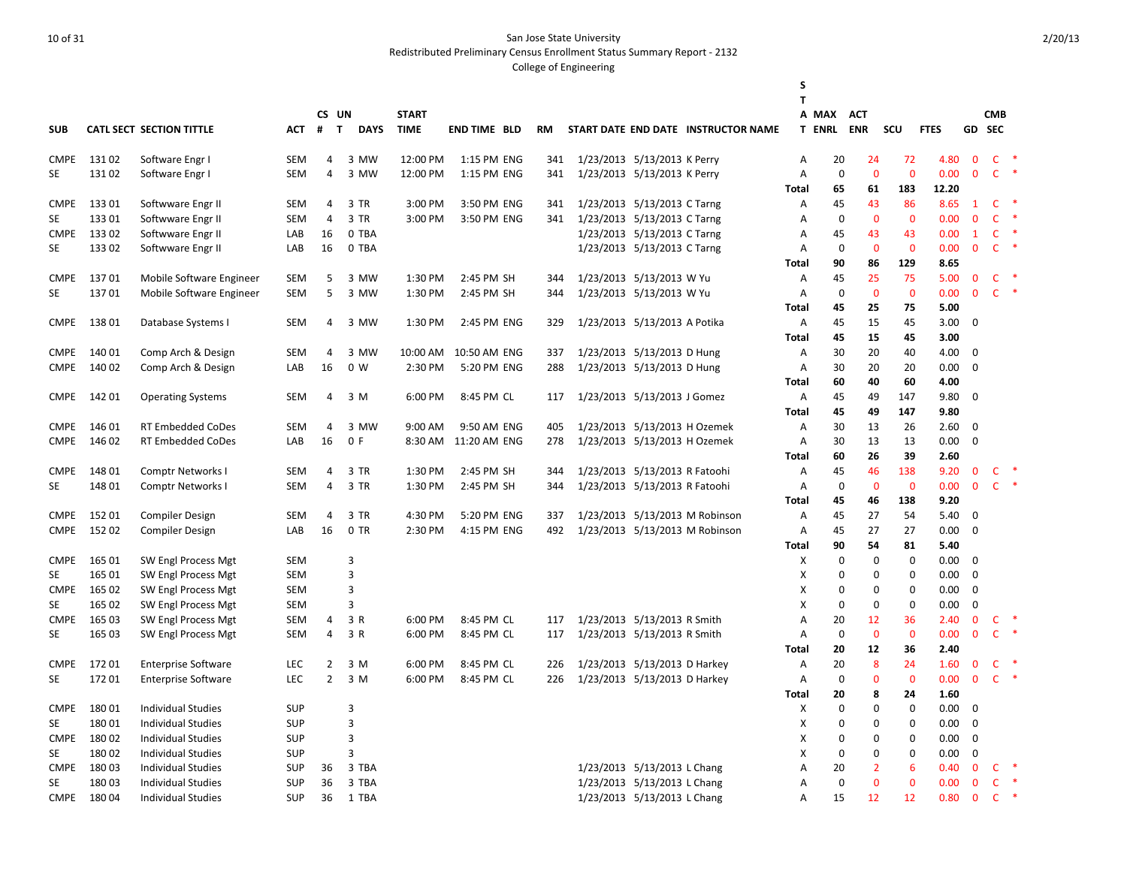Redistributed Preliminary Census Enrollment Status Summary Report - 2132

|             |        |                                                      |            |                |                             |              |                     |           |                               |                               |                                     | S            |               |                |              |              |              |                      |                        |        |
|-------------|--------|------------------------------------------------------|------------|----------------|-----------------------------|--------------|---------------------|-----------|-------------------------------|-------------------------------|-------------------------------------|--------------|---------------|----------------|--------------|--------------|--------------|----------------------|------------------------|--------|
|             |        |                                                      |            |                |                             |              |                     |           |                               |                               |                                     | T            |               |                |              |              |              |                      |                        |        |
|             |        |                                                      |            | CS UN          |                             | <b>START</b> |                     |           |                               |                               |                                     |              | A MAX         | <b>ACT</b>     |              |              |              | <b>CMB</b><br>GD SEC |                        |        |
| <b>SUB</b>  |        | CATL SECT SECTION TITTLE                             | АСТ        | #              | $\mathbf{T}$<br><b>DAYS</b> | <b>TIME</b>  | <b>END TIME BLD</b> | <b>RM</b> |                               |                               | START DATE END DATE INSTRUCTOR NAME |              | <b>T ENRL</b> | <b>ENR</b>     | SCU          | <b>FTES</b>  |              |                      |                        |        |
| <b>CMPE</b> | 13102  | Software Engr I                                      | <b>SEM</b> | 4              | 3 MW                        | 12:00 PM     | 1:15 PM ENG         | 341       | 1/23/2013 5/13/2013 K Perry   |                               |                                     | Α            | 20            | 24             | 72           | 4.80         | $\mathbf{0}$ |                      | $\mathsf{C}$           |        |
| <b>SE</b>   | 13102  | Software Engr I                                      | <b>SEM</b> | $\overline{4}$ | 3 MW                        | 12:00 PM     | 1:15 PM ENG         | 341       |                               | 1/23/2013 5/13/2013 K Perry   |                                     | Α            | $\mathbf 0$   | $\mathbf{0}$   | $\mathbf{0}$ | 0.00         | $\mathbf{0}$ |                      | $C$ *                  |        |
|             |        |                                                      |            |                |                             |              |                     |           |                               |                               |                                     | Total        | 65            | 61             | 183          | 12.20        |              |                      |                        |        |
| <b>CMPE</b> | 13301  | Softwware Engr II                                    | <b>SEM</b> | 4              | 3 TR                        | 3:00 PM      | 3:50 PM ENG         | 341       | 1/23/2013 5/13/2013 C Tarng   |                               |                                     | Α            | 45            | 43             | 86           | 8.65         | 1            |                      | $\ast$<br>$\mathsf{C}$ |        |
| <b>SE</b>   | 13301  | Softwware Engr II                                    | SEM        | 4              | 3 TR                        | 3:00 PM      | 3:50 PM ENG         | 341       | 1/23/2013 5/13/2013 C Tarng   |                               |                                     | A            | $\mathbf 0$   | $\mathbf{0}$   | $\mathbf{0}$ | 0.00         | $\mathbf{0}$ |                      | $\mathsf{C}$<br>$\ast$ |        |
| <b>CMPE</b> | 13302  | Softwware Engr II                                    | LAB        | 16             | 0 TBA                       |              |                     |           |                               | 1/23/2013 5/13/2013 C Tarng   |                                     | Α            | 45            | 43             | 43           | 0.00         | $\mathbf{1}$ |                      | $\mathsf{C}$<br>$\ast$ |        |
| <b>SE</b>   | 13302  | Softwware Engr II                                    | LAB        | 16             | 0 TBA                       |              |                     |           |                               | 1/23/2013 5/13/2013 C Tarng   |                                     | Α            | $\mathbf 0$   | $\mathbf{0}$   | $\mathbf{0}$ | 0.00         | $\mathbf{0}$ |                      | $\mathsf{C}$<br>∗      |        |
|             |        |                                                      |            |                |                             |              |                     |           |                               |                               |                                     | <b>Total</b> | 90            | 86             | 129          | 8.65         |              |                      |                        |        |
| <b>CMPE</b> | 13701  | Mobile Software Engineer                             | <b>SEM</b> | 5              | 3 MW                        | 1:30 PM      | 2:45 PM SH          | 344       | 1/23/2013 5/13/2013 W Yu      |                               |                                     | Α            | 45            | 25             | 75           | 5.00         | $\mathbf{0}$ |                      | $\mathsf{C}$           |        |
| <b>SE</b>   | 13701  | Mobile Software Engineer                             | <b>SEM</b> | 5              | 3 MW                        | 1:30 PM      | 2:45 PM SH          | 344       | 1/23/2013 5/13/2013 W Yu      |                               |                                     | Α            | $\mathbf 0$   | $\mathbf{0}$   | $\mathbf 0$  | 0.00         | $\mathbf{0}$ |                      | $\mathsf{C}$           |        |
|             |        |                                                      |            |                |                             |              |                     |           |                               |                               |                                     | <b>Total</b> | 45            | 25             | 75           | 5.00         |              |                      |                        |        |
| <b>CMPE</b> | 13801  | Database Systems I                                   | <b>SEM</b> | 4              | 3 MW                        | 1:30 PM      | 2:45 PM ENG         | 329       | 1/23/2013 5/13/2013 A Potika  |                               |                                     | Α            | 45            | 15             | 45           | 3.00         | $\mathbf 0$  |                      |                        |        |
|             |        |                                                      |            |                |                             |              |                     |           |                               |                               |                                     | Total        | 45            | 15             | 45           | 3.00         |              |                      |                        |        |
| <b>CMPE</b> | 140 01 | Comp Arch & Design                                   | <b>SEM</b> | 4              | 3 MW                        | 10:00 AM     | 10:50 AM ENG        | 337       | 1/23/2013 5/13/2013 D Hung    |                               |                                     | Α            | 30            | 20             | 40           | 4.00         | $\mathbf 0$  |                      |                        |        |
| <b>CMPE</b> | 140 02 | Comp Arch & Design                                   | LAB        | 16             | 0 W                         | 2:30 PM      | 5:20 PM ENG         | 288       | 1/23/2013 5/13/2013 D Hung    |                               |                                     | Α            | 30            | 20             | 20           | 0.00         | $\mathbf 0$  |                      |                        |        |
|             |        |                                                      |            |                |                             |              |                     |           |                               |                               |                                     | Total        | 60            | 40             | 60           | 4.00         |              |                      |                        |        |
| <b>CMPE</b> | 14201  | <b>Operating Systems</b>                             | <b>SEM</b> | 4              | 3 M                         | 6:00 PM      | 8:45 PM CL          | 117       | 1/23/2013 5/13/2013 J Gomez   |                               |                                     | A            | 45            | 49             | 147          | 9.80         | $\Omega$     |                      |                        |        |
|             |        |                                                      |            |                |                             |              |                     |           |                               |                               |                                     | <b>Total</b> | 45            | 49             | 147          | 9.80         |              |                      |                        |        |
| <b>CMPE</b> | 146 01 | <b>RT Embedded CoDes</b>                             | <b>SEM</b> | 4              | 3 MW                        | 9:00 AM      | 9:50 AM ENG         | 405       | 1/23/2013 5/13/2013 H Ozemek  |                               |                                     | A            | 30            | 13             | 26           | 2.60         | $\Omega$     |                      |                        |        |
| <b>CMPE</b> | 146 02 | <b>RT Embedded CoDes</b>                             | LAB        | 16             | 0 F                         | 8:30 AM      | 11:20 AM ENG        | 278       | 1/23/2013 5/13/2013 H Ozemek  |                               |                                     | Α            | 30            | 13             | 13           | 0.00         | $\mathbf 0$  |                      |                        |        |
| <b>CMPE</b> | 148 01 |                                                      | <b>SEM</b> | 4              | 3 TR                        | 1:30 PM      | 2:45 PM SH          | 344       | 1/23/2013 5/13/2013 R Fatoohi |                               |                                     | Total        | 60<br>45      | 26<br>46       | 39<br>138    | 2.60<br>9.20 | $\mathbf{0}$ |                      | $\mathsf{C}$           |        |
| <b>SE</b>   | 148 01 | <b>Comptr Networks I</b><br><b>Comptr Networks I</b> | SEM        | 4              | 3 TR                        | 1:30 PM      | 2:45 PM SH          | 344       |                               | 1/23/2013 5/13/2013 R Fatoohi |                                     | Α<br>Α       | 0             | $\mathbf{0}$   | $\mathbf 0$  | 0.00         | $\mathbf 0$  |                      | $C$ *                  |        |
|             |        |                                                      |            |                |                             |              |                     |           |                               |                               |                                     | Total        | 45            | 46             | 138          | 9.20         |              |                      |                        |        |
| <b>CMPE</b> | 15201  | <b>Compiler Design</b>                               | <b>SEM</b> | 4              | 3 TR                        | 4:30 PM      | 5:20 PM ENG         | 337       |                               |                               | 1/23/2013 5/13/2013 M Robinson      | Α            | 45            | 27             | 54           | 5.40         | $\mathbf 0$  |                      |                        |        |
| <b>CMPE</b> | 15202  | <b>Compiler Design</b>                               | LAB        | 16             | 0 TR                        | 2:30 PM      | 4:15 PM ENG         | 492       |                               |                               | 1/23/2013 5/13/2013 M Robinson      | Α            | 45            | 27             | 27           | 0.00         | $\Omega$     |                      |                        |        |
|             |        |                                                      |            |                |                             |              |                     |           |                               |                               |                                     | Total        | 90            | 54             | 81           | 5.40         |              |                      |                        |        |
| <b>CMPE</b> | 165 01 | SW Engl Process Mgt                                  | <b>SEM</b> |                | 3                           |              |                     |           |                               |                               |                                     | X            | 0             | 0              | 0            | 0.00         | $\mathbf 0$  |                      |                        |        |
| <b>SE</b>   | 165 01 | SW Engl Process Mgt                                  | <b>SEM</b> |                | 3                           |              |                     |           |                               |                               |                                     | х            | 0             | $\mathbf 0$    | $\mathbf 0$  | 0.00         | $\mathbf 0$  |                      |                        |        |
| <b>CMPE</b> | 165 02 | SW Engl Process Mgt                                  | <b>SEM</b> |                | 3                           |              |                     |           |                               |                               |                                     | x            | 0             | 0              | $\mathbf 0$  | 0.00         | $\mathbf 0$  |                      |                        |        |
| <b>SE</b>   | 165 02 | SW Engl Process Mgt                                  | <b>SEM</b> |                | 3                           |              |                     |           |                               |                               |                                     | X            | $\mathbf 0$   | $\mathbf 0$    | $\mathbf 0$  | 0.00         | $\mathbf 0$  |                      |                        |        |
| <b>CMPE</b> | 165 03 | SW Engl Process Mgt                                  | <b>SEM</b> | 4              | 3 R                         | 6:00 PM      | 8:45 PM CL          | 117       | 1/23/2013 5/13/2013 R Smith   |                               |                                     | А            | 20            | 12             | 36           | 2.40         | $\mathbf 0$  | C                    |                        |        |
| <b>SE</b>   | 165 03 | SW Engl Process Mgt                                  | <b>SEM</b> | 4              | 3 R                         | 6:00 PM      | 8:45 PM CL          | 117       | 1/23/2013 5/13/2013 R Smith   |                               |                                     | A            | $\mathbf 0$   | $\mathbf{0}$   | $\mathbf 0$  | 0.00         | $\mathbf{0}$ | C                    |                        |        |
|             |        |                                                      |            |                |                             |              |                     |           |                               |                               |                                     | Total        | 20            | 12             | 36           | 2.40         |              |                      |                        |        |
| <b>CMPE</b> | 17201  | <b>Enterprise Software</b>                           | <b>LEC</b> | $\overline{2}$ | 3 M                         | 6:00 PM      | 8:45 PM CL          | 226       | 1/23/2013 5/13/2013 D Harkey  |                               |                                     | Α            | 20            | 8              | 24           | 1.60         | $\mathbf{0}$ | C                    |                        |        |
| <b>SE</b>   | 17201  | <b>Enterprise Software</b>                           | <b>LEC</b> | $\overline{2}$ | 3 M                         | 6:00 PM      | 8:45 PM CL          | 226       | 1/23/2013 5/13/2013 D Harkey  |                               |                                     | A            | $\mathbf 0$   | $\overline{0}$ | $\mathbf{0}$ | 0.00         | $\mathbf{0}$ |                      | $\mathsf{C}$<br>$\ast$ |        |
|             |        |                                                      |            |                |                             |              |                     |           |                               |                               |                                     | Total        | 20            | 8              | 24           | 1.60         |              |                      |                        |        |
| <b>CMPE</b> | 18001  | <b>Individual Studies</b>                            | <b>SUP</b> |                | 3                           |              |                     |           |                               |                               |                                     | X            | $\mathbf 0$   | $\mathbf 0$    | $\mathbf 0$  | 0.00         | $\mathbf 0$  |                      |                        |        |
| <b>SE</b>   | 18001  | <b>Individual Studies</b>                            | <b>SUP</b> |                | 3                           |              |                     |           |                               |                               |                                     | х            | 0             | 0              | $\mathbf 0$  | 0.00         | $\mathbf 0$  |                      |                        |        |
| <b>CMPE</b> | 18002  | <b>Individual Studies</b>                            | <b>SUP</b> |                | 3                           |              |                     |           |                               |                               |                                     | X            | 0             | $\mathbf 0$    | $\mathbf 0$  | 0.00         | $\mathbf 0$  |                      |                        |        |
| <b>SE</b>   | 18002  | Individual Studies                                   | <b>SUP</b> |                | 3                           |              |                     |           |                               |                               |                                     | х            | 0             | $\mathbf 0$    | $\mathbf 0$  | 0.00         | $\mathbf 0$  |                      |                        |        |
| <b>CMPE</b> | 18003  | <b>Individual Studies</b>                            | <b>SUP</b> | 36             | 3 TBA                       |              |                     |           |                               | 1/23/2013 5/13/2013 L Chang   |                                     | Α            | 20            | $\overline{2}$ | 6            | 0.40         | $\mathbf{0}$ |                      | $C$ *                  |        |
| <b>SE</b>   | 18003  | <b>Individual Studies</b>                            | <b>SUP</b> | 36             | 3 TBA                       |              |                     |           |                               | 1/23/2013 5/13/2013 L Chang   |                                     | A            | $\mathbf 0$   | $\overline{0}$ | $\mathbf{0}$ | 0.00         | $\mathbf{0}$ | $\mathsf{C}$         |                        | $\ast$ |
| <b>CMPE</b> | 18004  | <b>Individual Studies</b>                            | <b>SUP</b> | 36             | 1 TBA                       |              |                     |           |                               | 1/23/2013 5/13/2013 L Chang   |                                     | A            | 15            | 12             | 12           | 0.80         | $\mathbf{0}$ |                      | $\mathsf{C}$<br>$\ast$ |        |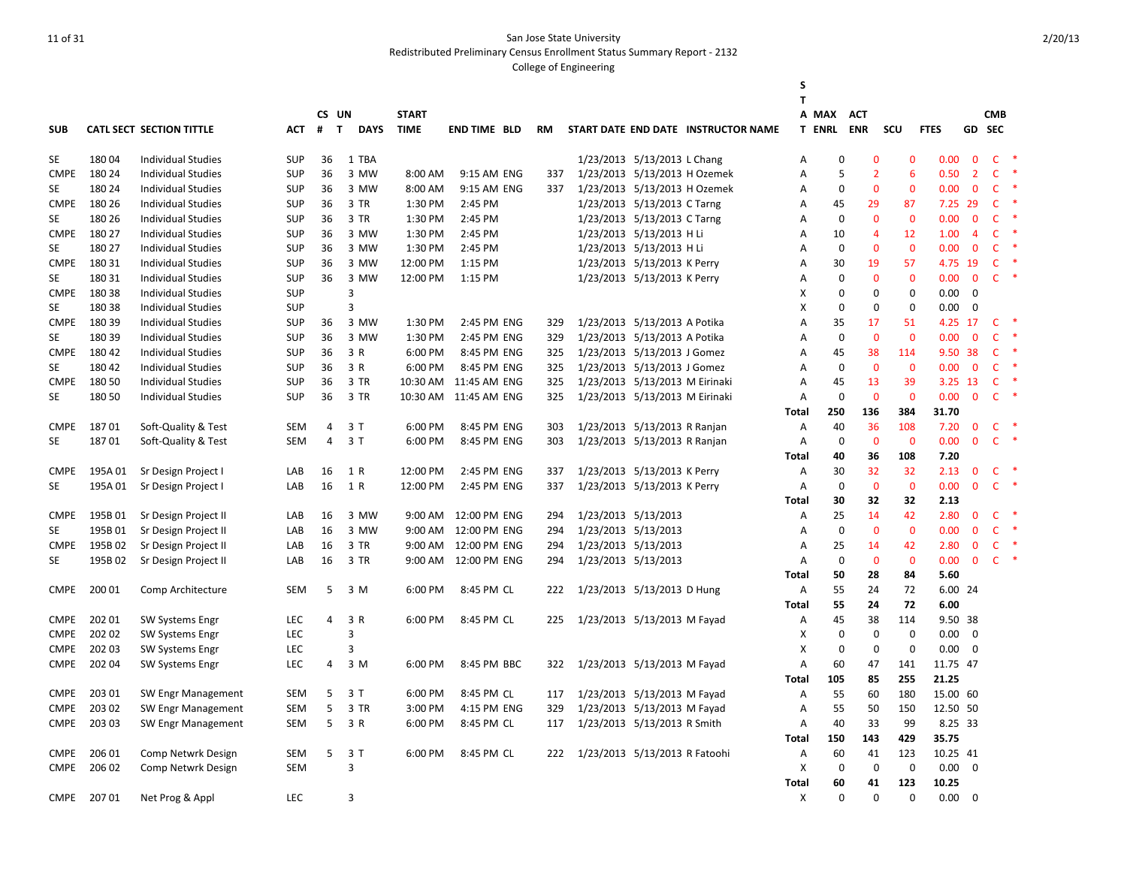Redistributed Preliminary Census Enrollment Status Summary Report - 2132

|             |         |                                 |            |                |                             |              |                        |           |                                |                             |                                     | S<br>T            |                   |                |                |             |                |                |        |
|-------------|---------|---------------------------------|------------|----------------|-----------------------------|--------------|------------------------|-----------|--------------------------------|-----------------------------|-------------------------------------|-------------------|-------------------|----------------|----------------|-------------|----------------|----------------|--------|
|             |         |                                 |            | CS UN          |                             | <b>START</b> |                        |           |                                |                             |                                     |                   | A MAX             | <b>ACT</b>     |                |             |                | <b>CMB</b>     |        |
| <b>SUB</b>  |         | <b>CATL SECT SECTION TITTLE</b> | АСТ        | #              | $\mathbf{T}$<br><b>DAYS</b> | <b>TIME</b>  | <b>END TIME BLD</b>    | <b>RM</b> |                                |                             | START DATE END DATE INSTRUCTOR NAME |                   | <b>T ENRL ENR</b> |                | SCU            | <b>FTES</b> |                | GD SEC         |        |
|             |         |                                 |            |                |                             |              |                        |           |                                |                             |                                     |                   |                   |                |                |             |                |                |        |
| <b>SE</b>   | 18004   | <b>Individual Studies</b>       | <b>SUP</b> | 36             | 1 TBA                       |              |                        |           |                                | 1/23/2013 5/13/2013 L Chang |                                     | Α                 | 0                 | 0              | $\mathbf 0$    | 0.00        | $\mathbf 0$    | $\mathsf{C}$   |        |
| <b>CMPE</b> | 180 24  | <b>Individual Studies</b>       | <b>SUP</b> | 36             | 3 MW                        | 8:00 AM      | 9:15 AM ENG            | 337       | 1/23/2013 5/13/2013 H Ozemek   |                             |                                     | Α                 | 5                 | $\overline{2}$ | 6              | 0.50        | $\overline{2}$ | $\mathsf{C}$   |        |
| <b>SE</b>   | 180 24  | <b>Individual Studies</b>       | <b>SUP</b> | 36             | 3 MW                        | 8:00 AM      | 9:15 AM ENG            | 337       | 1/23/2013 5/13/2013 H Ozemek   |                             |                                     | Α                 | $\mathbf 0$       | $\mathbf{0}$   | $\mathbf{0}$   | 0.00        | $\mathbf{0}$   | $\mathsf{C}$   | -*     |
| <b>CMPE</b> | 180 26  | <b>Individual Studies</b>       | <b>SUP</b> | 36             | 3 TR                        | 1:30 PM      | 2:45 PM                |           |                                | 1/23/2013 5/13/2013 C Tarng |                                     | А                 | 45                | 29             | 87             | 7.25 29     |                | $\mathsf{C}$   |        |
| <b>SE</b>   | 180 26  | <b>Individual Studies</b>       | <b>SUP</b> | 36             | 3 TR                        | 1:30 PM      | 2:45 PM                |           |                                | 1/23/2013 5/13/2013 C Tarng |                                     | А                 | $\mathbf 0$       | $\mathbf{0}$   | $\mathbf{0}$   | 0.00        | $\mathbf{0}$   | $\mathsf{C}$   | -*     |
| <b>CMPE</b> | 180 27  | <b>Individual Studies</b>       | <b>SUP</b> | 36             | 3 MW                        | 1:30 PM      | 2:45 PM                |           |                                | 1/23/2013 5/13/2013 H Li    |                                     | A                 | 10                | $\overline{4}$ | 12             | 1.00        | $\overline{4}$ | $\mathsf{C}$   |        |
| <b>SE</b>   | 180 27  | <b>Individual Studies</b>       | <b>SUP</b> | 36             | 3 MW                        | 1:30 PM      | 2:45 PM                |           |                                | 1/23/2013 5/13/2013 H Li    |                                     | Α                 | $\mathbf 0$       | $\mathbf 0$    | $\mathbf{0}$   | 0.00        | $\mathbf{0}$   | $\mathsf{C}$   | -*     |
| <b>CMPE</b> | 180 31  | <b>Individual Studies</b>       | <b>SUP</b> | 36             | 3 MW                        | 12:00 PM     | 1:15 PM                |           |                                | 1/23/2013 5/13/2013 K Perry |                                     | Α                 | 30                | 19             | 57             | 4.75 19     |                | $\mathsf{C}$   | ∗      |
| <b>SE</b>   | 180 31  | <b>Individual Studies</b>       | <b>SUP</b> | 36             | 3 MW                        | 12:00 PM     | 1:15 PM                |           |                                | 1/23/2013 5/13/2013 K Perry |                                     | А                 | 0                 | $\mathbf 0$    | $\mathbf 0$    | 0.00        | $\mathbf 0$    | $\mathsf{C}^-$ | $\ast$ |
| <b>CMPE</b> | 18038   | <b>Individual Studies</b>       | <b>SUP</b> |                | 3                           |              |                        |           |                                |                             |                                     | x                 | 0                 | $\mathbf 0$    | 0              | 0.00        | $\mathbf 0$    |                |        |
| <b>SE</b>   | 180 38  | Individual Studies              | <b>SUP</b> |                | 3                           |              |                        |           |                                |                             |                                     | X                 | $\mathbf 0$       | $\Omega$       | $\mathbf 0$    | 0.00        | $\Omega$       |                |        |
| <b>CMPE</b> | 18039   | <b>Individual Studies</b>       | <b>SUP</b> | 36             | 3 MW                        | 1:30 PM      | 2:45 PM ENG            | 329       | 1/23/2013 5/13/2013 A Potika   |                             |                                     | А                 | 35                | 17             | 51             | 4.25 17     |                | $\mathsf{C}$   |        |
| <b>SE</b>   | 180 39  | <b>Individual Studies</b>       | <b>SUP</b> | 36             | 3 MW                        | 1:30 PM      | 2:45 PM ENG            | 329       | 1/23/2013 5/13/2013 A Potika   |                             |                                     | A                 | $\mathbf 0$       | $\mathbf{0}$   | $\overline{0}$ | 0.00        | $\mathbf{0}$   | $\mathsf{C}$   | ∗      |
| <b>CMPE</b> | 180 42  | <b>Individual Studies</b>       | <b>SUP</b> | 36             | 3 R                         | 6:00 PM      | 8:45 PM ENG            | 325       | 1/23/2013 5/13/2013 J Gomez    |                             |                                     | А                 | 45                | 38             | 114            |             | 9.50 38        | C              |        |
| SE          | 180 42  | <b>Individual Studies</b>       | <b>SUP</b> | 36             | 3 R                         | 6:00 PM      | 8:45 PM ENG            | 325       | 1/23/2013 5/13/2013 J Gomez    |                             |                                     | А                 | $\mathbf 0$       | $\overline{0}$ | $\mathbf 0$    | 0.00        | $\mathbf{0}$   | $\mathsf{C}$   | -*     |
| <b>CMPE</b> | 180 50  | <b>Individual Studies</b>       | <b>SUP</b> | 36             | 3 TR                        |              | 10:30 AM  11:45 AM ENG | 325       | 1/23/2013 5/13/2013 M Eirinaki |                             |                                     | Α                 | 45                | 13             | 39             | 3.25 13     |                | $\mathsf{C}$   |        |
| <b>SE</b>   | 180 50  | <b>Individual Studies</b>       | <b>SUP</b> | 36             | 3 TR                        |              | 10:30 AM  11:45 AM ENG | 325       | 1/23/2013 5/13/2013 M Eirinaki |                             |                                     | Α                 | $\mathbf 0$       | $\mathbf 0$    | $\mathbf 0$    | 0.00        | $\mathbf 0$    | $\mathsf{C}$   |        |
|             |         |                                 |            |                |                             |              |                        |           |                                |                             |                                     | <b>Total</b>      | 250               | 136            | 384            | 31.70       |                |                |        |
| <b>CMPE</b> | 18701   | Soft-Quality & Test             | SEM        | 4              | 3 T                         | 6:00 PM      | 8:45 PM ENG            | 303       | 1/23/2013 5/13/2013 R Ranjan   |                             |                                     | Α                 | 40                | 36             | 108            | 7.20        | $\mathbf{0}$   | $\mathsf{C}$   |        |
| <b>SE</b>   | 18701   | Soft-Quality & Test             | <b>SEM</b> | $\overline{4}$ | 3T                          | 6:00 PM      | 8:45 PM ENG            | 303       | 1/23/2013 5/13/2013 R Ranjan   |                             |                                     | Α                 | $\mathbf 0$       | $\mathbf 0$    | $\mathbf 0$    | 0.00        | $\mathbf 0$    | $\mathsf{C}$   | $\ast$ |
|             |         |                                 |            |                |                             |              |                        |           |                                |                             |                                     | Total             | 40                | 36             | 108            | 7.20        |                |                |        |
| <b>CMPE</b> | 195A01  | Sr Design Project I             | LAB        | 16             | 1 R                         | 12:00 PM     | 2:45 PM ENG            | 337       | 1/23/2013 5/13/2013 K Perry    |                             |                                     | Α                 | 30                | 32             | 32             | 2.13        | $\mathbf 0$    | C              | $\ast$ |
| <b>SE</b>   | 195A01  | Sr Design Project I             | LAB        | 16             | 1 R                         | 12:00 PM     | 2:45 PM ENG            | 337       | 1/23/2013 5/13/2013 K Perry    |                             |                                     | А                 | $\mathbf 0$       | $\mathbf 0$    | $\mathbf 0$    | 0.00        | $\bf{0}$       | $\mathsf{C}$   | $\ast$ |
|             |         |                                 |            |                |                             |              |                        |           |                                |                             |                                     | Total             | 30                | 32             | 32             | 2.13        |                |                |        |
| <b>CMPE</b> | 195B 01 | Sr Design Project II            | LAB        | 16             | 3 MW                        |              | 9:00 AM 12:00 PM ENG   | 294       | 1/23/2013 5/13/2013            |                             |                                     | Α                 | 25                | 14             | 42             | 2.80        | $\mathbf 0$    | $\mathsf{C}$   |        |
| <b>SE</b>   | 195B01  | Sr Design Project II            | LAB        | 16             | 3 MW                        | $9:00$ AM    | 12:00 PM ENG           | 294       | 1/23/2013 5/13/2013            |                             |                                     | А                 | $\mathbf 0$       | $\overline{0}$ | $\mathbf{0}$   | 0.00        | $\mathbf{0}$   | $\mathsf{C}$   | -*     |
| <b>CMPE</b> | 195B02  | Sr Design Project II            | LAB        | 16             | 3 TR                        | 9:00 AM      | 12:00 PM ENG           | 294       | 1/23/2013 5/13/2013            |                             |                                     | Α                 | 25                | 14             | 42             | 2.80        | $\mathbf 0$    | $\mathsf{C}$   | ∗      |
| <b>SE</b>   | 195B02  | Sr Design Project II            | LAB        | 16             | 3 TR                        |              | 9:00 AM 12:00 PM ENG   | 294       | 1/23/2013 5/13/2013            |                             |                                     | Α                 | $\mathbf 0$       | $\mathbf 0$    | $\mathbf{0}$   | 0.00        | $\mathbf{0}$   | $\mathsf{C}$   | $\ast$ |
|             |         |                                 |            |                |                             |              |                        |           |                                |                             |                                     | Total             | 50                | 28             | 84             | 5.60        |                |                |        |
| <b>CMPE</b> | 200 01  | Comp Architecture               | SEM        | 5              | 3 M                         | 6:00 PM      | 8:45 PM CL             | 222       | 1/23/2013 5/13/2013 D Hung     |                             |                                     | А                 | 55                | 24             | 72             | 6.00 24     |                |                |        |
|             |         |                                 |            |                |                             |              |                        |           |                                |                             |                                     | <b>Total</b>      | 55                | 24             | 72             | 6.00        |                |                |        |
| <b>CMPE</b> | 202 01  | SW Systems Engr                 | <b>LEC</b> | 4              | 3 R                         | 6:00 PM      | 8:45 PM CL             | 225       | 1/23/2013 5/13/2013 M Fayad    |                             |                                     | Α                 | 45                | 38             | 114            | 9.50 38     |                |                |        |
| <b>CMPE</b> | 202 02  | <b>SW Systems Engr</b>          | LEC        |                | 3                           |              |                        |           |                                |                             |                                     | X                 | $\mathbf 0$       | $\mathbf 0$    | $\mathbf 0$    | 0.00        | $\mathbf 0$    |                |        |
| <b>CMPE</b> | 202 03  | <b>SW Systems Engr</b>          | LEC        |                | 3                           |              |                        |           |                                |                             |                                     | x                 | $\mathbf 0$       | $\mathbf 0$    | $\mathbf 0$    | 0.00        | $\mathbf 0$    |                |        |
| <b>CMPE</b> | 202 04  | <b>SW Systems Engr</b>          | LEC        | 4              | 3 M                         | 6:00 PM      | 8:45 PM BBC            | 322       | 1/23/2013 5/13/2013 M Fayad    |                             |                                     | Α                 | 60                | 47             | 141            | 11.75 47    |                |                |        |
|             |         |                                 |            |                |                             |              |                        |           |                                |                             |                                     | <b>Total</b>      | 105               | 85             | 255            | 21.25       |                |                |        |
| <b>CMPE</b> | 203 01  | SW Engr Management              | <b>SEM</b> | 5              | 3T                          | 6:00 PM      | 8:45 PM CL             | 117       | 1/23/2013 5/13/2013 M Fayad    |                             |                                     | Α                 | 55                | 60             | 180            | 15.00 60    |                |                |        |
| <b>CMPE</b> | 203 02  | SW Engr Management              | <b>SEM</b> | 5              | 3 TR                        | 3:00 PM      | 4:15 PM ENG            | 329       | 1/23/2013 5/13/2013 M Fayad    |                             |                                     | Α                 | 55                | 50             | 150            | 12.50 50    |                |                |        |
| <b>CMPE</b> | 203 03  | SW Engr Management              | SEM        | 5              | 3 R                         | 6:00 PM      | 8:45 PM CL             | 117       | 1/23/2013 5/13/2013 R Smith    |                             |                                     | Α                 | 40                | 33             | 99             | 8.25 33     |                |                |        |
|             |         |                                 |            |                |                             |              |                        |           |                                |                             |                                     | <b>Total</b>      | 150               | 143            | 429            | 35.75       |                |                |        |
| <b>CMPE</b> | 206 01  | Comp Netwrk Design              | <b>SEM</b> | 5              | 3T                          | 6:00 PM      | 8:45 PM CL             | 222       | 1/23/2013 5/13/2013 R Fatoohi  |                             |                                     | А                 | 60                | 41             | 123            | 10.25 41    |                |                |        |
| <b>CMPE</b> | 206 02  | Comp Netwrk Design              | <b>SEM</b> |                | 3                           |              |                        |           |                                |                             |                                     | X                 | $\mathbf 0$       | $\mathbf 0$    | $\mathbf 0$    | 0.00        | $\Omega$       |                |        |
|             |         |                                 |            |                |                             |              |                        |           |                                |                             |                                     |                   | 60                | 41             | 123            | 10.25       |                |                |        |
| <b>CMPE</b> | 20701   |                                 | <b>LEC</b> |                | 3                           |              |                        |           |                                |                             |                                     | <b>Total</b><br>X | $\Omega$          | $\Omega$       | $\Omega$       | 0.00        | $\Omega$       |                |        |
|             |         | Net Prog & Appl                 |            |                |                             |              |                        |           |                                |                             |                                     |                   |                   |                |                |             |                |                |        |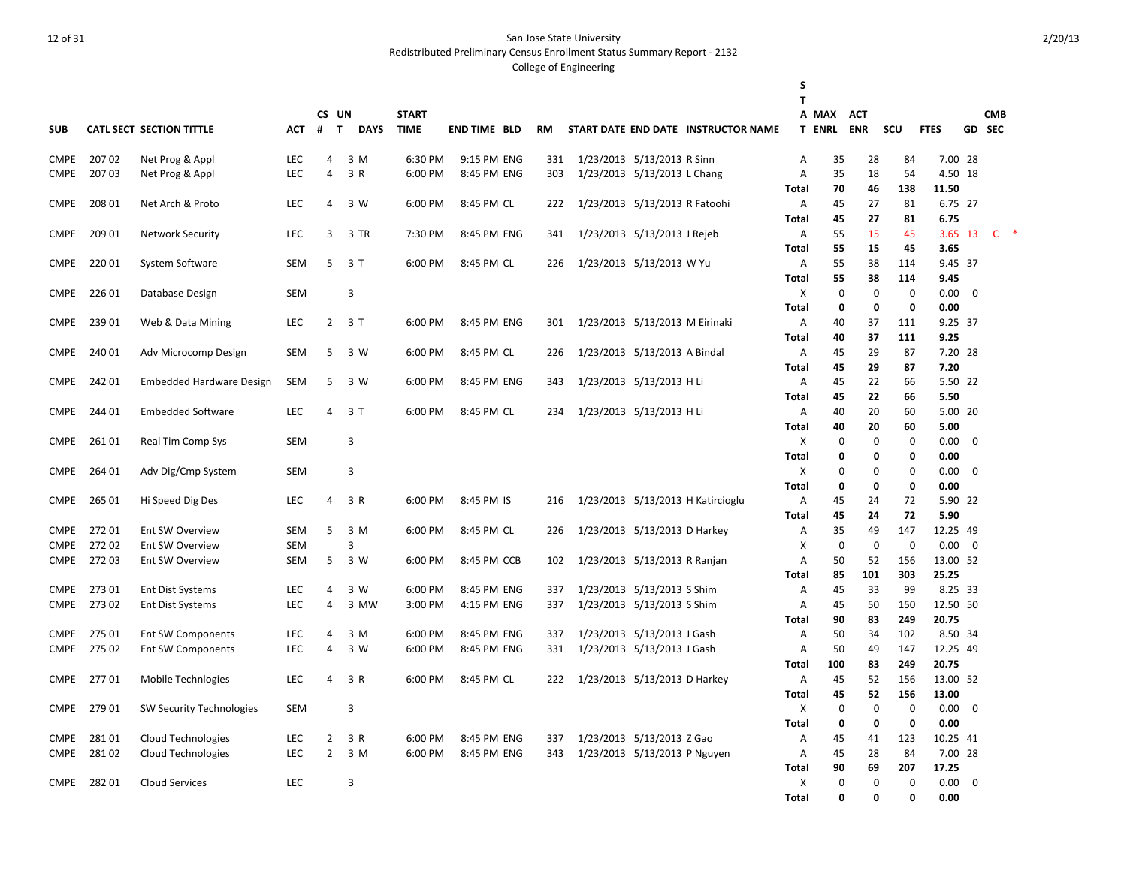Redistributed Preliminary Census Enrollment Status Summary Report - 2132

|             |        |                                 |            |                |                             |              |                     |     |                                |                              |                                     | S<br>T       |               |             |             |                   |                |               |  |
|-------------|--------|---------------------------------|------------|----------------|-----------------------------|--------------|---------------------|-----|--------------------------------|------------------------------|-------------------------------------|--------------|---------------|-------------|-------------|-------------------|----------------|---------------|--|
|             |        |                                 |            |                | CS UN                       | <b>START</b> |                     |     |                                |                              |                                     |              | A MAX         | <b>ACT</b>  |             |                   |                | <b>CMB</b>    |  |
| <b>SUB</b>  |        | <b>CATL SECT SECTION TITTLE</b> | <b>ACT</b> | #              | $\mathbf{T}$<br><b>DAYS</b> | <b>TIME</b>  | <b>END TIME BLD</b> | RM  |                                |                              | START DATE END DATE INSTRUCTOR NAME |              | <b>T ENRL</b> | <b>ENR</b>  | SCU         | <b>FTES</b>       |                | <b>GD SEC</b> |  |
|             |        |                                 |            |                |                             |              |                     |     |                                |                              |                                     |              |               |             |             |                   |                |               |  |
| <b>CMPE</b> | 20702  | Net Prog & Appl                 | <b>LEC</b> | 4              | 3 M                         | 6:30 PM      | 9:15 PM ENG         | 331 |                                | 1/23/2013 5/13/2013 R Sinn   |                                     | Α            | 35            | 28          | 84          | 7.00 28           |                |               |  |
| <b>CMPE</b> | 20703  | Net Prog & Appl                 | LEC        | 4              | 3 R                         | 6:00 PM      | 8:45 PM ENG         | 303 |                                | 1/23/2013 5/13/2013 L Chang  |                                     | Α            | 35            | 18          | 54          | 4.50 18           |                |               |  |
|             |        |                                 |            |                |                             |              |                     |     |                                |                              |                                     | Total        | 70            | 46          | 138         | 11.50             |                |               |  |
| <b>CMPE</b> | 208 01 | Net Arch & Proto                | <b>LEC</b> | 4              | 3 W                         | 6:00 PM      | 8:45 PM CL          | 222 | 1/23/2013 5/13/2013 R Fatoohi  |                              |                                     | Α            | 45            | 27          | 81          | 6.75 27           |                |               |  |
|             |        |                                 |            |                |                             |              |                     |     |                                |                              |                                     | Total        | 45            | 27          | 81          | 6.75              |                |               |  |
| <b>CMPE</b> | 209 01 | <b>Network Security</b>         | <b>LEC</b> | 3              | 3 TR                        | 7:30 PM      | 8:45 PM ENG         | 341 | 1/23/2013 5/13/2013 J Rejeb    |                              |                                     | Α            | 55            | 15          | 45          | 3.65 13           |                | $C$ *         |  |
|             |        |                                 |            |                |                             |              |                     |     |                                |                              |                                     | Total        | 55            | 15          | 45          | 3.65              |                |               |  |
| <b>CMPE</b> | 220 01 | System Software                 | SEM        | 5              | 3 T                         | 6:00 PM      | 8:45 PM CL          | 226 | 1/23/2013 5/13/2013 W Yu       |                              |                                     | Α            | 55            | 38          | 114         | 9.45 37           |                |               |  |
|             |        |                                 |            |                |                             |              |                     |     |                                |                              |                                     | Total        | 55            | 38          | 114         | 9.45              |                |               |  |
| <b>CMPE</b> | 226 01 | Database Design                 | SEM        |                | $\overline{3}$              |              |                     |     |                                |                              |                                     | X            | $\mathbf 0$   | $\pmb{0}$   | $\mathbf 0$ | 0.00              | $\overline{0}$ |               |  |
| <b>CMPE</b> | 239 01 | Web & Data Mining               | <b>LEC</b> |                | $2 \t3 T$                   | 6:00 PM      | 8:45 PM ENG         | 301 | 1/23/2013 5/13/2013 M Eirinaki |                              |                                     | Total<br>Α   | 0<br>40       | 0<br>37     | 0<br>111    | 0.00<br>9.25 37   |                |               |  |
|             |        |                                 |            |                |                             |              |                     |     |                                |                              |                                     | Total        | 40            | 37          | 111         | 9.25              |                |               |  |
| <b>CMPE</b> | 240 01 | Adv Microcomp Design            | SEM        | 5              | 3 W                         | 6:00 PM      | 8:45 PM CL          | 226 |                                | 1/23/2013 5/13/2013 A Bindal |                                     | Α            | 45            | 29          | 87          | 7.20 28           |                |               |  |
|             |        |                                 |            |                |                             |              |                     |     |                                |                              |                                     | Total        | 45            | 29          | 87          | 7.20              |                |               |  |
| <b>CMPE</b> | 242 01 | <b>Embedded Hardware Design</b> | SEM        | 5              | 3 W                         | 6:00 PM      | 8:45 PM ENG         | 343 |                                | 1/23/2013 5/13/2013 H Li     |                                     | Α            | 45            | 22          | 66          | 5.50 22           |                |               |  |
|             |        |                                 |            |                |                             |              |                     |     |                                |                              |                                     | Total        | 45            | 22          | 66          | 5.50              |                |               |  |
| <b>CMPE</b> | 244 01 | <b>Embedded Software</b>        | <b>LEC</b> | $\overline{4}$ | 3T                          | 6:00 PM      | 8:45 PM CL          | 234 |                                | 1/23/2013 5/13/2013 H Li     |                                     | Α            | 40            | 20          | 60          | 5.00 20           |                |               |  |
|             |        |                                 |            |                |                             |              |                     |     |                                |                              |                                     | Total        | 40            | 20          | 60          | 5.00              |                |               |  |
| <b>CMPE</b> | 26101  | Real Tim Comp Sys               | <b>SEM</b> |                | 3                           |              |                     |     |                                |                              |                                     | X            | $\mathbf 0$   | $\mathbf 0$ | $\mathbf 0$ | 0.00              | $\overline{0}$ |               |  |
|             |        |                                 |            |                |                             |              |                     |     |                                |                              |                                     | Total        | 0             | 0           | 0           | 0.00              |                |               |  |
| <b>CMPE</b> | 264 01 | Adv Dig/Cmp System              | SEM        |                | 3                           |              |                     |     |                                |                              |                                     | X            | $\Omega$      | 0           | $\mathbf 0$ | 0.00              | 0              |               |  |
|             |        |                                 |            |                |                             |              |                     |     |                                |                              |                                     | Total        | 0             | 0           | 0           | 0.00              |                |               |  |
| <b>CMPE</b> | 265 01 | Hi Speed Dig Des                | <b>LEC</b> | 4              | 3 R                         | 6:00 PM      | 8:45 PM IS          | 216 |                                |                              | 1/23/2013 5/13/2013 H Katircioglu   | Α            | 45            | 24          | 72          | 5.90 22           |                |               |  |
|             |        |                                 |            |                |                             |              |                     |     |                                |                              |                                     | Total        | 45            | 24          | 72          | 5.90              |                |               |  |
| <b>CMPE</b> | 27201  | Ent SW Overview                 | SEM        | 5              | 3 M                         | 6:00 PM      | 8:45 PM CL          | 226 |                                | 1/23/2013 5/13/2013 D Harkey |                                     | Α            | 35            | 49          | 147         | 12.25 49          |                |               |  |
| <b>CMPE</b> | 27202  | Ent SW Overview                 | <b>SEM</b> |                | 3                           |              |                     |     |                                |                              |                                     | X            | $\mathbf 0$   | $\mathbf 0$ | $\mathbf 0$ | 0.00              | $\mathbf{0}$   |               |  |
| <b>CMPE</b> | 27203  | Ent SW Overview                 | SEM        | 5              | 3 W                         | 6:00 PM      | 8:45 PM CCB         | 102 |                                | 1/23/2013 5/13/2013 R Ranjan |                                     | Α            | 50            | 52          | 156         | 13.00 52          |                |               |  |
|             |        |                                 |            |                |                             |              |                     |     |                                |                              |                                     | Total        | 85            | 101         | 303         | 25.25             |                |               |  |
| <b>CMPE</b> | 27301  | <b>Ent Dist Systems</b>         | <b>LEC</b> | 4              | 3 W                         | 6:00 PM      | 8:45 PM ENG         | 337 |                                | 1/23/2013 5/13/2013 S Shim   |                                     | Α            | 45            | 33          | 99          | 8.25 33           |                |               |  |
| <b>CMPE</b> | 27302  | <b>Ent Dist Systems</b>         | <b>LEC</b> | 4              | 3 MW                        | 3:00 PM      | 4:15 PM ENG         | 337 |                                | 1/23/2013 5/13/2013 S Shim   |                                     | Α            | 45<br>90      | 50<br>83    | 150<br>249  | 12.50 50<br>20.75 |                |               |  |
| <b>CMPE</b> | 275 01 | Ent SW Components               | <b>LEC</b> | 4              | 3 M                         | 6:00 PM      | 8:45 PM ENG         | 337 |                                | 1/23/2013 5/13/2013 J Gash   |                                     | Total<br>Α   | 50            | 34          | 102         | 8.50 34           |                |               |  |
| <b>CMPE</b> | 275 02 | Ent SW Components               | LEC        | 4              | 3 W                         | 6:00 PM      | 8:45 PM ENG         | 331 |                                | 1/23/2013 5/13/2013 J Gash   |                                     | A            | 50            | 49          | 147         | 12.25 49          |                |               |  |
|             |        |                                 |            |                |                             |              |                     |     |                                |                              |                                     | Total        | 100           | 83          | 249         | 20.75             |                |               |  |
| <b>CMPE</b> | 27701  | Mobile Technlogies              | <b>LEC</b> | 4              | 3 R                         | 6:00 PM      | 8:45 PM CL          | 222 |                                | 1/23/2013 5/13/2013 D Harkey |                                     | Α            | 45            | 52          | 156         | 13.00 52          |                |               |  |
|             |        |                                 |            |                |                             |              |                     |     |                                |                              |                                     | Total        | 45            | 52          | 156         | 13.00             |                |               |  |
| <b>CMPE</b> | 27901  | SW Security Technologies        | <b>SEM</b> |                | 3                           |              |                     |     |                                |                              |                                     | X            | $\mathbf 0$   | $\mathbf 0$ | $\mathbf 0$ | $0.00 \ 0$        |                |               |  |
|             |        |                                 |            |                |                             |              |                     |     |                                |                              |                                     | Total        | 0             | 0           | 0           | 0.00              |                |               |  |
| <b>CMPE</b> | 28101  | <b>Cloud Technologies</b>       | <b>LEC</b> | $\overline{2}$ | 3 R                         | 6:00 PM      | 8:45 PM ENG         | 337 |                                | 1/23/2013 5/13/2013 Z Gao    |                                     | Α            | 45            | 41          | 123         | 10.25 41          |                |               |  |
| <b>CMPE</b> | 28102  | <b>Cloud Technologies</b>       | <b>LEC</b> | $\overline{2}$ | 3 M                         | 6:00 PM      | 8:45 PM ENG         | 343 |                                | 1/23/2013 5/13/2013 P Nguyen |                                     | Α            | 45            | 28          | 84          | 7.00 28           |                |               |  |
|             |        |                                 |            |                |                             |              |                     |     |                                |                              |                                     | Total        | 90            | 69          | 207         | 17.25             |                |               |  |
| <b>CMPE</b> | 28201  | <b>Cloud Services</b>           | <b>LEC</b> |                | 3                           |              |                     |     |                                |                              |                                     | X            | $\mathbf 0$   | $\mathbf 0$ | $\mathbf 0$ | 0.00              | $\overline{0}$ |               |  |
|             |        |                                 |            |                |                             |              |                     |     |                                |                              |                                     | <b>Total</b> | 0             | 0           | $\Omega$    | 0.00              |                |               |  |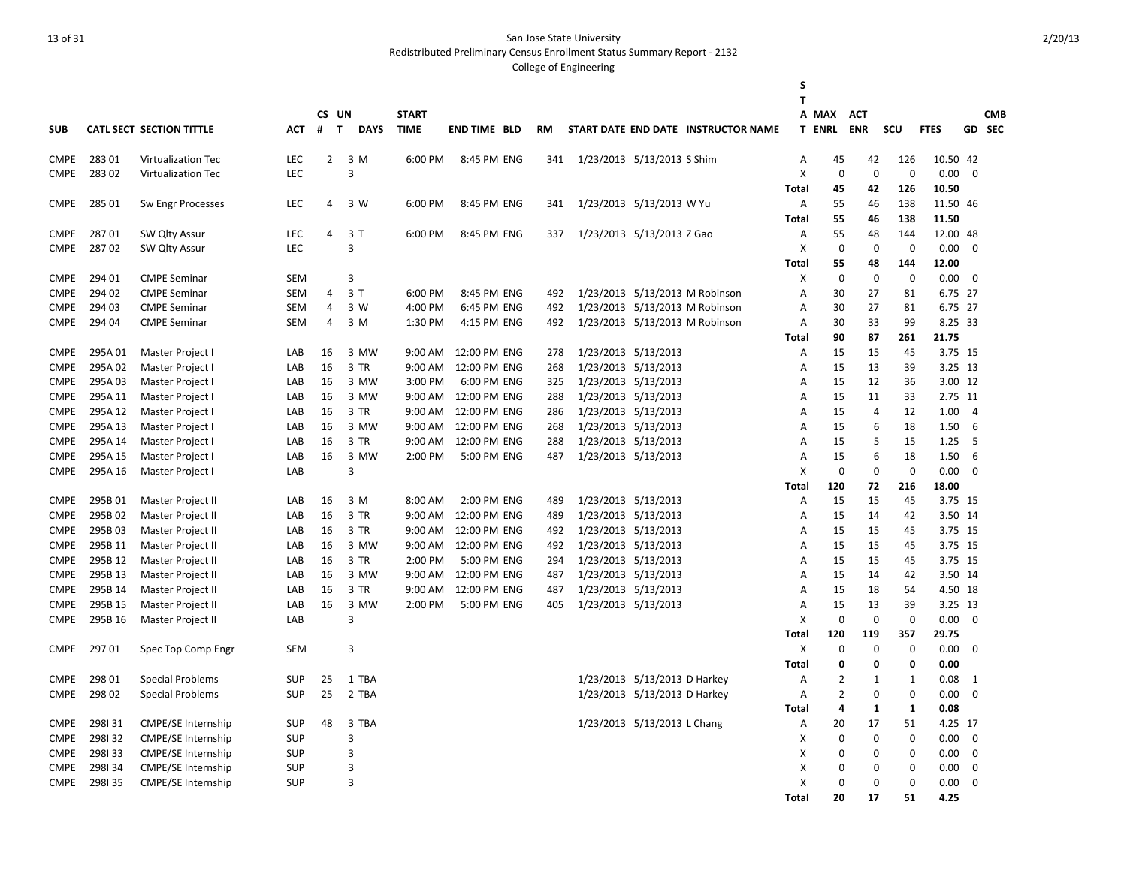Redistributed Preliminary Census Enrollment Status Summary Report - 2132

|                            |                    |                                      |            |                   |              |                    |                             |            |                            |                              |                                     | S            |                |              |             |              |                |            |
|----------------------------|--------------------|--------------------------------------|------------|-------------------|--------------|--------------------|-----------------------------|------------|----------------------------|------------------------------|-------------------------------------|--------------|----------------|--------------|-------------|--------------|----------------|------------|
|                            |                    |                                      |            |                   |              |                    |                             |            |                            |                              |                                     | т            |                |              |             |              |                |            |
|                            |                    |                                      |            | CS UN             |              | <b>START</b>       |                             |            |                            |                              |                                     |              | A MAX          | <b>ACT</b>   |             |              |                | <b>CMB</b> |
| <b>SUB</b>                 |                    | CATL SECT SECTION TITTLE             | АСТ        | #<br>$\mathbf{T}$ | <b>DAYS</b>  | <b>TIME</b>        | <b>END TIME BLD</b>         | <b>RM</b>  |                            |                              | START DATE END DATE INSTRUCTOR NAME |              | <b>T ENRL</b>  | <b>ENR</b>   | SCU         | <b>FTES</b>  |                | GD SEC     |
| <b>CMPE</b>                | 28301              | Virtualization Tec                   | LEC        | $\overline{2}$    | 3 M          | 6:00 PM            | 8:45 PM ENG                 | 341        | 1/23/2013 5/13/2013 S Shim |                              |                                     | Α            | 45             | 42           | 126         | 10.50 42     |                |            |
| <b>CMPE</b>                | 283 02             | Virtualization Tec                   | LEC        |                   | 3            |                    |                             |            |                            |                              |                                     | X            | $\mathbf 0$    | $\mathbf{0}$ | $\mathbf 0$ | 0.00         | $\mathbf 0$    |            |
|                            |                    |                                      |            |                   |              |                    |                             |            |                            |                              |                                     | Total        | 45             | 42           | 126         | 10.50        |                |            |
| <b>CMPE</b>                | 285 01             | Sw Engr Processes                    | LEC        | 4                 | 3 W          | 6:00 PM            | 8:45 PM ENG                 | 341        | 1/23/2013 5/13/2013 W Yu   |                              |                                     | Α            | 55             | 46           | 138         | 11.50 46     |                |            |
|                            |                    |                                      |            |                   |              |                    |                             |            |                            |                              |                                     | Total        | 55             | 46           | 138         | 11.50        |                |            |
| <b>CMPE</b>                | 28701              | SW Qlty Assur                        | <b>LEC</b> | 4                 | 3T           | 6:00 PM            | 8:45 PM ENG                 | 337        | 1/23/2013 5/13/2013 Z Gao  |                              |                                     | Α            | 55             | 48           | 144         | 12.00 48     |                |            |
| <b>CMPE</b>                | 28702              | SW Qlty Assur                        | LEC        |                   | 3            |                    |                             |            |                            |                              |                                     | X            | $\mathbf 0$    | $\mathbf 0$  | $\mathbf 0$ | 0.00         | $\mathbf 0$    |            |
|                            |                    |                                      |            |                   |              |                    |                             |            |                            |                              |                                     | <b>Total</b> | 55             | 48           | 144         | 12.00        |                |            |
| <b>CMPE</b>                | 294 01             | <b>CMPE Seminar</b>                  | <b>SEM</b> |                   | 3            |                    |                             |            |                            |                              |                                     | X            | $\mathbf 0$    | $\mathbf 0$  | $\mathbf 0$ | 0.00         | $\mathbf 0$    |            |
| <b>CMPE</b>                | 294 02             | <b>CMPE Seminar</b>                  | <b>SEM</b> | 4                 | 3T           | 6:00 PM            | 8:45 PM ENG                 | 492        |                            |                              | 1/23/2013 5/13/2013 M Robinson      | Α            | 30             | 27           | 81          | 6.75 27      |                |            |
| <b>CMPE</b>                | 294 03             | <b>CMPE Seminar</b>                  | <b>SEM</b> | 4                 | 3 W          | 4:00 PM            | 6:45 PM ENG                 | 492        |                            |                              | 1/23/2013 5/13/2013 M Robinson      | A            | 30             | 27           | 81          | 6.75 27      |                |            |
| <b>CMPE</b>                | 294 04             | <b>CMPE Seminar</b>                  | <b>SEM</b> | 4                 | 3 M          | 1:30 PM            | 4:15 PM ENG                 | 492        |                            |                              | 1/23/2013 5/13/2013 M Robinson      | Α            | 30             | 33           | 99          | 8.25 33      |                |            |
|                            |                    |                                      |            |                   |              |                    |                             |            |                            |                              |                                     | Total        | 90             | 87           | 261         | 21.75        |                |            |
| <b>CMPE</b>                | 295A01             | Master Project I                     | LAB        | 16                | 3 MW         | 9:00 AM            | 12:00 PM ENG                | 278        | 1/23/2013 5/13/2013        |                              |                                     | Α            | 15             | 15           | 45          | 3.75 15      |                |            |
| <b>CMPE</b>                | 295A02             | Master Project I                     | LAB        | 16                | 3 TR         | 9:00 AM            | 12:00 PM ENG                | 268        | 1/23/2013 5/13/2013        |                              |                                     | Α            | 15             | 13           | 39          | 3.25 13      |                |            |
| <b>CMPE</b>                | 295A03             | Master Project I                     | LAB        | 16                | 3 MW         | 3:00 PM            | 6:00 PM ENG                 | 325        | 1/23/2013 5/13/2013        |                              |                                     | Α            | 15             | 12           | 36          | 3.00 12      |                |            |
| <b>CMPE</b>                | 295A 11            | Master Project I                     | LAB        | 16                | 3 MW         | 9:00 AM            | 12:00 PM ENG                | 288        | 1/23/2013 5/13/2013        |                              |                                     | Α            | 15             | 11           | 33          | 2.75 11      |                |            |
| <b>CMPE</b>                | 295A 12            | Master Project I                     | LAB        | 16                | 3 TR         | 9:00 AM            | 12:00 PM ENG                | 286        | 1/23/2013 5/13/2013        |                              |                                     | Α            | 15             | 4            | 12          | 1.00         | $\overline{4}$ |            |
| <b>CMPE</b>                | 295A 13            | Master Project I                     | LAB        | 16                | 3 MW         | $9:00$ AM          | 12:00 PM ENG                | 268        | 1/23/2013 5/13/2013        |                              |                                     | A            | 15             | 6<br>5       | 18          | 1.50         | 6              |            |
| <b>CMPE</b><br><b>CMPE</b> | 295A 14<br>295A 15 | Master Project I                     | LAB<br>LAB | 16<br>16          | 3 TR<br>3 MW | 9:00 AM<br>2:00 PM | 12:00 PM ENG<br>5:00 PM ENG | 288<br>487 | 1/23/2013 5/13/2013        | 1/23/2013 5/13/2013          |                                     | Α<br>A       | 15<br>15       | 6            | 15<br>18    | 1.25         | 5<br>6         |            |
| <b>CMPE</b>                | 295A 16            | Master Project I<br>Master Project I | LAB        |                   | 3            |                    |                             |            |                            |                              |                                     | X            | $\mathbf 0$    | $\mathbf 0$  | $\Omega$    | 1.50<br>0.00 | $\Omega$       |            |
|                            |                    |                                      |            |                   |              |                    |                             |            |                            |                              |                                     | Total        | 120            | 72           | 216         | 18.00        |                |            |
| <b>CMPE</b>                | 295B01             | <b>Master Project II</b>             | LAB        | 16                | 3 M          | 8:00 AM            | 2:00 PM ENG                 | 489        |                            | 1/23/2013 5/13/2013          |                                     | Α            | 15             | 15           | 45          | 3.75 15      |                |            |
| <b>CMPE</b>                | 295B02             | Master Project II                    | LAB        | 16                | 3 TR         | 9:00 AM            | 12:00 PM ENG                | 489        | 1/23/2013 5/13/2013        |                              |                                     | Α            | 15             | 14           | 42          | 3.50 14      |                |            |
| <b>CMPE</b>                | 295B03             | Master Project II                    | LAB        | 16                | 3 TR         | 9:00 AM            | 12:00 PM ENG                | 492        | 1/23/2013 5/13/2013        |                              |                                     | Α            | 15             | 15           | 45          | 3.75 15      |                |            |
| <b>CMPE</b>                | 295B 11            | Master Project II                    | LAB        | 16                | 3 MW         | 9:00 AM            | 12:00 PM ENG                | 492        | 1/23/2013 5/13/2013        |                              |                                     | Α            | 15             | 15           | 45          | 3.75 15      |                |            |
| <b>CMPE</b>                | 295B 12            | Master Project II                    | LAB        | 16                | 3 TR         | 2:00 PM            | 5:00 PM ENG                 | 294        | 1/23/2013 5/13/2013        |                              |                                     | Α            | 15             | 15           | 45          | 3.75 15      |                |            |
| <b>CMPE</b>                | 295B 13            | Master Project II                    | LAB        | 16                | 3 MW         | 9:00 AM            | 12:00 PM ENG                | 487        | 1/23/2013 5/13/2013        |                              |                                     | A            | 15             | 14           | 42          | 3.50 14      |                |            |
| <b>CMPE</b>                | 295B 14            | Master Project II                    | LAB        | 16                | 3 TR         | 9:00 AM            | 12:00 PM ENG                | 487        | 1/23/2013 5/13/2013        |                              |                                     | Α            | 15             | 18           | 54          | 4.50 18      |                |            |
| <b>CMPE</b>                | 295B 15            | Master Project II                    | LAB        | 16                | 3 MW         | 2:00 PM            | 5:00 PM ENG                 | 405        | 1/23/2013 5/13/2013        |                              |                                     | A            | 15             | 13           | 39          | 3.25 13      |                |            |
| <b>CMPE</b>                | 295B 16            | Master Project II                    | LAB        |                   | 3            |                    |                             |            |                            |                              |                                     | X            | $\Omega$       | $\Omega$     | $\Omega$    | 0.00         | $\Omega$       |            |
|                            |                    |                                      |            |                   |              |                    |                             |            |                            |                              |                                     | Total        | 120            | 119          | 357         | 29.75        |                |            |
| <b>CMPE</b>                | 29701              | Spec Top Comp Engr                   | <b>SEM</b> |                   | 3            |                    |                             |            |                            |                              |                                     | X            | 0              | $\mathbf 0$  | $\mathbf 0$ | 0.00         | $\mathbf 0$    |            |
|                            |                    |                                      |            |                   |              |                    |                             |            |                            |                              |                                     | Total        | $\Omega$       | 0            | Ω           | 0.00         |                |            |
| <b>CMPE</b>                | 298 01             | <b>Special Problems</b>              | <b>SUP</b> | 25                | 1 TBA        |                    |                             |            |                            | 1/23/2013 5/13/2013 D Harkey |                                     | Α            | 2              | 1            | 1           | 0.08         | 1              |            |
| <b>CMPE</b>                | 298 02             | <b>Special Problems</b>              | <b>SUP</b> | 25                | 2 TBA        |                    |                             |            |                            | 1/23/2013 5/13/2013 D Harkey |                                     | A            | $\overline{2}$ | $\mathbf 0$  | $\mathbf 0$ | 0.00         | $\mathbf 0$    |            |
|                            |                    |                                      |            |                   |              |                    |                             |            |                            |                              |                                     | Total        | 4              | $\mathbf{1}$ | 1           | 0.08         |                |            |
| <b>CMPE</b>                | 298131             | <b>CMPE/SE Internship</b>            | <b>SUP</b> | 48                | 3 TBA        |                    |                             |            |                            | 1/23/2013 5/13/2013 L Chang  |                                     | Α            | 20             | 17           | 51          | 4.25 17      |                |            |
| <b>CMPE</b>                | 298132             | CMPE/SE Internship                   | <b>SUP</b> |                   | 3            |                    |                             |            |                            |                              |                                     | х            | $\Omega$       | 0            | $\Omega$    | 0.00         | $\Omega$       |            |
| <b>CMPE</b>                | 298133             | <b>CMPE/SE Internship</b>            | <b>SUP</b> |                   | 3            |                    |                             |            |                            |                              |                                     | X            | $\Omega$       | $\mathbf 0$  | $\Omega$    | 0.00         | $\mathbf 0$    |            |
| <b>CMPE</b>                | 298134             | <b>CMPE/SE Internship</b>            | <b>SUP</b> |                   | 3            |                    |                             |            |                            |                              |                                     | X            | $\Omega$       | $\mathbf 0$  | $\Omega$    | 0.00         | $\mathbf 0$    |            |
| <b>CMPE</b>                | 298135             | <b>CMPE/SE Internship</b>            | <b>SUP</b> |                   | 3            |                    |                             |            |                            |                              |                                     | X            | $\Omega$       | 0            | $\Omega$    | 0.00         | $\Omega$       |            |
|                            |                    |                                      |            |                   |              |                    |                             |            |                            |                              |                                     | <b>Total</b> | 20             | 17           | 51          | 4.25         |                |            |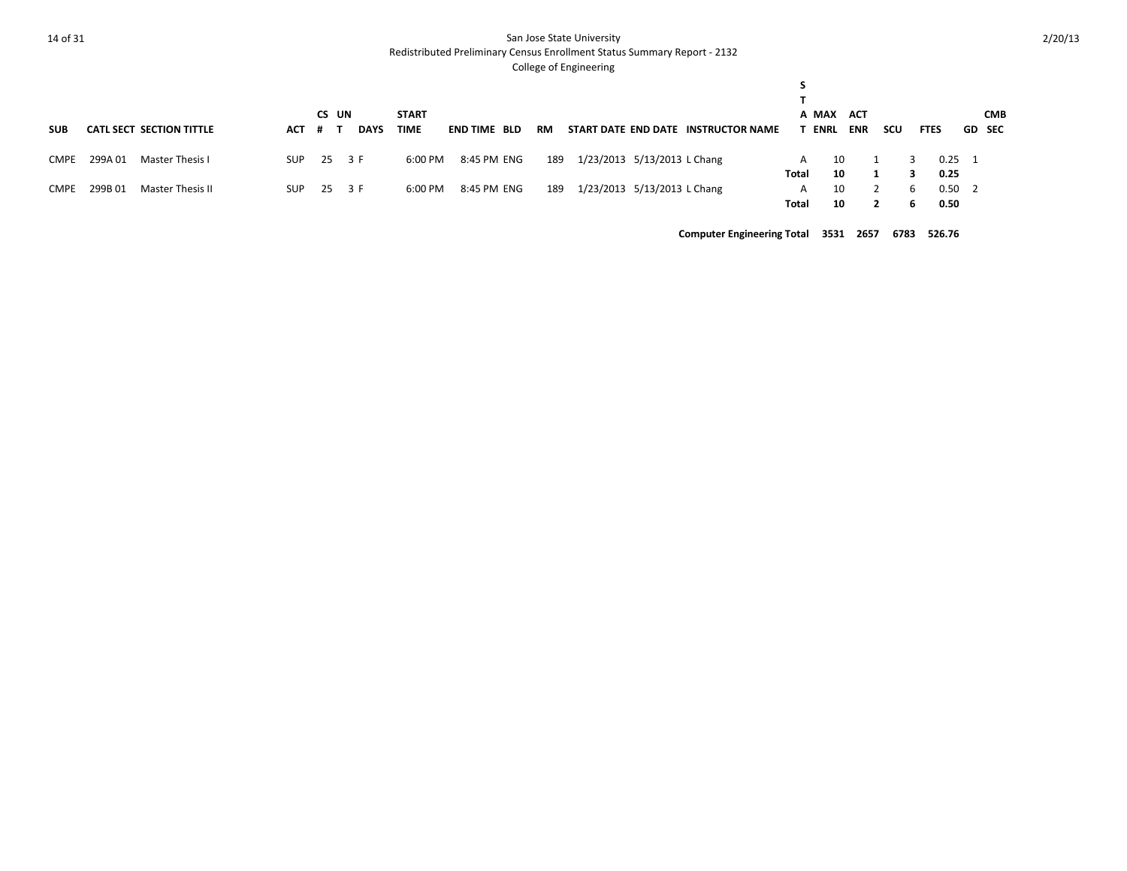Redistributed Preliminary Census Enrollment Status Summary Report - 2132

#### College of Engineering

| <b>SUB</b> |         | <b>CATL SECT SECTION TITTLE</b> | АСТ | CS UN<br># T | <b>DAYS</b> | <b>START</b><br><b>TIME</b> | <b>END TIME BLD</b> | RM  |                             | START DATE END DATE INSTRUCTOR NAME |            | A MAX<br><b>ACT</b><br>ENRL<br><b>ENR</b> | <b>SCU</b> |   | <b>FTES</b>            | <b>CMB</b><br><b>GD</b> SEC |
|------------|---------|---------------------------------|-----|--------------|-------------|-----------------------------|---------------------|-----|-----------------------------|-------------------------------------|------------|-------------------------------------------|------------|---|------------------------|-----------------------------|
| CMPE       | 299A01  | Master Thesis I                 | SUP | 25 3 F       |             | 6:00 PM                     | 8:45 PM ENG         | 189 | 1/23/2013 5/13/2013 L Chang |                                     | A          | 10                                        |            |   | $0.25 \quad 1$         |                             |
|            |         |                                 |     |              |             |                             |                     |     |                             |                                     | Total      | 10                                        |            | 6 | 0.25                   |                             |
| CMPE       | 299B 01 | Master Thesis II                | SUP | 25 3 F       |             | 6:00 PM                     | 8:45 PM ENG         | 189 | 1/23/2013 5/13/2013 L Chang |                                     | A<br>Total | 10<br>10                                  |            |   | $0.50 \quad 2$<br>0.50 |                             |
|            |         |                                 |     |              |             |                             |                     |     |                             |                                     |            |                                           |            |   |                        |                             |

**Computer Engineering Total 3531 2657 6783 526.76**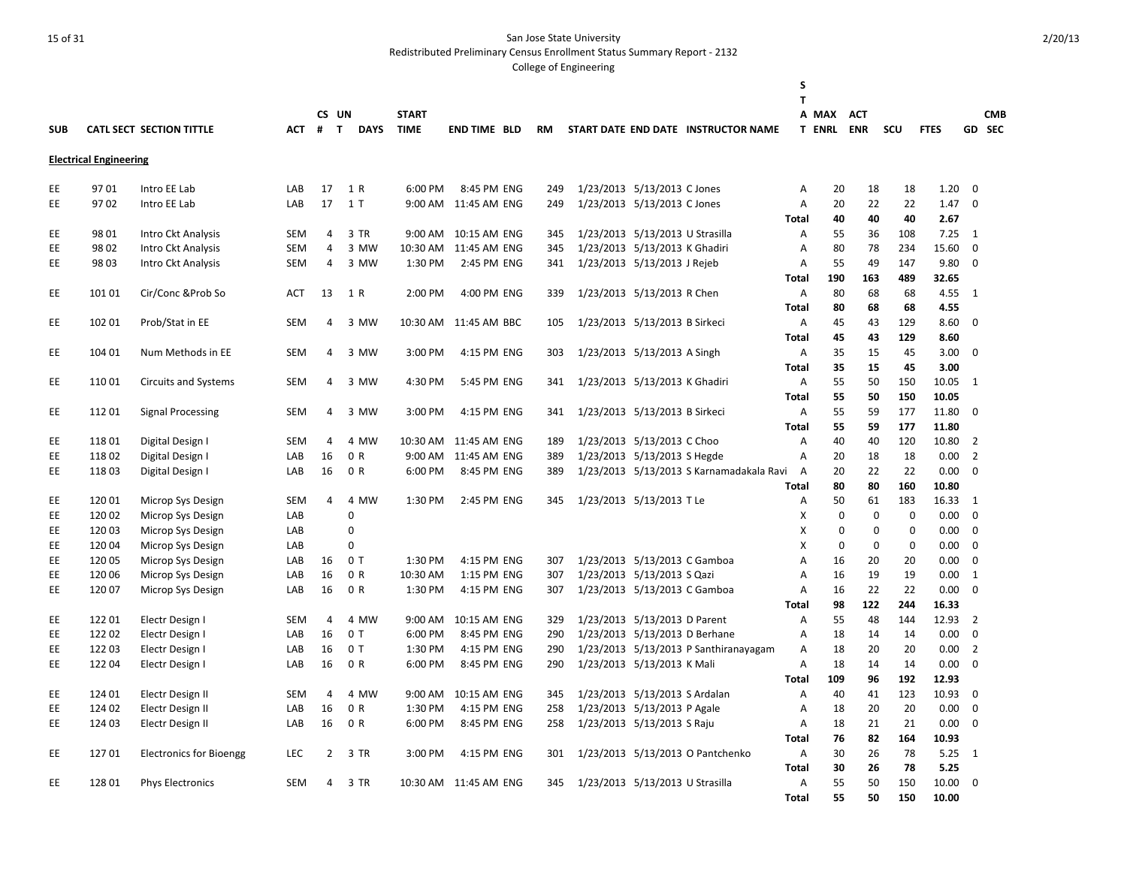Redistributed Preliminary Census Enrollment Status Summary Report - 2132

|            |                               |                                        |            |                |                             |                             |                        |           |                                 |                             |                                          | S              |                            |                          |                            |              |                            |                      |
|------------|-------------------------------|----------------------------------------|------------|----------------|-----------------------------|-----------------------------|------------------------|-----------|---------------------------------|-----------------------------|------------------------------------------|----------------|----------------------------|--------------------------|----------------------------|--------------|----------------------------|----------------------|
|            |                               |                                        |            |                |                             |                             |                        |           |                                 |                             |                                          | T              |                            |                          |                            |              |                            |                      |
| <b>SUB</b> |                               | <b>CATL SECT SECTION TITTLE</b>        | <b>ACT</b> | CS UN<br>#     | $\mathbf{T}$<br><b>DAYS</b> | <b>START</b><br><b>TIME</b> | <b>END TIME BLD</b>    | <b>RM</b> |                                 |                             | START DATE END DATE INSTRUCTOR NAME      |                | A MAX<br><b>T ENRL</b>     | <b>ACT</b><br><b>ENR</b> | <b>SCU</b>                 | <b>FTES</b>  |                            | <b>CMB</b><br>GD SEC |
|            |                               |                                        |            |                |                             |                             |                        |           |                                 |                             |                                          |                |                            |                          |                            |              |                            |                      |
|            | <b>Electrical Engineering</b> |                                        |            |                |                             |                             |                        |           |                                 |                             |                                          |                |                            |                          |                            |              |                            |                      |
| EE         | 9701                          | Intro EE Lab                           | LAB        | 17             | 1 R                         | 6:00 PM                     | 8:45 PM ENG            | 249       |                                 | 1/23/2013 5/13/2013 C Jones |                                          | Α              | 20                         | 18                       | 18                         | 1.20         | $\mathbf 0$                |                      |
| <b>EE</b>  | 9702                          | Intro EE Lab                           | LAB        | 17             | 1T                          |                             | 9:00 AM 11:45 AM ENG   | 249       | 1/23/2013 5/13/2013 C Jones     |                             |                                          | Α              | 20                         | 22                       | 22                         | 1.47         | $\mathbf 0$                |                      |
|            |                               |                                        |            |                |                             |                             |                        |           |                                 |                             |                                          | Total          | 40                         | 40                       | 40                         | 2.67         |                            |                      |
| EE         | 98 01                         | Intro Ckt Analysis                     | SEM        | 4              | 3 TR                        |                             | 9:00 AM 10:15 AM ENG   | 345       | 1/23/2013 5/13/2013 U Strasilla |                             |                                          | Α              | 55                         | 36                       | 108                        | 7.25         | <sup>1</sup>               |                      |
| EE         | 98 02                         | Intro Ckt Analysis                     | <b>SEM</b> | 4              | 3 MW                        |                             | 10:30 AM 11:45 AM ENG  | 345       | 1/23/2013 5/13/2013 K Ghadiri   |                             |                                          | Α              | 80                         | 78                       | 234                        | 15.60        | $\mathbf 0$                |                      |
| EE         | 98 03                         | Intro Ckt Analysis                     | <b>SEM</b> | 4              | 3 MW                        | 1:30 PM                     | 2:45 PM ENG            | 341       | 1/23/2013 5/13/2013 J Rejeb     |                             |                                          | Α              | 55                         | 49                       | 147                        | 9.80         | $\Omega$                   |                      |
|            |                               |                                        |            |                |                             |                             |                        |           |                                 |                             |                                          | Total          | 190                        | 163                      | 489                        | 32.65        |                            |                      |
| EE         | 101 01                        | Cir/Conc & Prob So                     | <b>ACT</b> | 13             | 1 R                         | 2:00 PM                     | 4:00 PM ENG            | 339       | 1/23/2013 5/13/2013 R Chen      |                             |                                          | Α              | 80                         | 68                       | 68                         | 4.55         | 1                          |                      |
|            |                               |                                        |            |                |                             |                             |                        |           |                                 |                             |                                          | Total          | 80                         | 68                       | 68                         | 4.55         |                            |                      |
| EE         | 102 01                        | Prob/Stat in EE                        | SEM        | 4              | 3 MW                        |                             | 10:30 AM 11:45 AM BBC  | 105       | 1/23/2013 5/13/2013 B Sirkeci   |                             |                                          | Α              | 45                         | 43                       | 129                        | 8.60         | $\Omega$                   |                      |
|            |                               |                                        |            |                |                             |                             |                        |           |                                 |                             |                                          | <b>Total</b>   | 45                         | 43                       | 129                        | 8.60         |                            |                      |
| EE         | 104 01                        | Num Methods in EE                      | <b>SEM</b> | 4              | 3 MW                        | 3:00 PM                     | 4:15 PM ENG            | 303       | 1/23/2013 5/13/2013 A Singh     |                             |                                          | A              | 35                         | 15                       | 45                         | 3.00         | $\Omega$                   |                      |
|            |                               |                                        |            |                |                             |                             |                        |           |                                 |                             |                                          | Total          | 35                         | 15                       | 45                         | 3.00         |                            |                      |
| EE         | 11001                         | <b>Circuits and Systems</b>            | <b>SEM</b> | 4              | 3 MW                        | 4:30 PM                     | 5:45 PM ENG            | 341       | 1/23/2013 5/13/2013 K Ghadiri   |                             |                                          | Α              | 55                         | 50                       | 150                        | 10.05        | $\overline{1}$             |                      |
|            |                               |                                        |            |                |                             |                             |                        |           |                                 |                             |                                          | <b>Total</b>   | 55                         | 50                       | 150                        | 10.05        |                            |                      |
| EE         | 11201                         | <b>Signal Processing</b>               | <b>SEM</b> | 4              | 3 MW                        | 3:00 PM                     | 4:15 PM ENG            | 341       | 1/23/2013 5/13/2013 B Sirkeci   |                             |                                          | Α              | 55                         | 59                       | 177                        | 11.80        | $\Omega$                   |                      |
|            |                               |                                        |            |                |                             |                             |                        |           |                                 |                             |                                          | <b>Total</b>   | 55                         | 59                       | 177                        | 11.80        |                            |                      |
| EE         | 11801                         | Digital Design I                       | <b>SEM</b> | 4              | 4 MW                        |                             | 10:30 AM  11:45 AM ENG | 189       | 1/23/2013 5/13/2013 C Choo      |                             |                                          | Α              | 40                         | 40                       | 120                        | 10.80        | $\overline{2}$             |                      |
| EE         | 11802                         | Digital Design I                       | LAB        | 16             | 0 R                         |                             | 9:00 AM 11:45 AM ENG   | 389       | 1/23/2013 5/13/2013 S Hegde     |                             |                                          | Α              | 20                         | 18                       | 18                         | 0.00         | $\overline{2}$             |                      |
| EE.        | 11803                         | Digital Design I                       | LAB        | 16             | 0 R                         | 6:00 PM                     | 8:45 PM ENG            | 389       |                                 |                             | 1/23/2013 5/13/2013 S Karnamadakala Ravi | A              | 20                         | 22                       | 22                         | 0.00         | $\mathbf 0$                |                      |
|            |                               |                                        | <b>SEM</b> |                |                             | 1:30 PM                     |                        |           |                                 |                             |                                          | <b>Total</b>   | 80                         | 80                       | 160                        | 10.80        |                            |                      |
| EE         | 12001                         | Microp Sys Design                      |            | $\overline{4}$ | 4 MW<br>$\Omega$            |                             | 2:45 PM ENG            | 345       | 1/23/2013 5/13/2013 T Le        |                             |                                          | Α              | 50                         | 61                       | 183                        | 16.33        | 1                          |                      |
| EE<br>EE.  | 120 02                        | Microp Sys Design                      | LAB<br>LAB |                | 0                           |                             |                        |           |                                 |                             |                                          | X<br>X         | $\mathbf 0$<br>$\mathbf 0$ | 0<br>$\mathbf 0$         | $\mathbf 0$<br>$\mathbf 0$ | 0.00         | $\mathbf 0$<br>$\mathbf 0$ |                      |
| EE.        | 120 03<br>12004               | Microp Sys Design<br>Microp Sys Design | LAB        |                | $\Omega$                    |                             |                        |           |                                 |                             |                                          | X              | $\mathbf 0$                | $\mathbf 0$              | $\mathbf 0$                | 0.00<br>0.00 | $\Omega$                   |                      |
| EE         | 120 05                        | Microp Sys Design                      | LAB        | 16             | 0T                          | 1:30 PM                     | 4:15 PM ENG            | 307       | 1/23/2013 5/13/2013 C Gamboa    |                             |                                          | Α              | 16                         | 20                       | 20                         | 0.00         | $\Omega$                   |                      |
| EE         | 120 06                        | Microp Sys Design                      | LAB        | 16             | 0 R                         | 10:30 AM                    | 1:15 PM ENG            | 307       | 1/23/2013 5/13/2013 S Qazi      |                             |                                          | Α              | 16                         | 19                       | 19                         | 0.00         | 1                          |                      |
| EE         | 12007                         | Microp Sys Design                      | LAB        | 16             | 0 R                         | 1:30 PM                     | 4:15 PM ENG            | 307       | 1/23/2013 5/13/2013 C Gamboa    |                             |                                          | Α              | 16                         | 22                       | 22                         | 0.00         | $\Omega$                   |                      |
|            |                               |                                        |            |                |                             |                             |                        |           |                                 |                             |                                          | Total          | 98                         | 122                      | 244                        | 16.33        |                            |                      |
| EE         | 12201                         | Electr Design I                        | SEM        | 4              | 4 MW                        | 9:00 AM                     | 10:15 AM ENG           | 329       | 1/23/2013 5/13/2013 D Parent    |                             |                                          | Α              | 55                         | 48                       | 144                        | 12.93        | $\overline{2}$             |                      |
| EE         | 12202                         | Electr Design I                        | LAB        | 16             | 0T                          | 6:00 PM                     | 8:45 PM ENG            | 290       | 1/23/2013 5/13/2013 D Berhane   |                             |                                          | Α              | 18                         | 14                       | 14                         | 0.00         | $\mathbf 0$                |                      |
| EE         | 12203                         | Electr Design I                        | LAB        | 16             | 0T                          | 1:30 PM                     | 4:15 PM ENG            | 290       |                                 |                             | 1/23/2013 5/13/2013 P Santhiranayagam    | Α              | 18                         | 20                       | 20                         | 0.00         | $\overline{2}$             |                      |
| EE         | 122 04                        | Electr Design I                        | LAB        | 16             | 0 R                         | 6:00 PM                     | 8:45 PM ENG            | 290       | 1/23/2013 5/13/2013 K Mali      |                             |                                          | Α              | 18                         | 14                       | 14                         | 0.00         | $\mathbf 0$                |                      |
|            |                               |                                        |            |                |                             |                             |                        |           |                                 |                             |                                          | <b>Total</b>   | 109                        | 96                       | 192                        | 12.93        |                            |                      |
| EE         | 124 01                        | Electr Design II                       | <b>SEM</b> | 4              | 4 MW                        | $9:00$ AM                   | 10:15 AM ENG           | 345       | 1/23/2013 5/13/2013 S Ardalan   |                             |                                          | Α              | 40                         | 41                       | 123                        | 10.93        | 0                          |                      |
| EE         | 124 02                        | Electr Design II                       | LAB        | 16             | 0 R                         | 1:30 PM                     | 4:15 PM ENG            | 258       | 1/23/2013 5/13/2013 P Agale     |                             |                                          | Α              | 18                         | 20                       | 20                         | 0.00         | $\mathbf 0$                |                      |
| EE         | 124 03                        | Electr Design II                       | LAB        | 16             | 0 R                         | 6:00 PM                     | 8:45 PM ENG            | 258       | 1/23/2013 5/13/2013 S Raju      |                             |                                          | Α              | 18                         | 21                       | 21                         | 0.00         | $\mathbf 0$                |                      |
|            |                               |                                        |            |                |                             |                             |                        |           |                                 |                             |                                          | Total          | 76                         | 82                       | 164                        | 10.93        |                            |                      |
| EE         | 12701                         | <b>Electronics for Bioengg</b>         | LEC        | 2              | 3 TR                        | 3:00 PM                     | 4:15 PM ENG            | 301       |                                 |                             | 1/23/2013 5/13/2013 O Pantchenko         | Α              | 30                         | 26                       | 78                         | 5.25         | 1                          |                      |
|            |                               |                                        |            |                |                             |                             |                        |           |                                 |                             |                                          | Total          | 30                         | 26                       | 78                         | 5.25         |                            |                      |
| EE.        | 12801                         | <b>Phys Electronics</b>                | <b>SEM</b> | 4              | 3 TR                        |                             | 10:30 AM  11:45 AM ENG | 345       | 1/23/2013 5/13/2013 U Strasilla |                             |                                          | $\overline{A}$ | 55                         | 50                       | 150                        | 10.00        | $\Omega$                   |                      |
|            |                               |                                        |            |                |                             |                             |                        |           |                                 |                             |                                          | Total          | 55                         | 50                       | 150                        | 10.00        |                            |                      |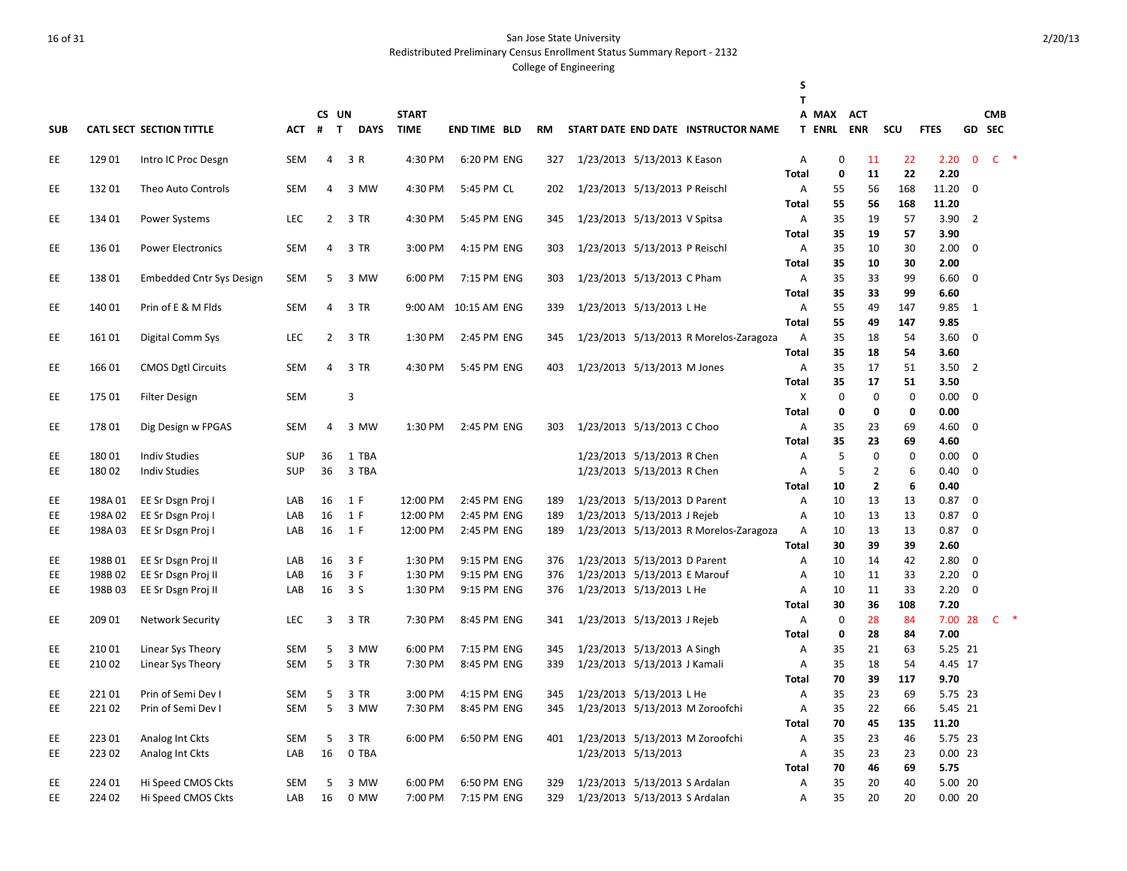Redistributed Preliminary Census Enrollment Status Summary Report - 2132

| T<br><b>CMB</b><br>CS UN<br><b>START</b><br>A MAX<br><b>ACT</b><br>GD SEC<br><b>CATL SECT SECTION TITTLE</b><br>#<br>T DAYS<br><b>TIME</b><br><b>END TIME BLD</b><br>START DATE END DATE INSTRUCTOR NAME<br><b>T ENRL ENR</b><br>scu<br><b>FTES</b><br><b>SUB</b><br>АСТ<br>RM<br>$C$ *<br>129 01<br>3 R<br>4:30 PM<br>6:20 PM ENG<br>1/23/2013 5/13/2013 K Eason<br>$\mathbf 0$<br>22<br>2.20<br>$\mathbf{0}$<br>EE<br>Intro IC Proc Desgn<br><b>SEM</b><br>4<br>327<br>Α<br>11<br>$\mathbf 0$<br>22<br><b>Total</b><br>11<br>2.20<br>13201<br>168<br>11.20 0<br>EE<br><b>SEM</b><br>3 MW<br>4:30 PM<br>5:45 PM CL<br>202<br>1/23/2013 5/13/2013 P Reischl<br>55<br>56<br>Theo Auto Controls<br>4<br>Α<br>55<br>168<br>11.20<br>56<br>Total<br>35<br>3.90<br>EE.<br>134 01<br><b>LEC</b><br>$\overline{2}$<br>3 TR<br>4:30 PM<br>5:45 PM ENG<br>1/23/2013 5/13/2013 V Spitsa<br>19<br>57<br>$\overline{2}$<br><b>Power Systems</b><br>345<br>Α<br>35<br>3.90<br><b>Total</b><br>19<br>57<br>35<br>136 01<br>3 TR<br>3:00 PM<br>4:15 PM ENG<br>1/23/2013 5/13/2013 P Reischl<br>$\overline{A}$<br>10<br>30<br>2.00<br>EE<br><b>Power Electronics</b><br><b>SEM</b><br>4<br>303<br>0<br><b>Total</b><br>35<br>10<br>30<br>2.00<br>13801<br>3 MW<br>6:00 PM<br>1/23/2013 5/13/2013 C Pham<br>35<br>33<br>99<br>6.60<br>EE<br><b>Embedded Cntr Sys Design</b><br><b>SEM</b><br>5<br>7:15 PM ENG<br>303<br>Α<br>0<br><b>Total</b><br>35<br>33<br>99<br>6.60<br>140 01<br>55<br>49<br>147<br>9.85<br>EE<br>Prin of E & M Flds<br><b>SEM</b><br>3 TR<br>9:00 AM<br>10:15 AM ENG<br>339<br>1/23/2013 5/13/2013 L He<br>Α<br>4<br>- 1<br>55<br>49<br>147<br>9.85<br><b>Total</b><br>EE.<br>16101<br><b>LEC</b><br>$\overline{2}$<br>3 TR<br>1:30 PM<br>2:45 PM ENG<br>$\overline{A}$<br>35<br>18<br>54<br>3.60<br>$\mathbf 0$<br>Digital Comm Sys<br>345<br>1/23/2013 5/13/2013 R Morelos-Zaragoza<br>35<br>3.60<br><b>Total</b><br>18<br>54<br>166 01<br><b>CMOS Dgtl Circuits</b><br>3 TR<br>4:30 PM<br>5:45 PM ENG<br>1/23/2013 5/13/2013 M Jones<br>A<br>35<br>17<br>51<br>3.50<br>$\overline{2}$<br>EE<br><b>SEM</b><br>4<br>403<br><b>Total</b><br>35<br>17<br>51<br>3.50<br>$\mathbf 0$<br>175 01<br>3<br>X<br>$\mathbf 0$<br>0<br>0.00<br>EE<br><b>Filter Design</b><br><b>SEM</b><br>0<br><b>Total</b><br>$\mathbf 0$<br>0<br>0<br>0.00<br>1/23/2013 5/13/2013 C Choo<br>35<br>23<br>4.60<br>EE<br>17801<br>Dig Design w FPGAS<br><b>SEM</b><br>3 MW<br>1:30 PM<br>2:45 PM ENG<br>303<br>Α<br>69<br>0<br>4<br>35<br>23<br>69<br>4.60<br><b>Total</b><br>5<br>1 TBA<br>$\mathbf 0$<br>$\mathbf 0$<br>0.00<br>EE<br>18001<br><b>Indiv Studies</b><br><b>SUP</b><br>36<br>1/23/2013 5/13/2013 R Chen<br>$\overline{\phantom{0}}$<br>A<br>5<br>EE<br><b>SUP</b><br>36<br>3 TBA<br>1/23/2013 5/13/2013 R Chen<br>$\overline{2}$<br>6<br>18002<br><b>Indiv Studies</b><br>Α<br>0.40<br>$\Omega$<br>$\overline{2}$<br>6<br>10<br>0.40<br><b>Total</b><br>1/23/2013 5/13/2013 D Parent<br>13<br>13<br>EE<br>198A 01<br>EE Sr Dsgn Proj I<br>LAB<br>16<br>1 F<br>12:00 PM<br>2:45 PM ENG<br>$\overline{A}$<br>10<br>0.87<br>0<br>189<br>EE Sr Dsgn Proj I<br>16<br>1 F<br>12:00 PM<br>2:45 PM ENG<br>189<br>1/23/2013 5/13/2013 J Rejeb<br>10<br>13<br>13<br>0.87<br>$\mathbf 0$<br>EE<br>198A 02<br>LAB<br>Α<br>EE<br>198A03<br>EE Sr Dsgn Proj I<br>LAB<br>16<br>1 F<br>12:00 PM<br>2:45 PM ENG<br>189<br>1/23/2013 5/13/2013 R Morelos-Zaragoza<br>10<br>13<br>13<br>0.87<br>$\mathbf 0$<br>Α<br>39<br>39<br>2.60<br><b>Total</b><br>30<br>198B01<br>EE Sr Dsgn Proj II<br>16<br>3 F<br>1:30 PM<br>9:15 PM ENG<br>1/23/2013 5/13/2013 D Parent<br>10<br>14<br>42<br>2.80<br>EE<br>LAB<br>376<br>Α<br>0<br>3 F<br>1/23/2013 5/13/2013 E Marouf<br>33<br>2.20<br>EE<br>198B02<br>EE Sr Dsgn Proj II<br>LAB<br>16<br>1:30 PM<br>9:15 PM ENG<br>376<br>10<br>11<br>$\Omega$<br>Α<br>EE<br>198B03<br>16<br>1/23/2013 5/13/2013 L He<br>33<br>2.20<br>$\Omega$<br>EE Sr Dsgn Proj II<br>LAB<br>3 S<br>1:30 PM<br>9:15 PM ENG<br>376<br>10<br>11<br>Α<br>30<br>36<br>108<br>7.20<br><b>Total</b><br>1/23/2013 5/13/2013 J Rejeb<br>$\mathbf 0$<br>84<br>7.00 28<br>$C$ *<br>EE<br>209 01<br><b>Network Security</b><br><b>LEC</b><br>3<br>3 TR<br>7:30 PM<br>8:45 PM ENG<br>$\overline{A}$<br>28<br>341<br>7.00<br><b>Total</b><br>0<br>28<br>84<br>5.25 21<br>EE<br>210 01<br>Linear Sys Theory<br><b>SEM</b><br>5<br>3 MW<br>6:00 PM<br>7:15 PM ENG<br>345<br>1/23/2013 5/13/2013 A Singh<br>A<br>35<br>21<br>63<br>EE<br>5<br>3 TR<br>7:30 PM<br>1/23/2013 5/13/2013 J Kamali<br>35<br>18<br>4.45 17<br>21002<br>Linear Sys Theory<br><b>SEM</b><br>8:45 PM ENG<br>339<br>A<br>54<br>9.70<br>70<br>39<br>117<br><b>Total</b><br>22101<br>3 TR<br>3:00 PM<br>1/23/2013 5/13/2013 L He<br>35<br>23<br>5.75 23<br>EE<br>Prin of Semi Dev I<br><b>SEM</b><br>5<br>4:15 PM ENG<br>345<br>A<br>69<br>5<br>5.45 21<br>EE<br>22102<br>Prin of Semi Dev I<br><b>SEM</b><br>3 MW<br>7:30 PM<br>8:45 PM ENG<br>345<br>1/23/2013 5/13/2013 M Zoroofchi<br>35<br>22<br>Α<br>66<br>70<br>11.20<br>45<br>135<br><b>Total</b><br>1/23/2013 5/13/2013 M Zoroofchi<br>35<br>23<br>5.75 23<br>EE<br>22301<br>Analog Int Ckts<br><b>SEM</b><br>5<br>3 TR<br>6:00 PM<br>6:50 PM ENG<br>401<br>Α<br>46<br>EE<br>16<br>$0.00$ 23<br>22302<br>0 TBA<br>1/23/2013 5/13/2013<br>35<br>23<br>23<br>Analog Int Ckts<br>LAB<br>$\overline{A}$<br><b>Total</b><br>70<br>46<br>69<br>5.75<br>224 01<br>Hi Speed CMOS Ckts<br>6:00 PM<br>1/23/2013 5/13/2013 S Ardalan<br>35<br>20<br>40<br>5.00 20<br>EE<br><b>SEM</b><br>5<br>3 MW<br>6:50 PM ENG<br>329<br>Α<br>329<br>35<br>7:15 PM ENG<br>1/23/2013 5/13/2013 S Ardalan<br>$0.00$ 20<br>A |    |        |                    |     |    |      |         |  |  | S |    |    |  |  |
|-------------------------------------------------------------------------------------------------------------------------------------------------------------------------------------------------------------------------------------------------------------------------------------------------------------------------------------------------------------------------------------------------------------------------------------------------------------------------------------------------------------------------------------------------------------------------------------------------------------------------------------------------------------------------------------------------------------------------------------------------------------------------------------------------------------------------------------------------------------------------------------------------------------------------------------------------------------------------------------------------------------------------------------------------------------------------------------------------------------------------------------------------------------------------------------------------------------------------------------------------------------------------------------------------------------------------------------------------------------------------------------------------------------------------------------------------------------------------------------------------------------------------------------------------------------------------------------------------------------------------------------------------------------------------------------------------------------------------------------------------------------------------------------------------------------------------------------------------------------------------------------------------------------------------------------------------------------------------------------------------------------------------------------------------------------------------------------------------------------------------------------------------------------------------------------------------------------------------------------------------------------------------------------------------------------------------------------------------------------------------------------------------------------------------------------------------------------------------------------------------------------------------------------------------------------------------------------------------------------------------------------------------------------------------------------------------------------------------------------------------------------------------------------------------------------------------------------------------------------------------------------------------------------------------------------------------------------------------------------------------------------------------------------------------------------------------------------------------------------------------------------------------------------------------------------------------------------------------------------------------------------------------------------------------------------------------------------------------------------------------------------------------------------------------------------------------------------------------------------------------------------------------------------------------------------------------------------------------------------------------------------------------------------------------------------------------------------------------------------------------------------------------------------------------------------------------------------------------------------------------------------------------------------------------------------------------------------------------------------------------------------------------------------------------------------------------------------------------------------------------------------------------------------------------------------------------------------------------------------------------------------------------------------------------------------------------------------------------------------------------------------------------------------------------------------------------------------------------------------------------------------------------------------------------------------------------------------------------------------------------------------------------------------------------------------------------------------------------------------------------------------------------------------------------------------------------------------------------------------------------------------------------------------------------------------------------------------------------------------------------------------------------------------------------------------------------------------------------------------------------------------------------------------------------------------------------------------------------------------------------------------------------------------------------------------------------------------------------------------------------------------------------------------------------------------------------------------------------------------------------------------------------------------------------------------------------------------------------------------------------------------------------------------------------------------------------------|----|--------|--------------------|-----|----|------|---------|--|--|---|----|----|--|--|
|                                                                                                                                                                                                                                                                                                                                                                                                                                                                                                                                                                                                                                                                                                                                                                                                                                                                                                                                                                                                                                                                                                                                                                                                                                                                                                                                                                                                                                                                                                                                                                                                                                                                                                                                                                                                                                                                                                                                                                                                                                                                                                                                                                                                                                                                                                                                                                                                                                                                                                                                                                                                                                                                                                                                                                                                                                                                                                                                                                                                                                                                                                                                                                                                                                                                                                                                                                                                                                                                                                                                                                                                                                                                                                                                                                                                                                                                                                                                                                                                                                                                                                                                                                                                                                                                                                                                                                                                                                                                                                                                                                                                                                                                                                                                                                                                                                                                                                                                                                                                                                                                                                                                                                                                                                                                                                                                                                                                                                                                                                                                                                                                                                                                                                       |    |        |                    |     |    |      |         |  |  |   |    |    |  |  |
|                                                                                                                                                                                                                                                                                                                                                                                                                                                                                                                                                                                                                                                                                                                                                                                                                                                                                                                                                                                                                                                                                                                                                                                                                                                                                                                                                                                                                                                                                                                                                                                                                                                                                                                                                                                                                                                                                                                                                                                                                                                                                                                                                                                                                                                                                                                                                                                                                                                                                                                                                                                                                                                                                                                                                                                                                                                                                                                                                                                                                                                                                                                                                                                                                                                                                                                                                                                                                                                                                                                                                                                                                                                                                                                                                                                                                                                                                                                                                                                                                                                                                                                                                                                                                                                                                                                                                                                                                                                                                                                                                                                                                                                                                                                                                                                                                                                                                                                                                                                                                                                                                                                                                                                                                                                                                                                                                                                                                                                                                                                                                                                                                                                                                                       |    |        |                    |     |    |      |         |  |  |   |    |    |  |  |
|                                                                                                                                                                                                                                                                                                                                                                                                                                                                                                                                                                                                                                                                                                                                                                                                                                                                                                                                                                                                                                                                                                                                                                                                                                                                                                                                                                                                                                                                                                                                                                                                                                                                                                                                                                                                                                                                                                                                                                                                                                                                                                                                                                                                                                                                                                                                                                                                                                                                                                                                                                                                                                                                                                                                                                                                                                                                                                                                                                                                                                                                                                                                                                                                                                                                                                                                                                                                                                                                                                                                                                                                                                                                                                                                                                                                                                                                                                                                                                                                                                                                                                                                                                                                                                                                                                                                                                                                                                                                                                                                                                                                                                                                                                                                                                                                                                                                                                                                                                                                                                                                                                                                                                                                                                                                                                                                                                                                                                                                                                                                                                                                                                                                                                       |    |        |                    |     |    |      |         |  |  |   |    |    |  |  |
|                                                                                                                                                                                                                                                                                                                                                                                                                                                                                                                                                                                                                                                                                                                                                                                                                                                                                                                                                                                                                                                                                                                                                                                                                                                                                                                                                                                                                                                                                                                                                                                                                                                                                                                                                                                                                                                                                                                                                                                                                                                                                                                                                                                                                                                                                                                                                                                                                                                                                                                                                                                                                                                                                                                                                                                                                                                                                                                                                                                                                                                                                                                                                                                                                                                                                                                                                                                                                                                                                                                                                                                                                                                                                                                                                                                                                                                                                                                                                                                                                                                                                                                                                                                                                                                                                                                                                                                                                                                                                                                                                                                                                                                                                                                                                                                                                                                                                                                                                                                                                                                                                                                                                                                                                                                                                                                                                                                                                                                                                                                                                                                                                                                                                                       |    |        |                    |     |    |      |         |  |  |   |    |    |  |  |
|                                                                                                                                                                                                                                                                                                                                                                                                                                                                                                                                                                                                                                                                                                                                                                                                                                                                                                                                                                                                                                                                                                                                                                                                                                                                                                                                                                                                                                                                                                                                                                                                                                                                                                                                                                                                                                                                                                                                                                                                                                                                                                                                                                                                                                                                                                                                                                                                                                                                                                                                                                                                                                                                                                                                                                                                                                                                                                                                                                                                                                                                                                                                                                                                                                                                                                                                                                                                                                                                                                                                                                                                                                                                                                                                                                                                                                                                                                                                                                                                                                                                                                                                                                                                                                                                                                                                                                                                                                                                                                                                                                                                                                                                                                                                                                                                                                                                                                                                                                                                                                                                                                                                                                                                                                                                                                                                                                                                                                                                                                                                                                                                                                                                                                       |    |        |                    |     |    |      |         |  |  |   |    |    |  |  |
|                                                                                                                                                                                                                                                                                                                                                                                                                                                                                                                                                                                                                                                                                                                                                                                                                                                                                                                                                                                                                                                                                                                                                                                                                                                                                                                                                                                                                                                                                                                                                                                                                                                                                                                                                                                                                                                                                                                                                                                                                                                                                                                                                                                                                                                                                                                                                                                                                                                                                                                                                                                                                                                                                                                                                                                                                                                                                                                                                                                                                                                                                                                                                                                                                                                                                                                                                                                                                                                                                                                                                                                                                                                                                                                                                                                                                                                                                                                                                                                                                                                                                                                                                                                                                                                                                                                                                                                                                                                                                                                                                                                                                                                                                                                                                                                                                                                                                                                                                                                                                                                                                                                                                                                                                                                                                                                                                                                                                                                                                                                                                                                                                                                                                                       |    |        |                    |     |    |      |         |  |  |   |    |    |  |  |
|                                                                                                                                                                                                                                                                                                                                                                                                                                                                                                                                                                                                                                                                                                                                                                                                                                                                                                                                                                                                                                                                                                                                                                                                                                                                                                                                                                                                                                                                                                                                                                                                                                                                                                                                                                                                                                                                                                                                                                                                                                                                                                                                                                                                                                                                                                                                                                                                                                                                                                                                                                                                                                                                                                                                                                                                                                                                                                                                                                                                                                                                                                                                                                                                                                                                                                                                                                                                                                                                                                                                                                                                                                                                                                                                                                                                                                                                                                                                                                                                                                                                                                                                                                                                                                                                                                                                                                                                                                                                                                                                                                                                                                                                                                                                                                                                                                                                                                                                                                                                                                                                                                                                                                                                                                                                                                                                                                                                                                                                                                                                                                                                                                                                                                       |    |        |                    |     |    |      |         |  |  |   |    |    |  |  |
|                                                                                                                                                                                                                                                                                                                                                                                                                                                                                                                                                                                                                                                                                                                                                                                                                                                                                                                                                                                                                                                                                                                                                                                                                                                                                                                                                                                                                                                                                                                                                                                                                                                                                                                                                                                                                                                                                                                                                                                                                                                                                                                                                                                                                                                                                                                                                                                                                                                                                                                                                                                                                                                                                                                                                                                                                                                                                                                                                                                                                                                                                                                                                                                                                                                                                                                                                                                                                                                                                                                                                                                                                                                                                                                                                                                                                                                                                                                                                                                                                                                                                                                                                                                                                                                                                                                                                                                                                                                                                                                                                                                                                                                                                                                                                                                                                                                                                                                                                                                                                                                                                                                                                                                                                                                                                                                                                                                                                                                                                                                                                                                                                                                                                                       |    |        |                    |     |    |      |         |  |  |   |    |    |  |  |
|                                                                                                                                                                                                                                                                                                                                                                                                                                                                                                                                                                                                                                                                                                                                                                                                                                                                                                                                                                                                                                                                                                                                                                                                                                                                                                                                                                                                                                                                                                                                                                                                                                                                                                                                                                                                                                                                                                                                                                                                                                                                                                                                                                                                                                                                                                                                                                                                                                                                                                                                                                                                                                                                                                                                                                                                                                                                                                                                                                                                                                                                                                                                                                                                                                                                                                                                                                                                                                                                                                                                                                                                                                                                                                                                                                                                                                                                                                                                                                                                                                                                                                                                                                                                                                                                                                                                                                                                                                                                                                                                                                                                                                                                                                                                                                                                                                                                                                                                                                                                                                                                                                                                                                                                                                                                                                                                                                                                                                                                                                                                                                                                                                                                                                       |    |        |                    |     |    |      |         |  |  |   |    |    |  |  |
|                                                                                                                                                                                                                                                                                                                                                                                                                                                                                                                                                                                                                                                                                                                                                                                                                                                                                                                                                                                                                                                                                                                                                                                                                                                                                                                                                                                                                                                                                                                                                                                                                                                                                                                                                                                                                                                                                                                                                                                                                                                                                                                                                                                                                                                                                                                                                                                                                                                                                                                                                                                                                                                                                                                                                                                                                                                                                                                                                                                                                                                                                                                                                                                                                                                                                                                                                                                                                                                                                                                                                                                                                                                                                                                                                                                                                                                                                                                                                                                                                                                                                                                                                                                                                                                                                                                                                                                                                                                                                                                                                                                                                                                                                                                                                                                                                                                                                                                                                                                                                                                                                                                                                                                                                                                                                                                                                                                                                                                                                                                                                                                                                                                                                                       |    |        |                    |     |    |      |         |  |  |   |    |    |  |  |
|                                                                                                                                                                                                                                                                                                                                                                                                                                                                                                                                                                                                                                                                                                                                                                                                                                                                                                                                                                                                                                                                                                                                                                                                                                                                                                                                                                                                                                                                                                                                                                                                                                                                                                                                                                                                                                                                                                                                                                                                                                                                                                                                                                                                                                                                                                                                                                                                                                                                                                                                                                                                                                                                                                                                                                                                                                                                                                                                                                                                                                                                                                                                                                                                                                                                                                                                                                                                                                                                                                                                                                                                                                                                                                                                                                                                                                                                                                                                                                                                                                                                                                                                                                                                                                                                                                                                                                                                                                                                                                                                                                                                                                                                                                                                                                                                                                                                                                                                                                                                                                                                                                                                                                                                                                                                                                                                                                                                                                                                                                                                                                                                                                                                                                       |    |        |                    |     |    |      |         |  |  |   |    |    |  |  |
|                                                                                                                                                                                                                                                                                                                                                                                                                                                                                                                                                                                                                                                                                                                                                                                                                                                                                                                                                                                                                                                                                                                                                                                                                                                                                                                                                                                                                                                                                                                                                                                                                                                                                                                                                                                                                                                                                                                                                                                                                                                                                                                                                                                                                                                                                                                                                                                                                                                                                                                                                                                                                                                                                                                                                                                                                                                                                                                                                                                                                                                                                                                                                                                                                                                                                                                                                                                                                                                                                                                                                                                                                                                                                                                                                                                                                                                                                                                                                                                                                                                                                                                                                                                                                                                                                                                                                                                                                                                                                                                                                                                                                                                                                                                                                                                                                                                                                                                                                                                                                                                                                                                                                                                                                                                                                                                                                                                                                                                                                                                                                                                                                                                                                                       |    |        |                    |     |    |      |         |  |  |   |    |    |  |  |
|                                                                                                                                                                                                                                                                                                                                                                                                                                                                                                                                                                                                                                                                                                                                                                                                                                                                                                                                                                                                                                                                                                                                                                                                                                                                                                                                                                                                                                                                                                                                                                                                                                                                                                                                                                                                                                                                                                                                                                                                                                                                                                                                                                                                                                                                                                                                                                                                                                                                                                                                                                                                                                                                                                                                                                                                                                                                                                                                                                                                                                                                                                                                                                                                                                                                                                                                                                                                                                                                                                                                                                                                                                                                                                                                                                                                                                                                                                                                                                                                                                                                                                                                                                                                                                                                                                                                                                                                                                                                                                                                                                                                                                                                                                                                                                                                                                                                                                                                                                                                                                                                                                                                                                                                                                                                                                                                                                                                                                                                                                                                                                                                                                                                                                       |    |        |                    |     |    |      |         |  |  |   |    |    |  |  |
|                                                                                                                                                                                                                                                                                                                                                                                                                                                                                                                                                                                                                                                                                                                                                                                                                                                                                                                                                                                                                                                                                                                                                                                                                                                                                                                                                                                                                                                                                                                                                                                                                                                                                                                                                                                                                                                                                                                                                                                                                                                                                                                                                                                                                                                                                                                                                                                                                                                                                                                                                                                                                                                                                                                                                                                                                                                                                                                                                                                                                                                                                                                                                                                                                                                                                                                                                                                                                                                                                                                                                                                                                                                                                                                                                                                                                                                                                                                                                                                                                                                                                                                                                                                                                                                                                                                                                                                                                                                                                                                                                                                                                                                                                                                                                                                                                                                                                                                                                                                                                                                                                                                                                                                                                                                                                                                                                                                                                                                                                                                                                                                                                                                                                                       |    |        |                    |     |    |      |         |  |  |   |    |    |  |  |
|                                                                                                                                                                                                                                                                                                                                                                                                                                                                                                                                                                                                                                                                                                                                                                                                                                                                                                                                                                                                                                                                                                                                                                                                                                                                                                                                                                                                                                                                                                                                                                                                                                                                                                                                                                                                                                                                                                                                                                                                                                                                                                                                                                                                                                                                                                                                                                                                                                                                                                                                                                                                                                                                                                                                                                                                                                                                                                                                                                                                                                                                                                                                                                                                                                                                                                                                                                                                                                                                                                                                                                                                                                                                                                                                                                                                                                                                                                                                                                                                                                                                                                                                                                                                                                                                                                                                                                                                                                                                                                                                                                                                                                                                                                                                                                                                                                                                                                                                                                                                                                                                                                                                                                                                                                                                                                                                                                                                                                                                                                                                                                                                                                                                                                       |    |        |                    |     |    |      |         |  |  |   |    |    |  |  |
|                                                                                                                                                                                                                                                                                                                                                                                                                                                                                                                                                                                                                                                                                                                                                                                                                                                                                                                                                                                                                                                                                                                                                                                                                                                                                                                                                                                                                                                                                                                                                                                                                                                                                                                                                                                                                                                                                                                                                                                                                                                                                                                                                                                                                                                                                                                                                                                                                                                                                                                                                                                                                                                                                                                                                                                                                                                                                                                                                                                                                                                                                                                                                                                                                                                                                                                                                                                                                                                                                                                                                                                                                                                                                                                                                                                                                                                                                                                                                                                                                                                                                                                                                                                                                                                                                                                                                                                                                                                                                                                                                                                                                                                                                                                                                                                                                                                                                                                                                                                                                                                                                                                                                                                                                                                                                                                                                                                                                                                                                                                                                                                                                                                                                                       |    |        |                    |     |    |      |         |  |  |   |    |    |  |  |
|                                                                                                                                                                                                                                                                                                                                                                                                                                                                                                                                                                                                                                                                                                                                                                                                                                                                                                                                                                                                                                                                                                                                                                                                                                                                                                                                                                                                                                                                                                                                                                                                                                                                                                                                                                                                                                                                                                                                                                                                                                                                                                                                                                                                                                                                                                                                                                                                                                                                                                                                                                                                                                                                                                                                                                                                                                                                                                                                                                                                                                                                                                                                                                                                                                                                                                                                                                                                                                                                                                                                                                                                                                                                                                                                                                                                                                                                                                                                                                                                                                                                                                                                                                                                                                                                                                                                                                                                                                                                                                                                                                                                                                                                                                                                                                                                                                                                                                                                                                                                                                                                                                                                                                                                                                                                                                                                                                                                                                                                                                                                                                                                                                                                                                       |    |        |                    |     |    |      |         |  |  |   |    |    |  |  |
|                                                                                                                                                                                                                                                                                                                                                                                                                                                                                                                                                                                                                                                                                                                                                                                                                                                                                                                                                                                                                                                                                                                                                                                                                                                                                                                                                                                                                                                                                                                                                                                                                                                                                                                                                                                                                                                                                                                                                                                                                                                                                                                                                                                                                                                                                                                                                                                                                                                                                                                                                                                                                                                                                                                                                                                                                                                                                                                                                                                                                                                                                                                                                                                                                                                                                                                                                                                                                                                                                                                                                                                                                                                                                                                                                                                                                                                                                                                                                                                                                                                                                                                                                                                                                                                                                                                                                                                                                                                                                                                                                                                                                                                                                                                                                                                                                                                                                                                                                                                                                                                                                                                                                                                                                                                                                                                                                                                                                                                                                                                                                                                                                                                                                                       |    |        |                    |     |    |      |         |  |  |   |    |    |  |  |
|                                                                                                                                                                                                                                                                                                                                                                                                                                                                                                                                                                                                                                                                                                                                                                                                                                                                                                                                                                                                                                                                                                                                                                                                                                                                                                                                                                                                                                                                                                                                                                                                                                                                                                                                                                                                                                                                                                                                                                                                                                                                                                                                                                                                                                                                                                                                                                                                                                                                                                                                                                                                                                                                                                                                                                                                                                                                                                                                                                                                                                                                                                                                                                                                                                                                                                                                                                                                                                                                                                                                                                                                                                                                                                                                                                                                                                                                                                                                                                                                                                                                                                                                                                                                                                                                                                                                                                                                                                                                                                                                                                                                                                                                                                                                                                                                                                                                                                                                                                                                                                                                                                                                                                                                                                                                                                                                                                                                                                                                                                                                                                                                                                                                                                       |    |        |                    |     |    |      |         |  |  |   |    |    |  |  |
|                                                                                                                                                                                                                                                                                                                                                                                                                                                                                                                                                                                                                                                                                                                                                                                                                                                                                                                                                                                                                                                                                                                                                                                                                                                                                                                                                                                                                                                                                                                                                                                                                                                                                                                                                                                                                                                                                                                                                                                                                                                                                                                                                                                                                                                                                                                                                                                                                                                                                                                                                                                                                                                                                                                                                                                                                                                                                                                                                                                                                                                                                                                                                                                                                                                                                                                                                                                                                                                                                                                                                                                                                                                                                                                                                                                                                                                                                                                                                                                                                                                                                                                                                                                                                                                                                                                                                                                                                                                                                                                                                                                                                                                                                                                                                                                                                                                                                                                                                                                                                                                                                                                                                                                                                                                                                                                                                                                                                                                                                                                                                                                                                                                                                                       |    |        |                    |     |    |      |         |  |  |   |    |    |  |  |
|                                                                                                                                                                                                                                                                                                                                                                                                                                                                                                                                                                                                                                                                                                                                                                                                                                                                                                                                                                                                                                                                                                                                                                                                                                                                                                                                                                                                                                                                                                                                                                                                                                                                                                                                                                                                                                                                                                                                                                                                                                                                                                                                                                                                                                                                                                                                                                                                                                                                                                                                                                                                                                                                                                                                                                                                                                                                                                                                                                                                                                                                                                                                                                                                                                                                                                                                                                                                                                                                                                                                                                                                                                                                                                                                                                                                                                                                                                                                                                                                                                                                                                                                                                                                                                                                                                                                                                                                                                                                                                                                                                                                                                                                                                                                                                                                                                                                                                                                                                                                                                                                                                                                                                                                                                                                                                                                                                                                                                                                                                                                                                                                                                                                                                       |    |        |                    |     |    |      |         |  |  |   |    |    |  |  |
|                                                                                                                                                                                                                                                                                                                                                                                                                                                                                                                                                                                                                                                                                                                                                                                                                                                                                                                                                                                                                                                                                                                                                                                                                                                                                                                                                                                                                                                                                                                                                                                                                                                                                                                                                                                                                                                                                                                                                                                                                                                                                                                                                                                                                                                                                                                                                                                                                                                                                                                                                                                                                                                                                                                                                                                                                                                                                                                                                                                                                                                                                                                                                                                                                                                                                                                                                                                                                                                                                                                                                                                                                                                                                                                                                                                                                                                                                                                                                                                                                                                                                                                                                                                                                                                                                                                                                                                                                                                                                                                                                                                                                                                                                                                                                                                                                                                                                                                                                                                                                                                                                                                                                                                                                                                                                                                                                                                                                                                                                                                                                                                                                                                                                                       |    |        |                    |     |    |      |         |  |  |   |    |    |  |  |
|                                                                                                                                                                                                                                                                                                                                                                                                                                                                                                                                                                                                                                                                                                                                                                                                                                                                                                                                                                                                                                                                                                                                                                                                                                                                                                                                                                                                                                                                                                                                                                                                                                                                                                                                                                                                                                                                                                                                                                                                                                                                                                                                                                                                                                                                                                                                                                                                                                                                                                                                                                                                                                                                                                                                                                                                                                                                                                                                                                                                                                                                                                                                                                                                                                                                                                                                                                                                                                                                                                                                                                                                                                                                                                                                                                                                                                                                                                                                                                                                                                                                                                                                                                                                                                                                                                                                                                                                                                                                                                                                                                                                                                                                                                                                                                                                                                                                                                                                                                                                                                                                                                                                                                                                                                                                                                                                                                                                                                                                                                                                                                                                                                                                                                       |    |        |                    |     |    |      |         |  |  |   |    |    |  |  |
|                                                                                                                                                                                                                                                                                                                                                                                                                                                                                                                                                                                                                                                                                                                                                                                                                                                                                                                                                                                                                                                                                                                                                                                                                                                                                                                                                                                                                                                                                                                                                                                                                                                                                                                                                                                                                                                                                                                                                                                                                                                                                                                                                                                                                                                                                                                                                                                                                                                                                                                                                                                                                                                                                                                                                                                                                                                                                                                                                                                                                                                                                                                                                                                                                                                                                                                                                                                                                                                                                                                                                                                                                                                                                                                                                                                                                                                                                                                                                                                                                                                                                                                                                                                                                                                                                                                                                                                                                                                                                                                                                                                                                                                                                                                                                                                                                                                                                                                                                                                                                                                                                                                                                                                                                                                                                                                                                                                                                                                                                                                                                                                                                                                                                                       |    |        |                    |     |    |      |         |  |  |   |    |    |  |  |
|                                                                                                                                                                                                                                                                                                                                                                                                                                                                                                                                                                                                                                                                                                                                                                                                                                                                                                                                                                                                                                                                                                                                                                                                                                                                                                                                                                                                                                                                                                                                                                                                                                                                                                                                                                                                                                                                                                                                                                                                                                                                                                                                                                                                                                                                                                                                                                                                                                                                                                                                                                                                                                                                                                                                                                                                                                                                                                                                                                                                                                                                                                                                                                                                                                                                                                                                                                                                                                                                                                                                                                                                                                                                                                                                                                                                                                                                                                                                                                                                                                                                                                                                                                                                                                                                                                                                                                                                                                                                                                                                                                                                                                                                                                                                                                                                                                                                                                                                                                                                                                                                                                                                                                                                                                                                                                                                                                                                                                                                                                                                                                                                                                                                                                       |    |        |                    |     |    |      |         |  |  |   |    |    |  |  |
|                                                                                                                                                                                                                                                                                                                                                                                                                                                                                                                                                                                                                                                                                                                                                                                                                                                                                                                                                                                                                                                                                                                                                                                                                                                                                                                                                                                                                                                                                                                                                                                                                                                                                                                                                                                                                                                                                                                                                                                                                                                                                                                                                                                                                                                                                                                                                                                                                                                                                                                                                                                                                                                                                                                                                                                                                                                                                                                                                                                                                                                                                                                                                                                                                                                                                                                                                                                                                                                                                                                                                                                                                                                                                                                                                                                                                                                                                                                                                                                                                                                                                                                                                                                                                                                                                                                                                                                                                                                                                                                                                                                                                                                                                                                                                                                                                                                                                                                                                                                                                                                                                                                                                                                                                                                                                                                                                                                                                                                                                                                                                                                                                                                                                                       |    |        |                    |     |    |      |         |  |  |   |    |    |  |  |
|                                                                                                                                                                                                                                                                                                                                                                                                                                                                                                                                                                                                                                                                                                                                                                                                                                                                                                                                                                                                                                                                                                                                                                                                                                                                                                                                                                                                                                                                                                                                                                                                                                                                                                                                                                                                                                                                                                                                                                                                                                                                                                                                                                                                                                                                                                                                                                                                                                                                                                                                                                                                                                                                                                                                                                                                                                                                                                                                                                                                                                                                                                                                                                                                                                                                                                                                                                                                                                                                                                                                                                                                                                                                                                                                                                                                                                                                                                                                                                                                                                                                                                                                                                                                                                                                                                                                                                                                                                                                                                                                                                                                                                                                                                                                                                                                                                                                                                                                                                                                                                                                                                                                                                                                                                                                                                                                                                                                                                                                                                                                                                                                                                                                                                       |    |        |                    |     |    |      |         |  |  |   |    |    |  |  |
|                                                                                                                                                                                                                                                                                                                                                                                                                                                                                                                                                                                                                                                                                                                                                                                                                                                                                                                                                                                                                                                                                                                                                                                                                                                                                                                                                                                                                                                                                                                                                                                                                                                                                                                                                                                                                                                                                                                                                                                                                                                                                                                                                                                                                                                                                                                                                                                                                                                                                                                                                                                                                                                                                                                                                                                                                                                                                                                                                                                                                                                                                                                                                                                                                                                                                                                                                                                                                                                                                                                                                                                                                                                                                                                                                                                                                                                                                                                                                                                                                                                                                                                                                                                                                                                                                                                                                                                                                                                                                                                                                                                                                                                                                                                                                                                                                                                                                                                                                                                                                                                                                                                                                                                                                                                                                                                                                                                                                                                                                                                                                                                                                                                                                                       |    |        |                    |     |    |      |         |  |  |   |    |    |  |  |
|                                                                                                                                                                                                                                                                                                                                                                                                                                                                                                                                                                                                                                                                                                                                                                                                                                                                                                                                                                                                                                                                                                                                                                                                                                                                                                                                                                                                                                                                                                                                                                                                                                                                                                                                                                                                                                                                                                                                                                                                                                                                                                                                                                                                                                                                                                                                                                                                                                                                                                                                                                                                                                                                                                                                                                                                                                                                                                                                                                                                                                                                                                                                                                                                                                                                                                                                                                                                                                                                                                                                                                                                                                                                                                                                                                                                                                                                                                                                                                                                                                                                                                                                                                                                                                                                                                                                                                                                                                                                                                                                                                                                                                                                                                                                                                                                                                                                                                                                                                                                                                                                                                                                                                                                                                                                                                                                                                                                                                                                                                                                                                                                                                                                                                       |    |        |                    |     |    |      |         |  |  |   |    |    |  |  |
|                                                                                                                                                                                                                                                                                                                                                                                                                                                                                                                                                                                                                                                                                                                                                                                                                                                                                                                                                                                                                                                                                                                                                                                                                                                                                                                                                                                                                                                                                                                                                                                                                                                                                                                                                                                                                                                                                                                                                                                                                                                                                                                                                                                                                                                                                                                                                                                                                                                                                                                                                                                                                                                                                                                                                                                                                                                                                                                                                                                                                                                                                                                                                                                                                                                                                                                                                                                                                                                                                                                                                                                                                                                                                                                                                                                                                                                                                                                                                                                                                                                                                                                                                                                                                                                                                                                                                                                                                                                                                                                                                                                                                                                                                                                                                                                                                                                                                                                                                                                                                                                                                                                                                                                                                                                                                                                                                                                                                                                                                                                                                                                                                                                                                                       |    |        |                    |     |    |      |         |  |  |   |    |    |  |  |
|                                                                                                                                                                                                                                                                                                                                                                                                                                                                                                                                                                                                                                                                                                                                                                                                                                                                                                                                                                                                                                                                                                                                                                                                                                                                                                                                                                                                                                                                                                                                                                                                                                                                                                                                                                                                                                                                                                                                                                                                                                                                                                                                                                                                                                                                                                                                                                                                                                                                                                                                                                                                                                                                                                                                                                                                                                                                                                                                                                                                                                                                                                                                                                                                                                                                                                                                                                                                                                                                                                                                                                                                                                                                                                                                                                                                                                                                                                                                                                                                                                                                                                                                                                                                                                                                                                                                                                                                                                                                                                                                                                                                                                                                                                                                                                                                                                                                                                                                                                                                                                                                                                                                                                                                                                                                                                                                                                                                                                                                                                                                                                                                                                                                                                       |    |        |                    |     |    |      |         |  |  |   |    |    |  |  |
|                                                                                                                                                                                                                                                                                                                                                                                                                                                                                                                                                                                                                                                                                                                                                                                                                                                                                                                                                                                                                                                                                                                                                                                                                                                                                                                                                                                                                                                                                                                                                                                                                                                                                                                                                                                                                                                                                                                                                                                                                                                                                                                                                                                                                                                                                                                                                                                                                                                                                                                                                                                                                                                                                                                                                                                                                                                                                                                                                                                                                                                                                                                                                                                                                                                                                                                                                                                                                                                                                                                                                                                                                                                                                                                                                                                                                                                                                                                                                                                                                                                                                                                                                                                                                                                                                                                                                                                                                                                                                                                                                                                                                                                                                                                                                                                                                                                                                                                                                                                                                                                                                                                                                                                                                                                                                                                                                                                                                                                                                                                                                                                                                                                                                                       |    |        |                    |     |    |      |         |  |  |   |    |    |  |  |
|                                                                                                                                                                                                                                                                                                                                                                                                                                                                                                                                                                                                                                                                                                                                                                                                                                                                                                                                                                                                                                                                                                                                                                                                                                                                                                                                                                                                                                                                                                                                                                                                                                                                                                                                                                                                                                                                                                                                                                                                                                                                                                                                                                                                                                                                                                                                                                                                                                                                                                                                                                                                                                                                                                                                                                                                                                                                                                                                                                                                                                                                                                                                                                                                                                                                                                                                                                                                                                                                                                                                                                                                                                                                                                                                                                                                                                                                                                                                                                                                                                                                                                                                                                                                                                                                                                                                                                                                                                                                                                                                                                                                                                                                                                                                                                                                                                                                                                                                                                                                                                                                                                                                                                                                                                                                                                                                                                                                                                                                                                                                                                                                                                                                                                       |    |        |                    |     |    |      |         |  |  |   |    |    |  |  |
|                                                                                                                                                                                                                                                                                                                                                                                                                                                                                                                                                                                                                                                                                                                                                                                                                                                                                                                                                                                                                                                                                                                                                                                                                                                                                                                                                                                                                                                                                                                                                                                                                                                                                                                                                                                                                                                                                                                                                                                                                                                                                                                                                                                                                                                                                                                                                                                                                                                                                                                                                                                                                                                                                                                                                                                                                                                                                                                                                                                                                                                                                                                                                                                                                                                                                                                                                                                                                                                                                                                                                                                                                                                                                                                                                                                                                                                                                                                                                                                                                                                                                                                                                                                                                                                                                                                                                                                                                                                                                                                                                                                                                                                                                                                                                                                                                                                                                                                                                                                                                                                                                                                                                                                                                                                                                                                                                                                                                                                                                                                                                                                                                                                                                                       |    |        |                    |     |    |      |         |  |  |   |    |    |  |  |
|                                                                                                                                                                                                                                                                                                                                                                                                                                                                                                                                                                                                                                                                                                                                                                                                                                                                                                                                                                                                                                                                                                                                                                                                                                                                                                                                                                                                                                                                                                                                                                                                                                                                                                                                                                                                                                                                                                                                                                                                                                                                                                                                                                                                                                                                                                                                                                                                                                                                                                                                                                                                                                                                                                                                                                                                                                                                                                                                                                                                                                                                                                                                                                                                                                                                                                                                                                                                                                                                                                                                                                                                                                                                                                                                                                                                                                                                                                                                                                                                                                                                                                                                                                                                                                                                                                                                                                                                                                                                                                                                                                                                                                                                                                                                                                                                                                                                                                                                                                                                                                                                                                                                                                                                                                                                                                                                                                                                                                                                                                                                                                                                                                                                                                       |    |        |                    |     |    |      |         |  |  |   |    |    |  |  |
|                                                                                                                                                                                                                                                                                                                                                                                                                                                                                                                                                                                                                                                                                                                                                                                                                                                                                                                                                                                                                                                                                                                                                                                                                                                                                                                                                                                                                                                                                                                                                                                                                                                                                                                                                                                                                                                                                                                                                                                                                                                                                                                                                                                                                                                                                                                                                                                                                                                                                                                                                                                                                                                                                                                                                                                                                                                                                                                                                                                                                                                                                                                                                                                                                                                                                                                                                                                                                                                                                                                                                                                                                                                                                                                                                                                                                                                                                                                                                                                                                                                                                                                                                                                                                                                                                                                                                                                                                                                                                                                                                                                                                                                                                                                                                                                                                                                                                                                                                                                                                                                                                                                                                                                                                                                                                                                                                                                                                                                                                                                                                                                                                                                                                                       |    |        |                    |     |    |      |         |  |  |   |    |    |  |  |
|                                                                                                                                                                                                                                                                                                                                                                                                                                                                                                                                                                                                                                                                                                                                                                                                                                                                                                                                                                                                                                                                                                                                                                                                                                                                                                                                                                                                                                                                                                                                                                                                                                                                                                                                                                                                                                                                                                                                                                                                                                                                                                                                                                                                                                                                                                                                                                                                                                                                                                                                                                                                                                                                                                                                                                                                                                                                                                                                                                                                                                                                                                                                                                                                                                                                                                                                                                                                                                                                                                                                                                                                                                                                                                                                                                                                                                                                                                                                                                                                                                                                                                                                                                                                                                                                                                                                                                                                                                                                                                                                                                                                                                                                                                                                                                                                                                                                                                                                                                                                                                                                                                                                                                                                                                                                                                                                                                                                                                                                                                                                                                                                                                                                                                       |    |        |                    |     |    |      |         |  |  |   |    |    |  |  |
|                                                                                                                                                                                                                                                                                                                                                                                                                                                                                                                                                                                                                                                                                                                                                                                                                                                                                                                                                                                                                                                                                                                                                                                                                                                                                                                                                                                                                                                                                                                                                                                                                                                                                                                                                                                                                                                                                                                                                                                                                                                                                                                                                                                                                                                                                                                                                                                                                                                                                                                                                                                                                                                                                                                                                                                                                                                                                                                                                                                                                                                                                                                                                                                                                                                                                                                                                                                                                                                                                                                                                                                                                                                                                                                                                                                                                                                                                                                                                                                                                                                                                                                                                                                                                                                                                                                                                                                                                                                                                                                                                                                                                                                                                                                                                                                                                                                                                                                                                                                                                                                                                                                                                                                                                                                                                                                                                                                                                                                                                                                                                                                                                                                                                                       |    |        |                    |     |    |      |         |  |  |   |    |    |  |  |
|                                                                                                                                                                                                                                                                                                                                                                                                                                                                                                                                                                                                                                                                                                                                                                                                                                                                                                                                                                                                                                                                                                                                                                                                                                                                                                                                                                                                                                                                                                                                                                                                                                                                                                                                                                                                                                                                                                                                                                                                                                                                                                                                                                                                                                                                                                                                                                                                                                                                                                                                                                                                                                                                                                                                                                                                                                                                                                                                                                                                                                                                                                                                                                                                                                                                                                                                                                                                                                                                                                                                                                                                                                                                                                                                                                                                                                                                                                                                                                                                                                                                                                                                                                                                                                                                                                                                                                                                                                                                                                                                                                                                                                                                                                                                                                                                                                                                                                                                                                                                                                                                                                                                                                                                                                                                                                                                                                                                                                                                                                                                                                                                                                                                                                       |    |        |                    |     |    |      |         |  |  |   |    |    |  |  |
|                                                                                                                                                                                                                                                                                                                                                                                                                                                                                                                                                                                                                                                                                                                                                                                                                                                                                                                                                                                                                                                                                                                                                                                                                                                                                                                                                                                                                                                                                                                                                                                                                                                                                                                                                                                                                                                                                                                                                                                                                                                                                                                                                                                                                                                                                                                                                                                                                                                                                                                                                                                                                                                                                                                                                                                                                                                                                                                                                                                                                                                                                                                                                                                                                                                                                                                                                                                                                                                                                                                                                                                                                                                                                                                                                                                                                                                                                                                                                                                                                                                                                                                                                                                                                                                                                                                                                                                                                                                                                                                                                                                                                                                                                                                                                                                                                                                                                                                                                                                                                                                                                                                                                                                                                                                                                                                                                                                                                                                                                                                                                                                                                                                                                                       |    |        |                    |     |    |      |         |  |  |   |    |    |  |  |
|                                                                                                                                                                                                                                                                                                                                                                                                                                                                                                                                                                                                                                                                                                                                                                                                                                                                                                                                                                                                                                                                                                                                                                                                                                                                                                                                                                                                                                                                                                                                                                                                                                                                                                                                                                                                                                                                                                                                                                                                                                                                                                                                                                                                                                                                                                                                                                                                                                                                                                                                                                                                                                                                                                                                                                                                                                                                                                                                                                                                                                                                                                                                                                                                                                                                                                                                                                                                                                                                                                                                                                                                                                                                                                                                                                                                                                                                                                                                                                                                                                                                                                                                                                                                                                                                                                                                                                                                                                                                                                                                                                                                                                                                                                                                                                                                                                                                                                                                                                                                                                                                                                                                                                                                                                                                                                                                                                                                                                                                                                                                                                                                                                                                                                       |    |        |                    |     |    |      |         |  |  |   |    |    |  |  |
|                                                                                                                                                                                                                                                                                                                                                                                                                                                                                                                                                                                                                                                                                                                                                                                                                                                                                                                                                                                                                                                                                                                                                                                                                                                                                                                                                                                                                                                                                                                                                                                                                                                                                                                                                                                                                                                                                                                                                                                                                                                                                                                                                                                                                                                                                                                                                                                                                                                                                                                                                                                                                                                                                                                                                                                                                                                                                                                                                                                                                                                                                                                                                                                                                                                                                                                                                                                                                                                                                                                                                                                                                                                                                                                                                                                                                                                                                                                                                                                                                                                                                                                                                                                                                                                                                                                                                                                                                                                                                                                                                                                                                                                                                                                                                                                                                                                                                                                                                                                                                                                                                                                                                                                                                                                                                                                                                                                                                                                                                                                                                                                                                                                                                                       |    |        |                    |     |    |      |         |  |  |   |    |    |  |  |
|                                                                                                                                                                                                                                                                                                                                                                                                                                                                                                                                                                                                                                                                                                                                                                                                                                                                                                                                                                                                                                                                                                                                                                                                                                                                                                                                                                                                                                                                                                                                                                                                                                                                                                                                                                                                                                                                                                                                                                                                                                                                                                                                                                                                                                                                                                                                                                                                                                                                                                                                                                                                                                                                                                                                                                                                                                                                                                                                                                                                                                                                                                                                                                                                                                                                                                                                                                                                                                                                                                                                                                                                                                                                                                                                                                                                                                                                                                                                                                                                                                                                                                                                                                                                                                                                                                                                                                                                                                                                                                                                                                                                                                                                                                                                                                                                                                                                                                                                                                                                                                                                                                                                                                                                                                                                                                                                                                                                                                                                                                                                                                                                                                                                                                       | EE | 224 02 | Hi Speed CMOS Ckts | LAB | 16 | 0 MW | 7:00 PM |  |  |   | 20 | 20 |  |  |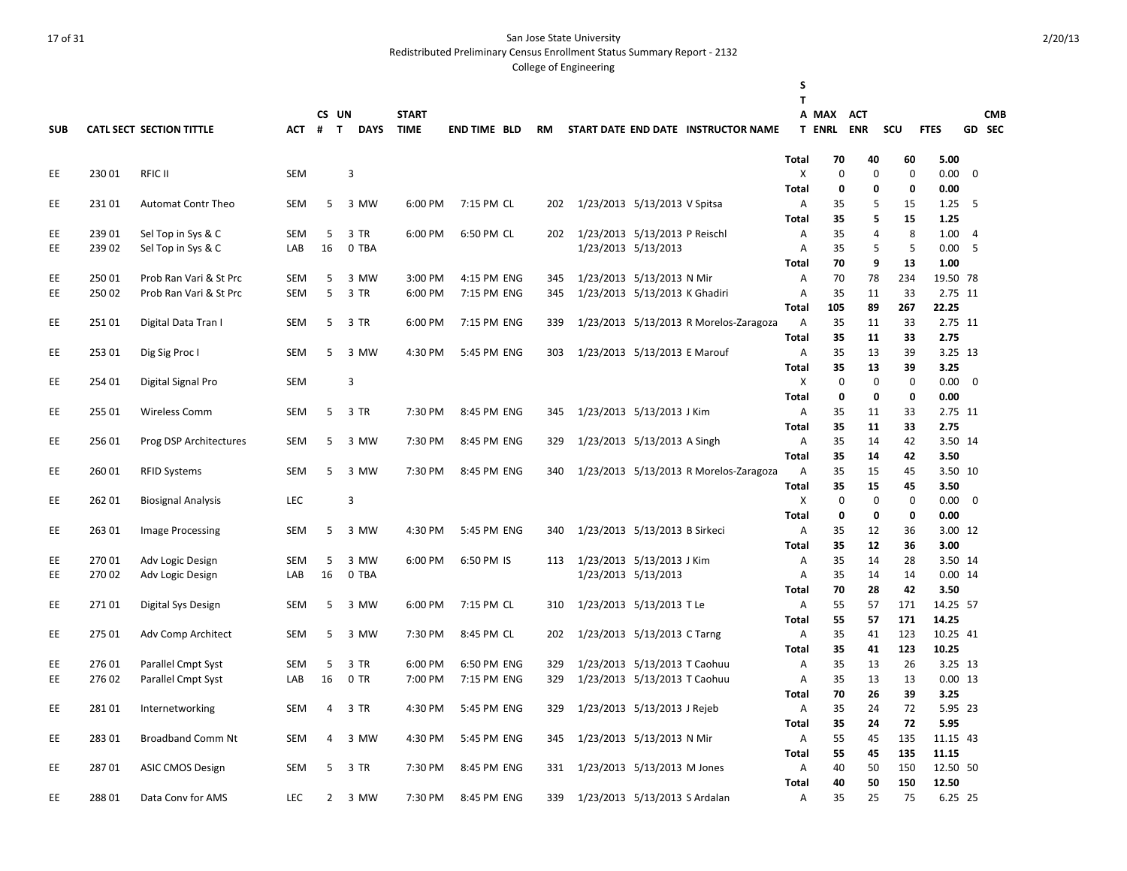Redistributed Preliminary Census Enrollment Status Summary Report - 2132

|            |        |                           |            |                |             |              |                     |           |                               |                               |                                        | S                 |               |             |             |                 |                |            |
|------------|--------|---------------------------|------------|----------------|-------------|--------------|---------------------|-----------|-------------------------------|-------------------------------|----------------------------------------|-------------------|---------------|-------------|-------------|-----------------|----------------|------------|
|            |        |                           |            | CS UN          |             | <b>START</b> |                     |           |                               |                               |                                        | T                 | A MAX         | <b>ACT</b>  |             |                 |                | <b>CMB</b> |
| <b>SUB</b> |        | CATL SECT SECTION TITTLE  | <b>ACT</b> | $#$ T          | <b>DAYS</b> | <b>TIME</b>  | <b>END TIME BLD</b> | <b>RM</b> |                               |                               | START DATE END DATE INSTRUCTOR NAME    |                   | <b>T ENRL</b> | <b>ENR</b>  | SCU         | <b>FTES</b>     |                | GD SEC     |
|            |        |                           |            |                |             |              |                     |           |                               |                               |                                        |                   |               |             |             |                 |                |            |
|            |        |                           |            |                |             |              |                     |           |                               |                               |                                        | Total             | 70            | 40          | 60          | 5.00            |                |            |
| EE         | 23001  | <b>RFIC II</b>            | <b>SEM</b> |                | 3           |              |                     |           |                               |                               |                                        | Χ                 | $\mathbf 0$   | 0           | $\mathbf 0$ | 0.00            | $\mathbf 0$    |            |
|            |        |                           |            |                |             |              |                     |           |                               |                               |                                        | Total             | $\mathbf 0$   | 0           | 0           | 0.00            |                |            |
| EE         | 23101  | <b>Automat Contr Theo</b> | SEM        | 5              | 3 MW        | 6:00 PM      | 7:15 PM CL          | 202       |                               | 1/23/2013 5/13/2013 V Spitsa  |                                        | Α                 | 35            | 5           | 15          | 1.25            | 5              |            |
|            |        |                           |            |                |             |              |                     |           |                               |                               |                                        | <b>Total</b>      | 35            | 5           | 15          | 1.25            |                |            |
| EE         | 239 01 | Sel Top in Sys & C        | <b>SEM</b> | 5              | 3 TR        | 6:00 PM      | 6:50 PM CL          | 202       |                               | 1/23/2013 5/13/2013 P Reischl |                                        | Α                 | 35            | 4           | 8           | 1.00            | $\overline{4}$ |            |
| EE         | 23902  | Sel Top in Sys & C        | LAB        | 16             | 0 TBA       |              |                     |           |                               | 1/23/2013 5/13/2013           |                                        | Α                 | 35            | 5           | 5           | 0.00            | 5              |            |
|            |        |                           |            |                |             |              |                     |           |                               |                               |                                        | <b>Total</b>      | 70            | 9           | 13          | 1.00            |                |            |
| EE         | 25001  | Prob Ran Vari & St Prc    | SEM        | 5              | 3 MW        | 3:00 PM      | 4:15 PM ENG         | 345       |                               | 1/23/2013 5/13/2013 N Mir     |                                        | Α                 | 70            | 78          | 234         | 19.50 78        |                |            |
| EE         | 25002  | Prob Ran Vari & St Prc    | <b>SEM</b> | 5              | 3 TR        | 6:00 PM      | 7:15 PM ENG         | 345       |                               | 1/23/2013 5/13/2013 K Ghadiri |                                        | Α                 | 35            | 11          | 33          | 2.75 11         |                |            |
|            |        |                           |            |                |             |              |                     |           |                               |                               |                                        | Total             | 105           | 89          | 267         | 22.25           |                |            |
| EE         | 25101  | Digital Data Tran I       | <b>SEM</b> | 5              | 3 TR        | 6:00 PM      | 7:15 PM ENG         | 339       |                               |                               | 1/23/2013 5/13/2013 R Morelos-Zaragoza | Α                 | 35            | 11          | 33          | 2.75 11         |                |            |
|            |        |                           |            |                |             |              |                     |           |                               |                               |                                        | <b>Total</b>      | 35            | 11          | 33          | 2.75            |                |            |
| EE         | 25301  | Dig Sig Proc I            | <b>SEM</b> | 5              | 3 MW        | 4:30 PM      | 5:45 PM ENG         | 303       |                               | 1/23/2013 5/13/2013 E Marouf  |                                        | Α                 | 35            | 13          | 39          | 3.25 13         |                |            |
|            |        |                           |            |                |             |              |                     |           |                               |                               |                                        | <b>Total</b>      | 35            | 13          | 39          | 3.25            |                |            |
| <b>EE</b>  | 254 01 | Digital Signal Pro        | <b>SEM</b> |                | 3           |              |                     |           |                               |                               |                                        | Χ                 | $\mathbf 0$   | $\mathbf 0$ | $\mathbf 0$ | 0.00            | $\mathbf 0$    |            |
|            |        |                           |            |                |             |              |                     |           |                               |                               |                                        | <b>Total</b>      | 0             | 0           | $\mathbf 0$ | 0.00            |                |            |
| EE         | 255 01 | <b>Wireless Comm</b>      | <b>SEM</b> | 5              | 3 TR        | 7:30 PM      | 8:45 PM ENG         | 345       |                               | 1/23/2013 5/13/2013 J Kim     |                                        | Α                 | 35            | 11          | 33          | 2.75 11         |                |            |
|            |        |                           |            |                |             |              |                     |           |                               |                               |                                        | <b>Total</b>      | 35            | 11          | 33          | 2.75            |                |            |
| EE         | 256 01 | Prog DSP Architectures    | <b>SEM</b> | 5              | 3 MW        | 7:30 PM      | 8:45 PM ENG         | 329       |                               | 1/23/2013 5/13/2013 A Singh   |                                        | Α                 | 35            | 14          | 42          | 3.50 14         |                |            |
| EE         | 260 01 |                           | SEM        | 5              | 3 MW        | 7:30 PM      | 8:45 PM ENG         |           |                               |                               |                                        | Total             | 35<br>35      | 14          | 42<br>45    | 3.50<br>3.50 10 |                |            |
|            |        | <b>RFID Systems</b>       |            |                |             |              |                     | 340       |                               |                               | 1/23/2013 5/13/2013 R Morelos-Zaragoza | Α<br><b>Total</b> | 35            | 15<br>15    | 45          | 3.50            |                |            |
| EE         | 262 01 | <b>Biosignal Analysis</b> | <b>LEC</b> |                | 3           |              |                     |           |                               |                               |                                        | X                 | $\mathbf 0$   | $\mathbf 0$ | 0           | 0.00            | $\mathbf 0$    |            |
|            |        |                           |            |                |             |              |                     |           |                               |                               |                                        | <b>Total</b>      | 0             | 0           | 0           | 0.00            |                |            |
| EE         | 263 01 | Image Processing          | SEM        | 5              | 3 MW        | 4:30 PM      | 5:45 PM ENG         | 340       |                               | 1/23/2013 5/13/2013 B Sirkeci |                                        | Α                 | 35            | 12          | 36          | 3.00 12         |                |            |
|            |        |                           |            |                |             |              |                     |           |                               |                               |                                        | <b>Total</b>      | 35            | 12          | 36          | 3.00            |                |            |
| EE         | 27001  | Adv Logic Design          | <b>SEM</b> | 5              | 3 MW        | 6:00 PM      | 6:50 PM IS          | 113       |                               | 1/23/2013 5/13/2013 J Kim     |                                        | Α                 | 35            | 14          | 28          | 3.50 14         |                |            |
| EE         | 27002  | Adv Logic Design          | LAB        | 16             | 0 TBA       |              |                     |           |                               | 1/23/2013 5/13/2013           |                                        | Α                 | 35            | 14          | 14          | $0.00$ 14       |                |            |
|            |        |                           |            |                |             |              |                     |           |                               |                               |                                        | Total             | 70            | 28          | 42          | 3.50            |                |            |
| EE         | 27101  | Digital Sys Design        | <b>SEM</b> | 5              | 3 MW        | 6:00 PM      | 7:15 PM CL          | 310       |                               | 1/23/2013 5/13/2013 T Le      |                                        | Α                 | 55            | 57          | 171         | 14.25 57        |                |            |
|            |        |                           |            |                |             |              |                     |           |                               |                               |                                        | <b>Total</b>      | 55            | 57          | 171         | 14.25           |                |            |
| EE         | 275 01 | Adv Comp Architect        | <b>SEM</b> | 5              | 3 MW        | 7:30 PM      | 8:45 PM CL          | 202       |                               | 1/23/2013 5/13/2013 C Tarng   |                                        | Α                 | 35            | 41          | 123         | 10.25 41        |                |            |
|            |        |                           |            |                |             |              |                     |           |                               |                               |                                        | <b>Total</b>      | 35            | 41          | 123         | 10.25           |                |            |
| EE         | 276 01 | Parallel Cmpt Syst        | <b>SEM</b> | 5              | 3 TR        | 6:00 PM      | 6:50 PM ENG         | 329       |                               | 1/23/2013 5/13/2013 T Caohuu  |                                        | Α                 | 35            | 13          | 26          | 3.25 13         |                |            |
| EE         | 27602  | Parallel Cmpt Syst        | LAB        | 16             | $0$ TR      | 7:00 PM      | 7:15 PM ENG         | 329       |                               | 1/23/2013 5/13/2013 T Caohuu  |                                        | Α                 | 35            | 13          | 13          | $0.00$ 13       |                |            |
|            |        |                           |            |                |             |              |                     |           |                               |                               |                                        | Total             | 70            | 26          | 39          | 3.25            |                |            |
| EE         | 28101  | Internetworking           | <b>SEM</b> | 4              | 3 TR        | 4:30 PM      | 5:45 PM ENG         | 329       |                               | 1/23/2013 5/13/2013 J Rejeb   |                                        | Α                 | 35            | 24          | 72          | 5.95 23         |                |            |
|            |        |                           |            |                |             |              |                     |           |                               |                               |                                        | <b>Total</b>      | 35            | 24          | 72          | 5.95            |                |            |
| EE         | 28301  | <b>Broadband Comm Nt</b>  | <b>SEM</b> | 4              | 3 MW        | 4:30 PM      | 5:45 PM ENG         | 345       |                               | 1/23/2013 5/13/2013 N Mir     |                                        | Α                 | 55            | 45          | 135         | 11.15 43        |                |            |
|            |        |                           |            |                |             |              |                     |           |                               |                               |                                        | <b>Total</b>      | 55            | 45          | 135         | 11.15           |                |            |
| EE         | 28701  | <b>ASIC CMOS Design</b>   | <b>SEM</b> | 5              | 3 TR        | 7:30 PM      | 8:45 PM ENG         | 331       |                               | 1/23/2013 5/13/2013 M Jones   |                                        | Α                 | 40            | 50          | 150         | 12.50 50        |                |            |
|            |        |                           |            |                |             |              |                     |           |                               |                               |                                        | <b>Total</b>      | 40            | 50          | 150         | 12.50           |                |            |
| EE         | 28801  | Data Conv for AMS         | <b>LEC</b> | $\overline{2}$ | 3 MW        | 7:30 PM      | 8:45 PM ENG         | 339       | 1/23/2013 5/13/2013 S Ardalan |                               |                                        | A                 | 35            | 25          | 75          | 6.25 25         |                |            |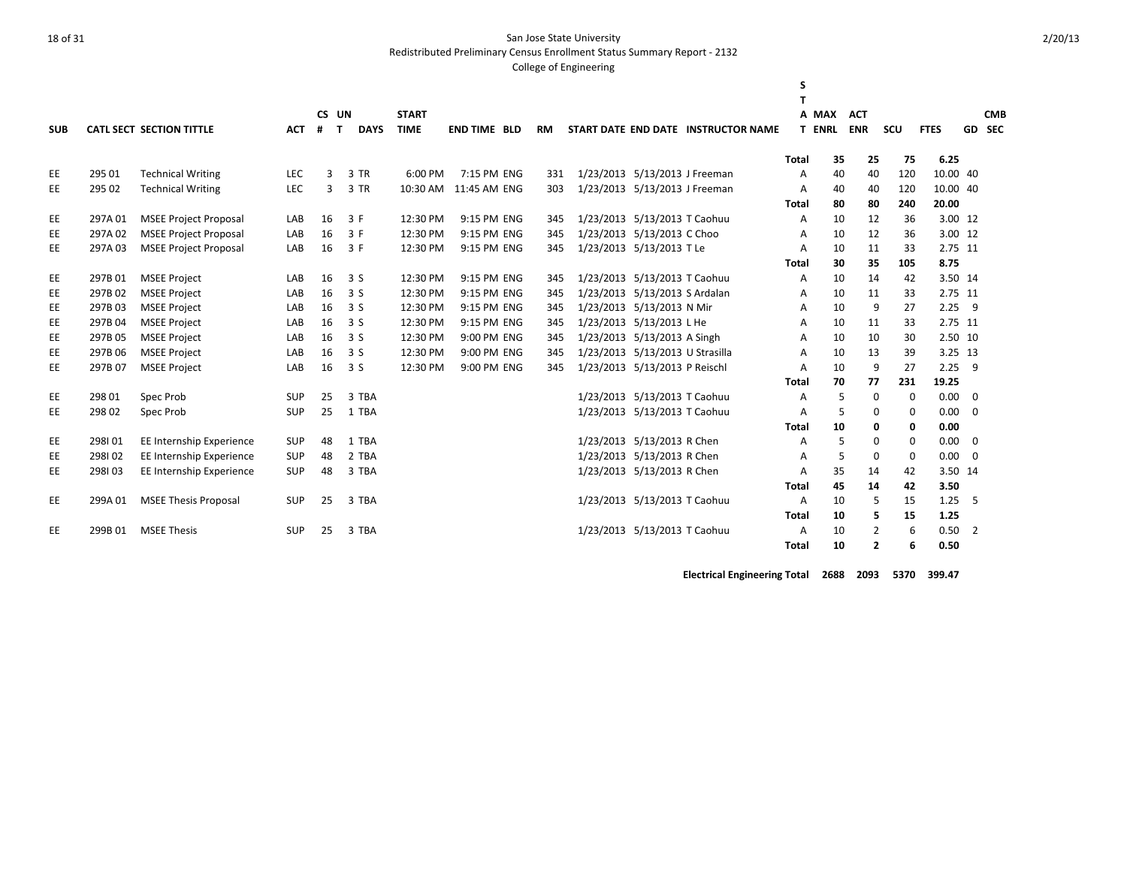Redistributed Preliminary Census Enrollment Status Summary Report - 2132

#### College of Engineering

| <b>SUB</b> |         | <b>CATL SECT SECTION TITTLE</b> | <b>ACT</b> | CS UN<br>$\mathbf{T}$<br># | <b>DAYS</b> | <b>START</b><br><b>TIME</b> | <b>END TIME BLD</b> | <b>RM</b> |                                 | START DATE END DATE INSTRUCTOR NAME | S            | A MAX<br><b>T ENRL</b> | <b>ACT</b><br><b>ENR</b> | <b>SCU</b> | <b>FTES</b> |                | <b>CMB</b><br>GD SEC |
|------------|---------|---------------------------------|------------|----------------------------|-------------|-----------------------------|---------------------|-----------|---------------------------------|-------------------------------------|--------------|------------------------|--------------------------|------------|-------------|----------------|----------------------|
|            |         |                                 |            |                            |             |                             |                     |           |                                 |                                     | <b>Total</b> | 35                     | 25                       | 75         | 6.25        |                |                      |
| EE         | 295 01  | <b>Technical Writing</b>        | <b>LEC</b> | 3                          | 3 TR        | 6:00 PM                     | 7:15 PM ENG         | 331       | 1/23/2013 5/13/2013 J Freeman   |                                     | A            | 40                     | 40                       | 120        | 10.00 40    |                |                      |
| <b>EE</b>  | 295 02  | <b>Technical Writing</b>        | LEC        | 3                          | 3 TR        | 10:30 AM                    | 11:45 AM ENG        | 303       | 1/23/2013 5/13/2013 J Freeman   |                                     | A            | 40                     | 40                       | 120        | 10.00 40    |                |                      |
|            |         |                                 |            |                            |             |                             |                     |           |                                 |                                     | Total        | 80                     | 80                       | 240        | 20.00       |                |                      |
| <b>EE</b>  | 297A01  | <b>MSEE Project Proposal</b>    | LAB        | 16                         | 3 F         | 12:30 PM                    | 9:15 PM ENG         | 345       | 1/23/2013 5/13/2013 T Caohuu    |                                     | A            | 10                     | 12                       | 36         | 3.00 12     |                |                      |
| EE         | 297A02  | <b>MSEE Project Proposal</b>    | LAB        | 16                         | 3 F         | 12:30 PM                    | 9:15 PM ENG         | 345       | 1/23/2013 5/13/2013 C Choo      |                                     | A            | 10                     | 12                       | 36         | 3.00 12     |                |                      |
| <b>EE</b>  | 297A03  | <b>MSEE Project Proposal</b>    | LAB        | 16                         | 3 F         | 12:30 PM                    | 9:15 PM ENG         | 345       | 1/23/2013 5/13/2013 T Le        |                                     | A            | 10                     | 11                       | 33         | 2.75 11     |                |                      |
|            |         |                                 |            |                            |             |                             |                     |           |                                 |                                     | Total        | 30                     | 35                       | 105        | 8.75        |                |                      |
| EE         | 297B01  | <b>MSEE Project</b>             | LAB        | 16                         | 3S          | 12:30 PM                    | 9:15 PM ENG         | 345       | 1/23/2013 5/13/2013 T Caohuu    |                                     | A            | 10                     | 14                       | 42         | 3.50 14     |                |                      |
| EE         | 297B02  | <b>MSEE Project</b>             | LAB        | 16                         | 3S          | 12:30 PM                    | 9:15 PM ENG         | 345       | 1/23/2013 5/13/2013 S Ardalan   |                                     | A            | 10                     | 11                       | 33         | 2.75 11     |                |                      |
| <b>EE</b>  | 297B03  | <b>MSEE Project</b>             | LAB        | 16                         | 3S          | 12:30 PM                    | 9:15 PM ENG         | 345       | 1/23/2013 5/13/2013 N Mir       |                                     | A            | 10                     | 9                        | 27         | 2.25        | 9              |                      |
| <b>EE</b>  | 297B04  | <b>MSEE Project</b>             | LAB        | 16                         | 3S          | 12:30 PM                    | 9:15 PM ENG         | 345       | 1/23/2013 5/13/2013 L He        |                                     | A            | 10                     | 11                       | 33         | 2.75 11     |                |                      |
| <b>EE</b>  | 297B05  | <b>MSEE Project</b>             | LAB        | 16                         | 3S          | 12:30 PM                    | 9:00 PM ENG         | 345       | 1/23/2013 5/13/2013 A Singh     |                                     | A            | 10                     | 10                       | 30         | 2.50 10     |                |                      |
| <b>EE</b>  | 297B 06 | <b>MSEE Project</b>             | LAB        | 16                         | 3S          | 12:30 PM                    | 9:00 PM ENG         | 345       | 1/23/2013 5/13/2013 U Strasilla |                                     | A            | 10                     | 13                       | 39         | 3.25 13     |                |                      |
| <b>EE</b>  | 297B 07 | <b>MSEE Project</b>             | LAB        | 16                         | 3S          | 12:30 PM                    | 9:00 PM ENG         | 345       | 1/23/2013 5/13/2013 P Reischl   |                                     | A            | 10                     | 9                        | 27         | 2.25        | 9              |                      |
|            |         |                                 |            |                            |             |                             |                     |           |                                 |                                     | <b>Total</b> | 70                     | 77                       | 231        | 19.25       |                |                      |
| EE         | 298 01  | Spec Prob                       | <b>SUP</b> | 25                         | 3 TBA       |                             |                     |           | 1/23/2013 5/13/2013 T Caohuu    |                                     | A            | 5                      | $\mathbf 0$              | 0          | 0.00        | 0              |                      |
| EE         | 298 02  | Spec Prob                       | <b>SUP</b> | 25                         | 1 TBA       |                             |                     |           | 1/23/2013 5/13/2013 T Caohuu    |                                     | A            | 5                      | $\Omega$                 | $\Omega$   | 0.00        | $\Omega$       |                      |
|            |         |                                 |            |                            |             |                             |                     |           |                                 |                                     | <b>Total</b> | 10                     | 0                        | 0          | 0.00        |                |                      |
| EE         | 298101  | EE Internship Experience        | <b>SUP</b> | 48                         | 1 TBA       |                             |                     |           | 1/23/2013 5/13/2013 R Chen      |                                     | A            | 5                      | $\mathbf 0$              | $\Omega$   | 0.00        | 0              |                      |
| EE         | 298102  | EE Internship Experience        | <b>SUP</b> | 48                         | 2 TBA       |                             |                     |           | 1/23/2013 5/13/2013 R Chen      |                                     | A            | 5                      | 0                        | 0          | 0.00        | $\mathbf 0$    |                      |
| <b>EE</b>  | 298103  | EE Internship Experience        | <b>SUP</b> | 48                         | 3 TBA       |                             |                     |           | 1/23/2013 5/13/2013 R Chen      |                                     | A            | 35                     | 14                       | 42         | 3.50 14     |                |                      |
|            |         |                                 |            |                            |             |                             |                     |           |                                 |                                     | Total        | 45                     | 14                       | 42         | 3.50        |                |                      |
| EE         | 299A01  | <b>MSEE Thesis Proposal</b>     | <b>SUP</b> | 25                         | 3 TBA       |                             |                     |           | 1/23/2013 5/13/2013 T Caohuu    |                                     | A            | 10                     | 5                        | 15         | 1.25        | 5              |                      |
|            |         |                                 |            |                            |             |                             |                     |           |                                 |                                     | <b>Total</b> | 10                     | 5                        | 15         | 1.25        |                |                      |
| EE         | 299B01  | <b>MSEE Thesis</b>              | <b>SUP</b> | 25                         | 3 TBA       |                             |                     |           | 1/23/2013 5/13/2013 T Caohuu    |                                     | A            | 10                     | 2                        | 6          | 0.50        | $\overline{2}$ |                      |
|            |         |                                 |            |                            |             |                             |                     |           |                                 |                                     | <b>Total</b> | 10                     | $\overline{2}$           | 6          | 0.50        |                |                      |

**Electrical Engineering Total 2688 2093 5370 399.47**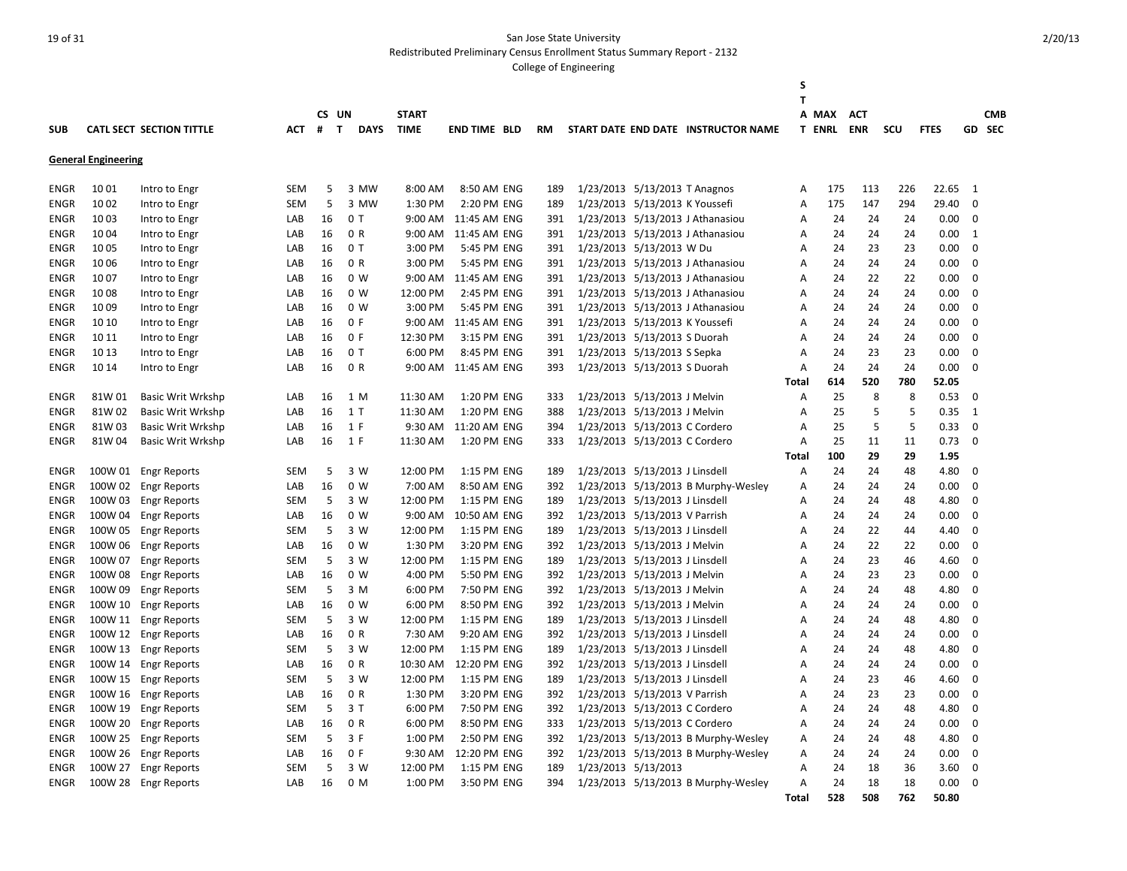Redistributed Preliminary Census Enrollment Status Summary Report - 2132

|             |                            |                                 |            |                   |                |              |                      |           |                                |                                |                                     | S<br>т |               |            |            |             |             |            |
|-------------|----------------------------|---------------------------------|------------|-------------------|----------------|--------------|----------------------|-----------|--------------------------------|--------------------------------|-------------------------------------|--------|---------------|------------|------------|-------------|-------------|------------|
|             |                            |                                 |            | CS UN             |                | <b>START</b> |                      |           |                                |                                |                                     |        | A MAX         | <b>ACT</b> |            |             |             | <b>CMB</b> |
| <b>SUB</b>  |                            | <b>CATL SECT SECTION TITTLE</b> | ACT        | $\mathbf{T}$<br># | <b>DAYS</b>    | <b>TIME</b>  | <b>END TIME BLD</b>  | <b>RM</b> |                                |                                | START DATE END DATE INSTRUCTOR NAME |        | <b>T ENRL</b> | <b>ENR</b> | <b>SCU</b> | <b>FTES</b> |             | GD SEC     |
|             |                            |                                 |            |                   |                |              |                      |           |                                |                                |                                     |        |               |            |            |             |             |            |
|             | <b>General Engineering</b> |                                 |            |                   |                |              |                      |           |                                |                                |                                     |        |               |            |            |             |             |            |
| <b>ENGR</b> | 1001                       | Intro to Engr                   | <b>SEM</b> | 5                 | 3 MW           | 8:00 AM      | 8:50 AM ENG          | 189       |                                | 1/23/2013 5/13/2013 T Anagnos  |                                     | Α      | 175           | 113        | 226        | 22.65       | 1           |            |
| <b>ENGR</b> | 10 02                      | Intro to Engr                   | <b>SEM</b> | 5                 | 3 MW           | 1:30 PM      | 2:20 PM ENG          | 189       |                                | 1/23/2013 5/13/2013 K Youssefi |                                     | Α      | 175           | 147        | 294        | 29.40       | $\mathbf 0$ |            |
| ENGR        | 1003                       | Intro to Engr                   | LAB        | 16                | 0 T            | $9:00$ AM    | 11:45 AM ENG         | 391       |                                |                                | 1/23/2013 5/13/2013 J Athanasiou    | Α      | 24            | 24         | 24         | 0.00        | 0           |            |
| <b>ENGR</b> | 1004                       | Intro to Engr                   | LAB        | 16                | 0 R            | 9:00 AM      | 11:45 AM ENG         | 391       |                                |                                | 1/23/2013 5/13/2013 J Athanasiou    | Α      | 24            | 24         | 24         | 0.00        | 1           |            |
| <b>ENGR</b> | 1005                       | Intro to Engr                   | LAB        | 16                | 0T             | 3:00 PM      | 5:45 PM ENG          | 391       | 1/23/2013 5/13/2013 W Du       |                                |                                     | Α      | 24            | 23         | 23         | 0.00        | $\mathbf 0$ |            |
| ENGR        | 1006                       | Intro to Engr                   | LAB        | 16                | 0 R            | 3:00 PM      | 5:45 PM ENG          | 391       |                                |                                | 1/23/2013 5/13/2013 J Athanasiou    | Α      | 24            | 24         | 24         | 0.00        | 0           |            |
| ENGR        | 1007                       | Intro to Engr                   | LAB        | 16                | 0 <sub>W</sub> | 9:00 AM      | 11:45 AM ENG         | 391       |                                |                                | 1/23/2013 5/13/2013 J Athanasiou    | Α      | 24            | 22         | 22         | 0.00        | $\mathbf 0$ |            |
| <b>ENGR</b> | 1008                       | Intro to Engr                   | LAB        | 16                | 0 W            | 12:00 PM     | 2:45 PM ENG          | 391       |                                |                                | 1/23/2013 5/13/2013 J Athanasiou    | Α      | 24            | 24         | 24         | 0.00        | $\mathbf 0$ |            |
| ENGR        | 1009                       | Intro to Engr                   | LAB        | 16                | 0 W            | 3:00 PM      | 5:45 PM ENG          | 391       |                                |                                | 1/23/2013 5/13/2013 J Athanasiou    | A      | 24            | 24         | 24         | 0.00        | $\mathbf 0$ |            |
| <b>ENGR</b> | 10 10                      | Intro to Engr                   | LAB        | 16                | 0 F            | 9:00 AM      | 11:45 AM ENG         | 391       | 1/23/2013 5/13/2013 K Youssefi |                                |                                     | Α      | 24            | 24         | 24         | 0.00        | $\Omega$    |            |
| <b>ENGR</b> | 10 11                      | Intro to Engr                   | LAB        | 16                | 0 F            | 12:30 PM     | 3:15 PM ENG          | 391       | 1/23/2013 5/13/2013 S Duorah   |                                |                                     | Α      | 24            | 24         | 24         | 0.00        | $\mathbf 0$ |            |
| <b>ENGR</b> | 10 13                      | Intro to Engr                   | LAB        | 16                | 0T             | 6:00 PM      | 8:45 PM ENG          | 391       | 1/23/2013 5/13/2013 S Sepka    |                                |                                     | Α      | 24            | 23         | 23         | 0.00        | $\mathbf 0$ |            |
| ENGR        | 10 14                      | Intro to Engr                   | LAB        | 16                | 0 R            |              | 9:00 AM 11:45 AM ENG | 393       |                                | 1/23/2013 5/13/2013 S Duorah   |                                     | Α      | 24            | 24         | 24         | 0.00        | $\Omega$    |            |
|             |                            |                                 |            |                   |                |              |                      |           |                                |                                |                                     | Total  | 614           | 520        | 780        | 52.05       |             |            |
| <b>ENGR</b> | 81W 01                     | <b>Basic Writ Wrkshp</b>        | LAB        | 16                | 1 M            | 11:30 AM     | 1:20 PM ENG          | 333       |                                | 1/23/2013 5/13/2013 J Melvin   |                                     | Α      | 25            | 8          | 8          | 0.53        | $\mathbf 0$ |            |
| ENGR        | 81W 02                     | <b>Basic Writ Wrkshp</b>        | LAB        | 16                | 1 T            | 11:30 AM     | 1:20 PM ENG          | 388       |                                | 1/23/2013 5/13/2013 J Melvin   |                                     | Α      | 25            | 5          | 5          | 0.35        | 1           |            |
| <b>ENGR</b> | 81W 03                     | <b>Basic Writ Wrkshp</b>        | LAB        | 16                | 1 F            | 9:30 AM      | 11:20 AM ENG         | 394       |                                | 1/23/2013 5/13/2013 C Cordero  |                                     | Α      | 25            | 5          | 5          | 0.33        | $\mathbf 0$ |            |
| <b>ENGR</b> | 81W 04                     | <b>Basic Writ Wrkshp</b>        | LAB        | 16                | 1 F            | 11:30 AM     | 1:20 PM ENG          | 333       |                                | 1/23/2013 5/13/2013 C Cordero  |                                     | Α      | 25            | 11         | 11         | 0.73        | $\mathbf 0$ |            |
|             |                            |                                 |            |                   |                |              |                      |           |                                |                                |                                     | Total  | 100           | 29         | 29         | 1.95        |             |            |
| <b>ENGR</b> | 100W 01                    | <b>Engr Reports</b>             | <b>SEM</b> | 5                 | 3 W            | 12:00 PM     | 1:15 PM ENG          | 189       |                                | 1/23/2013 5/13/2013 J Linsdell |                                     | Α      | 24            | 24         | 48         | 4.80        | $\Omega$    |            |
| <b>ENGR</b> | 100W 02                    | <b>Engr Reports</b>             | LAB        | 16                | 0 <sub>W</sub> | 7:00 AM      | 8:50 AM ENG          | 392       |                                |                                | 1/23/2013 5/13/2013 B Murphy-Wesley | Α      | 24            | 24         | 24         | 0.00        | $\mathbf 0$ |            |
| ENGR        | 100W 03                    | <b>Engr Reports</b>             | <b>SEM</b> | 5                 | 3 W            | 12:00 PM     | 1:15 PM ENG          | 189       |                                | 1/23/2013 5/13/2013 J Linsdell |                                     | A      | 24            | 24         | 48         | 4.80        | $\mathbf 0$ |            |
| ENGR        | 100W 04                    | <b>Engr Reports</b>             | LAB        | 16                | 0 <sub>W</sub> | 9:00 AM      | 10:50 AM ENG         | 392       | 1/23/2013 5/13/2013 V Parrish  |                                |                                     | Α      | 24            | 24         | 24         | 0.00        | $\Omega$    |            |
| <b>ENGR</b> | 100W 05                    | <b>Engr Reports</b>             | <b>SEM</b> | 5                 | 3 W            | 12:00 PM     | 1:15 PM ENG          | 189       |                                | 1/23/2013 5/13/2013 J Linsdell |                                     | A      | 24            | 22         | 44         | 4.40        | $\mathbf 0$ |            |
| ENGR        | 100W 06                    | <b>Engr Reports</b>             | LAB        | 16                | 0 W            | 1:30 PM      | 3:20 PM ENG          | 392       | 1/23/2013 5/13/2013 J Melvin   |                                |                                     | A      | 24            | 22         | 22         | 0.00        | $\Omega$    |            |
| ENGR        | 100W 07                    | <b>Engr Reports</b>             | <b>SEM</b> | 5                 | 3 W            | 12:00 PM     | 1:15 PM ENG          | 189       |                                | 1/23/2013 5/13/2013 J Linsdell |                                     | A      | 24            | 23         | 46         | 4.60        | $\Omega$    |            |
| <b>ENGR</b> | 100W 08                    | <b>Engr Reports</b>             | LAB        | 16                | 0 W            | 4:00 PM      | 5:50 PM ENG          | 392       | 1/23/2013 5/13/2013 J Melvin   |                                |                                     | Α      | 24            | 23         | 23         | 0.00        | $\mathbf 0$ |            |
| <b>ENGR</b> | 100W 09                    | <b>Engr Reports</b>             | <b>SEM</b> | 5                 | 3 M            | 6:00 PM      | 7:50 PM ENG          | 392       | 1/23/2013 5/13/2013 J Melvin   |                                |                                     | Α      | 24            | 24         | 48         | 4.80        | $\mathbf 0$ |            |
| ENGR        | 100W 10                    | <b>Engr Reports</b>             | LAB        | 16                | 0 W            | 6:00 PM      | 8:50 PM ENG          | 392       |                                | 1/23/2013 5/13/2013 J Melvin   |                                     | Α      | 24            | 24         | 24         | 0.00        | $\mathbf 0$ |            |
| <b>ENGR</b> | 100W 11                    | <b>Engr Reports</b>             | <b>SEM</b> | 5                 | 3 W            | 12:00 PM     | 1:15 PM ENG          | 189       |                                | 1/23/2013 5/13/2013 J Linsdell |                                     | Α      | 24            | 24         | 48         | 4.80        | $\mathbf 0$ |            |
| <b>ENGR</b> | 100W 12                    | <b>Engr Reports</b>             | LAB        | 16                | 0 R            | 7:30 AM      | 9:20 AM ENG          | 392       |                                | 1/23/2013 5/13/2013 J Linsdell |                                     | Α      | 24            | 24         | 24         | 0.00        | $\mathbf 0$ |            |
| ENGR        | 100W 13                    | <b>Engr Reports</b>             | <b>SEM</b> | 5                 | 3 W            | 12:00 PM     | 1:15 PM ENG          | 189       |                                | 1/23/2013 5/13/2013 J Linsdell |                                     | A      | 24            | 24         | 48         | 4.80        | $\Omega$    |            |
| <b>ENGR</b> | 100W 14                    | <b>Engr Reports</b>             | LAB        | 16                | 0 R            | 10:30 AM     | 12:20 PM ENG         | 392       |                                | 1/23/2013 5/13/2013 J Linsdell |                                     | Α      | 24            | 24         | 24         | 0.00        | $\mathbf 0$ |            |
| <b>ENGR</b> | 100W 15                    | <b>Engr Reports</b>             | <b>SEM</b> | 5                 | 3 W            | 12:00 PM     | 1:15 PM ENG          | 189       |                                | 1/23/2013 5/13/2013 J Linsdell |                                     | Α      | 24            | 23         | 46         | 4.60        | $\mathbf 0$ |            |
| ENGR        | 100W 16                    | <b>Engr Reports</b>             | LAB        | 16                | 0 R            | 1:30 PM      | 3:20 PM ENG          | 392       | 1/23/2013 5/13/2013 V Parrish  |                                |                                     | Α      | 24            | 23         | 23         | 0.00        | 0           |            |
| ENGR        | 100W 19                    | <b>Engr Reports</b>             | SEM        | 5                 | 3 T            | 6:00 PM      | 7:50 PM ENG          | 392       | 1/23/2013 5/13/2013 C Cordero  |                                |                                     | Α      | 24            | 24         | 48         | 4.80        | $\mathbf 0$ |            |
| <b>ENGR</b> | 100W 20                    | <b>Engr Reports</b>             | LAB        | 16                | 0 R            | 6:00 PM      | 8:50 PM ENG          | 333       |                                | 1/23/2013 5/13/2013 C Cordero  |                                     | Α      | 24            | 24         | 24         | 0.00        | $\mathbf 0$ |            |
| ENGR        | 100W 25                    | <b>Engr Reports</b>             | <b>SEM</b> | 5                 | 3 F            | 1:00 PM      | 2:50 PM ENG          | 392       |                                |                                | 1/23/2013 5/13/2013 B Murphy-Wesley | A      | 24            | 24         | 48         | 4.80        | 0           |            |
| ENGR        | 100W 26                    | <b>Engr Reports</b>             | LAB        | 16                | 0 F            | 9:30 AM      | 12:20 PM ENG         | 392       |                                |                                | 1/23/2013 5/13/2013 B Murphy-Wesley | Α      | 24            | 24         | 24         | 0.00        | 0           |            |
| <b>ENGR</b> | 100W 27                    | <b>Engr Reports</b>             | <b>SEM</b> | 5                 | 3 W            | 12:00 PM     | 1:15 PM ENG          | 189       | 1/23/2013 5/13/2013            |                                |                                     | A      | 24            | 18         | 36         | 3.60        | $\Omega$    |            |
| ENGR        |                            | 100W 28 Engr Reports            | LAB        | 16                | 0 M            | 1:00 PM      | 3:50 PM ENG          | 394       |                                |                                | 1/23/2013 5/13/2013 B Murphy-Wesley | A      | 24            | 18         | 18         | 0.00        | $\Omega$    |            |
|             |                            |                                 |            |                   |                |              |                      |           |                                |                                |                                     | Total  | 528           | 508        | 762        | 50.80       |             |            |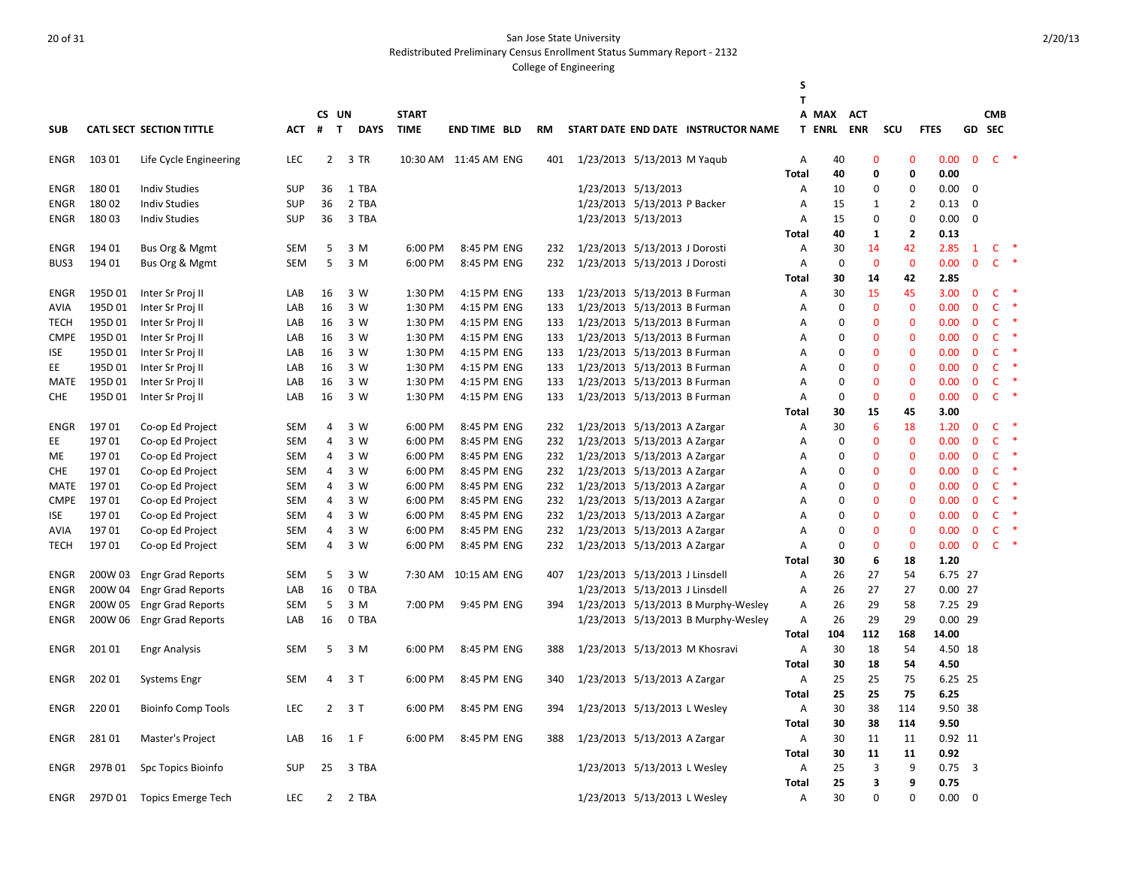Redistributed Preliminary Census Enrollment Status Summary Report - 2132

|                            |                    |                                 |                   |                |                       |              |                             |                        |     |                                |                                                                            | S            |                        |                          |                   |                      |              |                      |               |
|----------------------------|--------------------|---------------------------------|-------------------|----------------|-----------------------|--------------|-----------------------------|------------------------|-----|--------------------------------|----------------------------------------------------------------------------|--------------|------------------------|--------------------------|-------------------|----------------------|--------------|----------------------|---------------|
|                            |                    |                                 |                   |                |                       |              |                             |                        |     |                                |                                                                            | T            |                        |                          |                   |                      |              |                      |               |
| <b>SUB</b>                 |                    | <b>CATL SECT SECTION TITTLE</b> | АСТ               | #              | CS UN<br>$\mathbf{T}$ | <b>DAYS</b>  | <b>START</b><br><b>TIME</b> | <b>END TIME BLD</b>    | RM  |                                | START DATE END DATE INSTRUCTOR NAME                                        |              | A MAX<br><b>T ENRL</b> | <b>ACT</b><br><b>ENR</b> | SCU               | <b>FTES</b>          |              | <b>CMB</b><br>GD SEC |               |
|                            |                    |                                 |                   |                |                       |              |                             |                        |     |                                |                                                                            |              |                        |                          |                   |                      |              |                      |               |
| ENGR                       | 103 01             | Life Cycle Engineering          | <b>LEC</b>        |                | $\overline{2}$        | 3 TR         |                             | 10:30 AM  11:45 AM ENG | 401 | 1/23/2013 5/13/2013 M Yaqub    |                                                                            | Α            | 40                     | 0                        | $\mathbf 0$       | 0.00                 | $\mathbf 0$  |                      | $C$ *         |
|                            |                    |                                 |                   |                |                       |              |                             |                        |     |                                |                                                                            | <b>Total</b> | 40                     | 0                        | 0                 | 0.00                 |              |                      |               |
| ENGR                       | 18001              | <b>Indiv Studies</b>            | <b>SUP</b>        | 36             |                       | 1 TBA        |                             |                        |     | 1/23/2013 5/13/2013            |                                                                            | Α            | 10                     | $\mathbf 0$              | $\mathbf 0$       | 0.00                 | $\mathbf 0$  |                      |               |
| <b>ENGR</b>                | 18002              | <b>Indiv Studies</b>            | <b>SUP</b>        | 36             |                       | 2 TBA        |                             |                        |     | 1/23/2013 5/13/2013 P Backer   |                                                                            | Α            | 15                     | 1                        | $\overline{2}$    | 0.13                 | $\mathbf 0$  |                      |               |
| <b>ENGR</b>                | 18003              | <b>Indiv Studies</b>            | <b>SUP</b>        | 36             |                       | 3 TBA        |                             |                        |     | 1/23/2013 5/13/2013            |                                                                            | A            | 15                     | $\Omega$                 | $\pmb{0}$         | 0.00                 | $\mathbf 0$  |                      |               |
|                            |                    |                                 |                   |                |                       |              |                             |                        |     |                                |                                                                            | <b>Total</b> | 40                     | 1                        | $\mathbf{2}$      | 0.13                 |              |                      |               |
| <b>ENGR</b>                | 194 01             | Bus Org & Mgmt                  | <b>SEM</b>        | 5              |                       | 3 M          | 6:00 PM                     | 8:45 PM ENG            | 232 | 1/23/2013 5/13/2013 J Dorosti  |                                                                            | Α            | 30                     | 14                       | 42                | 2.85                 | $\mathbf{1}$ | C                    |               |
| BUS3                       | 194 01             | Bus Org & Mgmt                  | <b>SEM</b>        | 5              |                       | 3 M          | 6:00 PM                     | 8:45 PM ENG            | 232 | 1/23/2013 5/13/2013 J Dorosti  |                                                                            | Α            | $\mathbf 0$            | $\mathbf{0}$             | $\mathbf 0$<br>42 | 0.00<br>2.85         | $\mathbf{0}$ | $\mathsf{C}$         |               |
| <b>ENGR</b>                | 195D 01            | Inter Sr Proj II                | LAB               | 16             |                       | 3 W          | 1:30 PM                     | 4:15 PM ENG            | 133 | 1/23/2013 5/13/2013 B Furman   |                                                                            | Total<br>Α   | 30<br>30               | 14<br>15                 | 45                | 3.00                 | $\mathbf 0$  | $\mathsf{C}$         |               |
| AVIA                       | 195D 01            | Inter Sr Proj II                | LAB               | 16             |                       | 3 W          | 1:30 PM                     | 4:15 PM ENG            | 133 | 1/23/2013 5/13/2013 B Furman   |                                                                            | Α            | $\mathbf 0$            | $\mathbf{0}$             | $\mathbf{0}$      | 0.00                 | $\mathbf{0}$ | $\mathsf{C}$         |               |
| <b>TECH</b>                | 195D01             | Inter Sr Proj II                | LAB               | 16             |                       | 3 W          | 1:30 PM                     | 4:15 PM ENG            | 133 | 1/23/2013 5/13/2013 B Furman   |                                                                            | Α            | $\mathbf 0$            | $\Omega$                 | $\Omega$          | 0.00                 | $\mathbf 0$  | $\mathsf{C}$         |               |
| <b>CMPE</b>                | 195D01             | Inter Sr Proj II                | LAB               | 16             |                       | 3 W          | 1:30 PM                     | 4:15 PM ENG            | 133 | 1/23/2013 5/13/2013 B Furman   |                                                                            | A            | $\mathbf 0$            | $\Omega$                 | $\Omega$          | 0.00                 | $\mathbf{0}$ | $\mathsf{C}$         |               |
| ISE                        | 195D 01            | Inter Sr Proj II                | LAB               | 16             |                       | 3 W          | 1:30 PM                     | 4:15 PM ENG            | 133 | 1/23/2013 5/13/2013 B Furman   |                                                                            | Α            | 0                      | $\Omega$                 | $\Omega$          | 0.00                 | $\Omega$     | $\mathsf{C}$         |               |
| EE                         | 195D01             | Inter Sr Proj II                | LAB               | 16             |                       | 3 W          | 1:30 PM                     | 4:15 PM ENG            | 133 | 1/23/2013 5/13/2013 B Furman   |                                                                            | А            | $\mathbf 0$            | $\Omega$                 | $\Omega$          | 0.00                 | $\mathbf{0}$ | C.                   |               |
| MATE                       | 195D01             | Inter Sr Proj II                | LAB               | 16             |                       | 3 W          | 1:30 PM                     | 4:15 PM ENG            | 133 | 1/23/2013 5/13/2013 B Furman   |                                                                            | Α            | $\mathbf 0$            | $\Omega$                 | $\Omega$          | 0.00                 | $\mathbf{0}$ | $\mathsf{C}$         |               |
| <b>CHE</b>                 | 195D01             | Inter Sr Proj II                | LAB               | 16             |                       | 3 W          | 1:30 PM                     | 4:15 PM ENG            | 133 | 1/23/2013 5/13/2013 B Furman   |                                                                            | Α            | $\mathbf 0$            | $\Omega$                 | $\mathbf 0$       | 0.00                 | $\mathbf 0$  | $\mathsf{C}$         |               |
|                            |                    |                                 |                   |                |                       |              |                             |                        |     |                                |                                                                            | <b>Total</b> | 30                     | 15                       | 45                | 3.00                 |              |                      |               |
| ENGR                       | 19701              | Co-op Ed Project                | <b>SEM</b>        | 4              |                       | 3 W          | 6:00 PM                     | 8:45 PM ENG            | 232 | 1/23/2013 5/13/2013 A Zargar   |                                                                            | Α            | 30                     | 6                        | 18                | 1.20                 | $\mathbf{0}$ | $\mathsf{C}$         |               |
| EE                         | 19701              | Co-op Ed Project                | <b>SEM</b>        | $\overline{4}$ |                       | 3 W          | 6:00 PM                     | 8:45 PM ENG            | 232 | 1/23/2013 5/13/2013 A Zargar   |                                                                            | Α            | $\mathbf 0$            | $\mathbf 0$              | $\mathbf 0$       | 0.00                 | $\mathbf{0}$ | $\mathsf{C}$         | $\rightarrow$ |
| ME.                        | 19701              | Co-op Ed Project                | <b>SEM</b>        | 4              |                       | 3 W          | 6:00 PM                     | 8:45 PM ENG            | 232 | 1/23/2013 5/13/2013 A Zargar   |                                                                            | Α            | $\mathbf 0$            | $\Omega$                 | $\Omega$          | 0.00                 | $\mathbf{0}$ | $\mathsf{C}$         | $\rightarrow$ |
| <b>CHE</b>                 | 19701              | Co-op Ed Project                | <b>SEM</b>        | 4              |                       | 3 W          | 6:00 PM                     | 8:45 PM ENG            | 232 | 1/23/2013 5/13/2013 A Zargar   |                                                                            | Α            | $\mathbf 0$            | $\Omega$                 | $\Omega$          | 0.00                 | $\mathbf 0$  | $\mathsf{C}$         | $\rightarrow$ |
| MATE                       | 19701              | Co-op Ed Project                | <b>SEM</b>        | 4              |                       | 3 W          | 6:00 PM                     | 8:45 PM ENG            | 232 | 1/23/2013 5/13/2013 A Zargar   |                                                                            | Α            | $\mathbf 0$            | $\Omega$                 | $\mathbf 0$       | 0.00                 | $\mathbf 0$  | $\mathsf{C}$         |               |
| <b>CMPE</b>                | 197 01             | Co-op Ed Project                | <b>SEM</b>        | 4              |                       | 3 W          | 6:00 PM                     | 8:45 PM ENG            | 232 | 1/23/2013 5/13/2013 A Zargar   |                                                                            | Α            | 0                      | $\mathbf 0$              | $\Omega$          | 0.00                 | $\mathbf{0}$ | $\mathsf{C}$         |               |
| <b>ISE</b>                 | 19701              | Co-op Ed Project                | <b>SEM</b>        | 4              |                       | 3 W          | 6:00 PM                     | 8:45 PM ENG            | 232 | 1/23/2013 5/13/2013 A Zargar   |                                                                            | Α            | $\mathbf 0$            | $\Omega$                 | $\mathbf 0$       | 0.00                 | $\mathbf 0$  | $\mathsf{C}$         |               |
| AVIA                       | 19701              | Co-op Ed Project                | <b>SEM</b>        | $\overline{4}$ |                       | 3 W          | 6:00 PM                     | 8:45 PM ENG            | 232 | 1/23/2013 5/13/2013 A Zargar   |                                                                            | А            | $\mathbf 0$            | $\Omega$                 | $\overline{0}$    | 0.00                 | $\mathbf 0$  | $\mathsf{C}$         |               |
| <b>TECH</b>                | 19701              | Co-op Ed Project                | <b>SEM</b>        | 4              |                       | 3 W          | 6:00 PM                     | 8:45 PM ENG            | 232 | 1/23/2013 5/13/2013 A Zargar   |                                                                            | Α            | 0                      | $\Omega$                 | $\mathbf 0$       | 0.00                 | $\mathbf{0}$ | C                    |               |
|                            |                    |                                 |                   |                |                       |              |                             |                        |     |                                |                                                                            | Total        | 30                     | 6                        | 18                | 1.20                 |              |                      |               |
| ENGR                       | 200W 03            | <b>Engr Grad Reports</b>        | <b>SEM</b>        | 5              |                       | 3 W          | 7:30 AM                     | 10:15 AM ENG           | 407 | 1/23/2013 5/13/2013 J Linsdell |                                                                            | A            | 26                     | 27                       | 54                | 6.75 27              |              |                      |               |
| ENGR                       | 200W 04            | <b>Engr Grad Reports</b>        | LAB               | 16             |                       | 0 TBA        | 7:00 PM                     |                        |     | 1/23/2013 5/13/2013 J Linsdell |                                                                            | Α            | 26                     | 27<br>29                 | 27<br>58          | $0.00$ 27            |              |                      |               |
| <b>ENGR</b><br><b>ENGR</b> | 200W 05<br>200W 06 | <b>Engr Grad Reports</b>        | <b>SEM</b><br>LAB | 5<br>16        |                       | 3 M<br>0 TBA |                             | 9:45 PM ENG            | 394 |                                | 1/23/2013 5/13/2013 B Murphy-Wesley<br>1/23/2013 5/13/2013 B Murphy-Wesley | A<br>A       | 26<br>26               | 29                       | 29                | 7.25 29<br>$0.00$ 29 |              |                      |               |
|                            |                    | <b>Engr Grad Reports</b>        |                   |                |                       |              |                             |                        |     |                                |                                                                            | Total        | 104                    | 112                      | 168               | 14.00                |              |                      |               |
| ENGR                       | 201 01             | <b>Engr Analysis</b>            | <b>SEM</b>        | 5              |                       | 3 M          | 6:00 PM                     | 8:45 PM ENG            | 388 |                                | 1/23/2013 5/13/2013 M Khosravi                                             | Α            | 30                     | 18                       | 54                | 4.50 18              |              |                      |               |
|                            |                    |                                 |                   |                |                       |              |                             |                        |     |                                |                                                                            | Total        | 30                     | 18                       | 54                | 4.50                 |              |                      |               |
| <b>ENGR</b>                | 202 01             | <b>Systems Engr</b>             | <b>SEM</b>        | 4              |                       | 3T           | 6:00 PM                     | 8:45 PM ENG            | 340 | 1/23/2013 5/13/2013 A Zargar   |                                                                            | А            | 25                     | 25                       | 75                | 6.25 25              |              |                      |               |
|                            |                    |                                 |                   |                |                       |              |                             |                        |     |                                |                                                                            | Total        | 25                     | 25                       | 75                | 6.25                 |              |                      |               |
| <b>ENGR</b>                | 22001              | <b>Bioinfo Comp Tools</b>       | <b>LEC</b>        | $\overline{2}$ |                       | 3T           | 6:00 PM                     | 8:45 PM ENG            | 394 | 1/23/2013 5/13/2013 L Wesley   |                                                                            | Α            | 30                     | 38                       | 114               | 9.50 38              |              |                      |               |
|                            |                    |                                 |                   |                |                       |              |                             |                        |     |                                |                                                                            | <b>Total</b> | 30                     | 38                       | 114               | 9.50                 |              |                      |               |
| ENGR                       | 28101              | Master's Project                | LAB               | 16             |                       | 1 F          | 6:00 PM                     | 8:45 PM ENG            | 388 | 1/23/2013 5/13/2013 A Zargar   |                                                                            | Α            | 30                     | 11                       | 11                | 0.92 11              |              |                      |               |
|                            |                    |                                 |                   |                |                       |              |                             |                        |     |                                |                                                                            | <b>Total</b> | 30                     | 11                       | 11                | 0.92                 |              |                      |               |
| ENGR                       | 297B01             | Spc Topics Bioinfo              | <b>SUP</b>        | 25             |                       | 3 TBA        |                             |                        |     | 1/23/2013 5/13/2013 L Wesley   |                                                                            | Α            | 25                     | 3                        | 9                 | 0.75                 | $_{3}$       |                      |               |
|                            |                    |                                 |                   |                |                       |              |                             |                        |     |                                |                                                                            | <b>Total</b> | 25                     | 3                        | 9                 | 0.75                 |              |                      |               |
| <b>ENGR</b>                | 297D 01            | <b>Topics Emerge Tech</b>       | <b>LEC</b>        | 2              |                       | 2 TBA        |                             |                        |     | 1/23/2013 5/13/2013 L Wesley   |                                                                            | А            | 30                     | $\Omega$                 | $\Omega$          | 0.00                 | $\Omega$     |                      |               |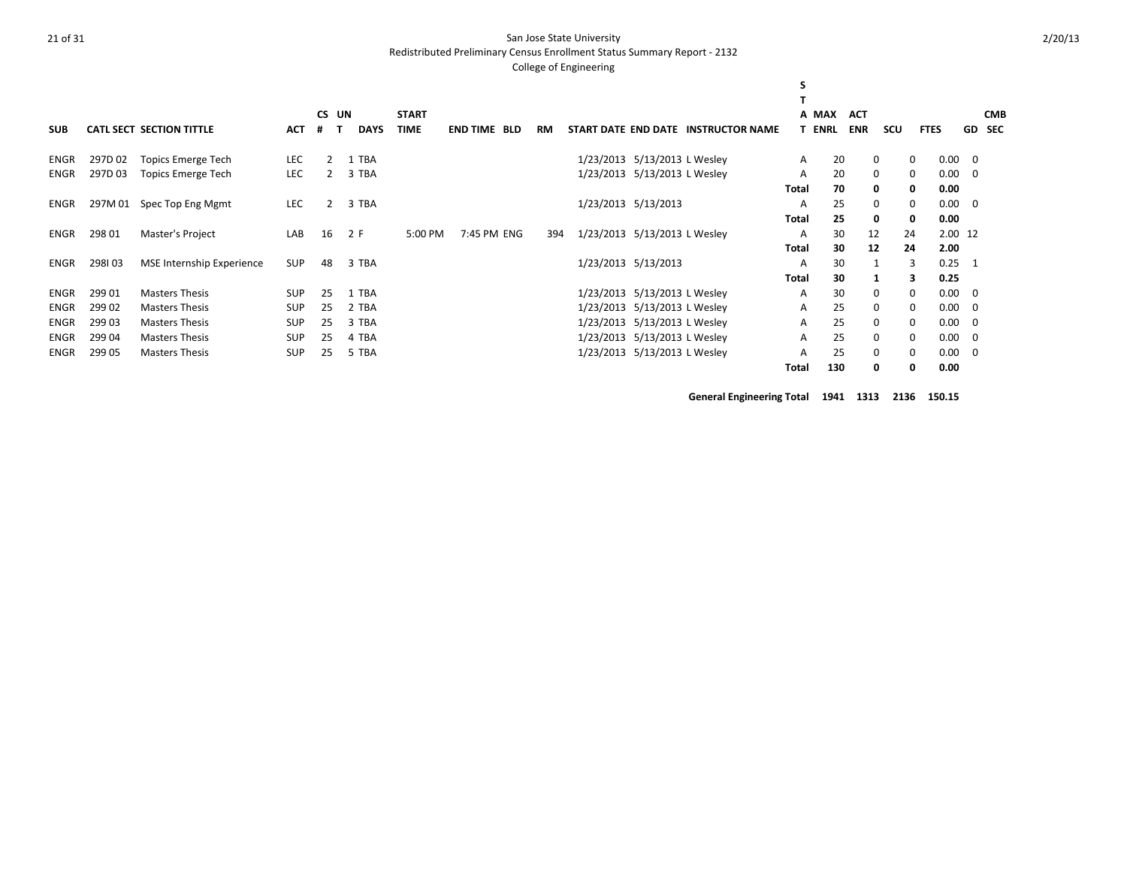Redistributed Preliminary Census Enrollment Status Summary Report - 2132

#### College of Engineering

|             |         |                                  |            |    |       |             |              |                     |     |                              |                              |                                     | S            |               |              |     |             |         |                |  |
|-------------|---------|----------------------------------|------------|----|-------|-------------|--------------|---------------------|-----|------------------------------|------------------------------|-------------------------------------|--------------|---------------|--------------|-----|-------------|---------|----------------|--|
|             |         |                                  |            |    | CS UN |             | <b>START</b> |                     |     |                              |                              |                                     |              | A MAX         | <b>ACT</b>   |     |             |         | <b>CMB</b>     |  |
| <b>SUB</b>  |         | <b>CATL SECT SECTION TITTLE</b>  | <b>ACT</b> | #  |       | <b>DAYS</b> | <b>TIME</b>  | <b>END TIME BLD</b> | RM  |                              |                              | START DATE END DATE INSTRUCTOR NAME |              | <b>T ENRL</b> | <b>ENR</b>   | scu | <b>FTES</b> |         | <b>GD SEC</b>  |  |
| ENGR        | 297D 02 | <b>Topics Emerge Tech</b>        | <b>LEC</b> | 2  |       | 1 TBA       |              |                     |     |                              | 1/23/2013 5/13/2013 L Wesley |                                     | A            | 20            | 0            |     | $\mathbf 0$ | 0.00    | 0              |  |
| <b>ENGR</b> | 297D03  | <b>Topics Emerge Tech</b>        | <b>LEC</b> | 2  |       | 3 TBA       |              |                     |     |                              | 1/23/2013 5/13/2013 L Wesley |                                     | A            | 20            | 0            |     | $\mathbf 0$ | 0.00    | 0              |  |
|             |         |                                  |            |    |       |             |              |                     |     |                              |                              |                                     | <b>Total</b> | 70            | 0            |     | $\mathbf 0$ | 0.00    |                |  |
| ENGR        |         | 297M 01 Spec Top Eng Mgmt        | <b>LEC</b> | 2  |       | 3 TBA       |              |                     |     |                              | 1/23/2013 5/13/2013          |                                     | A            | 25            | 0            |     | $\mathbf 0$ | 0.00    | $\overline{0}$ |  |
|             |         |                                  |            |    |       |             |              |                     |     |                              |                              |                                     | Total        | 25            | 0            |     | 0           | 0.00    |                |  |
| ENGR        | 298 01  | Master's Project                 | LAB        | 16 |       | 2 F         | 5:00 PM      | 7:45 PM ENG         | 394 | 1/23/2013 5/13/2013 L Wesley |                              |                                     | A            | 30            | 12           |     | 24          | 2.00 12 |                |  |
|             |         |                                  |            |    |       |             |              |                     |     |                              |                              |                                     | <b>Total</b> | 30            | 12           |     | 24          | 2.00    |                |  |
| ENGR        | 298103  | <b>MSE Internship Experience</b> | <b>SUP</b> | 48 |       | 3 TBA       |              |                     |     |                              | 1/23/2013 5/13/2013          |                                     | A            | 30            | 1            |     | 3           | 0.25    |                |  |
|             |         |                                  |            |    |       |             |              |                     |     |                              |                              |                                     | <b>Total</b> | 30            |              |     | 3           | 0.25    |                |  |
| <b>ENGR</b> | 299 01  | <b>Masters Thesis</b>            | <b>SUP</b> | 25 |       | 1 TBA       |              |                     |     |                              | 1/23/2013 5/13/2013 L Wesley |                                     | A            | 30            | 0            |     | $\Omega$    | 0.00    | $\Omega$       |  |
| <b>ENGR</b> | 299 02  | <b>Masters Thesis</b>            | <b>SUP</b> | 25 |       | 2 TBA       |              |                     |     |                              | 1/23/2013 5/13/2013 L Wesley |                                     | A            | 25            | $\mathbf{0}$ |     | $\Omega$    | 0.00    | $\Omega$       |  |
| <b>ENGR</b> | 299 03  | <b>Masters Thesis</b>            | <b>SUP</b> | 25 |       | 3 TBA       |              |                     |     |                              | 1/23/2013 5/13/2013 L Wesley |                                     | A            | 25            | $\mathbf{0}$ |     | 0           | 0.00    | 0              |  |
| <b>ENGR</b> | 299 04  | <b>Masters Thesis</b>            | <b>SUP</b> | 25 |       | 4 TBA       |              |                     |     |                              | 1/23/2013 5/13/2013 L Wesley |                                     | A            | 25            | 0            |     | $\mathbf 0$ | 0.00    | 0              |  |
| <b>ENGR</b> | 299 05  | <b>Masters Thesis</b>            | <b>SUP</b> | 25 |       | 5 TBA       |              |                     |     |                              | 1/23/2013 5/13/2013 L Wesley |                                     | A            | 25            | 0            |     | $\mathbf 0$ | 0.00    | 0              |  |
|             |         |                                  |            |    |       |             |              |                     |     |                              |                              |                                     | Total        | 130           | 0            |     | 0           | 0.00    |                |  |

**General Engineering Total 1941 1313 2136 150.15**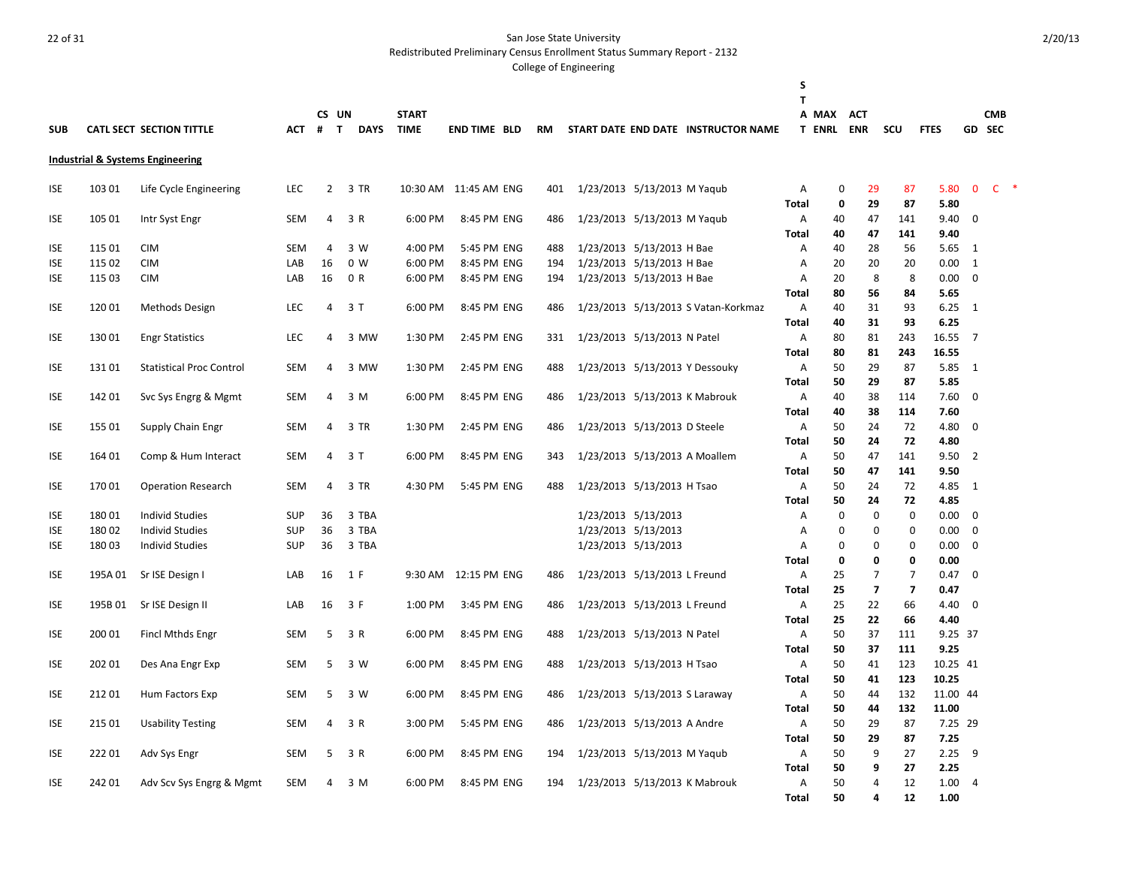Redistributed Preliminary Census Enrollment Status Summary Report - 2132

|            |         |                                             |            |                |             |              |                       |           |                               |                                     | S<br>т         |                  |                         |                         |              |                |            |  |
|------------|---------|---------------------------------------------|------------|----------------|-------------|--------------|-----------------------|-----------|-------------------------------|-------------------------------------|----------------|------------------|-------------------------|-------------------------|--------------|----------------|------------|--|
|            |         |                                             |            | CS UN          |             | <b>START</b> |                       |           |                               |                                     |                | A MAX            | <b>ACT</b>              |                         |              |                | <b>CMB</b> |  |
| <b>SUB</b> |         | <b>CATL SECT SECTION TITTLE</b>             | ACT        | $#$ T          | <b>DAYS</b> | <b>TIME</b>  | <b>END TIME BLD</b>   | <b>RM</b> |                               | START DATE END DATE INSTRUCTOR NAME |                | <b>T ENRL</b>    | <b>ENR</b>              | SCU                     | <b>FTES</b>  |                | GD SEC     |  |
|            |         |                                             |            |                |             |              |                       |           |                               |                                     |                |                  |                         |                         |              |                |            |  |
|            |         | <b>Industrial &amp; Systems Engineering</b> |            |                |             |              |                       |           |                               |                                     |                |                  |                         |                         |              |                |            |  |
| <b>ISE</b> | 103 01  | Life Cycle Engineering                      | <b>LEC</b> | $\overline{2}$ | 3 TR        |              | 10:30 AM 11:45 AM ENG | 401       | 1/23/2013 5/13/2013 M Yaqub   |                                     | Α<br>Total     | $\mathbf 0$<br>0 | 29<br>29                | 87<br>87                | 5.80<br>5.80 | $\mathbf 0$    | $C$ *      |  |
| ISE        | 105 01  | Intr Syst Engr                              | <b>SEM</b> | 4              | 3 R         | 6:00 PM      | 8:45 PM ENG           | 486       | 1/23/2013 5/13/2013 M Yaqub   |                                     | Α              | 40               | 47                      | 141                     | 9.40         | $\mathbf 0$    |            |  |
|            |         |                                             |            |                |             |              |                       |           |                               |                                     | Total          | 40               | 47                      | 141                     | 9.40         |                |            |  |
| <b>ISE</b> | 115 01  | <b>CIM</b>                                  | <b>SEM</b> | 4              | 3 W         | 4:00 PM      | 5:45 PM ENG           | 488       | 1/23/2013 5/13/2013 H Bae     |                                     | Α              | 40               | 28                      | 56                      | 5.65         | 1              |            |  |
| ISE        | 115 02  | <b>CIM</b>                                  | LAB        | 16             | 0 W         | 6:00 PM      | 8:45 PM ENG           | 194       | 1/23/2013 5/13/2013 H Bae     |                                     | Α              | 20               | 20                      | 20                      | 0.00         | 1              |            |  |
| <b>ISE</b> | 115 03  | <b>CIM</b>                                  | LAB        | 16             | 0 R         | 6:00 PM      | 8:45 PM ENG           | 194       | 1/23/2013 5/13/2013 H Bae     |                                     | Α              | 20               | 8                       | 8                       | 0.00         | 0              |            |  |
|            |         |                                             |            |                |             |              |                       |           |                               |                                     | Total          | 80               | 56                      | 84                      | 5.65         |                |            |  |
| <b>ISE</b> | 12001   | Methods Design                              | <b>LEC</b> | 4              | 3 T         | 6:00 PM      | 8:45 PM ENG           | 486       |                               | 1/23/2013 5/13/2013 S Vatan-Korkmaz | $\overline{A}$ | 40               | 31                      | 93                      | 6.25         | 1              |            |  |
|            |         |                                             |            |                |             |              |                       |           |                               |                                     | Total          | 40               | 31                      | 93                      | 6.25         |                |            |  |
| ISE        | 13001   | <b>Engr Statistics</b>                      | <b>LEC</b> | 4              | 3 MW        | 1:30 PM      | 2:45 PM ENG           | 331       | 1/23/2013 5/13/2013 N Patel   |                                     | Α              | 80               | 81                      | 243                     | 16.55        | $\overline{7}$ |            |  |
|            |         |                                             |            |                |             |              |                       |           |                               |                                     | <b>Total</b>   | 80               | 81                      | 243                     | 16.55        |                |            |  |
| <b>ISE</b> | 13101   | <b>Statistical Proc Control</b>             | SEM        | 4              | 3 MW        | 1:30 PM      | 2:45 PM ENG           | 488       |                               | 1/23/2013 5/13/2013 Y Dessouky      | Α              | 50               | 29                      | 87                      | 5.85 1       |                |            |  |
|            |         |                                             |            |                |             |              |                       |           |                               |                                     | Total          | 50               | 29                      | 87                      | 5.85         |                |            |  |
| <b>ISE</b> | 142 01  | Svc Sys Engrg & Mgmt                        | SEM        | 4              | 3 M         | 6:00 PM      | 8:45 PM ENG           | 486       |                               | 1/23/2013 5/13/2013 K Mabrouk       | Α              | 40               | 38                      | 114                     | 7.60         | $\mathbf{0}$   |            |  |
|            |         |                                             |            | 4              |             |              |                       |           |                               |                                     | Total          | 40               | 38                      | 114                     | 7.60         |                |            |  |
| <b>ISE</b> | 155 01  | Supply Chain Engr                           | SEM        |                | 3 TR        | 1:30 PM      | 2:45 PM ENG           | 486       | 1/23/2013 5/13/2013 D Steele  |                                     | Α              | 50<br>50         | 24<br>24                | 72<br>72                | 4.80<br>4.80 | $\mathbf 0$    |            |  |
| ISE        | 164 01  |                                             | SEM        | 4              | 3 T         | 6:00 PM      | 8:45 PM ENG           | 343       | 1/23/2013 5/13/2013 A Moallem |                                     | Total<br>Α     | 50               | 47                      | 141                     | 9.50         | 2              |            |  |
|            |         | Comp & Hum Interact                         |            |                |             |              |                       |           |                               |                                     | Total          | 50               | 47                      | 141                     | 9.50         |                |            |  |
| <b>ISE</b> | 17001   | <b>Operation Research</b>                   | SEM        | 4              | 3 TR        | 4:30 PM      | 5:45 PM ENG           | 488       | 1/23/2013 5/13/2013 H Tsao    |                                     | Α              | 50               | 24                      | 72                      | 4.85         | -1             |            |  |
|            |         |                                             |            |                |             |              |                       |           |                               |                                     | Total          | 50               | 24                      | 72                      | 4.85         |                |            |  |
| <b>ISE</b> | 18001   | <b>Individ Studies</b>                      | <b>SUP</b> | 36             | 3 TBA       |              |                       |           | 1/23/2013 5/13/2013           |                                     | Α              | 0                | $\mathbf 0$             | $\mathbf 0$             | 0.00         | $\Omega$       |            |  |
| <b>ISE</b> | 18002   | <b>Individ Studies</b>                      | <b>SUP</b> | 36             | 3 TBA       |              |                       |           | 1/23/2013 5/13/2013           |                                     | A              | $\mathbf 0$      | $\Omega$                | $\mathbf 0$             | 0.00         | $\mathbf 0$    |            |  |
| ISE        | 18003   | <b>Individ Studies</b>                      | <b>SUP</b> | 36             | 3 TBA       |              |                       |           | 1/23/2013 5/13/2013           |                                     | A              | $\mathbf 0$      | $\Omega$                | $\mathbf 0$             | 0.00         | $\mathbf 0$    |            |  |
|            |         |                                             |            |                |             |              |                       |           |                               |                                     | Total          | 0                | 0                       | $\mathbf 0$             | 0.00         |                |            |  |
| <b>ISE</b> | 195A 01 | Sr ISE Design I                             | LAB        | 16             | 1 F         |              | 9:30 AM 12:15 PM ENG  | 486       | 1/23/2013 5/13/2013 L Freund  |                                     | Α              | 25               | 7                       | $\overline{7}$          | 0.47         | $\mathbf 0$    |            |  |
|            |         |                                             |            |                |             |              |                       |           |                               |                                     | <b>Total</b>   | 25               | $\overline{\mathbf{z}}$ | $\overline{\mathbf{z}}$ | 0.47         |                |            |  |
| ISE        | 195B 01 | Sr ISE Design II                            | LAB        | 16             | 3 F         | 1:00 PM      | 3:45 PM ENG           | 486       | 1/23/2013 5/13/2013 L Freund  |                                     | Α              | 25               | 22                      | 66                      | 4.40         | $\Omega$       |            |  |
|            |         |                                             |            |                |             |              |                       |           |                               |                                     | Total          | 25               | 22                      | 66                      | 4.40         |                |            |  |
| <b>ISE</b> | 200 01  | Fincl Mthds Engr                            | <b>SEM</b> | 5              | 3 R         | 6:00 PM      | 8:45 PM ENG           | 488       | 1/23/2013 5/13/2013 N Patel   |                                     | Α              | 50               | 37                      | 111                     | 9.25 37      |                |            |  |
|            |         |                                             |            |                |             |              |                       |           |                               |                                     | Total          | 50               | 37                      | 111                     | 9.25         |                |            |  |
| ISE        | 202 01  | Des Ana Engr Exp                            | SEM        | 5              | 3 W         | 6:00 PM      | 8:45 PM ENG           | 488       | 1/23/2013 5/13/2013 H Tsao    |                                     | Α              | 50               | 41                      | 123                     | 10.25 41     |                |            |  |
|            |         |                                             |            |                |             |              |                       |           |                               |                                     | Total          | 50               | 41                      | 123                     | 10.25        |                |            |  |
| ISE        | 212 01  | Hum Factors Exp                             | SEM        | 5              | 3 W         | 6:00 PM      | 8:45 PM ENG           | 486       | 1/23/2013 5/13/2013 S Laraway |                                     | Α              | 50               | 44                      | 132                     | 11.00 44     |                |            |  |
|            |         |                                             |            |                |             |              |                       |           |                               |                                     | Total          | 50               | 44                      | 132                     | 11.00        |                |            |  |
| ISE        | 215 01  | <b>Usability Testing</b>                    | SEM        | 4              | 3 R         | 3:00 PM      | 5:45 PM ENG           | 486       | 1/23/2013 5/13/2013 A Andre   |                                     | Α              | 50               | 29                      | 87                      | 7.25 29      |                |            |  |
|            |         |                                             |            |                |             |              |                       |           |                               |                                     | Total          | 50               | 29                      | 87                      | 7.25         |                |            |  |
| ISE        | 22201   | Adv Sys Engr                                | SEM        | 5              | 3 R         | 6:00 PM      | 8:45 PM ENG           | 194       | 1/23/2013 5/13/2013 M Yaqub   |                                     | Α              | 50               | 9                       | 27                      | 2.25         | 9              |            |  |
|            |         |                                             |            |                |             |              |                       |           |                               |                                     | Total          | 50               | 9                       | 27                      | 2.25         |                |            |  |
| ISE        | 242 01  | Adv Scv Sys Engrg & Mgmt                    | <b>SEM</b> | 4              | 3 M         | 6:00 PM      | 8:45 PM ENG           | 194       |                               | 1/23/2013 5/13/2013 K Mabrouk       | $\overline{A}$ | 50               | $\overline{A}$          | 12                      | 1.00         | $\overline{4}$ |            |  |
|            |         |                                             |            |                |             |              |                       |           |                               |                                     | Total          | 50               | Δ                       | 12                      | 1.00         |                |            |  |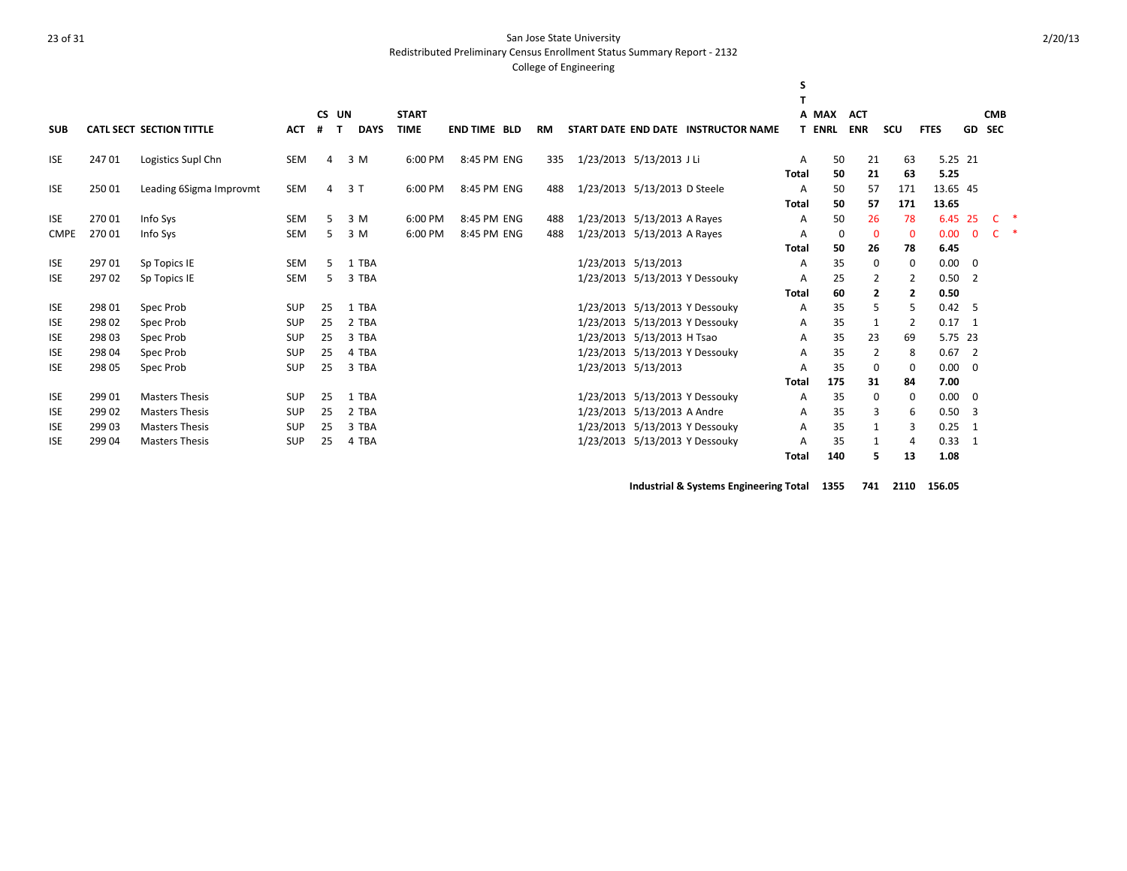Redistributed Preliminary Census Enrollment Status Summary Report - 2132

#### College of Engineering

|             |        |                                 |            |        |             |              |                     |           |                              |                                     | s            |               |                |              |             |                          |                     |  |
|-------------|--------|---------------------------------|------------|--------|-------------|--------------|---------------------|-----------|------------------------------|-------------------------------------|--------------|---------------|----------------|--------------|-------------|--------------------------|---------------------|--|
|             |        |                                 |            |        |             |              |                     |           |                              |                                     |              |               |                |              |             |                          |                     |  |
|             |        |                                 |            | CS UN  |             | <b>START</b> |                     |           |                              |                                     |              | A MAX         | <b>ACT</b>     |              |             |                          | <b>CMB</b>          |  |
| <b>SUB</b>  |        | <b>CATL SECT SECTION TITTLE</b> | <b>ACT</b> | #<br>T | <b>DAYS</b> | <b>TIME</b>  | <b>END TIME BLD</b> | <b>RM</b> |                              | START DATE END DATE INSTRUCTOR NAME |              | <b>T ENRL</b> | <b>ENR</b>     | scu          | <b>FTES</b> | GD SEC                   |                     |  |
| <b>ISE</b>  | 24701  | Logistics Supl Chn              | <b>SEM</b> | 4      | 3 M         | 6:00 PM      | 8:45 PM ENG         | 335       | 1/23/2013 5/13/2013 J Li     |                                     | Α            | 50            | 21             | 63           | 5.25 21     |                          |                     |  |
|             |        |                                 |            |        |             |              |                     |           |                              |                                     | <b>Total</b> | 50            | 21             | 63           | 5.25        |                          |                     |  |
| <b>ISE</b>  | 25001  | Leading 6Sigma Improvmt         | <b>SEM</b> | 4      | 3 T         | 6:00 PM      | 8:45 PM ENG         | 488       | 1/23/2013 5/13/2013 D Steele |                                     | Α            | 50            | 57             | 171          | 13.65 45    |                          |                     |  |
|             |        |                                 |            |        |             |              |                     |           |                              |                                     | <b>Total</b> | 50            | 57             | 171          | 13.65       |                          |                     |  |
| <b>ISE</b>  | 27001  | Info Sys                        | <b>SEM</b> | 5      | 3 M         | 6:00 PM      | 8:45 PM ENG         | 488       | 1/23/2013 5/13/2013 A Rayes  |                                     | A            | 50            | 26             | 78           | 6.45 25     |                          | $\mathsf{C}$ $\ast$ |  |
| <b>CMPE</b> | 27001  | Info Sys                        | <b>SEM</b> | 5      | 3 M         | 6:00 PM      | 8:45 PM ENG         | 488       | 1/23/2013 5/13/2013 A Rayes  |                                     | Α            | $\mathbf 0$   | $\mathbf 0$    | $\mathbf{0}$ | 0.00        | $\mathbf{0}$             | C.<br>$\rightarrow$ |  |
|             |        |                                 |            |        |             |              |                     |           |                              |                                     | <b>Total</b> | 50            | 26             | 78           | 6.45        |                          |                     |  |
| <b>ISE</b>  | 29701  | Sp Topics IE                    | <b>SEM</b> | .5     | 1 TBA       |              |                     |           | 1/23/2013 5/13/2013          |                                     | Α            | 35            | 0              | $\mathbf 0$  | 0.00        | - 0                      |                     |  |
| <b>ISE</b>  | 29702  | Sp Topics IE                    | SEM        | 5      | 3 TBA       |              |                     |           |                              | 1/23/2013 5/13/2013 Y Dessouky      | Α            | 25            | $\overline{2}$ | 2            | $0.50$ 2    |                          |                     |  |
|             |        |                                 |            |        |             |              |                     |           |                              |                                     | <b>Total</b> | 60            | $\overline{2}$ | 2            | 0.50        |                          |                     |  |
| <b>ISE</b>  | 298 01 | Spec Prob                       | SUP        | 25     | 1 TBA       |              |                     |           |                              | 1/23/2013 5/13/2013 Y Dessouky      | Α            | 35            | 5              | 5            | $0.42 - 5$  |                          |                     |  |
| <b>ISE</b>  | 298 02 | Spec Prob                       | <b>SUP</b> | 25     | 2 TBA       |              |                     |           |                              | 1/23/2013 5/13/2013 Y Dessouky      | Α            | 35            | 1              | 2            | 0.17        | $\overline{1}$           |                     |  |
| <b>ISE</b>  | 298 03 | Spec Prob                       | SUP        | 25     | 3 TBA       |              |                     |           | 1/23/2013 5/13/2013 H Tsao   |                                     | Α            | 35            | 23             | 69           | 5.75 23     |                          |                     |  |
| <b>ISE</b>  | 298 04 | Spec Prob                       | SUP        | 25     | 4 TBA       |              |                     |           |                              | 1/23/2013 5/13/2013 Y Dessouky      | Α            | 35            | 2              | 8            | 0.67        | $\overline{\phantom{0}}$ |                     |  |
| <b>ISE</b>  | 298 05 | Spec Prob                       | SUP        | 25     | 3 TBA       |              |                     |           | 1/23/2013 5/13/2013          |                                     | A            | 35            | 0              | 0            | 0.00        | $\overline{0}$           |                     |  |
|             |        |                                 |            |        |             |              |                     |           |                              |                                     | <b>Total</b> | 175           | 31             | 84           | 7.00        |                          |                     |  |
| <b>ISE</b>  | 299 01 | <b>Masters Thesis</b>           | SUP        | 25     | 1 TBA       |              |                     |           |                              | 1/23/2013 5/13/2013 Y Dessouky      | Α            | 35            | 0              | 0            | 0.00        | $\overline{0}$           |                     |  |
| <b>ISE</b>  | 299 02 | <b>Masters Thesis</b>           | <b>SUP</b> | 25     | 2 TBA       |              |                     |           | 1/23/2013 5/13/2013 A Andre  |                                     | Α            | 35            | 3              | 6            | $0.50$ 3    |                          |                     |  |
| <b>ISE</b>  | 299 03 | <b>Masters Thesis</b>           | <b>SUP</b> | 25     | 3 TBA       |              |                     |           |                              | 1/23/2013 5/13/2013 Y Dessouky      | A            | 35            | 1              | 3            | 0.25        | - 1                      |                     |  |
| <b>ISE</b>  | 299 04 | <b>Masters Thesis</b>           | <b>SUP</b> | 25     | 4 TBA       |              |                     |           |                              | 1/23/2013 5/13/2013 Y Dessouky      | Α            | 35            | 1              | 4            | 0.33        | $\overline{1}$           |                     |  |
|             |        |                                 |            |        |             |              |                     |           |                              |                                     | Total        | 140           | 5              | 13           | 1.08        |                          |                     |  |

**Industrial & Systems Engineering Total 1355 741 2110 156.05**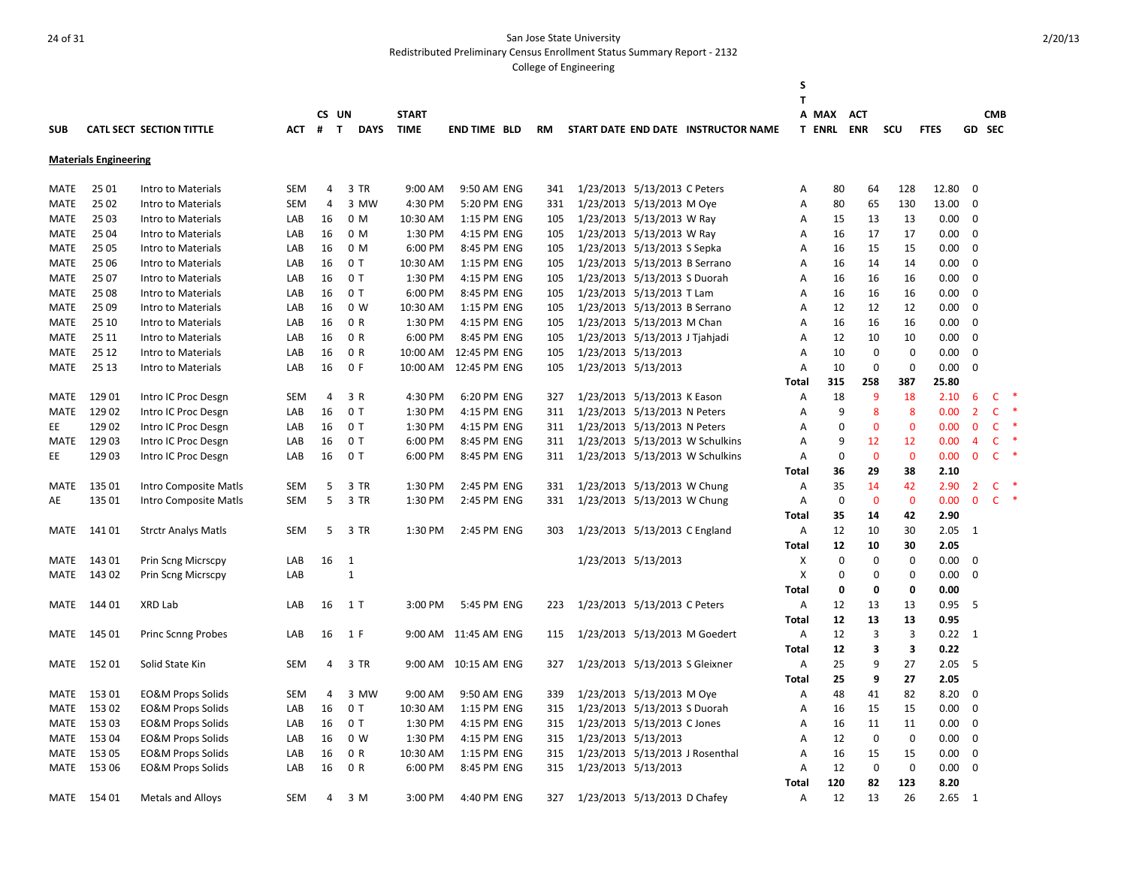Redistributed Preliminary Census Enrollment Status Summary Report - 2132

|             |                              |                                 |            |                |                |              |                      |           |                                |                     |                                     | S            |                   |              |              |             |                |              |                        |
|-------------|------------------------------|---------------------------------|------------|----------------|----------------|--------------|----------------------|-----------|--------------------------------|---------------------|-------------------------------------|--------------|-------------------|--------------|--------------|-------------|----------------|--------------|------------------------|
|             |                              |                                 |            | CS UN          |                | <b>START</b> |                      |           |                                |                     |                                     | T            | A MAX             | <b>ACT</b>   |              |             |                | <b>CMB</b>   |                        |
| <b>SUB</b>  |                              | <b>CATL SECT SECTION TITTLE</b> | АСТ        | $#$ T          | <b>DAYS</b>    | <b>TIME</b>  | <b>END TIME BLD</b>  | <b>RM</b> |                                |                     | START DATE END DATE INSTRUCTOR NAME |              | <b>T ENRL ENR</b> |              | SCU          | <b>FTES</b> |                | GD SEC       |                        |
|             |                              |                                 |            |                |                |              |                      |           |                                |                     |                                     |              |                   |              |              |             |                |              |                        |
|             | <b>Materials Engineering</b> |                                 |            |                |                |              |                      |           |                                |                     |                                     |              |                   |              |              |             |                |              |                        |
| MATE        | 25 01                        | Intro to Materials              | <b>SEM</b> | $\overline{4}$ | 3 TR           | 9:00 AM      | 9:50 AM ENG          | 341       | 1/23/2013 5/13/2013 C Peters   |                     |                                     | Α            | 80                | 64           | 128          | 12.80       | $\mathbf 0$    |              |                        |
| MATE        | 25 02                        | Intro to Materials              | <b>SEM</b> | $\overline{4}$ | 3 MW           | 4:30 PM      | 5:20 PM ENG          | 331       | 1/23/2013 5/13/2013 M Oye      |                     |                                     | Α            | 80                | 65           | 130          | 13.00       | $\mathbf 0$    |              |                        |
| MATE        | 25 03                        | Intro to Materials              | LAB        | 16             | 0 M            | 10:30 AM     | 1:15 PM ENG          | 105       | 1/23/2013 5/13/2013 W Ray      |                     |                                     | Α            | 15                | 13           | 13           | 0.00        | $\mathbf 0$    |              |                        |
| <b>MATE</b> | 25 04                        | Intro to Materials              | LAB        | 16             | 0 M            | 1:30 PM      | 4:15 PM ENG          | 105       | 1/23/2013 5/13/2013 W Ray      |                     |                                     | A            | 16                | 17           | 17           | 0.00        | $\mathbf 0$    |              |                        |
| <b>MATE</b> | 25 05                        | Intro to Materials              | LAB        | 16             | 0 M            | 6:00 PM      | 8:45 PM ENG          | 105       | 1/23/2013 5/13/2013 S Sepka    |                     |                                     | А            | 16                | 15           | 15           | 0.00        | $\mathbf 0$    |              |                        |
| <b>MATE</b> | 25 06                        | Intro to Materials              | LAB        | 16             | 0T             | 10:30 AM     | 1:15 PM ENG          | 105       | 1/23/2013 5/13/2013 B Serrano  |                     |                                     | Α            | 16                | 14           | 14           | 0.00        | $\mathbf 0$    |              |                        |
| MATE        | 25 07                        | Intro to Materials              | LAB        | 16             | 0T             | 1:30 PM      | 4:15 PM ENG          | 105       | 1/23/2013 5/13/2013 S Duorah   |                     |                                     | Α            | 16                | 16           | 16           | 0.00        | $\mathbf 0$    |              |                        |
| MATE        | 25 08                        | Intro to Materials              | LAB        | 16             | 0T             | 6:00 PM      | 8:45 PM ENG          | 105       | 1/23/2013 5/13/2013 T Lam      |                     |                                     | А            | 16                | 16           | 16           | 0.00        | $\mathbf 0$    |              |                        |
| MATE        | 25 09                        | Intro to Materials              | LAB        | 16             | 0 W            | 10:30 AM     | 1:15 PM ENG          | 105       | 1/23/2013 5/13/2013 B Serrano  |                     |                                     | Α            | 12                | 12           | 12           | 0.00        | $\mathbf 0$    |              |                        |
| MATE        | 25 10                        | Intro to Materials              | LAB        | 16             | 0 R            | 1:30 PM      | 4:15 PM ENG          | 105       | 1/23/2013 5/13/2013 M Chan     |                     |                                     | А            | 16                | 16           | 16           | 0.00        | $\mathbf 0$    |              |                        |
| MATE        | 25 11                        | Intro to Materials              | LAB        | 16             | 0 R            | 6:00 PM      | 8:45 PM ENG          | 105       | 1/23/2013 5/13/2013 J Tjahjadi |                     |                                     | A            | 12                | 10           | 10           | 0.00        | 0              |              |                        |
| MATE        | 25 12                        | Intro to Materials              | LAB        | 16             | 0 R            | 10:00 AM     | 12:45 PM ENG         | 105       | 1/23/2013 5/13/2013            |                     |                                     | A            | 10                | $\mathbf 0$  | $\mathbf 0$  | 0.00        | $\mathbf 0$    |              |                        |
| MATE        | 25 13                        | Intro to Materials              | LAB        | 16             | 0 F            | 10:00 AM     | 12:45 PM ENG         | 105       | 1/23/2013 5/13/2013            |                     |                                     | А            | 10                | $\Omega$     | $\mathbf 0$  | 0.00        | $\Omega$       |              |                        |
|             |                              |                                 |            |                |                |              |                      |           |                                |                     |                                     | Total        | 315               | 258          | 387          | 25.80       |                |              |                        |
| <b>MATE</b> | 129 01                       | Intro IC Proc Desgn             | <b>SEM</b> | 4              | 3 R            | 4:30 PM      | 6:20 PM ENG          | 327       | 1/23/2013 5/13/2013 K Eason    |                     |                                     | A            | 18                | 9            | 18           | 2.10        | 6              |              | $\mathsf{C}$           |
| <b>MATE</b> | 12902                        | Intro IC Proc Desgn             | LAB        | 16             | 0 T            | 1:30 PM      | 4:15 PM ENG          | 311       | 1/23/2013 5/13/2013 N Peters   |                     |                                     | A            | 9                 | 8            | 8            | 0.00        | $\overline{2}$ |              | $\mathsf{C}$           |
| EE          | 129 02                       | Intro IC Proc Desgn             | LAB        | 16             | 0T             | 1:30 PM      | 4:15 PM ENG          | 311       | 1/23/2013 5/13/2013 N Peters   |                     |                                     | A            | $\Omega$          | $\mathbf 0$  | $\mathbf 0$  | 0.00        | $\mathbf{0}$   |              | $\mathsf{C}$           |
| MATE        | 12903                        | Intro IC Proc Desgn             | LAB        | 16             | 0 T            | 6:00 PM      | 8:45 PM ENG          | 311       |                                |                     | 1/23/2013 5/13/2013 W Schulkins     | Α            | 9                 | 12           | 12           | 0.00        | $\overline{4}$ |              | C                      |
| EE          | 129 03                       | Intro IC Proc Desgn             | LAB        | 16             | 0T             | 6:00 PM      | 8:45 PM ENG          | 311       |                                |                     | 1/23/2013 5/13/2013 W Schulkins     | А            | $\mathbf 0$       | $\mathbf 0$  | $\mathbf{0}$ | 0.00        |                | $\mathbf{0}$ | $\mathsf{C}$           |
|             |                              |                                 |            |                |                |              |                      |           |                                |                     |                                     | Total        | 36                | 29           | 38           | 2.10        |                |              |                        |
| MATE        | 135 01                       | Intro Composite Matls           | SEM        | 5              | 3 TR           | 1:30 PM      | 2:45 PM ENG          | 331       | 1/23/2013 5/13/2013 W Chung    |                     |                                     | Α            | 35                | 14           | 42           | 2.90        | $\overline{2}$ |              | $\mathsf{C}$           |
| AE          | 135 01                       | Intro Composite Matls           | <b>SEM</b> | 5              | 3 TR           | 1:30 PM      | 2:45 PM ENG          | 331       | 1/23/2013 5/13/2013 W Chung    |                     |                                     | Α            | $\mathbf 0$       | $\mathbf{0}$ | $\mathbf{0}$ | 0.00        |                | $\mathbf{0}$ | $\ast$<br>$\mathsf{C}$ |
|             |                              |                                 |            |                |                |              |                      |           |                                |                     |                                     | Total        | 35                | 14           | 42           | 2.90        |                |              |                        |
| MATE        | 141 01                       | <b>Strctr Analys Matls</b>      | SEM        | 5              | 3 TR           | 1:30 PM      | 2:45 PM ENG          | 303       | 1/23/2013 5/13/2013 C England  |                     |                                     | Α            | 12                | 10           | 30           | 2.05        | 1              |              |                        |
|             |                              |                                 |            |                |                |              |                      |           |                                |                     |                                     | <b>Total</b> | 12                | 10           | 30           | 2.05        |                |              |                        |
| <b>MATE</b> | 143 01                       | Prin Scng Micrscpy              | LAB        | 16             | 1              |              |                      |           |                                | 1/23/2013 5/13/2013 |                                     | х            | $\pmb{0}$         | $\mathbf 0$  | $\mathbf 0$  | 0.00        | $\mathbf 0$    |              |                        |
| MATE        | 14302                        | Prin Scng Micrscpy              | LAB        |                | $\mathbf{1}$   |              |                      |           |                                |                     |                                     | X            | 0                 | 0            | 0            | 0.00        | $\mathbf 0$    |              |                        |
|             |                              |                                 |            |                |                |              |                      |           |                                |                     |                                     | <b>Total</b> | 0                 | 0            | $\mathbf 0$  | 0.00        |                |              |                        |
| MATE        | 144 01                       | XRD Lab                         | LAB        | 16             | 1 <sub>T</sub> | 3:00 PM      | 5:45 PM ENG          | 223       | 1/23/2013 5/13/2013 C Peters   |                     |                                     | Α            | 12                | 13           | 13           | 0.95        | 5              |              |                        |
|             |                              |                                 |            |                |                |              |                      |           |                                |                     |                                     | <b>Total</b> | 12                | 13           | 13           | 0.95        |                |              |                        |
| MATE        | 145 01                       | <b>Princ Scnng Probes</b>       | LAB        | 16             | 1 F            |              | 9:00 AM 11:45 AM ENG | 115       |                                |                     | 1/23/2013 5/13/2013 M Goedert       | Α            | 12                | 3            | 3            | 0.22        | 1              |              |                        |
|             |                              |                                 |            |                |                |              |                      |           |                                |                     |                                     | Total        | 12                | 3            | 3            | 0.22        |                |              |                        |
| MATE        | 152 01                       | Solid State Kin                 | <b>SEM</b> | 4              | 3 TR           | 9:00 AM      | 10:15 AM ENG         | 327       | 1/23/2013 5/13/2013 S Gleixner |                     |                                     | Α            | 25                | 9            | 27           | 2.05        | -5             |              |                        |
|             |                              |                                 |            |                |                |              |                      |           |                                |                     |                                     | Total        | 25                | 9            | 27           | 2.05        |                |              |                        |
| MATE        | 153 01                       | <b>EO&amp;M Props Solids</b>    | SEM        | 4              | 3 MW           | 9:00 AM      | 9:50 AM ENG          | 339       | 1/23/2013 5/13/2013 M Oye      |                     |                                     | Α            | 48                | 41           | 82           | 8.20        | $\mathbf 0$    |              |                        |
| MATE        | 15302                        | <b>EO&amp;M Props Solids</b>    | LAB        | 16             | 0 T            | 10:30 AM     | 1:15 PM ENG          | 315       | 1/23/2013 5/13/2013 S Duorah   |                     |                                     | Α            | 16                | 15           | 15           | 0.00        | $\mathbf 0$    |              |                        |
| MATE        | 15303                        | <b>EO&amp;M Props Solids</b>    | LAB        | 16             | 0T             | 1:30 PM      | 4:15 PM ENG          | 315       | 1/23/2013 5/13/2013 C Jones    |                     |                                     | Α            | 16                | 11           | 11           | 0.00        | $\mathbf 0$    |              |                        |
| MATE        | 15304                        | <b>EO&amp;M Props Solids</b>    | LAB        | 16             | 0 W            | 1:30 PM      | 4:15 PM ENG          | 315       | 1/23/2013 5/13/2013            |                     |                                     | А            | 12                | $\mathbf 0$  | $\mathbf 0$  | 0.00        | $\mathbf 0$    |              |                        |
| MATE        | 153 05                       | <b>EO&amp;M Props Solids</b>    | LAB        | 16             | 0 R            | 10:30 AM     | 1:15 PM ENG          | 315       |                                |                     | 1/23/2013 5/13/2013 J Rosenthal     | А            | 16                | 15           | 15           | 0.00        | $\mathbf 0$    |              |                        |
| MATE        | 15306                        | <b>EO&amp;M Props Solids</b>    | LAB        | 16             | 0 R            | 6:00 PM      | 8:45 PM ENG          | 315       | 1/23/2013 5/13/2013            |                     |                                     | А            | 12                | $\Omega$     | 0            | 0.00        | 0              |              |                        |
|             |                              |                                 |            |                |                |              |                      |           |                                |                     |                                     | <b>Total</b> | 120               | 82           | 123          | 8.20        |                |              |                        |
| MATE        | 154 01                       | Metals and Alloys               | SEM        | 4              | 3 M            | 3:00 PM      | 4:40 PM ENG          | 327       | 1/23/2013 5/13/2013 D Chafey   |                     |                                     | А            | 12                | 13           | 26           | 2.65        | $\mathbf{1}$   |              |                        |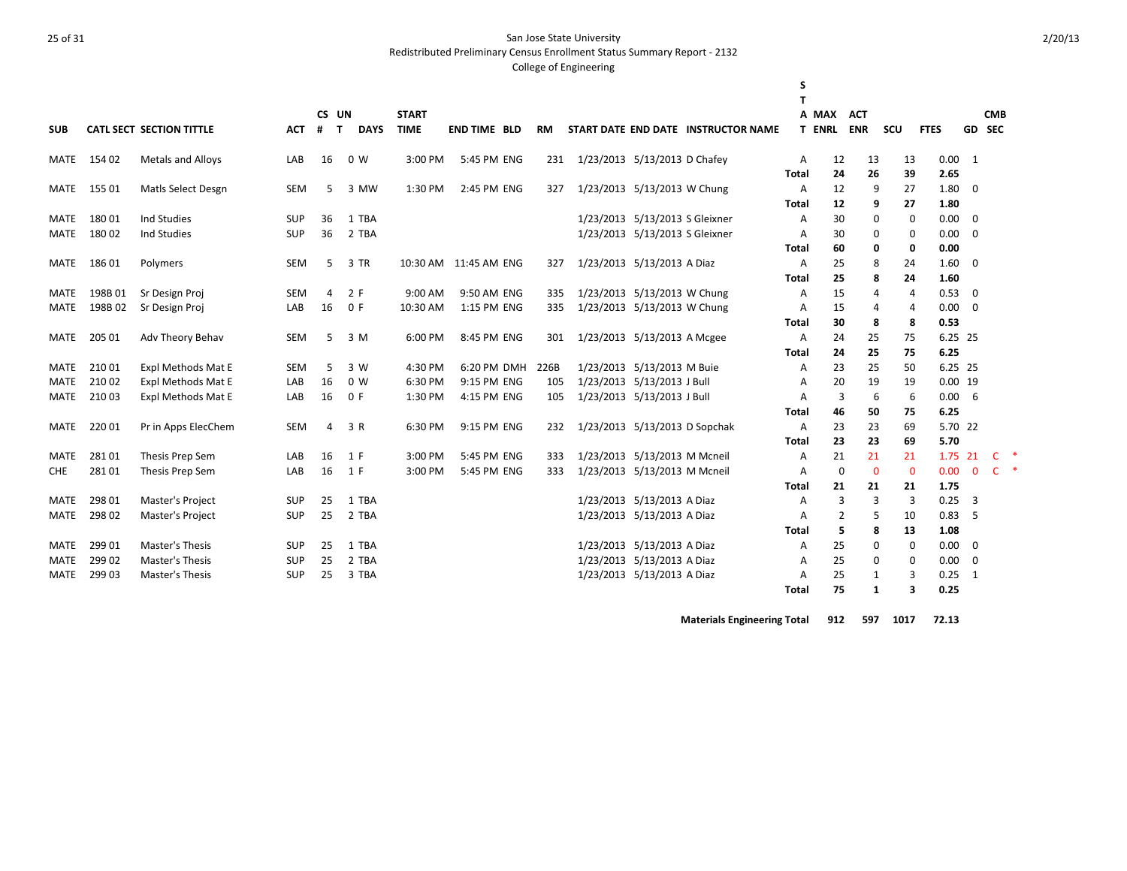Redistributed Preliminary Census Enrollment Status Summary Report - 2132

#### College of Engineering

|             |        |                                 |            |                   |                |              |                        |           |                               |                                |                                     | S            |                |              |             |             |              |                        |
|-------------|--------|---------------------------------|------------|-------------------|----------------|--------------|------------------------|-----------|-------------------------------|--------------------------------|-------------------------------------|--------------|----------------|--------------|-------------|-------------|--------------|------------------------|
|             |        |                                 |            |                   |                |              |                        |           |                               |                                |                                     | T            |                |              |             |             |              |                        |
|             |        |                                 |            | CS UN             |                | <b>START</b> |                        |           |                               |                                |                                     |              | A MAX          | <b>ACT</b>   |             |             |              | <b>CMB</b>             |
| <b>SUB</b>  |        | <b>CATL SECT SECTION TITTLE</b> | <b>ACT</b> | #<br>$\mathbf{T}$ | <b>DAYS</b>    | <b>TIME</b>  | <b>END TIME BLD</b>    | <b>RM</b> |                               |                                | START DATE END DATE INSTRUCTOR NAME |              | <b>T ENRL</b>  | <b>ENR</b>   | scu         | <b>FTES</b> |              | GD SEC                 |
| MATE        | 154 02 | <b>Metals and Alloys</b>        | LAB        | 16                | 0 W            | 3:00 PM      | 5:45 PM ENG            | 231       | 1/23/2013 5/13/2013 D Chafey  |                                |                                     | Α            | 12             | 13           | 13          | 0.00        | 1            |                        |
|             |        |                                 |            |                   |                |              |                        |           |                               |                                |                                     | <b>Total</b> | 24             | 26           | 39          | 2.65        |              |                        |
| MATE        | 155 01 | Matls Select Desgn              | SEM        | 5                 | 3 MW           | 1:30 PM      | 2:45 PM ENG            | 327       | 1/23/2013 5/13/2013 W Chung   |                                |                                     | Α            | 12             | 9            | 27          | 1.80        | $\mathbf 0$  |                        |
|             |        |                                 |            |                   |                |              |                        |           |                               |                                |                                     | Total        | 12             | 9            | 27          | 1.80        |              |                        |
| MATE        | 18001  | Ind Studies                     | <b>SUP</b> | 36                | 1 TBA          |              |                        |           |                               | 1/23/2013 5/13/2013 S Gleixner |                                     | Α            | 30             | 0            | $\mathbf 0$ | 0.00        | $\mathbf 0$  |                        |
| <b>MATE</b> | 18002  | Ind Studies                     | <b>SUP</b> | 36                | 2 TBA          |              |                        |           |                               | 1/23/2013 5/13/2013 S Gleixner |                                     | Α            | 30             | 0            | 0           | 0.00        | 0            |                        |
|             |        |                                 |            |                   |                |              |                        |           |                               |                                |                                     | Total        | 60             | 0            | 0           | 0.00        |              |                        |
| MATE        | 18601  | Polymers                        | <b>SEM</b> | 5                 | 3 TR           |              | 10:30 AM  11:45 AM ENG | 327       | 1/23/2013 5/13/2013 A Diaz    |                                |                                     | Α            | 25             | 8            | 24          | 1.60        | 0            |                        |
|             |        |                                 |            |                   |                |              |                        |           |                               |                                |                                     | <b>Total</b> | 25             | 8            | 24          | 1.60        |              |                        |
| MATE        | 198B01 | Sr Design Proj                  | <b>SEM</b> | 4                 | 2 F            | 9:00 AM      | 9:50 AM ENG            | 335       | 1/23/2013 5/13/2013 W Chung   |                                |                                     | Α            | 15             | 4            | 4           | 0.53        | 0            |                        |
| <b>MATE</b> | 198B02 | Sr Design Proj                  | LAB        | 16                | 0 F            | 10:30 AM     | 1:15 PM ENG            | 335       | 1/23/2013 5/13/2013 W Chung   |                                |                                     | A            | 15             | 4            | 4           | 0.00        | $\Omega$     |                        |
|             |        |                                 |            |                   |                |              |                        |           |                               |                                |                                     | <b>Total</b> | 30             | 8            | 8           | 0.53        |              |                        |
| <b>MATE</b> | 205 01 | Adv Theory Behav                | <b>SEM</b> | 5                 | 3 M            | 6:00 PM      | 8:45 PM ENG            | 301       | 1/23/2013 5/13/2013 A Mcgee   |                                |                                     | Α            | 24             | 25           | 75          | 6.25 25     |              |                        |
|             |        |                                 |            |                   |                |              |                        |           |                               |                                |                                     | Total        | 24             | 25           | 75          | 6.25        |              |                        |
| <b>MATE</b> | 21001  | Expl Methods Mat E              | <b>SEM</b> | 5                 | 3 W            | 4:30 PM      | 6:20 PM DMH            | 226B      | 1/23/2013 5/13/2013 M Buie    |                                |                                     | Α            | 23             | 25           | 50          | 6.25 25     |              |                        |
| <b>MATE</b> | 210 02 | Expl Methods Mat E              | LAB        | 16                | 0 <sub>W</sub> | 6:30 PM      | 9:15 PM ENG            | 105       | 1/23/2013 5/13/2013 J Bull    |                                |                                     | Α            | 20             | 19           | 19          | $0.00$ 19   |              |                        |
| MATE        | 21003  | Expl Methods Mat E              | LAB        | 16                | 0 F            | 1:30 PM      | 4:15 PM ENG            | 105       | 1/23/2013 5/13/2013 J Bull    |                                |                                     | A            | 3              | 6            | 6           | 0.00        | 6            |                        |
|             |        |                                 |            |                   |                |              |                        |           |                               |                                |                                     | <b>Total</b> | 46             | 50           | 75          | 6.25        |              |                        |
| MATE        | 22001  | Pr in Apps ElecChem             | <b>SEM</b> | 4                 | 3 R            | 6:30 PM      | 9:15 PM ENG            | 232       | 1/23/2013 5/13/2013 D Sopchak |                                |                                     | Α            | 23             | 23           | 69          | 5.70 22     |              |                        |
|             |        |                                 |            |                   |                |              |                        |           |                               |                                |                                     | Total        | 23             | 23           | 69          | 5.70        |              |                        |
| <b>MATE</b> | 28101  | Thesis Prep Sem                 | LAB        | 16                | 1 F            | 3:00 PM      | 5:45 PM ENG            | 333       | 1/23/2013 5/13/2013 M Mcneil  |                                |                                     | A            | 21             | 21           | 21          | 1.75        | 21           | <b>C</b>               |
| <b>CHE</b>  | 28101  | Thesis Prep Sem                 | LAB        | 16                | 1 F            | 3:00 PM      | 5:45 PM ENG            | 333       | 1/23/2013 5/13/2013 M Mcneil  |                                |                                     | A            | 0              | $\mathbf{0}$ | $\Omega$    | 0.00        | $\mathbf{0}$ | $\mathsf{C}$<br>$\ast$ |
|             |        |                                 |            |                   |                |              |                        |           |                               |                                |                                     | Total        | 21             | 21           | 21          | 1.75        |              |                        |
| <b>MATE</b> | 298 01 | Master's Project                | <b>SUP</b> | 25                | 1 TBA          |              |                        |           |                               | 1/23/2013 5/13/2013 A Diaz     |                                     | Α            | 3              | 3            | 3           | 0.25        | 3            |                        |
| MATE        | 298 02 | Master's Project                | SUP        | 25                | 2 TBA          |              |                        |           |                               | 1/23/2013 5/13/2013 A Diaz     |                                     | А            | $\overline{2}$ | 5            | 10          | 0.83        | -5           |                        |
|             |        |                                 |            |                   |                |              |                        |           |                               |                                |                                     | <b>Total</b> | 5              | 8            | 13          | 1.08        |              |                        |
| MATE        | 299 01 | Master's Thesis                 | SUP        | 25                | 1 TBA          |              |                        |           |                               | 1/23/2013 5/13/2013 A Diaz     |                                     | A            | 25             | 0            | 0           | 0.00        | 0            |                        |
| <b>MATE</b> | 299 02 | Master's Thesis                 | <b>SUP</b> | 25                | 2 TBA          |              |                        |           | 1/23/2013 5/13/2013 A Diaz    |                                |                                     | A            | 25             | 0            | 0           | 0.00        | $\mathbf 0$  |                        |
| MATE        | 299 03 | Master's Thesis                 | <b>SUP</b> | 25                | 3 TBA          |              |                        |           |                               | 1/23/2013 5/13/2013 A Diaz     |                                     | Α            | 25             | 1            | 3           | 0.25        | 1            |                        |
|             |        |                                 |            |                   |                |              |                        |           |                               |                                |                                     | Total        | 75             | 1            | 3           | 0.25        |              |                        |

**Materials Engineering Total 912 597 1017 72.13**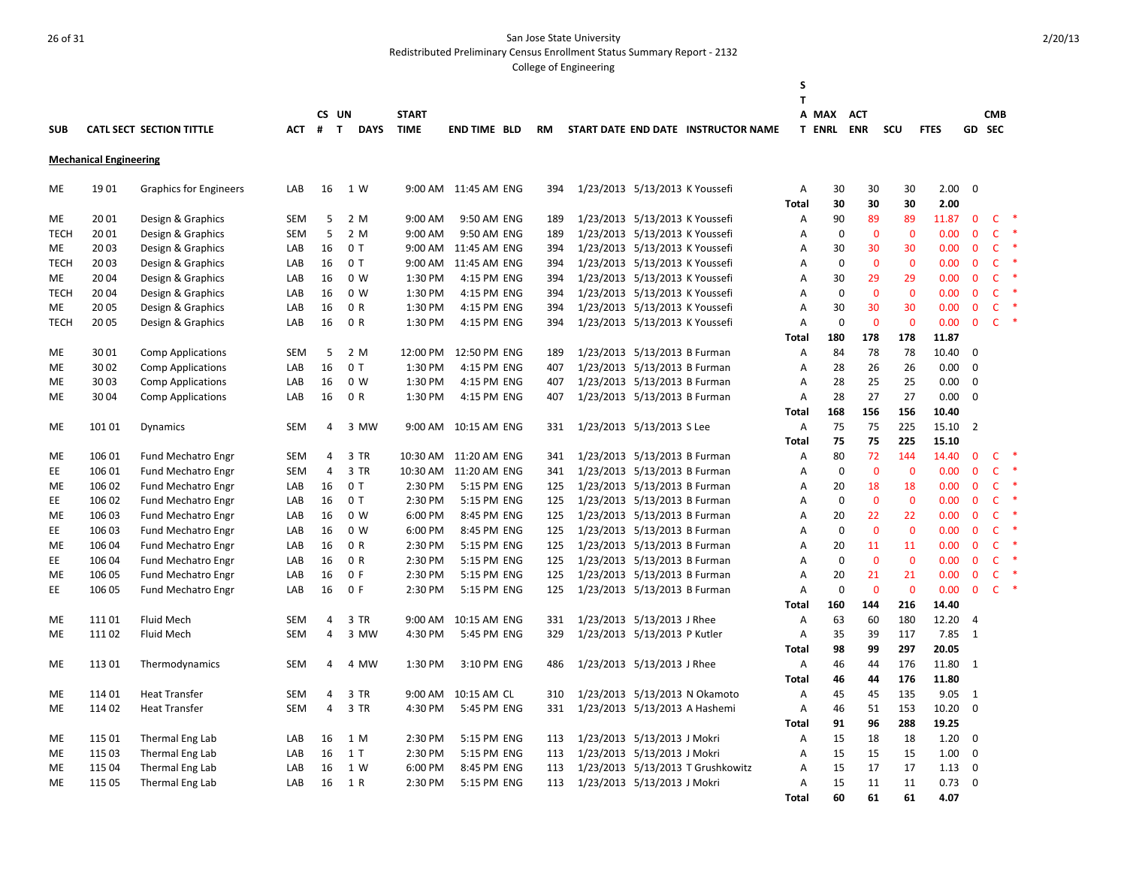Redistributed Preliminary Census Enrollment Status Summary Report - 2132

|                 |                               |                                 |            |                     |                             |                             |                            |            |                                |                                     | S                   |                            |                    |                    |               |                             |                              |              |
|-----------------|-------------------------------|---------------------------------|------------|---------------------|-----------------------------|-----------------------------|----------------------------|------------|--------------------------------|-------------------------------------|---------------------|----------------------------|--------------------|--------------------|---------------|-----------------------------|------------------------------|--------------|
|                 |                               |                                 |            |                     |                             |                             |                            |            |                                |                                     | т                   |                            |                    |                    |               |                             |                              |              |
| <b>SUB</b>      |                               | <b>CATL SECT SECTION TITTLE</b> | <b>ACT</b> | CS UN<br>#          | $\mathbf{T}$<br><b>DAYS</b> | <b>START</b><br><b>TIME</b> | <b>END TIME BLD</b>        | <b>RM</b>  |                                | START DATE END DATE INSTRUCTOR NAME |                     | A MAX<br><b>T ENRL ENR</b> | <b>ACT</b>         | SCU                | <b>FTES</b>   |                             | <b>CMB</b><br>GD SEC         |              |
|                 |                               |                                 |            |                     |                             |                             |                            |            |                                |                                     |                     |                            |                    |                    |               |                             |                              |              |
|                 | <b>Mechanical Engineering</b> |                                 |            |                     |                             |                             |                            |            |                                |                                     |                     |                            |                    |                    |               |                             |                              |              |
| ME              | 1901                          | <b>Graphics for Engineers</b>   | LAB        | 16                  | 1 W                         |                             | 9:00 AM 11:45 AM ENG       | 394        | 1/23/2013 5/13/2013 K Youssefi |                                     | Α                   | 30                         | 30                 | 30                 | 2.00          | $\overline{0}$              |                              |              |
|                 |                               |                                 |            |                     |                             |                             |                            |            |                                |                                     | Total               | 30                         | 30                 | 30                 | 2.00          |                             |                              |              |
| ME              | 20 01                         | Design & Graphics               | SEM        | 5                   | 2 M                         | 9:00 AM                     | 9:50 AM ENG                | 189        | 1/23/2013 5/13/2013 K Youssefi |                                     | Α                   | 90                         | 89                 | 89                 | 11.87         | $\mathbf 0$                 | $\mathsf{C}$                 | -*<br>$\ast$ |
| <b>TECH</b>     | 20 01                         | Design & Graphics               | <b>SEM</b> | 5                   | 2 M                         | 9:00 AM                     | 9:50 AM ENG                | 189        | 1/23/2013 5/13/2013 K Youssefi |                                     | A                   | $\mathbf 0$                | $\mathbf 0$        | $\mathbf 0$        | 0.00          | $\mathbf 0$                 | C                            | $\ast$       |
| ME              | 2003                          | Design & Graphics               | LAB        | 16                  | 0T                          | 9:00 AM                     | 11:45 AM ENG               | 394        | 1/23/2013 5/13/2013 K Youssefi |                                     | A                   | 30                         | 30                 | 30                 | 0.00          | $\mathbf{0}$                | $\mathsf{C}$                 |              |
| <b>TECH</b>     | 20 03                         | Design & Graphics               | LAB        | 16                  | 0T                          | 9:00 AM                     | 11:45 AM ENG               | 394        | 1/23/2013 5/13/2013 K Youssefi |                                     | Α                   | $\mathbf 0$                | $\mathbf 0$        | $\mathbf 0$        | 0.00          | $\mathbf 0$                 | $\mathsf{C}$                 |              |
| ME              | 2004                          | Design & Graphics               | LAB        | 16                  | 0 <sub>W</sub>              | 1:30 PM                     | 4:15 PM ENG                | 394        | 1/23/2013 5/13/2013 K Youssefi |                                     | $\overline{A}$      | 30                         | 29                 | 29                 | 0.00          | $\mathbf{0}$                | $\mathsf{C}$                 |              |
| <b>TECH</b>     | 20 04                         | Design & Graphics               | LAB        | 16                  | 0 W                         | 1:30 PM                     | 4:15 PM ENG                | 394        | 1/23/2013 5/13/2013 K Youssefi |                                     | A                   | $\mathbf 0$                | $\mathbf{0}$       | $\mathbf{0}$       | 0.00          | $\mathbf{0}$                | $\mathsf{C}$                 |              |
| ME              | 20 05                         | Design & Graphics               | LAB        | 16                  | 0 R                         | 1:30 PM                     | 4:15 PM ENG                | 394        | 1/23/2013 5/13/2013 K Youssefi |                                     | A                   | 30                         | 30                 | 30                 | 0.00          | $\mathbf 0$                 | $\mathsf{C}$<br>$\mathsf{C}$ | $\ast$       |
| <b>TECH</b>     | 2005                          | Design & Graphics               | LAB        | 16                  | 0 R                         | 1:30 PM                     | 4:15 PM ENG                | 394        | 1/23/2013 5/13/2013 K Youssefi |                                     | $\overline{A}$      | $\mathbf 0$                | $\mathbf{0}$       | $\mathbf{0}$       | 0.00          | $\mathbf{0}$                |                              |              |
|                 |                               |                                 |            |                     |                             |                             |                            |            |                                |                                     | <b>Total</b>        | 180                        | 178                | 178                | 11.87         |                             |                              |              |
| ME              | 30 01                         | <b>Comp Applications</b>        | <b>SEM</b> | 5                   | 2 M                         | 12:00 PM                    | 12:50 PM ENG               | 189        | 1/23/2013 5/13/2013 B Furman   |                                     | Α                   | 84                         | 78                 | 78                 | 10.40         | $\mathbf 0$                 |                              |              |
| ME              | 30 02                         | <b>Comp Applications</b>        | LAB        | 16                  | 0T                          | 1:30 PM                     | 4:15 PM ENG                | 407        | 1/23/2013 5/13/2013 B Furman   |                                     | $\overline{A}$      | 28                         | 26                 | 26                 | 0.00          | $\Omega$                    |                              |              |
| ME              | 3003                          | <b>Comp Applications</b>        | LAB        | 16                  | 0 W                         | 1:30 PM                     | 4:15 PM ENG                | 407        | 1/23/2013 5/13/2013 B Furman   |                                     | A                   | 28                         | 25                 | 25                 | 0.00          | 0                           |                              |              |
| ME              | 30 04                         | <b>Comp Applications</b>        | LAB        | 16                  | 0 R                         | 1:30 PM                     | 4:15 PM ENG                | 407        | 1/23/2013 5/13/2013 B Furman   |                                     | A                   | 28                         | 27                 | 27                 | 0.00          | $\mathbf 0$                 |                              |              |
|                 |                               |                                 |            |                     |                             |                             |                            |            |                                |                                     | Total               | 168                        | 156                | 156                | 10.40         |                             |                              |              |
| ME              | 101 01                        | Dynamics                        | <b>SEM</b> | 4                   | 3 MW                        | 9:00 AM                     | 10:15 AM ENG               | 331        | 1/23/2013 5/13/2013 S Lee      |                                     | Α                   | 75                         | 75                 | 225                | 15.10         | $\overline{2}$              |                              |              |
|                 |                               |                                 |            |                     |                             |                             |                            |            |                                |                                     | <b>Total</b>        | 75                         | 75<br>72           | 225                | 15.10         |                             | $\mathsf{C}$                 |              |
| ME              | 106 01                        | <b>Fund Mechatro Engr</b>       | <b>SEM</b> | 4                   | 3 TR<br>3 TR                | 10:30 AM                    | 11:20 AM ENG               | 341        | 1/23/2013 5/13/2013 B Furman   |                                     | A                   | 80<br>$\mathbf 0$          | $\mathbf 0$        | 144<br>$\mathbf 0$ | 14.40<br>0.00 | $\mathbf 0$<br>$\mathbf 0$  | $\mathsf{C}$                 | $\ast$       |
| EE              | 106 01                        | <b>Fund Mechatro Engr</b>       | SEM        | 4                   |                             | 10:30 AM                    | 11:20 AM ENG               | 341        | 1/23/2013 5/13/2013 B Furman   |                                     | Α                   |                            |                    |                    |               |                             | $\mathsf{C}$                 |              |
| ME              | 106 02                        | Fund Mechatro Engr              | LAB        | 16                  | 0T                          | 2:30 PM                     | 5:15 PM ENG                | 125        | 1/23/2013 5/13/2013 B Furman   |                                     | Α                   | 20<br>$\mathbf 0$          | 18<br>$\mathbf{0}$ | 18<br>$\mathbf 0$  | 0.00          | $\mathbf 0$                 | $\mathsf{C}$                 |              |
| EE              | 106 02                        | <b>Fund Mechatro Engr</b>       | LAB        | 16                  | 0T                          | 2:30 PM                     | 5:15 PM ENG                | 125        | 1/23/2013 5/13/2013 B Furman   |                                     | $\overline{A}$      |                            |                    |                    | 0.00          | $\mathbf 0$                 |                              |              |
| ME              | 106 03                        | Fund Mechatro Engr              | LAB        | 16                  | 0 W                         | 6:00 PM                     | 8:45 PM ENG                | 125        | 1/23/2013 5/13/2013 B Furman   |                                     | Α                   | 20<br>$\mathbf 0$          | 22<br>$\mathbf{0}$ | 22<br>$\mathbf{0}$ | 0.00          | $\mathbf 0$                 | $\mathsf{C}$<br>C            |              |
| EE              | 106 03                        | Fund Mechatro Engr              | LAB        | 16                  | 0 <sub>W</sub><br>0 R       | 6:00 PM                     | 8:45 PM ENG                | 125        | 1/23/2013 5/13/2013 B Furman   |                                     | $\overline{A}$      | 20                         |                    |                    | 0.00          | $\mathbf 0$<br>$\mathbf{0}$ | $\mathsf{C}$                 |              |
| ME              | 106 04                        | <b>Fund Mechatro Engr</b>       | LAB        | 16                  | 0 R                         | 2:30 PM                     | 5:15 PM ENG                | 125        | 1/23/2013 5/13/2013 B Furman   |                                     | A                   | $\mathbf 0$                | 11<br>$\mathbf{0}$ | 11<br>$\mathbf 0$  | 0.00          | $\mathbf 0$                 | $\mathsf{C}$                 |              |
| EE<br><b>ME</b> | 106 04<br>106 05              | <b>Fund Mechatro Engr</b>       | LAB        | 16<br>16            | 0 F                         | 2:30 PM<br>2:30 PM          | 5:15 PM ENG<br>5:15 PM ENG | 125<br>125 | 1/23/2013 5/13/2013 B Furman   |                                     | Α<br>$\overline{A}$ | 20                         | 21                 | 21                 | 0.00<br>0.00  | $\mathbf{0}$                | C                            |              |
| EE              | 106 05                        | Fund Mechatro Engr              | LAB<br>LAB | 16                  | 0 F                         |                             | 5:15 PM ENG                | 125        | 1/23/2013 5/13/2013 B Furman   |                                     | A                   | $\Omega$                   | $\Omega$           | $\mathbf 0$        | 0.00          | $\mathbf{0}$                | $\mathsf{C}$                 |              |
|                 |                               | <b>Fund Mechatro Engr</b>       |            |                     |                             | 2:30 PM                     |                            |            | 1/23/2013 5/13/2013 B Furman   |                                     |                     |                            | 144                | 216                | 14.40         |                             |                              |              |
|                 | 11101                         | Fluid Mech                      | <b>SEM</b> | 4                   | 3 TR                        | 9:00 AM                     | 10:15 AM ENG               |            |                                |                                     | <b>Total</b><br>A   | 160<br>63                  | 60                 | 180                | 12.20         | $\overline{4}$              |                              |              |
| ME              | 11102                         |                                 | <b>SEM</b> | 4                   | 3 MW                        |                             | 5:45 PM ENG                | 331<br>329 | 1/23/2013 5/13/2013 J Rhee     |                                     | A                   |                            | 39                 | 117                | 7.85          | $\mathbf{1}$                |                              |              |
| ME              |                               | Fluid Mech                      |            |                     |                             | 4:30 PM                     |                            |            | 1/23/2013 5/13/2013 P Kutler   |                                     |                     | 35<br>98                   | 99                 | 297                | 20.05         |                             |                              |              |
| ME              | 11301                         |                                 | <b>SEM</b> | 4                   | 4 MW                        | 1:30 PM                     | 3:10 PM ENG                | 486        | 1/23/2013 5/13/2013 J Rhee     |                                     | Total<br>Α          | 46                         | 44                 | 176                | 11.80         | $\overline{1}$              |                              |              |
|                 |                               | Thermodynamics                  |            |                     |                             |                             |                            |            |                                |                                     |                     |                            |                    | 176                | 11.80         |                             |                              |              |
|                 |                               |                                 | <b>SEM</b> |                     | 3 TR                        | 9:00 AM                     |                            |            |                                |                                     | Total               | 46                         | 44                 |                    |               |                             |                              |              |
| ME              | 114 01                        | <b>Heat Transfer</b>            | <b>SEM</b> | 4<br>$\overline{4}$ | 3 TR                        |                             | 10:15 AM CL                | 310<br>331 |                                | 1/23/2013 5/13/2013 N Okamoto       | Α                   | 45                         | 45<br>51           | 135                | 9.05          | 1<br>$\mathbf 0$            |                              |              |
| ME              | 114 02                        | <b>Heat Transfer</b>            |            |                     |                             | 4:30 PM                     | 5:45 PM ENG                |            |                                | 1/23/2013 5/13/2013 A Hashemi       | Α                   | 46                         |                    | 153                | 10.20         |                             |                              |              |
|                 |                               |                                 |            |                     |                             |                             |                            |            |                                |                                     | <b>Total</b>        | 91                         | 96                 | 288                | 19.25         |                             |                              |              |
| ME              | 115 01                        | Thermal Eng Lab                 | LAB        | 16                  | 1 M                         | 2:30 PM                     | 5:15 PM ENG                | 113        | 1/23/2013 5/13/2013 J Mokri    |                                     | Α                   | 15                         | 18                 | 18                 | 1.20          | $\mathbf 0$                 |                              |              |
| ME              | 115 03                        | Thermal Eng Lab                 | LAB        | 16                  | 1T                          | 2:30 PM                     | 5:15 PM ENG                | 113        | 1/23/2013 5/13/2013 J Mokri    |                                     | A                   | 15                         | 15                 | 15                 | 1.00          | 0                           |                              |              |
| ME              | 115 04                        | Thermal Eng Lab                 | LAB        | 16                  | 1 W                         | 6:00 PM                     | 8:45 PM ENG                | 113        |                                | 1/23/2013 5/13/2013 T Grushkowitz   | Α                   | 15                         | 17<br>11           | 17                 | 1.13<br>0.73  | 0<br>$\mathbf 0$            |                              |              |
| ME              | 115 05                        | Thermal Eng Lab                 | LAB        | 16                  | 1 R                         | 2:30 PM                     | 5:15 PM ENG                | 113        | 1/23/2013 5/13/2013 J Mokri    |                                     | A                   | 15<br>60                   | 61                 | 11<br>61           | 4.07          |                             |                              |              |
|                 |                               |                                 |            |                     |                             |                             |                            |            |                                |                                     | <b>Total</b>        |                            |                    |                    |               |                             |                              |              |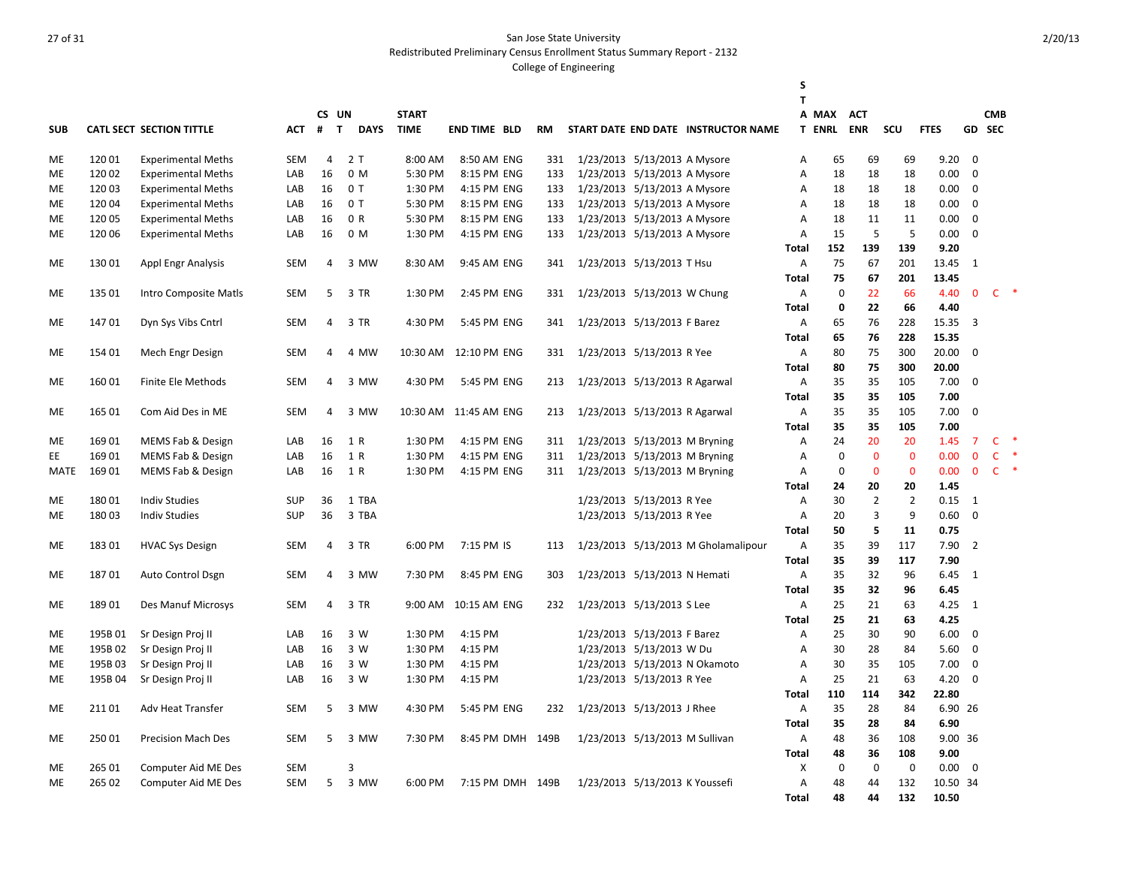Redistributed Preliminary Census Enrollment Status Summary Report - 2132

|            |         |                                 |            |                |                             |              |                        |           |                                |                             |                                     | S<br>T       |                   |                |                |             |                |              |           |
|------------|---------|---------------------------------|------------|----------------|-----------------------------|--------------|------------------------|-----------|--------------------------------|-----------------------------|-------------------------------------|--------------|-------------------|----------------|----------------|-------------|----------------|--------------|-----------|
|            |         |                                 |            |                | CS UN                       | <b>START</b> |                        |           |                                |                             |                                     |              | A MAX             | <b>ACT</b>     |                |             |                | <b>CMB</b>   |           |
| <b>SUB</b> |         | <b>CATL SECT SECTION TITTLE</b> | АСТ        | #              | $\mathbf{T}$<br><b>DAYS</b> | <b>TIME</b>  | <b>END TIME BLD</b>    | <b>RM</b> |                                |                             | START DATE END DATE INSTRUCTOR NAME |              | <b>T ENRL ENR</b> |                | <b>SCU</b>     | <b>FTES</b> |                | GD SEC       |           |
|            |         |                                 |            |                |                             |              |                        |           |                                |                             |                                     |              |                   |                |                |             |                |              |           |
| ME         | 12001   | <b>Experimental Meths</b>       | <b>SEM</b> | $\overline{4}$ | 2T                          | 8:00 AM      | 8:50 AM ENG            | 331       | 1/23/2013 5/13/2013 A Mysore   |                             |                                     | Α            | 65                | 69             | 69             | 9.20        | $\mathbf 0$    |              |           |
| ME         | 120 02  | <b>Experimental Meths</b>       | LAB        | 16             | 0 M                         | 5:30 PM      | 8:15 PM ENG            | 133       | 1/23/2013 5/13/2013 A Mysore   |                             |                                     | Α            | 18                | 18             | 18             | 0.00        | $\Omega$       |              |           |
| ME         | 12003   | <b>Experimental Meths</b>       | LAB        | 16             | 0T                          | 1:30 PM      | 4:15 PM ENG            | 133       | 1/23/2013 5/13/2013 A Mysore   |                             |                                     | Α            | 18                | 18             | 18             | 0.00        | $\mathbf 0$    |              |           |
| <b>ME</b>  | 12004   | <b>Experimental Meths</b>       | LAB        | 16             | 0T                          | 5:30 PM      | 8:15 PM ENG            | 133       | 1/23/2013 5/13/2013 A Mysore   |                             |                                     | Α            | 18                | 18             | 18             | 0.00        | $\mathbf 0$    |              |           |
| ME         | 12005   | <b>Experimental Meths</b>       | LAB        | 16             | 0 R                         | 5:30 PM      | 8:15 PM ENG            | 133       | 1/23/2013 5/13/2013 A Mysore   |                             |                                     | Α            | 18                | 11             | 11             | 0.00        | 0              |              |           |
| ME         | 120 06  | <b>Experimental Meths</b>       | LAB        | 16             | 0 M                         | 1:30 PM      | 4:15 PM ENG            | 133       | 1/23/2013 5/13/2013 A Mysore   |                             |                                     | A            | 15                | 5              | 5              | 0.00        | $\mathbf 0$    |              |           |
|            |         |                                 |            |                |                             |              |                        |           |                                |                             |                                     | Total        | 152               | 139            | 139            | 9.20        |                |              |           |
| ME         | 13001   | <b>Appl Engr Analysis</b>       | <b>SEM</b> | 4              | 3 MW                        | 8:30 AM      | 9:45 AM ENG            | 341       | 1/23/2013 5/13/2013 T Hsu      |                             |                                     | Α            | 75                | 67             | 201            | 13.45       | 1              |              |           |
|            |         |                                 |            |                |                             |              |                        |           |                                |                             |                                     | Total        | 75                | 67             | 201            | 13.45       |                |              |           |
| ME         | 135 01  | Intro Composite Matls           | <b>SEM</b> | 5              | 3 TR                        | 1:30 PM      | 2:45 PM ENG            | 331       | 1/23/2013 5/13/2013 W Chung    |                             |                                     | Α            | $\pmb{0}$         | 22             | 66             | 4.40        | $\mathbf{0}$   | $\mathsf{C}$ |           |
|            |         |                                 |            |                |                             |              |                        |           |                                |                             |                                     | <b>Total</b> | $\mathbf 0$       | 22             | 66             | 4.40        |                |              |           |
|            | 14701   |                                 | SEM        | 4              | 3 TR                        | 4:30 PM      |                        | 341       | 1/23/2013 5/13/2013 F Barez    |                             |                                     | Α            | 65                | 76             | 228            | 15.35       | $\overline{3}$ |              |           |
| ME         |         | Dyn Sys Vibs Cntrl              |            |                |                             |              | 5:45 PM ENG            |           |                                |                             |                                     |              | 65                | 76             | 228            | 15.35       |                |              |           |
|            |         |                                 |            |                |                             |              |                        |           |                                |                             |                                     | Total        |                   |                |                |             |                |              |           |
| ME         | 154 01  | Mech Engr Design                | <b>SEM</b> | $\overline{4}$ | 4 MW                        | 10:30 AM     | 12:10 PM ENG           | 331       | 1/23/2013 5/13/2013 R Yee      |                             |                                     | Α            | 80                | 75             | 300            | 20.00       | $\mathbf 0$    |              |           |
|            |         |                                 |            |                |                             |              |                        |           |                                |                             |                                     | <b>Total</b> | 80                | 75             | 300            | 20.00       |                |              |           |
| ME         | 16001   | Finite Ele Methods              | <b>SEM</b> | 4              | 3 MW                        | 4:30 PM      | 5:45 PM ENG            | 213       | 1/23/2013 5/13/2013 R Agarwal  |                             |                                     | A            | 35                | 35             | 105            | 7.00        | $\mathbf 0$    |              |           |
|            |         |                                 |            |                |                             |              |                        |           |                                |                             |                                     | <b>Total</b> | 35                | 35             | 105            | 7.00        |                |              |           |
| ME         | 165 01  | Com Aid Des in ME               | <b>SEM</b> | 4              | 3 MW                        |              | 10:30 AM  11:45 AM ENG | 213       | 1/23/2013 5/13/2013 R Agarwal  |                             |                                     | Α            | 35                | 35             | 105            | 7.00        | $\mathbf 0$    |              |           |
|            |         |                                 |            |                |                             |              |                        |           |                                |                             |                                     | <b>Total</b> | 35                | 35             | 105            | 7.00        |                |              |           |
| ME         | 16901   | MEMS Fab & Design               | LAB        | 16             | 1 R                         | 1:30 PM      | 4:15 PM ENG            | 311       | 1/23/2013 5/13/2013 M Bryning  |                             |                                     | Α            | 24                | 20             | 20             | 1.45        | $\overline{7}$ | $\mathsf{C}$ | $\ast$    |
| EE         | 169 01  | MEMS Fab & Design               | LAB        | 16             | 1 R                         | 1:30 PM      | 4:15 PM ENG            | 311       | 1/23/2013 5/13/2013 M Bryning  |                             |                                     | Α            | $\mathbf 0$       | $\overline{0}$ | $\mathbf{0}$   | 0.00        | $\mathbf{0}$   | $\mathsf{C}$ | $\ast$    |
| MATE       | 169 01  | MEMS Fab & Design               | LAB        | 16             | 1 R                         | 1:30 PM      | 4:15 PM ENG            | 311       | 1/23/2013 5/13/2013 M Bryning  |                             |                                     | A            | 0                 | $\mathbf 0$    | $\mathbf 0$    | 0.00        | $\mathbf 0$    | $\mathsf{C}$ | $\,$ $\,$ |
|            |         |                                 |            |                |                             |              |                        |           |                                |                             |                                     | Total        | 24                | 20             | 20             | 1.45        |                |              |           |
| ME         | 18001   | <b>Indiv Studies</b>            | <b>SUP</b> | 36             | 1 TBA                       |              |                        |           |                                | 1/23/2013 5/13/2013 R Yee   |                                     | Α            | 30                | $\overline{2}$ | $\overline{2}$ | 0.15        | 1              |              |           |
| ME         | 18003   | <b>Indiv Studies</b>            | <b>SUP</b> | 36             | 3 TBA                       |              |                        |           |                                | 1/23/2013 5/13/2013 R Yee   |                                     | A            | 20                | 3              | 9              | 0.60        | $\Omega$       |              |           |
|            |         |                                 |            |                |                             |              |                        |           |                                |                             |                                     | <b>Total</b> | 50                | 5              | 11             | 0.75        |                |              |           |
| ME         | 18301   | <b>HVAC Sys Design</b>          | <b>SEM</b> | $\overline{4}$ | 3 TR                        | 6:00 PM      | 7:15 PM IS             | 113       |                                |                             | 1/23/2013 5/13/2013 M Gholamalipour | Α            | 35                | 39             | 117            | 7.90        | $\overline{2}$ |              |           |
|            |         |                                 |            |                |                             |              |                        |           |                                |                             |                                     | <b>Total</b> | 35                | 39             | 117            | 7.90        |                |              |           |
| ME         | 18701   | Auto Control Dsgn               | <b>SEM</b> | 4              | 3 MW                        | 7:30 PM      | 8:45 PM ENG            | 303       | 1/23/2013 5/13/2013 N Hemati   |                             |                                     | A            | 35                | 32             | 96             | 6.45        | 1              |              |           |
|            |         |                                 |            |                |                             |              |                        |           |                                |                             |                                     | <b>Total</b> | 35                | 32             | 96             | 6.45        |                |              |           |
| <b>ME</b>  | 18901   | Des Manuf Microsys              | <b>SEM</b> | $\overline{4}$ | 3 TR                        | 9:00 AM      | 10:15 AM ENG           | 232       | 1/23/2013 5/13/2013 S Lee      |                             |                                     | A            | 25                | 21             | 63             | 4.25        | 1              |              |           |
|            |         |                                 |            |                |                             |              |                        |           |                                |                             |                                     | <b>Total</b> | 25                | 21             | 63             | 4.25        |                |              |           |
| <b>ME</b>  | 195B01  | Sr Design Proj II               | LAB        | 16             | 3 W                         | 1:30 PM      | 4:15 PM                |           |                                | 1/23/2013 5/13/2013 F Barez |                                     | A            | 25                | 30             | 90             | 6.00        | $\mathbf 0$    |              |           |
| ME         | 195B 02 | Sr Design Proj II               | LAB        | 16             | 3 W                         | 1:30 PM      | 4:15 PM                |           |                                | 1/23/2013 5/13/2013 W Du    |                                     | A            | 30                | 28             | 84             | 5.60        | $\mathbf 0$    |              |           |
| ME         | 195B03  | Sr Design Proj II               | LAB        | 16             | 3 W                         | 1:30 PM      | 4:15 PM                |           |                                |                             | 1/23/2013 5/13/2013 N Okamoto       | A            | 30                | 35             | 105            | 7.00        | $\mathbf 0$    |              |           |
| ME         | 195B04  | Sr Design Proj II               | LAB        | 16             | 3 W                         | 1:30 PM      | 4:15 PM                |           |                                | 1/23/2013 5/13/2013 R Yee   |                                     | Α            | 25                | 21             | 63             | 4.20        | $\mathbf 0$    |              |           |
|            |         |                                 |            |                |                             |              |                        |           |                                |                             |                                     | Total        | 110               | 114            | 342            | 22.80       |                |              |           |
| ME         | 21101   | Adv Heat Transfer               | <b>SEM</b> | 5              | 3 MW                        | 4:30 PM      | 5:45 PM ENG            | 232       | 1/23/2013 5/13/2013 J Rhee     |                             |                                     | A            | 35                | 28             | 84             | 6.90 26     |                |              |           |
|            |         |                                 |            |                |                             |              |                        |           |                                |                             |                                     | <b>Total</b> | 35                | 28             | 84             | 6.90        |                |              |           |
| ME         | 25001   | <b>Precision Mach Des</b>       | <b>SEM</b> | 5              | 3 MW                        | 7:30 PM      | 8:45 PM DMH 149B       |           | 1/23/2013 5/13/2013 M Sullivan |                             |                                     | Α            | 48                | 36             | 108            | 9.00 36     |                |              |           |
|            |         |                                 |            |                |                             |              |                        |           |                                |                             |                                     | Total        | 48                | 36             | 108            | 9.00        |                |              |           |
| <b>ME</b>  | 265 01  | Computer Aid ME Des             | <b>SEM</b> |                | 3                           |              |                        |           |                                |                             |                                     | X            | $\mathbf 0$       | $\mathbf 0$    | $\mathbf 0$    | 0.00        | 0              |              |           |
| ME         | 265 02  | <b>Computer Aid ME Des</b>      | <b>SEM</b> | 5              | 3 MW                        | 6:00 PM      | 7:15 PM DMH 149B       |           | 1/23/2013 5/13/2013 K Youssefi |                             |                                     | A            | 48                | 44             | 132            | 10.50 34    |                |              |           |
|            |         |                                 |            |                |                             |              |                        |           |                                |                             |                                     | Total        | 48                | 44             | 132            | 10.50       |                |              |           |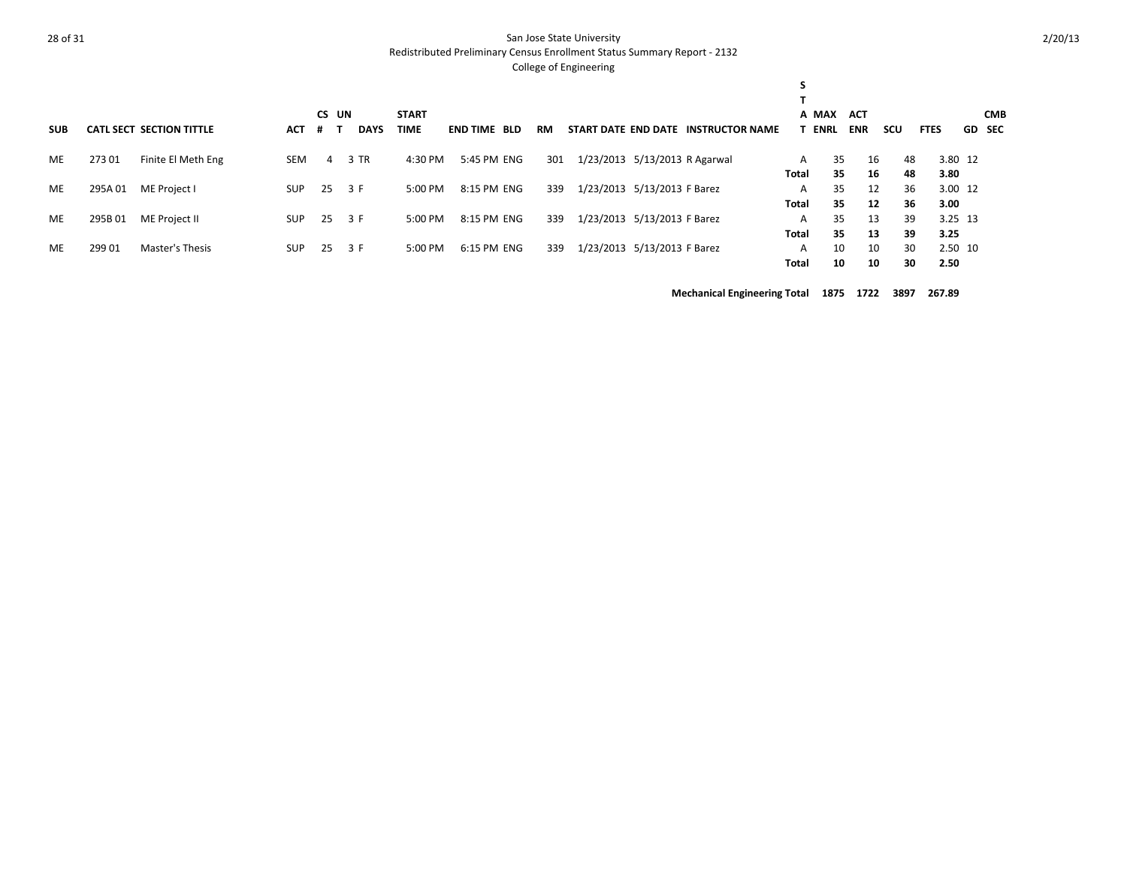Redistributed Preliminary Census Enrollment Status Summary Report - 2132

#### College of Engineering

| <b>SUB</b> |        | <b>CATL SECT SECTION TITTLE</b> | <b>ACT</b> | CS UN<br>$+$ | <b>DAYS</b> | <b>START</b><br>TIME | <b>END TIME BLD</b> | RM  |                               | START DATE END DATE INSTRUCTOR NAME |       | A MAX<br><b>T ENRL</b> | <b>ACT</b><br><b>ENR</b> | scu | <b>FTES</b> | GD SEC | <b>CMB</b> |
|------------|--------|---------------------------------|------------|--------------|-------------|----------------------|---------------------|-----|-------------------------------|-------------------------------------|-------|------------------------|--------------------------|-----|-------------|--------|------------|
| ME         | 27301  | Finite El Meth Eng              | SEM        | 4            | 3 TR        | 4:30 PM              | 5:45 PM ENG         | 301 | 1/23/2013 5/13/2013 R Agarwal |                                     | A     | 35                     | 16                       | 48  | 3.80 12     |        |            |
|            |        |                                 |            |              |             |                      |                     |     |                               |                                     | Total | 35                     | 16                       | 48  | 3.80        |        |            |
| ME         | 295A01 | ME Project I                    | SUP        | - 25         | 3 F         | 5:00 PM              | 8:15 PM ENG         | 339 | 1/23/2013 5/13/2013 F Barez   |                                     | A     | 35                     | 12                       | 36  | 3.00 12     |        |            |
|            |        |                                 |            |              |             |                      |                     |     |                               |                                     | Total | 35                     | 12                       | 36  | 3.00        |        |            |
| ME         | 295B01 | ME Project II                   | <b>SUP</b> | 25           | 3 F         | 5:00 PM              | 8:15 PM ENG         | 339 | 1/23/2013 5/13/2013 F Barez   |                                     | A     | 35                     | 13                       | 39  | 3.25 13     |        |            |
|            |        |                                 |            |              |             |                      |                     |     |                               |                                     | Total | 35                     | 13                       | 39  | 3.25        |        |            |
| ME         | 299 01 | Master's Thesis                 | <b>SUP</b> | 25           | 3 F         | 5:00 PM              | 6:15 PM ENG         | 339 | 1/23/2013 5/13/2013 F Barez   |                                     | A     | 10                     | 10                       | 30  | 2.50 10     |        |            |
|            |        |                                 |            |              |             |                      |                     |     |                               |                                     | Total | 10                     | 10                       | 30  | 2.50        |        |            |

**Mechanical Engineering Total 1875 1722 3897 267.89**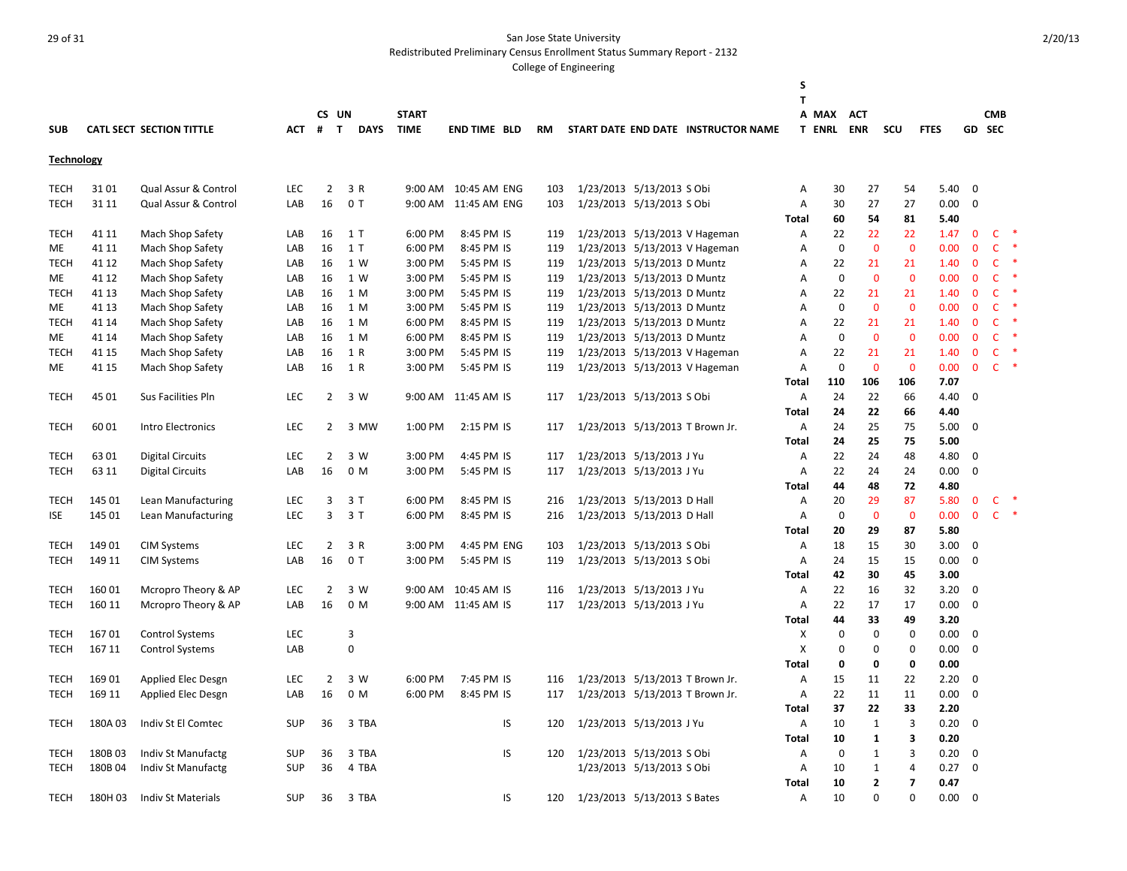Redistributed Preliminary Census Enrollment Status Summary Report - 2132

|                   |        |                           |            |                |              |                |              |                      |           |                                 |                                     | S<br>T         |                   |              |                |             |              |              |  |
|-------------------|--------|---------------------------|------------|----------------|--------------|----------------|--------------|----------------------|-----------|---------------------------------|-------------------------------------|----------------|-------------------|--------------|----------------|-------------|--------------|--------------|--|
|                   |        |                           |            |                | CS UN        |                | <b>START</b> |                      |           |                                 |                                     |                | A MAX             | <b>ACT</b>   |                |             |              | <b>CMB</b>   |  |
| <b>SUB</b>        |        | CATL SECT SECTION TITTLE  | <b>ACT</b> | #              | $\mathbf{T}$ | <b>DAYS</b>    | <b>TIME</b>  | <b>END TIME BLD</b>  | <b>RM</b> |                                 | START DATE END DATE INSTRUCTOR NAME |                | <b>T ENRL ENR</b> |              | SCU            | <b>FTES</b> | GD SEC       |              |  |
| <b>Technology</b> |        |                           |            |                |              |                |              |                      |           |                                 |                                     |                |                   |              |                |             |              |              |  |
| <b>TECH</b>       | 3101   | Qual Assur & Control      | <b>LEC</b> | $\overline{2}$ |              | 3 R            |              | 9:00 AM 10:45 AM ENG | 103       | 1/23/2013 5/13/2013 S Obi       |                                     | A              | 30                | 27           | 54             | 5.40        | $\mathbf 0$  |              |  |
| <b>TECH</b>       | 31 11  | Qual Assur & Control      | LAB        | 16             |              | 0 <sub>T</sub> |              | 9:00 AM 11:45 AM ENG | 103       | 1/23/2013 5/13/2013 S Obi       |                                     | Α              | 30                | 27           | 27             | 0.00        | $\mathbf 0$  |              |  |
|                   |        |                           |            |                |              |                |              |                      |           |                                 |                                     | <b>Total</b>   | 60                | 54           | 81             | 5.40        |              |              |  |
| TECH              | 41 11  | Mach Shop Safety          | LAB        | 16             |              | 1 T            | 6:00 PM      | 8:45 PM IS           | 119       |                                 | 1/23/2013 5/13/2013 V Hageman       | A              | 22                | 22           | 22             | 1.47        | $\mathbf{0}$ | C.           |  |
| ME                | 41 11  | Mach Shop Safety          | LAB        | 16             |              | 1T             | 6:00 PM      | 8:45 PM IS           | 119       |                                 | 1/23/2013 5/13/2013 V Hageman       | Α              | $\mathbf 0$       | $\mathbf 0$  | $\mathbf 0$    | 0.00        | $\mathbf{0}$ | $\mathsf{C}$ |  |
| TECH              | 41 12  | Mach Shop Safety          | LAB        | 16             |              | 1 W            | 3:00 PM      | 5:45 PM IS           | 119       | 1/23/2013 5/13/2013 D Muntz     |                                     | Α              | 22                | 21           | 21             | 1.40        | $\mathbf 0$  | $\mathsf{C}$ |  |
| ME                | 41 12  | Mach Shop Safety          | LAB        | 16             |              | 1 W            | 3:00 PM      | 5:45 PM IS           | 119       | 1/23/2013 5/13/2013 D Muntz     |                                     | Α              | $\mathbf 0$       | $\mathbf 0$  | $\mathbf 0$    | 0.00        | $\mathbf 0$  | $\mathsf{C}$ |  |
| <b>TECH</b>       | 41 13  | Mach Shop Safety          | LAB        | 16             |              | 1 M            | 3:00 PM      | 5:45 PM IS           | 119       | 1/23/2013 5/13/2013 D Muntz     |                                     | Α              | 22                | 21           | 21             | 1.40        | $\mathbf 0$  | $\mathsf{C}$ |  |
| ME                | 41 13  | Mach Shop Safety          | LAB        | 16             |              | 1 M            | 3:00 PM      | 5:45 PM IS           | 119       | 1/23/2013 5/13/2013 D Muntz     |                                     | A              | $\mathbf 0$       | $\mathbf{0}$ | $\mathbf{0}$   | 0.00        | $\mathbf{0}$ | $\mathsf{C}$ |  |
| <b>TECH</b>       | 41 14  | Mach Shop Safety          | LAB        | 16             |              | 1 M            | 6:00 PM      | 8:45 PM IS           | 119       | 1/23/2013 5/13/2013 D Muntz     |                                     | Α              | 22                | 21           | 21             | 1.40        | $\mathbf 0$  | C            |  |
| ME.               | 41 14  | Mach Shop Safety          | LAB        | 16             |              | 1 M            | 6:00 PM      | 8:45 PM IS           | 119       | 1/23/2013 5/13/2013 D Muntz     |                                     | A              | $\mathbf 0$       | $\mathbf{0}$ | $\mathbf{0}$   | 0.00        | $\mathbf{0}$ | $\mathsf{C}$ |  |
| TECH              | 41 15  | Mach Shop Safety          | LAB        | 16             |              | 1 R            | 3:00 PM      | 5:45 PM IS           | 119       |                                 | 1/23/2013 5/13/2013 V Hageman       | Α              | 22                | 21           | 21             | 1.40        | $\mathbf 0$  | C            |  |
| ME                | 41 15  | Mach Shop Safety          | LAB        | 16             |              | 1 R            | 3:00 PM      | 5:45 PM IS           | 119       |                                 | 1/23/2013 5/13/2013 V Hageman       | A              | $\Omega$          | $\mathbf{0}$ | $\mathbf 0$    | 0.00        | $\mathbf{0}$ | $\mathsf{C}$ |  |
|                   |        |                           |            |                |              |                |              |                      |           |                                 |                                     | Total          | 110               | 106          | 106            | 7.07        |              |              |  |
| <b>TECH</b>       | 45 01  | Sus Facilities Pln        | <b>LEC</b> | 2              |              | 3 W            |              | 9:00 AM 11:45 AM IS  | 117       | 1/23/2013 5/13/2013 S Obi       |                                     | Α              | 24                | 22           | 66             | 4.40        | 0            |              |  |
|                   |        |                           |            |                |              |                |              |                      |           |                                 |                                     | <b>Total</b>   | 24                | 22           | 66             | 4.40        |              |              |  |
| <b>TECH</b>       | 60 01  | Intro Electronics         | <b>LEC</b> | 2              |              | 3 MW           | 1:00 PM      | 2:15 PM IS           | 117       | 1/23/2013 5/13/2013 T Brown Jr. |                                     | A              | 24                | 25           | 75             | 5.00        | 0            |              |  |
|                   |        |                           |            |                |              |                |              |                      |           |                                 |                                     | Total          | 24                | 25           | 75             | 5.00        |              |              |  |
| TECH              | 6301   | <b>Digital Circuits</b>   | LEC        | $\overline{2}$ |              | 3 W            | 3:00 PM      | 4:45 PM IS           | 117       | 1/23/2013 5/13/2013 J Yu        |                                     | A              | 22                | 24           | 48             | 4.80        | $\mathbf 0$  |              |  |
| TECH              | 63 11  | <b>Digital Circuits</b>   | LAB        | 16             |              | 0 M            | 3:00 PM      | 5:45 PM IS           | 117       | 1/23/2013 5/13/2013 J Yu        |                                     | A              | 22                | 24           | 24             | 0.00        | $\mathbf 0$  |              |  |
|                   |        |                           |            |                |              |                |              |                      |           |                                 |                                     | Total          | 44                | 48           | 72             | 4.80        |              |              |  |
| TECH              | 145 01 | Lean Manufacturing        | <b>LEC</b> | 3              |              | 3 T            | 6:00 PM      | 8:45 PM IS           | 216       | 1/23/2013 5/13/2013 D Hall      |                                     | A              | 20                | 29           | 87             | 5.80        | 0            | C            |  |
| <b>ISE</b>        | 145 01 | Lean Manufacturing        | LEC        | 3              |              | 3T             | 6:00 PM      | 8:45 PM IS           | 216       | 1/23/2013 5/13/2013 D Hall      |                                     | A              | $\mathbf 0$       | $\mathbf 0$  | $\mathbf 0$    | 0.00        | $\mathbf 0$  | $\mathsf{C}$ |  |
|                   |        |                           |            |                |              |                |              |                      |           |                                 |                                     | <b>Total</b>   | 20                | 29           | 87             | 5.80        |              |              |  |
| <b>TECH</b>       | 149 01 | <b>CIM Systems</b>        | LEC        | 2              |              | 3 R            | 3:00 PM      | 4:45 PM ENG          | 103       | 1/23/2013 5/13/2013 S Obi       |                                     | Α              | 18                | 15           | 30             | 3.00        | 0            |              |  |
| <b>TECH</b>       | 149 11 | <b>CIM Systems</b>        | LAB        | 16             |              | 0 <sub>T</sub> | 3:00 PM      | 5:45 PM IS           | 119       | 1/23/2013 5/13/2013 S Obi       |                                     | Α              | 24                | 15           | 15             | 0.00        | $\mathbf 0$  |              |  |
|                   |        |                           |            |                |              |                |              |                      |           |                                 |                                     | Total          | 42                | 30           | 45             | 3.00        |              |              |  |
| <b>TECH</b>       | 16001  | Mcropro Theory & AP       | LEC        | 2              |              | 3 W            | 9:00 AM      | 10:45 AM IS          | 116       | 1/23/2013 5/13/2013 J Yu        |                                     | Α              | 22                | 16           | 32             | 3.20        | 0            |              |  |
| <b>TECH</b>       | 160 11 | Mcropro Theory & AP       | LAB        | 16             |              | 0 M            |              | 9:00 AM 11:45 AM IS  | 117       | 1/23/2013 5/13/2013 J Yu        |                                     | A              | 22                | 17           | 17             | 0.00        | $\mathbf 0$  |              |  |
|                   |        |                           |            |                |              |                |              |                      |           |                                 |                                     | Total          | 44                | 33           | 49             | 3.20        |              |              |  |
| <b>TECH</b>       | 16701  | <b>Control Systems</b>    | LEC        |                | 3            |                |              |                      |           |                                 |                                     | х              | 0                 | 0            | $\mathbf 0$    | 0.00        | $\mathbf 0$  |              |  |
| <b>TECH</b>       | 167 11 | <b>Control Systems</b>    | LAB        |                | $\Omega$     |                |              |                      |           |                                 |                                     | X              | $\mathbf 0$       | 0            | $\mathbf 0$    | 0.00        | $\mathbf 0$  |              |  |
|                   |        |                           |            |                |              |                |              |                      |           |                                 |                                     | <b>Total</b>   | 0                 | 0            | 0              | 0.00        |              |              |  |
| <b>TECH</b>       | 169 01 | Applied Elec Desgn        | LEC        | $\overline{2}$ |              | 3 W            | 6:00 PM      | 7:45 PM IS           | 116       | 1/23/2013 5/13/2013 T Brown Jr. |                                     | Α              | 15                | 11           | 22             | 2.20        | $\mathbf 0$  |              |  |
| <b>TECH</b>       | 169 11 | Applied Elec Desgn        | LAB        | 16             |              | 0 M            | 6:00 PM      | 8:45 PM IS           | 117       |                                 | 1/23/2013 5/13/2013 T Brown Jr.     | A              | 22                | 11           | 11             | 0.00        | $\mathbf 0$  |              |  |
|                   |        |                           |            |                |              |                |              |                      |           |                                 |                                     | Total          | 37                | 22           | 33             | 2.20        |              |              |  |
| <b>TECH</b>       | 180A03 | Indiv St El Comtec        | <b>SUP</b> | 36             |              | 3 TBA          |              | IS                   | 120       | 1/23/2013 5/13/2013 J Yu        |                                     | $\overline{A}$ | 10                | $\mathbf{1}$ | 3              | 0.20        | $\mathbf 0$  |              |  |
|                   |        |                           |            |                |              |                |              |                      |           |                                 |                                     | Total          | 10                | 1            | 3              | 0.20        |              |              |  |
| <b>TECH</b>       | 180B03 | <b>Indiv St Manufactg</b> | <b>SUP</b> | 36             |              | 3 TBA          |              | IS                   | 120       | 1/23/2013 5/13/2013 S Obi       |                                     | Α              | 0                 | $\mathbf{1}$ | 3              | 0.20        | 0            |              |  |
| TECH              | 180B04 | <b>Indiv St Manufactg</b> | <b>SUP</b> | 36             |              | 4 TBA          |              |                      |           | 1/23/2013 5/13/2013 S Obi       |                                     | Α              | 10                | $\mathbf{1}$ | 4              | 0.27        | $\mathbf 0$  |              |  |
|                   |        |                           |            |                |              |                |              |                      |           |                                 |                                     | <b>Total</b>   | 10                | 2            | $\overline{7}$ | 0.47        |              |              |  |
| <b>TECH</b>       | 180H03 | <b>Indiv St Materials</b> | <b>SUP</b> | 36             |              | 3 TBA          |              | IS                   | 120       | 1/23/2013 5/13/2013 S Bates     |                                     | A              | 10                | U            | $\Omega$       | 0.00        | $\Omega$     |              |  |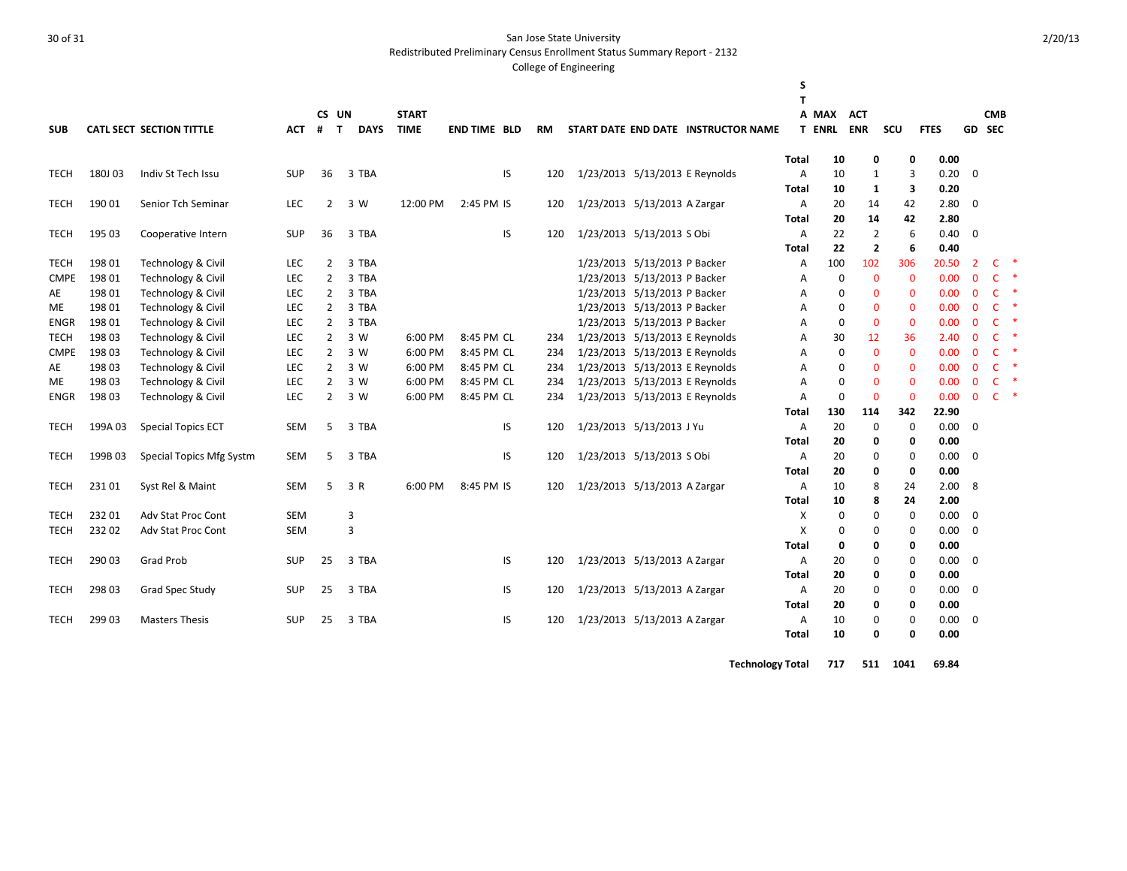Redistributed Preliminary Census Enrollment Status Summary Report - 2132

#### College of Engineering

|             |        |                                 |            |                   |             |              |                     |    |     |                                |                                     | S              |               |                |             |             |                |              |        |
|-------------|--------|---------------------------------|------------|-------------------|-------------|--------------|---------------------|----|-----|--------------------------------|-------------------------------------|----------------|---------------|----------------|-------------|-------------|----------------|--------------|--------|
|             |        |                                 |            |                   |             |              |                     |    |     |                                |                                     | T              |               |                |             |             |                |              |        |
|             |        |                                 |            | CS UN             |             | <b>START</b> |                     |    |     |                                |                                     |                | A MAX         | <b>ACT</b>     |             |             |                | <b>CMB</b>   |        |
| <b>SUB</b>  |        | <b>CATL SECT SECTION TITTLE</b> | АСТ        | #<br>$\mathbf{T}$ | <b>DAYS</b> | <b>TIME</b>  | <b>END TIME BLD</b> |    | RM  |                                | START DATE END DATE INSTRUCTOR NAME |                | <b>T ENRL</b> | <b>ENR</b>     | <b>SCU</b>  | <b>FTES</b> |                | GD SEC       |        |
|             |        |                                 |            |                   |             |              |                     |    |     |                                |                                     | Total          | 10            | 0              | 0           | 0.00        |                |              |        |
| <b>TECH</b> | 180J03 | Indiv St Tech Issu              | <b>SUP</b> | 36                | 3 TBA       |              |                     | IS | 120 | 1/23/2013 5/13/2013 E Reynolds |                                     | A              | 10            | 1              | 3           | 0.20        | $\mathbf{0}$   |              |        |
|             |        |                                 |            |                   |             |              |                     |    |     |                                |                                     | <b>Total</b>   | 10            | 1              | 3           | 0.20        |                |              |        |
| <b>TECH</b> | 19001  | Senior Tch Seminar              | <b>LEC</b> | 2                 | 3 W         | 12:00 PM     | 2:45 PM IS          |    | 120 | 1/23/2013 5/13/2013 A Zargar   |                                     | $\overline{A}$ | 20            | 14             | 42          | 2.80        | $\mathbf{0}$   |              |        |
|             |        |                                 |            |                   |             |              |                     |    |     |                                |                                     | Total          | 20            | 14             | 42          | 2.80        |                |              |        |
| <b>TECH</b> | 195 03 | Cooperative Intern              | <b>SUP</b> | 36                | 3 TBA       |              |                     | IS | 120 | 1/23/2013 5/13/2013 S Obi      |                                     | $\overline{A}$ | 22            | $\overline{2}$ | 6           | 0.40        | $\mathbf{0}$   |              |        |
|             |        |                                 |            |                   |             |              |                     |    |     |                                |                                     | <b>Total</b>   | 22            | $\overline{2}$ | 6           | 0.40        |                |              |        |
| <b>TECH</b> | 19801  | <b>Technology &amp; Civil</b>   | <b>LEC</b> | $\overline{2}$    | 3 TBA       |              |                     |    |     | 1/23/2013 5/13/2013 P Backer   |                                     | A              | 100           | 102            | 306         | 20.50       | $\overline{2}$ | C            | ∗      |
| <b>CMPE</b> | 198 01 | <b>Technology &amp; Civil</b>   | LEC        | $\overline{2}$    | 3 TBA       |              |                     |    |     | 1/23/2013 5/13/2013 P Backer   |                                     | Α              | $\mathbf 0$   | $\mathbf 0$    | $\mathbf 0$ | 0.00        | $\mathbf 0$    | $\mathsf{C}$ | $\ast$ |
| AE          | 19801  | Technology & Civil              | LEC        | 2                 | 3 TBA       |              |                     |    |     | 1/23/2013 5/13/2013 P Backer   |                                     | Α              | 0             | $\mathbf{0}$   | $\mathbf 0$ | 0.00        | $\mathbf{0}$   | $\mathsf{C}$ | $\ast$ |
| <b>ME</b>   | 19801  | Technology & Civil              | <b>LEC</b> | $\overline{2}$    | 3 TBA       |              |                     |    |     | 1/23/2013 5/13/2013 P Backer   |                                     | A              | $\Omega$      | $\mathbf{0}$   | $\mathbf 0$ | 0.00        | $\mathbf{0}$   | $\mathsf{C}$ | $\ast$ |
| <b>ENGR</b> | 198 01 | <b>Technology &amp; Civil</b>   | <b>LEC</b> | 2                 | 3 TBA       |              |                     |    |     | 1/23/2013 5/13/2013 P Backer   |                                     | Α              | $\mathbf 0$   | 0              | $\mathbf 0$ | 0.00        | $\mathbf 0$    | C            | ∗      |
| <b>TECH</b> | 198 03 | Technology & Civil              | <b>LEC</b> | 2                 | 3 W         | 6:00 PM      | 8:45 PM CL          |    | 234 | 1/23/2013 5/13/2013 E Reynolds |                                     | Α              | 30            | 12             | 36          | 2.40        | $\mathbf{0}$   | $\mathsf{C}$ | $\ast$ |
| <b>CMPE</b> | 198 03 | Technology & Civil              | LEC        | 2                 | 3 W         | 6:00 PM      | 8:45 PM CL          |    | 234 | 1/23/2013 5/13/2013 E Reynolds |                                     | Α              | $\mathbf 0$   | $\mathbf 0$    | $\mathbf 0$ | 0.00        | $\mathbf{0}$   | $\mathsf{C}$ | $\ast$ |
| AE          | 19803  | Technology & Civil              | <b>LEC</b> | $\overline{2}$    | 3 W         | 6:00 PM      | 8:45 PM CL          |    | 234 | 1/23/2013 5/13/2013 E Reynolds |                                     | Α              | $\Omega$      | $\mathbf{0}$   | $\mathbf 0$ | 0.00        | $\mathbf{0}$   | $\mathsf{C}$ | $\ast$ |
| ME          | 198 03 | <b>Technology &amp; Civil</b>   | LEC        | 2                 | 3 W         | 6:00 PM      | 8:45 PM CL          |    | 234 | 1/23/2013 5/13/2013 E Reynolds |                                     | Α              | $\mathbf 0$   | $\mathbf{0}$   | $\mathbf 0$ | 0.00        | $\mathbf 0$    | $\mathsf{C}$ | $\ast$ |
| <b>ENGR</b> | 198 03 | <b>Technology &amp; Civil</b>   | LEC        | $\overline{2}$    | 3 W         | 6:00 PM      | 8:45 PM CL          |    | 234 | 1/23/2013 5/13/2013 E Reynolds |                                     | Α              | $\mathbf 0$   | $\mathbf 0$    | $\Omega$    | 0.00        | $\Omega$       | $\mathsf{C}$ | $\ast$ |
|             |        |                                 |            |                   |             |              |                     |    |     |                                |                                     | Total          | 130           | 114            | 342         | 22.90       |                |              |        |
| <b>TECH</b> | 199A03 | <b>Special Topics ECT</b>       | <b>SEM</b> | 5                 | 3 TBA       |              |                     | IS | 120 | 1/23/2013 5/13/2013 J Yu       |                                     | $\overline{A}$ | 20            | $\mathbf 0$    | $\mathbf 0$ | 0.00        | $\mathbf 0$    |              |        |
|             |        |                                 |            |                   |             |              |                     |    |     |                                |                                     | Total          | 20            | 0              | 0           | 0.00        |                |              |        |
| <b>TECH</b> | 199B03 | Special Topics Mfg Systm        | SEM        | 5                 | 3 TBA       |              |                     | IS | 120 | 1/23/2013 5/13/2013 S Obi      |                                     | Α              | 20            | 0              | 0           | 0.00        | $\Omega$       |              |        |
|             |        |                                 |            |                   |             |              |                     |    |     |                                |                                     | <b>Total</b>   | 20            | 0              | 0           | 0.00        |                |              |        |
| <b>TECH</b> | 23101  | Syst Rel & Maint                | <b>SEM</b> | 5                 | 3 R         | 6:00 PM      | 8:45 PM IS          |    | 120 | 1/23/2013 5/13/2013 A Zargar   |                                     | $\overline{A}$ | 10            | 8              | 24          | 2.00        | 8              |              |        |
|             |        |                                 |            |                   |             |              |                     |    |     |                                |                                     | Total          | 10            | 8              | 24          | 2.00        |                |              |        |
| <b>TECH</b> | 232 01 | <b>Adv Stat Proc Cont</b>       | <b>SEM</b> |                   | 3           |              |                     |    |     |                                |                                     | X              | 0             | 0              | 0           | 0.00        | $\mathbf 0$    |              |        |
| <b>TECH</b> | 232 02 | <b>Adv Stat Proc Cont</b>       | <b>SEM</b> |                   | 3           |              |                     |    |     |                                |                                     | X              | 0             | $\Omega$       | 0           | 0.00        | $\Omega$       |              |        |
|             |        |                                 |            |                   |             |              |                     |    |     |                                |                                     | <b>Total</b>   | 0             | 0              | 0           | 0.00        |                |              |        |
| <b>TECH</b> | 290 03 | <b>Grad Prob</b>                | SUP        | 25                | 3 TBA       |              |                     | IS | 120 | 1/23/2013 5/13/2013 A Zargar   |                                     | Α              | 20            | 0              | 0           | 0.00        | $\mathbf 0$    |              |        |
|             |        |                                 |            |                   |             |              |                     |    |     |                                |                                     | <b>Total</b>   | 20            | 0              | 0           | 0.00        |                |              |        |
| <b>TECH</b> | 298 03 | Grad Spec Study                 | <b>SUP</b> | 25                | 3 TBA       |              |                     | IS | 120 | 1/23/2013 5/13/2013 A Zargar   |                                     | Α              | 20            | 0              | 0           | 0.00        | $\mathbf 0$    |              |        |
|             |        |                                 |            |                   |             |              |                     |    |     |                                |                                     | <b>Total</b>   | 20            | 0              | 0           | 0.00        |                |              |        |
| <b>TECH</b> | 299 03 | <b>Masters Thesis</b>           | <b>SUP</b> | 25                | 3 TBA       |              |                     | IS | 120 | 1/23/2013 5/13/2013 A Zargar   |                                     | Α              | 10            | 0              | 0           | 0.00        | $\mathbf 0$    |              |        |
|             |        |                                 |            |                   |             |              |                     |    |     |                                |                                     | <b>Total</b>   | 10            | 0              | 0           | 0.00        |                |              |        |

**Technology Total 717 511 1041 69.84**